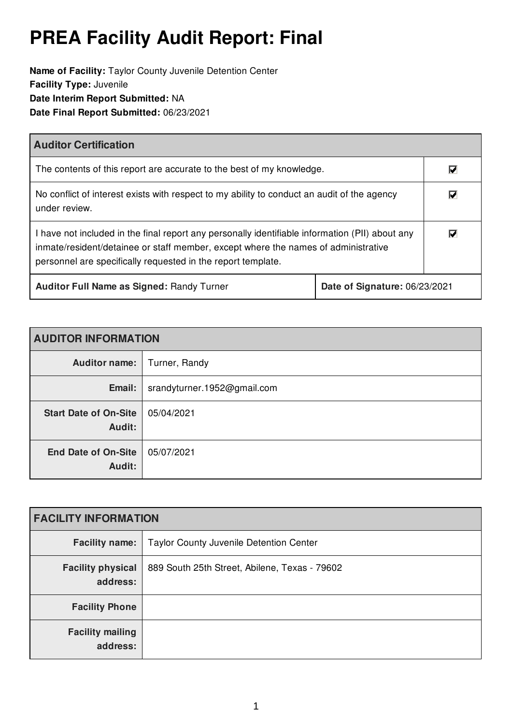# **PREA Facility Audit Report: Final**

**Name of Facility:** Taylor County Juvenile Detention Center **Facility Type:** Juvenile **Date Interim Report Submitted:** NA **Date Final Report Submitted:** 06/23/2021

| <b>Auditor Certification</b>                                                                                                                                                                                                                          |  |                                 |
|-------------------------------------------------------------------------------------------------------------------------------------------------------------------------------------------------------------------------------------------------------|--|---------------------------------|
| The contents of this report are accurate to the best of my knowledge.                                                                                                                                                                                 |  | M                               |
| No conflict of interest exists with respect to my ability to conduct an audit of the agency<br>under review.                                                                                                                                          |  | $\overline{\blacktriangledown}$ |
| I have not included in the final report any personally identifiable information (PII) about any<br>inmate/resident/detainee or staff member, except where the names of administrative<br>personnel are specifically requested in the report template. |  | M                               |
| <b>Auditor Full Name as Signed: Randy Turner</b><br>Date of Signature: 06/23/2021                                                                                                                                                                     |  |                                 |

| <b>AUDITOR INFORMATION</b>             |                             |  |
|----------------------------------------|-----------------------------|--|
| Auditor name:                          | Turner, Randy               |  |
| Email:                                 | srandyturner.1952@gmail.com |  |
| <b>Start Date of On-Site</b><br>Audit: | 05/04/2021                  |  |
| <b>End Date of On-Site</b><br>Audit:   | 05/07/2021                  |  |

| <b>FACILITY INFORMATION</b>          |                                               |  |
|--------------------------------------|-----------------------------------------------|--|
| <b>Facility name:</b>                | Taylor County Juvenile Detention Center       |  |
| <b>Facility physical</b><br>address: | 889 South 25th Street, Abilene, Texas - 79602 |  |
| <b>Facility Phone</b>                |                                               |  |
| <b>Facility mailing</b><br>address:  |                                               |  |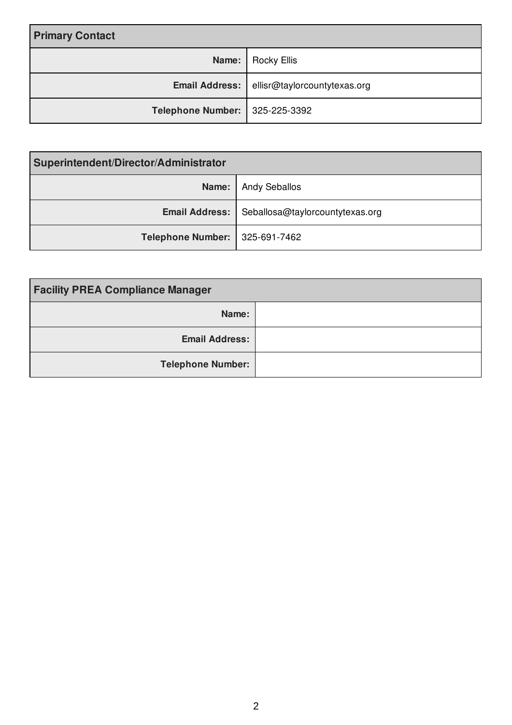| <b>Primary Contact</b>         |                                                    |
|--------------------------------|----------------------------------------------------|
|                                | Name:   Rocky Ellis                                |
|                                | <b>Email Address:</b> ellisr@taylorcountytexas.org |
| Telephone Number: 325-225-3392 |                                                    |

| Superintendent/Director/Administrator |                                 |  |
|---------------------------------------|---------------------------------|--|
| Name:                                 | <b>Andy Seballos</b>            |  |
| <b>Email Address:</b>                 | Seballosa@taylorcountytexas.org |  |
| <b>Telephone Number:</b>              | 325-691-7462                    |  |

| <b>Facility PREA Compliance Manager</b> |  |
|-----------------------------------------|--|
| Name:                                   |  |
| <b>Email Address:</b>                   |  |
| <b>Telephone Number:</b>                |  |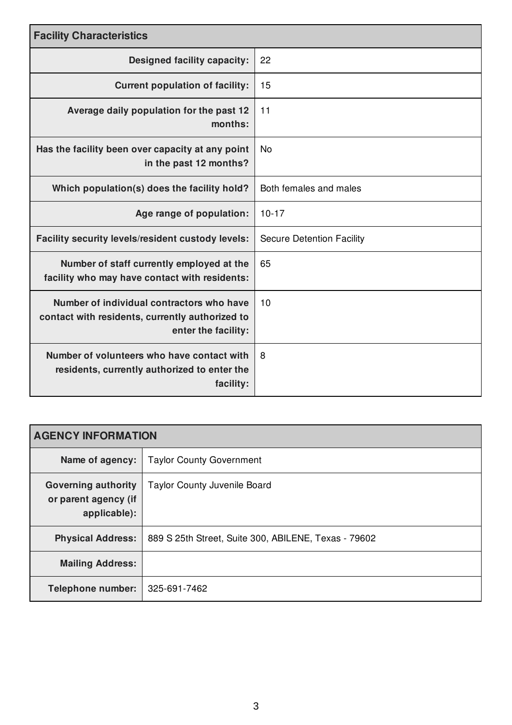| <b>Facility Characteristics</b>                                                                                     |                                  |  |
|---------------------------------------------------------------------------------------------------------------------|----------------------------------|--|
| <b>Designed facility capacity:</b>                                                                                  | 22                               |  |
| <b>Current population of facility:</b>                                                                              | 15                               |  |
| Average daily population for the past 12<br>months:                                                                 | 11                               |  |
| Has the facility been over capacity at any point<br>in the past 12 months?                                          | <b>No</b>                        |  |
| Which population(s) does the facility hold?                                                                         | Both females and males           |  |
| Age range of population:                                                                                            | $10 - 17$                        |  |
| Facility security levels/resident custody levels:                                                                   | <b>Secure Detention Facility</b> |  |
| Number of staff currently employed at the<br>facility who may have contact with residents:                          | 65                               |  |
| Number of individual contractors who have<br>contact with residents, currently authorized to<br>enter the facility: | 10                               |  |
| Number of volunteers who have contact with<br>residents, currently authorized to enter the<br>facility:             | 8                                |  |

| <b>AGENCY INFORMATION</b>                                          |                                                      |  |
|--------------------------------------------------------------------|------------------------------------------------------|--|
| Name of agency:                                                    | <b>Taylor County Government</b>                      |  |
| <b>Governing authority</b><br>or parent agency (if<br>applicable): | <b>Taylor County Juvenile Board</b>                  |  |
| <b>Physical Address:</b>                                           | 889 S 25th Street, Suite 300, ABILENE, Texas - 79602 |  |
| <b>Mailing Address:</b>                                            |                                                      |  |
| <b>Telephone number:</b>                                           | 325-691-7462                                         |  |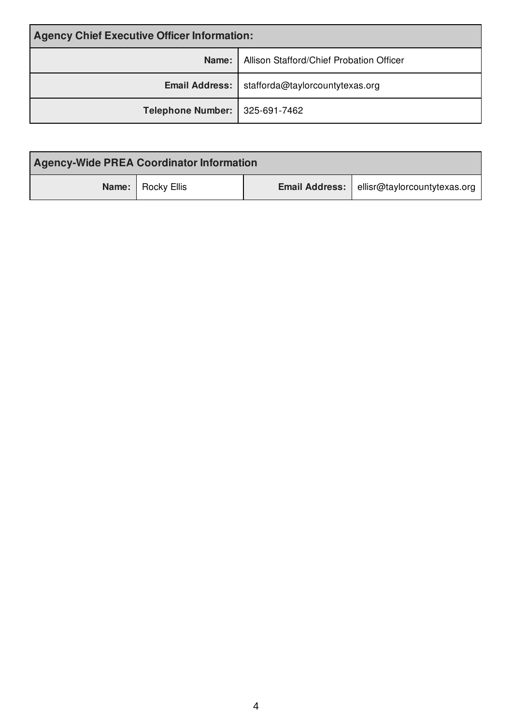| <b>Agency Chief Executive Officer Information:</b> |                                                  |  |
|----------------------------------------------------|--------------------------------------------------|--|
| Name:                                              | Allison Stafford/Chief Probation Officer         |  |
|                                                    | Email Address:   stafforda@taylorcountytexas.org |  |
| Telephone Number:   325-691-7462                   |                                                  |  |

| <b>Agency-Wide PREA Coordinator Information</b> |                                                    |
|-------------------------------------------------|----------------------------------------------------|
| Name:   Rocky Ellis                             | <b>Email Address:</b> ellisr@taylorcountytexas.org |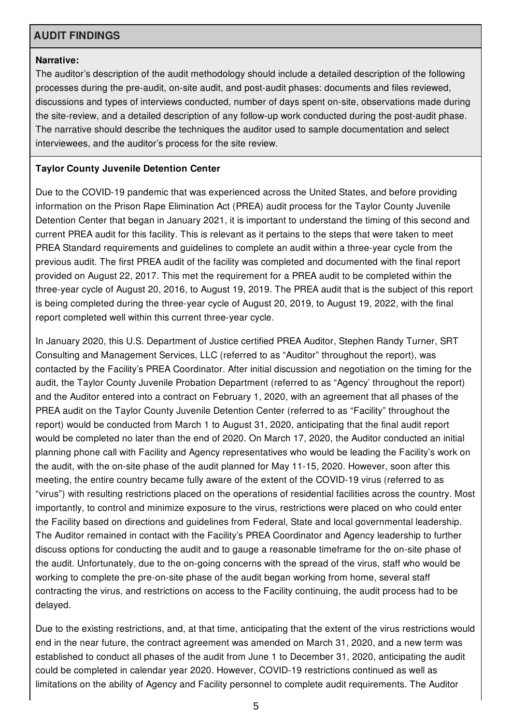# **AUDIT FINDINGS**

#### **Narrative:**

The auditor's description of the audit methodology should include a detailed description of the following processes during the pre-audit, on-site audit, and post-audit phases: documents and files reviewed, discussions and types of interviews conducted, number of days spent on-site, observations made during the site-review, and a detailed description of any follow-up work conducted during the post-audit phase. The narrative should describe the techniques the auditor used to sample documentation and select interviewees, and the auditor's process for the site review.

#### **Taylor County Juvenile Detention Center**

Due to the COVID-19 pandemic that was experienced across the United States, and before providing information on the Prison Rape Elimination Act (PREA) audit process for the Taylor County Juvenile Detention Center that began in January 2021, it is important to understand the timing of this second and current PREA audit for this facility. This is relevant as it pertains to the steps that were taken to meet PREA Standard requirements and guidelines to complete an audit within a three-year cycle from the previous audit. The first PREA audit of the facility was completed and documented with the final report provided on August 22, 2017. This met the requirement for a PREA audit to be completed within the three-year cycle of August 20, 2016, to August 19, 2019. The PREA audit that is the subject of this report is being completed during the three-year cycle of August 20, 2019, to August 19, 2022, with the final report completed well within this current three-year cycle.

In January 2020, this U.S. Department of Justice certified PREA Auditor, Stephen Randy Turner, SRT Consulting and Management Services, LLC (referred to as "Auditor" throughout the report), was contacted by the Facility's PREA Coordinator. After initial discussion and negotiation on the timing for the audit, the Taylor County Juvenile Probation Department (referred to as "Agency' throughout the report) and the Auditor entered into a contract on February 1, 2020, with an agreement that all phases of the PREA audit on the Taylor County Juvenile Detention Center (referred to as "Facility" throughout the report) would be conducted from March 1 to August 31, 2020, anticipating that the final audit report would be completed no later than the end of 2020. On March 17, 2020, the Auditor conducted an initial planning phone call with Facility and Agency representatives who would be leading the Facility's work on the audit, with the on-site phase of the audit planned for May 11-15, 2020. However, soon after this meeting, the entire country became fully aware of the extent of the COVID-19 virus (referred to as "virus") with resulting restrictions placed on the operations of residential facilities across the country. Most importantly, to control and minimize exposure to the virus, restrictions were placed on who could enter the Facility based on directions and guidelines from Federal, State and local governmental leadership. The Auditor remained in contact with the Facility's PREA Coordinator and Agency leadership to further discuss options for conducting the audit and to gauge a reasonable timeframe for the on-site phase of the audit. Unfortunately, due to the on-going concerns with the spread of the virus, staff who would be working to complete the pre-on-site phase of the audit began working from home, several staff contracting the virus, and restrictions on access to the Facility continuing, the audit process had to be delayed.

Due to the existing restrictions, and, at that time, anticipating that the extent of the virus restrictions would end in the near future, the contract agreement was amended on March 31, 2020, and a new term was established to conduct all phases of the audit from June 1 to December 31, 2020, anticipating the audit could be completed in calendar year 2020. However, COVID-19 restrictions continued as well as limitations on the ability of Agency and Facility personnel to complete audit requirements. The Auditor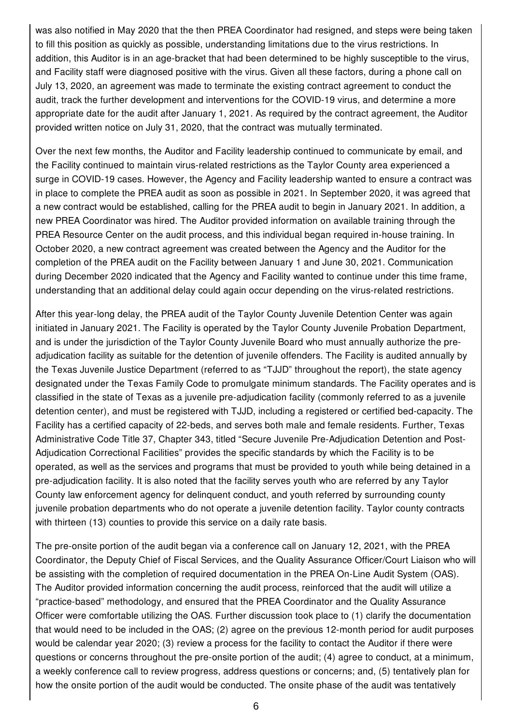was also notified in May 2020 that the then PREA Coordinator had resigned, and steps were being taken to fill this position as quickly as possible, understanding limitations due to the virus restrictions. In addition, this Auditor is in an age-bracket that had been determined to be highly susceptible to the virus, and Facility staff were diagnosed positive with the virus. Given all these factors, during a phone call on July 13, 2020, an agreement was made to terminate the existing contract agreement to conduct the audit, track the further development and interventions for the COVID-19 virus, and determine a more appropriate date for the audit after January 1, 2021. As required by the contract agreement, the Auditor provided written notice on July 31, 2020, that the contract was mutually terminated.

Over the next few months, the Auditor and Facility leadership continued to communicate by email, and the Facility continued to maintain virus-related restrictions as the Taylor County area experienced a surge in COVID-19 cases. However, the Agency and Facility leadership wanted to ensure a contract was in place to complete the PREA audit as soon as possible in 2021. In September 2020, it was agreed that a new contract would be established, calling for the PREA audit to begin in January 2021. In addition, a new PREA Coordinator was hired. The Auditor provided information on available training through the PREA Resource Center on the audit process, and this individual began required in-house training. In October 2020, a new contract agreement was created between the Agency and the Auditor for the completion of the PREA audit on the Facility between January 1 and June 30, 2021. Communication during December 2020 indicated that the Agency and Facility wanted to continue under this time frame, understanding that an additional delay could again occur depending on the virus-related restrictions.

After this year-long delay, the PREA audit of the Taylor County Juvenile Detention Center was again initiated in January 2021. The Facility is operated by the Taylor County Juvenile Probation Department, and is under the jurisdiction of the Taylor County Juvenile Board who must annually authorize the preadjudication facility as suitable for the detention of juvenile offenders. The Facility is audited annually by the Texas Juvenile Justice Department (referred to as "TJJD" throughout the report), the state agency designated under the Texas Family Code to promulgate minimum standards. The Facility operates and is classified in the state of Texas as a juvenile pre-adjudication facility (commonly referred to as a juvenile detention center), and must be registered with TJJD, including a registered or certified bed-capacity. The Facility has a certified capacity of 22-beds, and serves both male and female residents. Further, Texas Administrative Code Title 37, Chapter 343, titled "Secure Juvenile Pre-Adjudication Detention and Post-Adjudication Correctional Facilities" provides the specific standards by which the Facility is to be operated, as well as the services and programs that must be provided to youth while being detained in a pre-adjudication facility. It is also noted that the facility serves youth who are referred by any Taylor County law enforcement agency for delinquent conduct, and youth referred by surrounding county juvenile probation departments who do not operate a juvenile detention facility. Taylor county contracts with thirteen (13) counties to provide this service on a daily rate basis.

The pre-onsite portion of the audit began via a conference call on January 12, 2021, with the PREA Coordinator, the Deputy Chief of Fiscal Services, and the Quality Assurance Officer/Court Liaison who will be assisting with the completion of required documentation in the PREA On-Line Audit System (OAS). The Auditor provided information concerning the audit process, reinforced that the audit will utilize a "practice-based" methodology, and ensured that the PREA Coordinator and the Quality Assurance Officer were comfortable utilizing the OAS. Further discussion took place to (1) clarify the documentation that would need to be included in the OAS; (2) agree on the previous 12-month period for audit purposes would be calendar year 2020; (3) review a process for the facility to contact the Auditor if there were questions or concerns throughout the pre-onsite portion of the audit; (4) agree to conduct, at a minimum, a weekly conference call to review progress, address questions or concerns; and, (5) tentatively plan for how the onsite portion of the audit would be conducted. The onsite phase of the audit was tentatively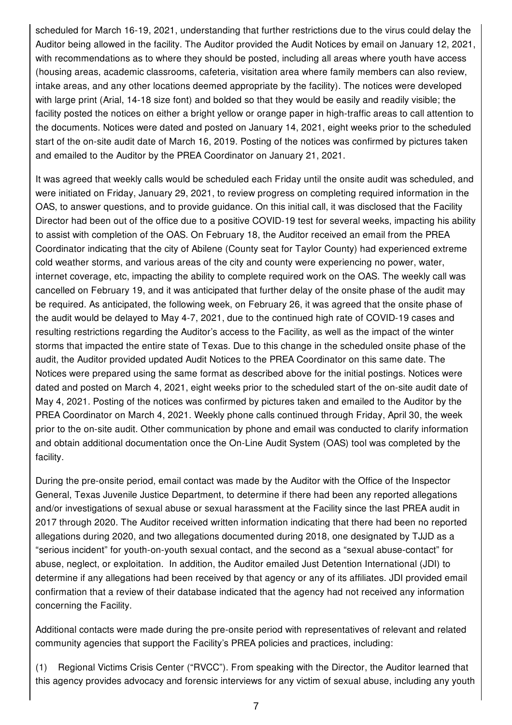scheduled for March 16-19, 2021, understanding that further restrictions due to the virus could delay the Auditor being allowed in the facility. The Auditor provided the Audit Notices by email on January 12, 2021, with recommendations as to where they should be posted, including all areas where youth have access (housing areas, academic classrooms, cafeteria, visitation area where family members can also review, intake areas, and any other locations deemed appropriate by the facility). The notices were developed with large print (Arial, 14-18 size font) and bolded so that they would be easily and readily visible; the facility posted the notices on either a bright yellow or orange paper in high-traffic areas to call attention to the documents. Notices were dated and posted on January 14, 2021, eight weeks prior to the scheduled start of the on-site audit date of March 16, 2019. Posting of the notices was confirmed by pictures taken and emailed to the Auditor by the PREA Coordinator on January 21, 2021.

It was agreed that weekly calls would be scheduled each Friday until the onsite audit was scheduled, and were initiated on Friday, January 29, 2021, to review progress on completing required information in the OAS, to answer questions, and to provide guidance. On this initial call, it was disclosed that the Facility Director had been out of the office due to a positive COVID-19 test for several weeks, impacting his ability to assist with completion of the OAS. On February 18, the Auditor received an email from the PREA Coordinator indicating that the city of Abilene (County seat for Taylor County) had experienced extreme cold weather storms, and various areas of the city and county were experiencing no power, water, internet coverage, etc, impacting the ability to complete required work on the OAS. The weekly call was cancelled on February 19, and it was anticipated that further delay of the onsite phase of the audit may be required. As anticipated, the following week, on February 26, it was agreed that the onsite phase of the audit would be delayed to May 4-7, 2021, due to the continued high rate of COVID-19 cases and resulting restrictions regarding the Auditor's access to the Facility, as well as the impact of the winter storms that impacted the entire state of Texas. Due to this change in the scheduled onsite phase of the audit, the Auditor provided updated Audit Notices to the PREA Coordinator on this same date. The Notices were prepared using the same format as described above for the initial postings. Notices were dated and posted on March 4, 2021, eight weeks prior to the scheduled start of the on-site audit date of May 4, 2021. Posting of the notices was confirmed by pictures taken and emailed to the Auditor by the PREA Coordinator on March 4, 2021. Weekly phone calls continued through Friday, April 30, the week prior to the on-site audit. Other communication by phone and email was conducted to clarify information and obtain additional documentation once the On-Line Audit System (OAS) tool was completed by the facility.

During the pre-onsite period, email contact was made by the Auditor with the Office of the Inspector General, Texas Juvenile Justice Department, to determine if there had been any reported allegations and/or investigations of sexual abuse or sexual harassment at the Facility since the last PREA audit in 2017 through 2020. The Auditor received written information indicating that there had been no reported allegations during 2020, and two allegations documented during 2018, one designated by TJJD as a "serious incident" for youth-on-youth sexual contact, and the second as a "sexual abuse-contact" for abuse, neglect, or exploitation. In addition, the Auditor emailed Just Detention International (JDI) to determine if any allegations had been received by that agency or any of its affiliates. JDI provided email confirmation that a review of their database indicated that the agency had not received any information concerning the Facility.

Additional contacts were made during the pre-onsite period with representatives of relevant and related community agencies that support the Facility's PREA policies and practices, including:

(1) Regional Victims Crisis Center ("RVCC"). From speaking with the Director, the Auditor learned that this agency provides advocacy and forensic interviews for any victim of sexual abuse, including any youth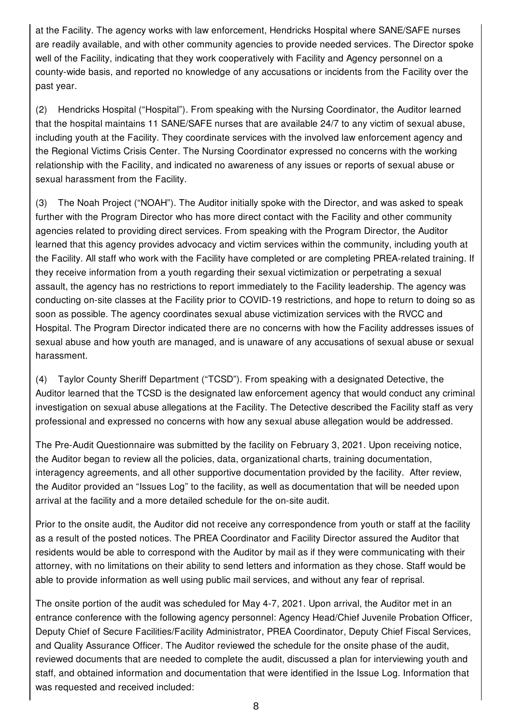at the Facility. The agency works with law enforcement, Hendricks Hospital where SANE/SAFE nurses are readily available, and with other community agencies to provide needed services. The Director spoke well of the Facility, indicating that they work cooperatively with Facility and Agency personnel on a county-wide basis, and reported no knowledge of any accusations or incidents from the Facility over the past year.

(2) Hendricks Hospital ("Hospital"). From speaking with the Nursing Coordinator, the Auditor learned that the hospital maintains 11 SANE/SAFE nurses that are available 24/7 to any victim of sexual abuse, including youth at the Facility. They coordinate services with the involved law enforcement agency and the Regional Victims Crisis Center. The Nursing Coordinator expressed no concerns with the working relationship with the Facility, and indicated no awareness of any issues or reports of sexual abuse or sexual harassment from the Facility.

(3) The Noah Project ("NOAH"). The Auditor initially spoke with the Director, and was asked to speak further with the Program Director who has more direct contact with the Facility and other community agencies related to providing direct services. From speaking with the Program Director, the Auditor learned that this agency provides advocacy and victim services within the community, including youth at the Facility. All staff who work with the Facility have completed or are completing PREA-related training. If they receive information from a youth regarding their sexual victimization or perpetrating a sexual assault, the agency has no restrictions to report immediately to the Facility leadership. The agency was conducting on-site classes at the Facility prior to COVID-19 restrictions, and hope to return to doing so as soon as possible. The agency coordinates sexual abuse victimization services with the RVCC and Hospital. The Program Director indicated there are no concerns with how the Facility addresses issues of sexual abuse and how youth are managed, and is unaware of any accusations of sexual abuse or sexual harassment.

(4) Taylor County Sheriff Department ("TCSD"). From speaking with a designated Detective, the Auditor learned that the TCSD is the designated law enforcement agency that would conduct any criminal investigation on sexual abuse allegations at the Facility. The Detective described the Facility staff as very professional and expressed no concerns with how any sexual abuse allegation would be addressed.

The Pre-Audit Questionnaire was submitted by the facility on February 3, 2021. Upon receiving notice, the Auditor began to review all the policies, data, organizational charts, training documentation, interagency agreements, and all other supportive documentation provided by the facility. After review, the Auditor provided an "Issues Log" to the facility, as well as documentation that will be needed upon arrival at the facility and a more detailed schedule for the on-site audit.

Prior to the onsite audit, the Auditor did not receive any correspondence from youth or staff at the facility as a result of the posted notices. The PREA Coordinator and Facility Director assured the Auditor that residents would be able to correspond with the Auditor by mail as if they were communicating with their attorney, with no limitations on their ability to send letters and information as they chose. Staff would be able to provide information as well using public mail services, and without any fear of reprisal.

The onsite portion of the audit was scheduled for May 4-7, 2021. Upon arrival, the Auditor met in an entrance conference with the following agency personnel: Agency Head/Chief Juvenile Probation Officer, Deputy Chief of Secure Facilities/Facility Administrator, PREA Coordinator, Deputy Chief Fiscal Services, and Quality Assurance Officer. The Auditor reviewed the schedule for the onsite phase of the audit, reviewed documents that are needed to complete the audit, discussed a plan for interviewing youth and staff, and obtained information and documentation that were identified in the Issue Log. Information that was requested and received included: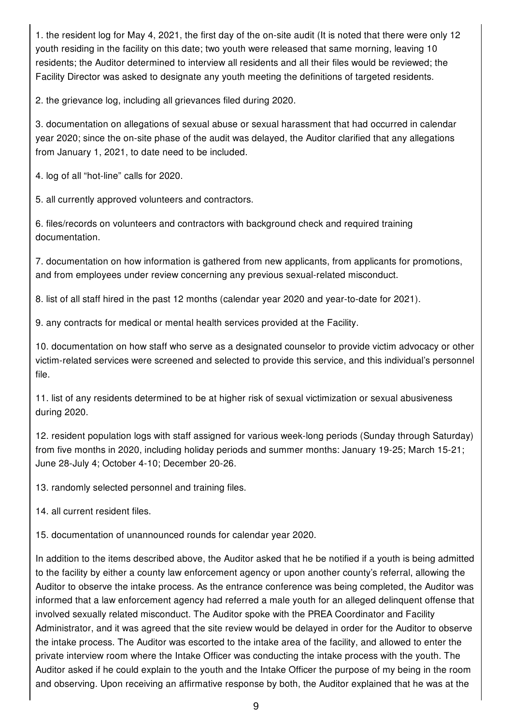1. the resident log for May 4, 2021, the first day of the on-site audit (It is noted that there were only 12 youth residing in the facility on this date; two youth were released that same morning, leaving 10 residents; the Auditor determined to interview all residents and all their files would be reviewed; the Facility Director was asked to designate any youth meeting the definitions of targeted residents.

2. the grievance log, including all grievances filed during 2020.

3. documentation on allegations of sexual abuse or sexual harassment that had occurred in calendar year 2020; since the on-site phase of the audit was delayed, the Auditor clarified that any allegations from January 1, 2021, to date need to be included.

4. log of all "hot-line" calls for 2020.

5. all currently approved volunteers and contractors.

6. files/records on volunteers and contractors with background check and required training documentation.

7. documentation on how information is gathered from new applicants, from applicants for promotions, and from employees under review concerning any previous sexual-related misconduct.

8. list of all staff hired in the past 12 months (calendar year 2020 and year-to-date for 2021).

9. any contracts for medical or mental health services provided at the Facility.

10. documentation on how staff who serve as a designated counselor to provide victim advocacy or other victim-related services were screened and selected to provide this service, and this individual's personnel file.

11. list of any residents determined to be at higher risk of sexual victimization or sexual abusiveness during 2020.

12. resident population logs with staff assigned for various week-long periods (Sunday through Saturday) from five months in 2020, including holiday periods and summer months: January 19-25; March 15-21; June 28-July 4; October 4-10; December 20-26.

13. randomly selected personnel and training files.

14. all current resident files.

15. documentation of unannounced rounds for calendar year 2020.

In addition to the items described above, the Auditor asked that he be notified if a youth is being admitted to the facility by either a county law enforcement agency or upon another county's referral, allowing the Auditor to observe the intake process. As the entrance conference was being completed, the Auditor was informed that a law enforcement agency had referred a male youth for an alleged delinquent offense that involved sexually related misconduct. The Auditor spoke with the PREA Coordinator and Facility Administrator, and it was agreed that the site review would be delayed in order for the Auditor to observe the intake process. The Auditor was escorted to the intake area of the facility, and allowed to enter the private interview room where the Intake Officer was conducting the intake process with the youth. The Auditor asked if he could explain to the youth and the Intake Officer the purpose of my being in the room and observing. Upon receiving an affirmative response by both, the Auditor explained that he was at the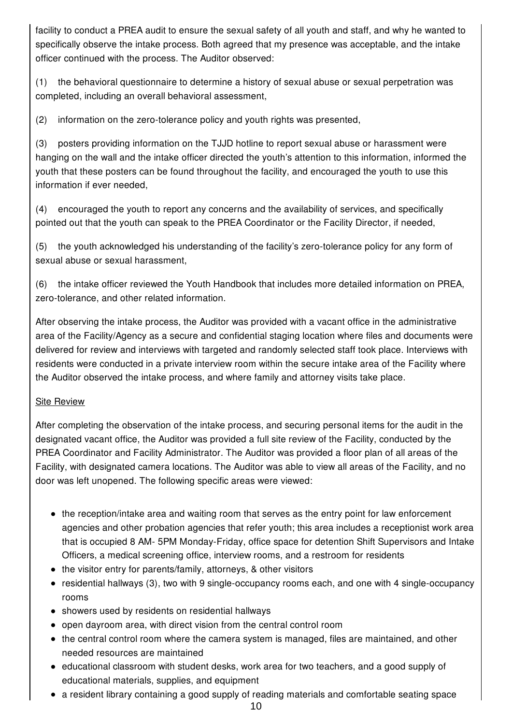facility to conduct a PREA audit to ensure the sexual safety of all youth and staff, and why he wanted to specifically observe the intake process. Both agreed that my presence was acceptable, and the intake officer continued with the process. The Auditor observed:

(1) the behavioral questionnaire to determine a history of sexual abuse or sexual perpetration was completed, including an overall behavioral assessment,

(2) information on the zero-tolerance policy and youth rights was presented,

(3) posters providing information on the TJJD hotline to report sexual abuse or harassment were hanging on the wall and the intake officer directed the youth's attention to this information, informed the youth that these posters can be found throughout the facility, and encouraged the youth to use this information if ever needed,

(4) encouraged the youth to report any concerns and the availability of services, and specifically pointed out that the youth can speak to the PREA Coordinator or the Facility Director, if needed,

(5) the youth acknowledged his understanding of the facility's zero-tolerance policy for any form of sexual abuse or sexual harassment,

(6) the intake officer reviewed the Youth Handbook that includes more detailed information on PREA, zero-tolerance, and other related information.

After observing the intake process, the Auditor was provided with a vacant office in the administrative area of the Facility/Agency as a secure and confidential staging location where files and documents were delivered for review and interviews with targeted and randomly selected staff took place. Interviews with residents were conducted in a private interview room within the secure intake area of the Facility where the Auditor observed the intake process, and where family and attorney visits take place.

# Site Review

After completing the observation of the intake process, and securing personal items for the audit in the designated vacant office, the Auditor was provided a full site review of the Facility, conducted by the PREA Coordinator and Facility Administrator. The Auditor was provided a floor plan of all areas of the Facility, with designated camera locations. The Auditor was able to view all areas of the Facility, and no door was left unopened. The following specific areas were viewed:

- the reception/intake area and waiting room that serves as the entry point for law enforcement agencies and other probation agencies that refer youth; this area includes a receptionist work area that is occupied 8 AM- 5PM Monday-Friday, office space for detention Shift Supervisors and Intake Officers, a medical screening office, interview rooms, and a restroom for residents
- the visitor entry for parents/family, attorneys, & other visitors
- residential hallways (3), two with 9 single-occupancy rooms each, and one with 4 single-occupancy rooms
- showers used by residents on residential hallways
- open dayroom area, with direct vision from the central control room
- the central control room where the camera system is managed, files are maintained, and other needed resources are maintained
- educational classroom with student desks, work area for two teachers, and a good supply of educational materials, supplies, and equipment
- a resident library containing a good supply of reading materials and comfortable seating space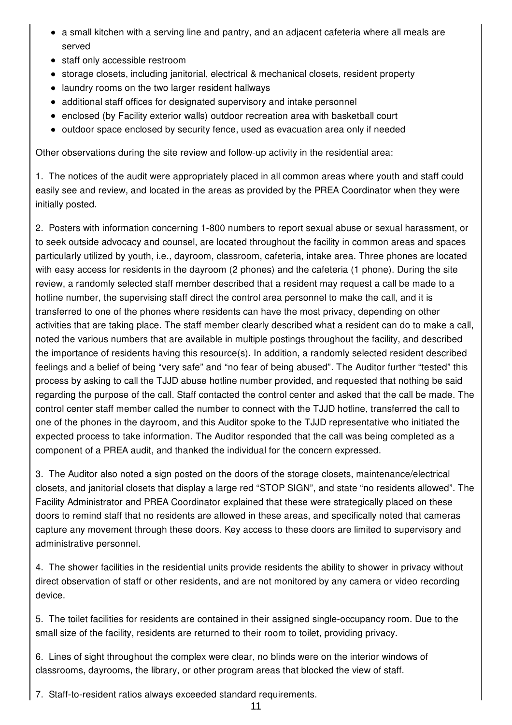- a small kitchen with a serving line and pantry, and an adjacent cafeteria where all meals are served
- staff only accessible restroom
- storage closets, including janitorial, electrical & mechanical closets, resident property
- laundry rooms on the two larger resident hallways
- additional staff offices for designated supervisory and intake personnel
- enclosed (by Facility exterior walls) outdoor recreation area with basketball court
- outdoor space enclosed by security fence, used as evacuation area only if needed

Other observations during the site review and follow-up activity in the residential area:

1. The notices of the audit were appropriately placed in all common areas where youth and staff could easily see and review, and located in the areas as provided by the PREA Coordinator when they were initially posted.

2. Posters with information concerning 1-800 numbers to report sexual abuse or sexual harassment, or to seek outside advocacy and counsel, are located throughout the facility in common areas and spaces particularly utilized by youth, i.e., dayroom, classroom, cafeteria, intake area. Three phones are located with easy access for residents in the dayroom (2 phones) and the cafeteria (1 phone). During the site review, a randomly selected staff member described that a resident may request a call be made to a hotline number, the supervising staff direct the control area personnel to make the call, and it is transferred to one of the phones where residents can have the most privacy, depending on other activities that are taking place. The staff member clearly described what a resident can do to make a call, noted the various numbers that are available in multiple postings throughout the facility, and described the importance of residents having this resource(s). In addition, a randomly selected resident described feelings and a belief of being "very safe" and "no fear of being abused". The Auditor further "tested" this process by asking to call the TJJD abuse hotline number provided, and requested that nothing be said regarding the purpose of the call. Staff contacted the control center and asked that the call be made. The control center staff member called the number to connect with the TJJD hotline, transferred the call to one of the phones in the dayroom, and this Auditor spoke to the TJJD representative who initiated the expected process to take information. The Auditor responded that the call was being completed as a component of a PREA audit, and thanked the individual for the concern expressed.

3. The Auditor also noted a sign posted on the doors of the storage closets, maintenance/electrical closets, and janitorial closets that display a large red "STOP SIGN", and state "no residents allowed". The Facility Administrator and PREA Coordinator explained that these were strategically placed on these doors to remind staff that no residents are allowed in these areas, and specifically noted that cameras capture any movement through these doors. Key access to these doors are limited to supervisory and administrative personnel.

4. The shower facilities in the residential units provide residents the ability to shower in privacy without direct observation of staff or other residents, and are not monitored by any camera or video recording device.

5. The toilet facilities for residents are contained in their assigned single-occupancy room. Due to the small size of the facility, residents are returned to their room to toilet, providing privacy.

6. Lines of sight throughout the complex were clear, no blinds were on the interior windows of classrooms, dayrooms, the library, or other program areas that blocked the view of staff.

7. Staff-to-resident ratios always exceeded standard requirements.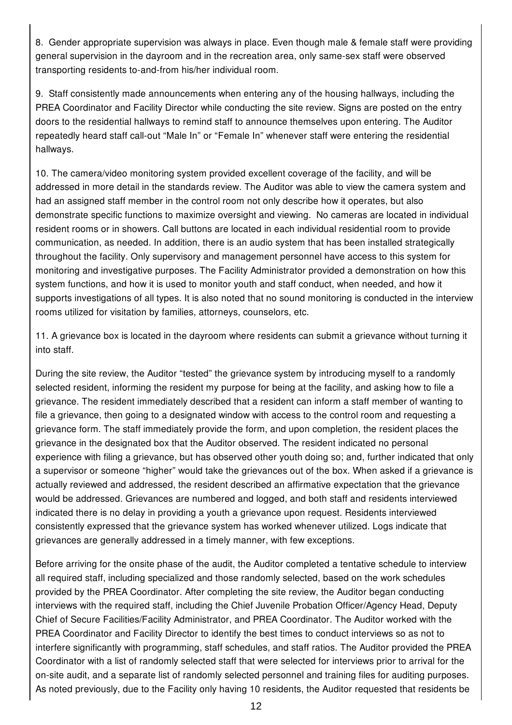8. Gender appropriate supervision was always in place. Even though male & female staff were providing general supervision in the dayroom and in the recreation area, only same-sex staff were observed transporting residents to-and-from his/her individual room.

9. Staff consistently made announcements when entering any of the housing hallways, including the PREA Coordinator and Facility Director while conducting the site review. Signs are posted on the entry doors to the residential hallways to remind staff to announce themselves upon entering. The Auditor repeatedly heard staff call-out "Male In" or "Female In" whenever staff were entering the residential hallways.

10. The camera/video monitoring system provided excellent coverage of the facility, and will be addressed in more detail in the standards review. The Auditor was able to view the camera system and had an assigned staff member in the control room not only describe how it operates, but also demonstrate specific functions to maximize oversight and viewing. No cameras are located in individual resident rooms or in showers. Call buttons are located in each individual residential room to provide communication, as needed. In addition, there is an audio system that has been installed strategically throughout the facility. Only supervisory and management personnel have access to this system for monitoring and investigative purposes. The Facility Administrator provided a demonstration on how this system functions, and how it is used to monitor youth and staff conduct, when needed, and how it supports investigations of all types. It is also noted that no sound monitoring is conducted in the interview rooms utilized for visitation by families, attorneys, counselors, etc.

11. A grievance box is located in the dayroom where residents can submit a grievance without turning it into staff.

During the site review, the Auditor "tested" the grievance system by introducing myself to a randomly selected resident, informing the resident my purpose for being at the facility, and asking how to file a grievance. The resident immediately described that a resident can inform a staff member of wanting to file a grievance, then going to a designated window with access to the control room and requesting a grievance form. The staff immediately provide the form, and upon completion, the resident places the grievance in the designated box that the Auditor observed. The resident indicated no personal experience with filing a grievance, but has observed other youth doing so; and, further indicated that only a supervisor or someone "higher" would take the grievances out of the box. When asked if a grievance is actually reviewed and addressed, the resident described an affirmative expectation that the grievance would be addressed. Grievances are numbered and logged, and both staff and residents interviewed indicated there is no delay in providing a youth a grievance upon request. Residents interviewed consistently expressed that the grievance system has worked whenever utilized. Logs indicate that grievances are generally addressed in a timely manner, with few exceptions.

Before arriving for the onsite phase of the audit, the Auditor completed a tentative schedule to interview all required staff, including specialized and those randomly selected, based on the work schedules provided by the PREA Coordinator. After completing the site review, the Auditor began conducting interviews with the required staff, including the Chief Juvenile Probation Officer/Agency Head, Deputy Chief of Secure Facilities/Facility Administrator, and PREA Coordinator. The Auditor worked with the PREA Coordinator and Facility Director to identify the best times to conduct interviews so as not to interfere significantly with programming, staff schedules, and staff ratios. The Auditor provided the PREA Coordinator with a list of randomly selected staff that were selected for interviews prior to arrival for the on-site audit, and a separate list of randomly selected personnel and training files for auditing purposes. As noted previously, due to the Facility only having 10 residents, the Auditor requested that residents be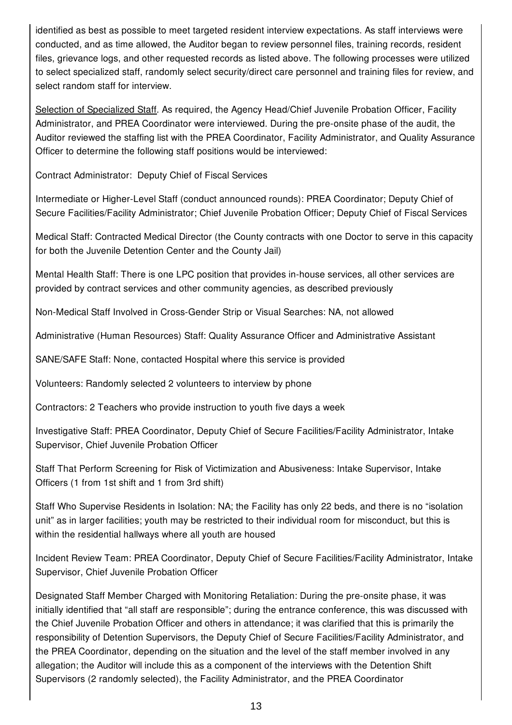identified as best as possible to meet targeted resident interview expectations. As staff interviews were conducted, and as time allowed, the Auditor began to review personnel files, training records, resident files, grievance logs, and other requested records as listed above. The following processes were utilized to select specialized staff, randomly select security/direct care personnel and training files for review, and select random staff for interview.

Selection of Specialized Staff. As required, the Agency Head/Chief Juvenile Probation Officer, Facility Administrator, and PREA Coordinator were interviewed. During the pre-onsite phase of the audit, the Auditor reviewed the staffing list with the PREA Coordinator, Facility Administrator, and Quality Assurance Officer to determine the following staff positions would be interviewed:

Contract Administrator: Deputy Chief of Fiscal Services

Intermediate or Higher-Level Staff (conduct announced rounds): PREA Coordinator; Deputy Chief of Secure Facilities/Facility Administrator; Chief Juvenile Probation Officer; Deputy Chief of Fiscal Services

Medical Staff: Contracted Medical Director (the County contracts with one Doctor to serve in this capacity for both the Juvenile Detention Center and the County Jail)

Mental Health Staff: There is one LPC position that provides in-house services, all other services are provided by contract services and other community agencies, as described previously

Non-Medical Staff Involved in Cross-Gender Strip or Visual Searches: NA, not allowed

Administrative (Human Resources) Staff: Quality Assurance Officer and Administrative Assistant

SANE/SAFE Staff: None, contacted Hospital where this service is provided

Volunteers: Randomly selected 2 volunteers to interview by phone

Contractors: 2 Teachers who provide instruction to youth five days a week

Investigative Staff: PREA Coordinator, Deputy Chief of Secure Facilities/Facility Administrator, Intake Supervisor, Chief Juvenile Probation Officer

Staff That Perform Screening for Risk of Victimization and Abusiveness: Intake Supervisor, Intake Officers (1 from 1st shift and 1 from 3rd shift)

Staff Who Supervise Residents in Isolation: NA; the Facility has only 22 beds, and there is no "isolation unit" as in larger facilities; youth may be restricted to their individual room for misconduct, but this is within the residential hallways where all youth are housed

Incident Review Team: PREA Coordinator, Deputy Chief of Secure Facilities/Facility Administrator, Intake Supervisor, Chief Juvenile Probation Officer

Designated Staff Member Charged with Monitoring Retaliation: During the pre-onsite phase, it was initially identified that "all staff are responsible"; during the entrance conference, this was discussed with the Chief Juvenile Probation Officer and others in attendance; it was clarified that this is primarily the responsibility of Detention Supervisors, the Deputy Chief of Secure Facilities/Facility Administrator, and the PREA Coordinator, depending on the situation and the level of the staff member involved in any allegation; the Auditor will include this as a component of the interviews with the Detention Shift Supervisors (2 randomly selected), the Facility Administrator, and the PREA Coordinator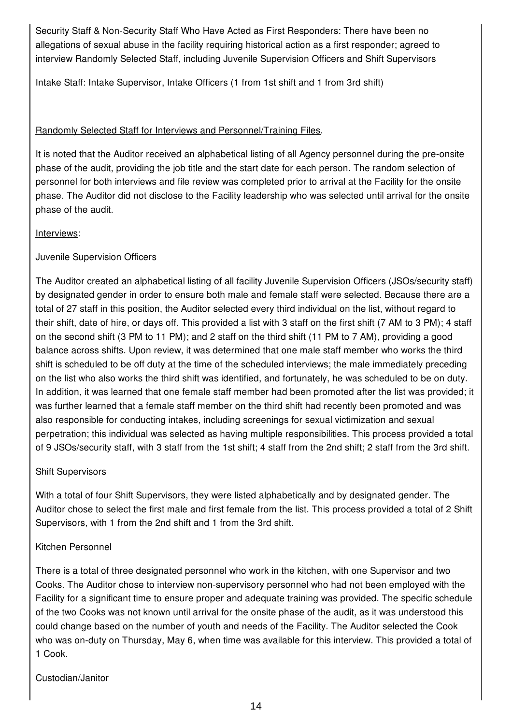Security Staff & Non-Security Staff Who Have Acted as First Responders: There have been no allegations of sexual abuse in the facility requiring historical action as a first responder; agreed to interview Randomly Selected Staff, including Juvenile Supervision Officers and Shift Supervisors

Intake Staff: Intake Supervisor, Intake Officers (1 from 1st shift and 1 from 3rd shift)

# Randomly Selected Staff for Interviews and Personnel/Training Files.

It is noted that the Auditor received an alphabetical listing of all Agency personnel during the pre-onsite phase of the audit, providing the job title and the start date for each person. The random selection of personnel for both interviews and file review was completed prior to arrival at the Facility for the onsite phase. The Auditor did not disclose to the Facility leadership who was selected until arrival for the onsite phase of the audit.

#### Interviews:

Juvenile Supervision Officers

The Auditor created an alphabetical listing of all facility Juvenile Supervision Officers (JSOs/security staff) by designated gender in order to ensure both male and female staff were selected. Because there are a total of 27 staff in this position, the Auditor selected every third individual on the list, without regard to their shift, date of hire, or days off. This provided a list with 3 staff on the first shift (7 AM to 3 PM); 4 staff on the second shift (3 PM to 11 PM); and 2 staff on the third shift (11 PM to 7 AM), providing a good balance across shifts. Upon review, it was determined that one male staff member who works the third shift is scheduled to be off duty at the time of the scheduled interviews; the male immediately preceding on the list who also works the third shift was identified, and fortunately, he was scheduled to be on duty. In addition, it was learned that one female staff member had been promoted after the list was provided; it was further learned that a female staff member on the third shift had recently been promoted and was also responsible for conducting intakes, including screenings for sexual victimization and sexual perpetration; this individual was selected as having multiple responsibilities. This process provided a total of 9 JSOs/security staff, with 3 staff from the 1st shift; 4 staff from the 2nd shift; 2 staff from the 3rd shift.

# Shift Supervisors

With a total of four Shift Supervisors, they were listed alphabetically and by designated gender. The Auditor chose to select the first male and first female from the list. This process provided a total of 2 Shift Supervisors, with 1 from the 2nd shift and 1 from the 3rd shift.

# Kitchen Personnel

There is a total of three designated personnel who work in the kitchen, with one Supervisor and two Cooks. The Auditor chose to interview non-supervisory personnel who had not been employed with the Facility for a significant time to ensure proper and adequate training was provided. The specific schedule of the two Cooks was not known until arrival for the onsite phase of the audit, as it was understood this could change based on the number of youth and needs of the Facility. The Auditor selected the Cook who was on-duty on Thursday, May 6, when time was available for this interview. This provided a total of 1 Cook.

Custodian/Janitor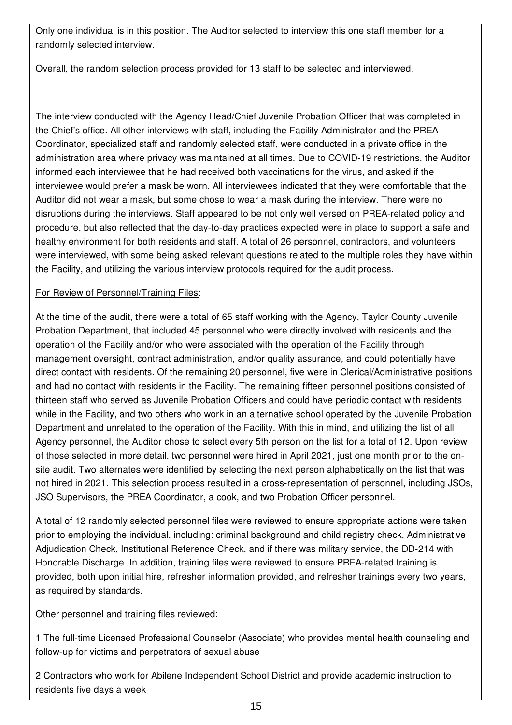Only one individual is in this position. The Auditor selected to interview this one staff member for a randomly selected interview.

Overall, the random selection process provided for 13 staff to be selected and interviewed.

The interview conducted with the Agency Head/Chief Juvenile Probation Officer that was completed in the Chief's office. All other interviews with staff, including the Facility Administrator and the PREA Coordinator, specialized staff and randomly selected staff, were conducted in a private office in the administration area where privacy was maintained at all times. Due to COVID-19 restrictions, the Auditor informed each interviewee that he had received both vaccinations for the virus, and asked if the interviewee would prefer a mask be worn. All interviewees indicated that they were comfortable that the Auditor did not wear a mask, but some chose to wear a mask during the interview. There were no disruptions during the interviews. Staff appeared to be not only well versed on PREA-related policy and procedure, but also reflected that the day-to-day practices expected were in place to support a safe and healthy environment for both residents and staff. A total of 26 personnel, contractors, and volunteers were interviewed, with some being asked relevant questions related to the multiple roles they have within the Facility, and utilizing the various interview protocols required for the audit process.

#### For Review of Personnel/Training Files:

At the time of the audit, there were a total of 65 staff working with the Agency, Taylor County Juvenile Probation Department, that included 45 personnel who were directly involved with residents and the operation of the Facility and/or who were associated with the operation of the Facility through management oversight, contract administration, and/or quality assurance, and could potentially have direct contact with residents. Of the remaining 20 personnel, five were in Clerical/Administrative positions and had no contact with residents in the Facility. The remaining fifteen personnel positions consisted of thirteen staff who served as Juvenile Probation Officers and could have periodic contact with residents while in the Facility, and two others who work in an alternative school operated by the Juvenile Probation Department and unrelated to the operation of the Facility. With this in mind, and utilizing the list of all Agency personnel, the Auditor chose to select every 5th person on the list for a total of 12. Upon review of those selected in more detail, two personnel were hired in April 2021, just one month prior to the onsite audit. Two alternates were identified by selecting the next person alphabetically on the list that was not hired in 2021. This selection process resulted in a cross-representation of personnel, including JSOs, JSO Supervisors, the PREA Coordinator, a cook, and two Probation Officer personnel.

A total of 12 randomly selected personnel files were reviewed to ensure appropriate actions were taken prior to employing the individual, including: criminal background and child registry check, Administrative Adjudication Check, Institutional Reference Check, and if there was military service, the DD-214 with Honorable Discharge. In addition, training files were reviewed to ensure PREA-related training is provided, both upon initial hire, refresher information provided, and refresher trainings every two years, as required by standards.

Other personnel and training files reviewed:

1 The full-time Licensed Professional Counselor (Associate) who provides mental health counseling and follow-up for victims and perpetrators of sexual abuse

2 Contractors who work for Abilene Independent School District and provide academic instruction to residents five days a week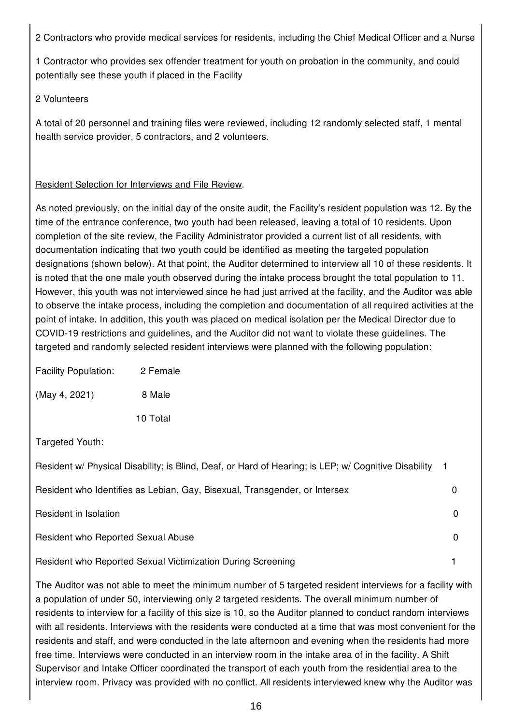2 Contractors who provide medical services for residents, including the Chief Medical Officer and a Nurse

1 Contractor who provides sex offender treatment for youth on probation in the community, and could potentially see these youth if placed in the Facility

#### 2 Volunteers

A total of 20 personnel and training files were reviewed, including 12 randomly selected staff, 1 mental health service provider, 5 contractors, and 2 volunteers.

# Resident Selection for Interviews and File Review.

As noted previously, on the initial day of the onsite audit, the Facility's resident population was 12. By the time of the entrance conference, two youth had been released, leaving a total of 10 residents. Upon completion of the site review, the Facility Administrator provided a current list of all residents, with documentation indicating that two youth could be identified as meeting the targeted population designations (shown below). At that point, the Auditor determined to interview all 10 of these residents. It is noted that the one male youth observed during the intake process brought the total population to 11. However, this youth was not interviewed since he had just arrived at the facility, and the Auditor was able to observe the intake process, including the completion and documentation of all required activities at the point of intake. In addition, this youth was placed on medical isolation per the Medical Director due to COVID-19 restrictions and guidelines, and the Auditor did not want to violate these guidelines. The targeted and randomly selected resident interviews were planned with the following population:

| <b>Facility Population:</b> | 2 Female |
|-----------------------------|----------|
| (May 4, 2021)               | 8 Male   |
|                             | 10 Total |

Targeted Youth:

| Resident w/ Physical Disability; is Blind, Deaf, or Hard of Hearing; is LEP; w/ Cognitive Disability |  |
|------------------------------------------------------------------------------------------------------|--|
| Resident who Identifies as Lebian, Gay, Bisexual, Transgender, or Intersex                           |  |
| Resident in Isolation                                                                                |  |
| Resident who Reported Sexual Abuse                                                                   |  |
| Resident who Reported Sexual Victimization During Screening                                          |  |

The Auditor was not able to meet the minimum number of 5 targeted resident interviews for a facility with a population of under 50, interviewing only 2 targeted residents. The overall minimum number of residents to interview for a facility of this size is 10, so the Auditor planned to conduct random interviews with all residents. Interviews with the residents were conducted at a time that was most convenient for the residents and staff, and were conducted in the late afternoon and evening when the residents had more free time. Interviews were conducted in an interview room in the intake area of in the facility. A Shift Supervisor and Intake Officer coordinated the transport of each youth from the residential area to the interview room. Privacy was provided with no conflict. All residents interviewed knew why the Auditor was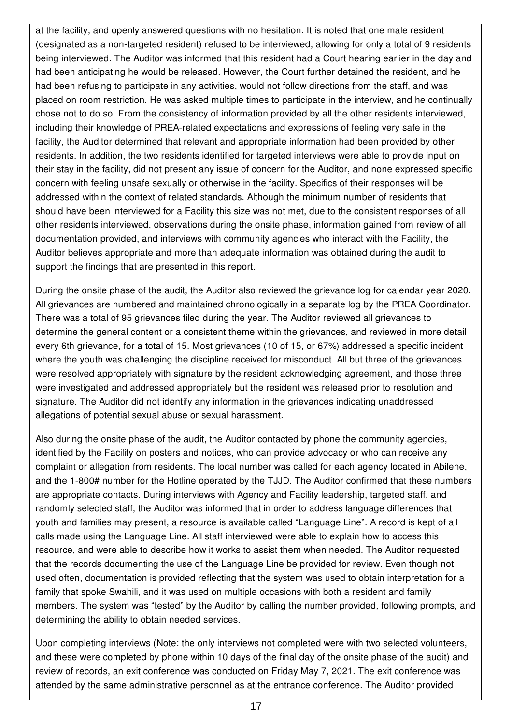at the facility, and openly answered questions with no hesitation. It is noted that one male resident (designated as a non-targeted resident) refused to be interviewed, allowing for only a total of 9 residents being interviewed. The Auditor was informed that this resident had a Court hearing earlier in the day and had been anticipating he would be released. However, the Court further detained the resident, and he had been refusing to participate in any activities, would not follow directions from the staff, and was placed on room restriction. He was asked multiple times to participate in the interview, and he continually chose not to do so. From the consistency of information provided by all the other residents interviewed, including their knowledge of PREA-related expectations and expressions of feeling very safe in the facility, the Auditor determined that relevant and appropriate information had been provided by other residents. In addition, the two residents identified for targeted interviews were able to provide input on their stay in the facility, did not present any issue of concern for the Auditor, and none expressed specific concern with feeling unsafe sexually or otherwise in the facility. Specifics of their responses will be addressed within the context of related standards. Although the minimum number of residents that should have been interviewed for a Facility this size was not met, due to the consistent responses of all other residents interviewed, observations during the onsite phase, information gained from review of all documentation provided, and interviews with community agencies who interact with the Facility, the Auditor believes appropriate and more than adequate information was obtained during the audit to support the findings that are presented in this report.

During the onsite phase of the audit, the Auditor also reviewed the grievance log for calendar year 2020. All grievances are numbered and maintained chronologically in a separate log by the PREA Coordinator. There was a total of 95 grievances filed during the year. The Auditor reviewed all grievances to determine the general content or a consistent theme within the grievances, and reviewed in more detail every 6th grievance, for a total of 15. Most grievances (10 of 15, or 67%) addressed a specific incident where the youth was challenging the discipline received for misconduct. All but three of the grievances were resolved appropriately with signature by the resident acknowledging agreement, and those three were investigated and addressed appropriately but the resident was released prior to resolution and signature. The Auditor did not identify any information in the grievances indicating unaddressed allegations of potential sexual abuse or sexual harassment.

Also during the onsite phase of the audit, the Auditor contacted by phone the community agencies, identified by the Facility on posters and notices, who can provide advocacy or who can receive any complaint or allegation from residents. The local number was called for each agency located in Abilene, and the 1-800# number for the Hotline operated by the TJJD. The Auditor confirmed that these numbers are appropriate contacts. During interviews with Agency and Facility leadership, targeted staff, and randomly selected staff, the Auditor was informed that in order to address language differences that youth and families may present, a resource is available called "Language Line". A record is kept of all calls made using the Language Line. All staff interviewed were able to explain how to access this resource, and were able to describe how it works to assist them when needed. The Auditor requested that the records documenting the use of the Language Line be provided for review. Even though not used often, documentation is provided reflecting that the system was used to obtain interpretation for a family that spoke Swahili, and it was used on multiple occasions with both a resident and family members. The system was "tested" by the Auditor by calling the number provided, following prompts, and determining the ability to obtain needed services.

Upon completing interviews (Note: the only interviews not completed were with two selected volunteers, and these were completed by phone within 10 days of the final day of the onsite phase of the audit) and review of records, an exit conference was conducted on Friday May 7, 2021. The exit conference was attended by the same administrative personnel as at the entrance conference. The Auditor provided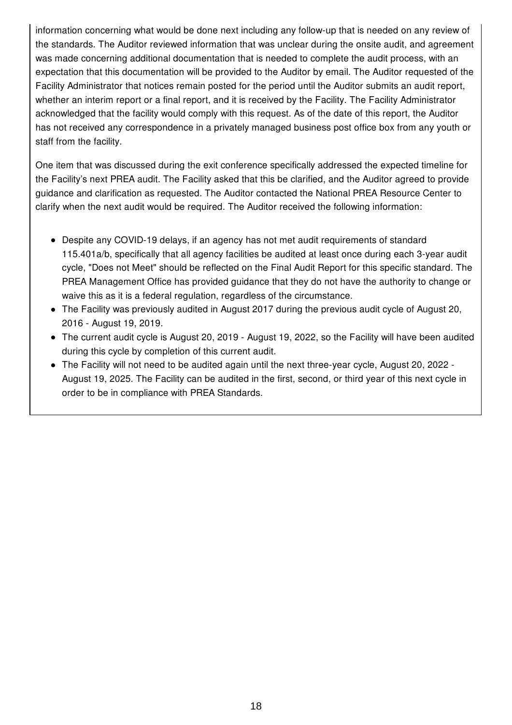information concerning what would be done next including any follow-up that is needed on any review of the standards. The Auditor reviewed information that was unclear during the onsite audit, and agreement was made concerning additional documentation that is needed to complete the audit process, with an expectation that this documentation will be provided to the Auditor by email. The Auditor requested of the Facility Administrator that notices remain posted for the period until the Auditor submits an audit report, whether an interim report or a final report, and it is received by the Facility. The Facility Administrator acknowledged that the facility would comply with this request. As of the date of this report, the Auditor has not received any correspondence in a privately managed business post office box from any youth or staff from the facility.

One item that was discussed during the exit conference specifically addressed the expected timeline for the Facility's next PREA audit. The Facility asked that this be clarified, and the Auditor agreed to provide guidance and clarification as requested. The Auditor contacted the National PREA Resource Center to clarify when the next audit would be required. The Auditor received the following information:

- Despite any COVID-19 delays, if an agency has not met audit requirements of standard 115.401a/b, specifically that all agency facilities be audited at least once during each 3-year audit cycle, "Does not Meet" should be reflected on the Final Audit Report for this specific standard. The PREA Management Office has provided guidance that they do not have the authority to change or waive this as it is a federal regulation, regardless of the circumstance.
- The Facility was previously audited in August 2017 during the previous audit cycle of August 20, 2016 - August 19, 2019.
- The current audit cycle is August 20, 2019 August 19, 2022, so the Facility will have been audited during this cycle by completion of this current audit.
- The Facility will not need to be audited again until the next three-year cycle, August 20, 2022 August 19, 2025. The Facility can be audited in the first, second, or third year of this next cycle in order to be in compliance with PREA Standards.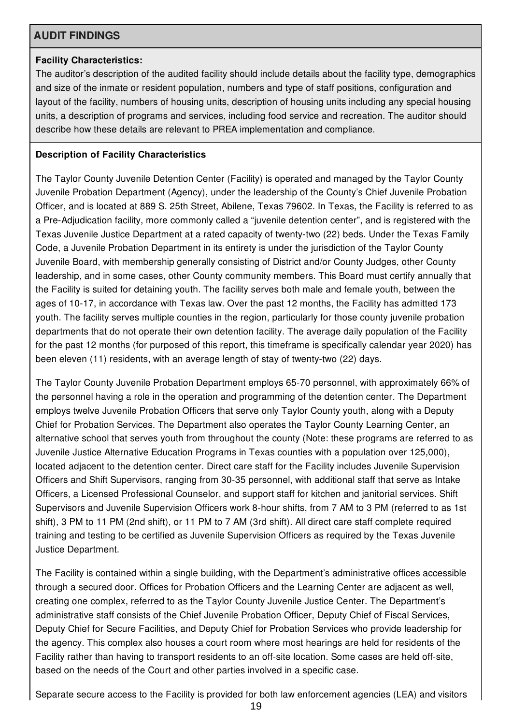# **AUDIT FINDINGS**

#### **Facility Characteristics:**

The auditor's description of the audited facility should include details about the facility type, demographics and size of the inmate or resident population, numbers and type of staff positions, configuration and layout of the facility, numbers of housing units, description of housing units including any special housing units, a description of programs and services, including food service and recreation. The auditor should describe how these details are relevant to PREA implementation and compliance.

# **Description of Facility Characteristics**

The Taylor County Juvenile Detention Center (Facility) is operated and managed by the Taylor County Juvenile Probation Department (Agency), under the leadership of the County's Chief Juvenile Probation Officer, and is located at 889 S. 25th Street, Abilene, Texas 79602. In Texas, the Facility is referred to as a Pre-Adjudication facility, more commonly called a "juvenile detention center", and is registered with the Texas Juvenile Justice Department at a rated capacity of twenty-two (22) beds. Under the Texas Family Code, a Juvenile Probation Department in its entirety is under the jurisdiction of the Taylor County Juvenile Board, with membership generally consisting of District and/or County Judges, other County leadership, and in some cases, other County community members. This Board must certify annually that the Facility is suited for detaining youth. The facility serves both male and female youth, between the ages of 10-17, in accordance with Texas law. Over the past 12 months, the Facility has admitted 173 youth. The facility serves multiple counties in the region, particularly for those county juvenile probation departments that do not operate their own detention facility. The average daily population of the Facility for the past 12 months (for purposed of this report, this timeframe is specifically calendar year 2020) has been eleven (11) residents, with an average length of stay of twenty-two (22) days.

The Taylor County Juvenile Probation Department employs 65-70 personnel, with approximately 66% of the personnel having a role in the operation and programming of the detention center. The Department employs twelve Juvenile Probation Officers that serve only Taylor County youth, along with a Deputy Chief for Probation Services. The Department also operates the Taylor County Learning Center, an alternative school that serves youth from throughout the county (Note: these programs are referred to as Juvenile Justice Alternative Education Programs in Texas counties with a population over 125,000), located adjacent to the detention center. Direct care staff for the Facility includes Juvenile Supervision Officers and Shift Supervisors, ranging from 30-35 personnel, with additional staff that serve as Intake Officers, a Licensed Professional Counselor, and support staff for kitchen and janitorial services. Shift Supervisors and Juvenile Supervision Officers work 8-hour shifts, from 7 AM to 3 PM (referred to as 1st shift), 3 PM to 11 PM (2nd shift), or 11 PM to 7 AM (3rd shift). All direct care staff complete required training and testing to be certified as Juvenile Supervision Officers as required by the Texas Juvenile Justice Department.

The Facility is contained within a single building, with the Department's administrative offices accessible through a secured door. Offices for Probation Officers and the Learning Center are adjacent as well, creating one complex, referred to as the Taylor County Juvenile Justice Center. The Department's administrative staff consists of the Chief Juvenile Probation Officer, Deputy Chief of Fiscal Services, Deputy Chief for Secure Facilities, and Deputy Chief for Probation Services who provide leadership for the agency. This complex also houses a court room where most hearings are held for residents of the Facility rather than having to transport residents to an off-site location. Some cases are held off-site, based on the needs of the Court and other parties involved in a specific case.

Separate secure access to the Facility is provided for both law enforcement agencies (LEA) and visitors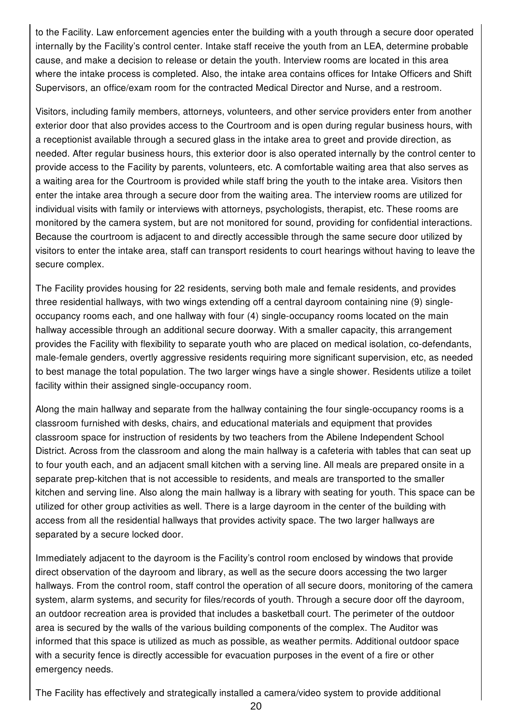to the Facility. Law enforcement agencies enter the building with a youth through a secure door operated internally by the Facility's control center. Intake staff receive the youth from an LEA, determine probable cause, and make a decision to release or detain the youth. Interview rooms are located in this area where the intake process is completed. Also, the intake area contains offices for Intake Officers and Shift Supervisors, an office/exam room for the contracted Medical Director and Nurse, and a restroom.

Visitors, including family members, attorneys, volunteers, and other service providers enter from another exterior door that also provides access to the Courtroom and is open during regular business hours, with a receptionist available through a secured glass in the intake area to greet and provide direction, as needed. After regular business hours, this exterior door is also operated internally by the control center to provide access to the Facility by parents, volunteers, etc. A comfortable waiting area that also serves as a waiting area for the Courtroom is provided while staff bring the youth to the intake area. Visitors then enter the intake area through a secure door from the waiting area. The interview rooms are utilized for individual visits with family or interviews with attorneys, psychologists, therapist, etc. These rooms are monitored by the camera system, but are not monitored for sound, providing for confidential interactions. Because the courtroom is adjacent to and directly accessible through the same secure door utilized by visitors to enter the intake area, staff can transport residents to court hearings without having to leave the secure complex.

The Facility provides housing for 22 residents, serving both male and female residents, and provides three residential hallways, with two wings extending off a central dayroom containing nine (9) singleoccupancy rooms each, and one hallway with four (4) single-occupancy rooms located on the main hallway accessible through an additional secure doorway. With a smaller capacity, this arrangement provides the Facility with flexibility to separate youth who are placed on medical isolation, co-defendants, male-female genders, overtly aggressive residents requiring more significant supervision, etc, as needed to best manage the total population. The two larger wings have a single shower. Residents utilize a toilet facility within their assigned single-occupancy room.

Along the main hallway and separate from the hallway containing the four single-occupancy rooms is a classroom furnished with desks, chairs, and educational materials and equipment that provides classroom space for instruction of residents by two teachers from the Abilene Independent School District. Across from the classroom and along the main hallway is a cafeteria with tables that can seat up to four youth each, and an adjacent small kitchen with a serving line. All meals are prepared onsite in a separate prep-kitchen that is not accessible to residents, and meals are transported to the smaller kitchen and serving line. Also along the main hallway is a library with seating for youth. This space can be utilized for other group activities as well. There is a large dayroom in the center of the building with access from all the residential hallways that provides activity space. The two larger hallways are separated by a secure locked door.

Immediately adjacent to the dayroom is the Facility's control room enclosed by windows that provide direct observation of the dayroom and library, as well as the secure doors accessing the two larger hallways. From the control room, staff control the operation of all secure doors, monitoring of the camera system, alarm systems, and security for files/records of youth. Through a secure door off the dayroom, an outdoor recreation area is provided that includes a basketball court. The perimeter of the outdoor area is secured by the walls of the various building components of the complex. The Auditor was informed that this space is utilized as much as possible, as weather permits. Additional outdoor space with a security fence is directly accessible for evacuation purposes in the event of a fire or other emergency needs.

The Facility has effectively and strategically installed a camera/video system to provide additional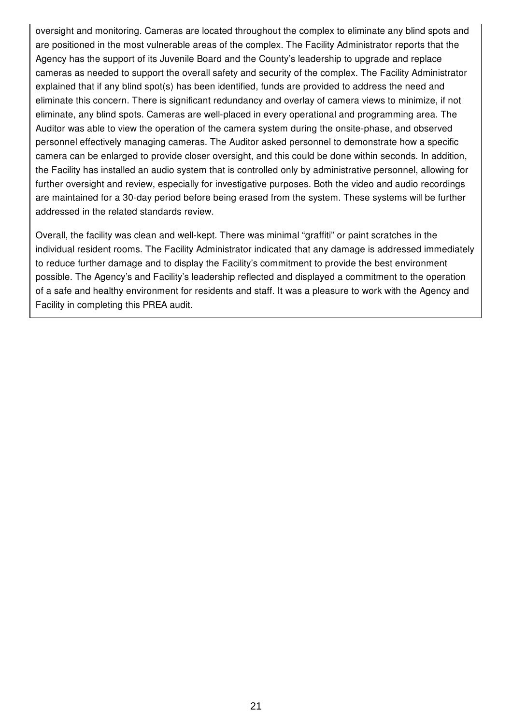oversight and monitoring. Cameras are located throughout the complex to eliminate any blind spots and are positioned in the most vulnerable areas of the complex. The Facility Administrator reports that the Agency has the support of its Juvenile Board and the County's leadership to upgrade and replace cameras as needed to support the overall safety and security of the complex. The Facility Administrator explained that if any blind spot(s) has been identified, funds are provided to address the need and eliminate this concern. There is significant redundancy and overlay of camera views to minimize, if not eliminate, any blind spots. Cameras are well-placed in every operational and programming area. The Auditor was able to view the operation of the camera system during the onsite-phase, and observed personnel effectively managing cameras. The Auditor asked personnel to demonstrate how a specific camera can be enlarged to provide closer oversight, and this could be done within seconds. In addition, the Facility has installed an audio system that is controlled only by administrative personnel, allowing for further oversight and review, especially for investigative purposes. Both the video and audio recordings are maintained for a 30-day period before being erased from the system. These systems will be further addressed in the related standards review.

Overall, the facility was clean and well-kept. There was minimal "graffiti" or paint scratches in the individual resident rooms. The Facility Administrator indicated that any damage is addressed immediately to reduce further damage and to display the Facility's commitment to provide the best environment possible. The Agency's and Facility's leadership reflected and displayed a commitment to the operation of a safe and healthy environment for residents and staff. It was a pleasure to work with the Agency and Facility in completing this PREA audit.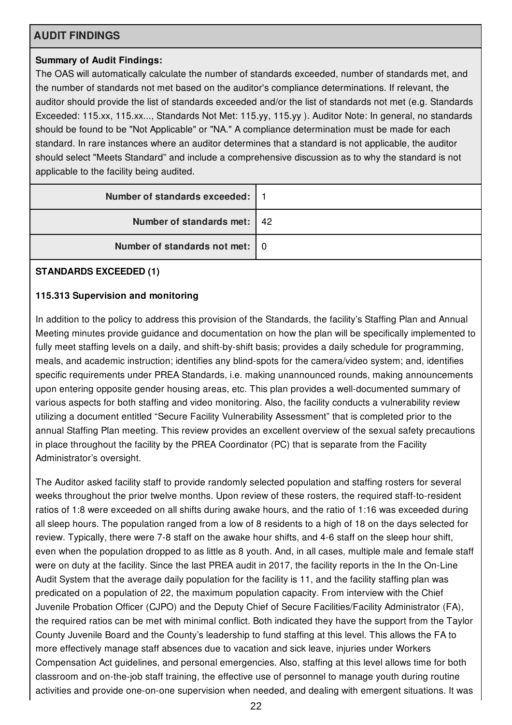# **AUDIT FINDINGS**

# **Summary of Audit Findings:**

The OAS will automatically calculate the number of standards exceeded, number of standards met, and the number of standards not met based on the auditor's compliance determinations. If relevant, the auditor should provide the list of standards exceeded and/or the list of standards not met (e.g. Standards Exceeded: 115.xx, 115.xx..., Standards Not Met: 115.yy, 115.yy ). Auditor Note: In general, no standards should be found to be "Not Applicable" or "NA." A compliance determination must be made for each standard. In rare instances where an auditor determines that a standard is not applicable, the auditor should select "Meets Standard" and include a comprehensive discussion as to why the standard is not applicable to the facility being audited.

| Number of standards exceeded:   1 |  |
|-----------------------------------|--|
| Number of standards met:   42     |  |
| Number of standards not met: 0    |  |

#### **STANDARDS EXCEEDED (1)**

#### **115.313 Supervision and monitoring**

In addition to the policy to address this provision of the Standards, the facility's Staffing Plan and Annual Meeting minutes provide guidance and documentation on how the plan will be specifically implemented to fully meet staffing levels on a daily, and shift-by-shift basis; provides a daily schedule for programming, meals, and academic instruction; identifies any blind-spots for the camera/video system; and, identifies specific requirements under PREA Standards, i.e. making unannounced rounds, making announcements upon entering opposite gender housing areas, etc. This plan provides a well-documented summary of various aspects for both staffing and video monitoring. Also, the facility conducts a vulnerability review utilizing a document entitled "Secure Facility Vulnerability Assessment" that is completed prior to the annual Staffing Plan meeting. This review provides an excellent overview of the sexual safety precautions in place throughout the facility by the PREA Coordinator (PC) that is separate from the Facility Administrator's oversight.

The Auditor asked facility staff to provide randomly selected population and staffing rosters for several weeks throughout the prior twelve months. Upon review of these rosters, the required staff-to-resident ratios of 1:8 were exceeded on all shifts during awake hours, and the ratio of 1:16 was exceeded during all sleep hours. The population ranged from a low of 8 residents to a high of 18 on the days selected for review. Typically, there were 7-8 staff on the awake hour shifts, and 4-6 staff on the sleep hour shift, even when the population dropped to as little as 8 youth. And, in all cases, multiple male and female staff were on duty at the facility. Since the last PREA audit in 2017, the facility reports in the In the On-Line Audit System that the average daily population for the facility is 11, and the facility staffing plan was predicated on a population of 22, the maximum population capacity. From interview with the Chief Juvenile Probation Officer (CJPO) and the Deputy Chief of Secure Facilities/Facility Administrator (FA), the required ratios can be met with minimal conflict. Both indicated they have the support from the Taylor County Juvenile Board and the County's leadership to fund staffing at this level. This allows the FA to more effectively manage staff absences due to vacation and sick leave, injuries under Workers Compensation Act guidelines, and personal emergencies. Also, staffing at this level allows time for both classroom and on-the-job staff training, the effective use of personnel to manage youth during routine activities and provide one-on-one supervision when needed, and dealing with emergent situations. It was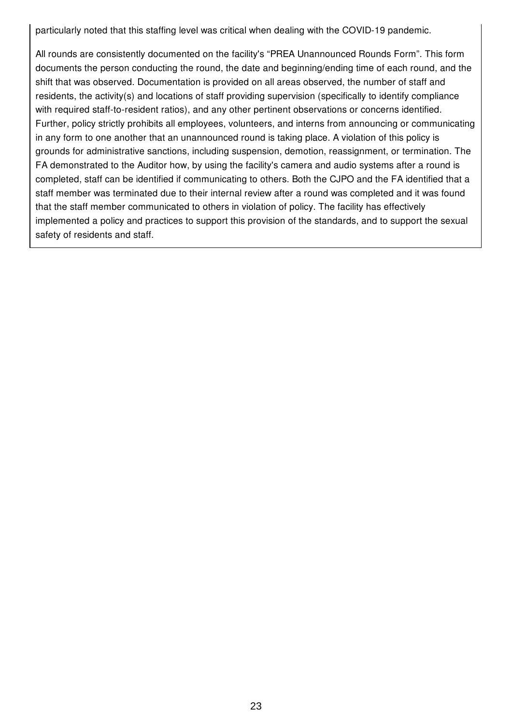particularly noted that this staffing level was critical when dealing with the COVID-19 pandemic.

All rounds are consistently documented on the facility's "PREA Unannounced Rounds Form". This form documents the person conducting the round, the date and beginning/ending time of each round, and the shift that was observed. Documentation is provided on all areas observed, the number of staff and residents, the activity(s) and locations of staff providing supervision (specifically to identify compliance with required staff-to-resident ratios), and any other pertinent observations or concerns identified. Further, policy strictly prohibits all employees, volunteers, and interns from announcing or communicating in any form to one another that an unannounced round is taking place. A violation of this policy is grounds for administrative sanctions, including suspension, demotion, reassignment, or termination. The FA demonstrated to the Auditor how, by using the facility's camera and audio systems after a round is completed, staff can be identified if communicating to others. Both the CJPO and the FA identified that a staff member was terminated due to their internal review after a round was completed and it was found that the staff member communicated to others in violation of policy. The facility has effectively implemented a policy and practices to support this provision of the standards, and to support the sexual safety of residents and staff.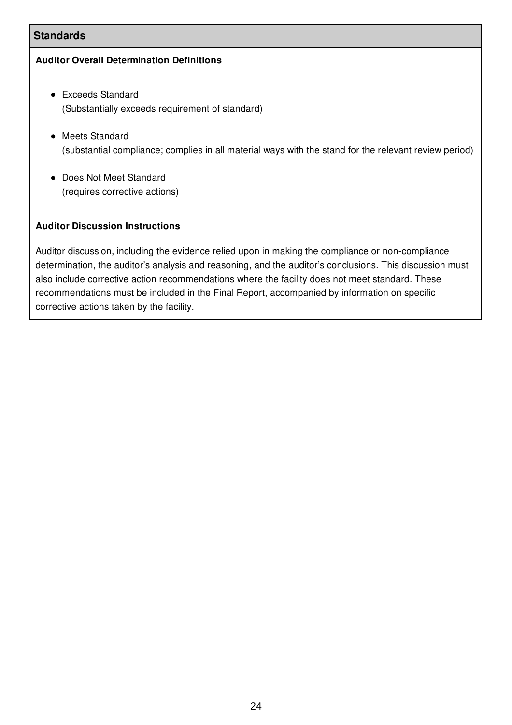# **Standards**

#### **Auditor Overall Determination Definitions**

- Exceeds Standard (Substantially exceeds requirement of standard)
- Meets Standard (substantial compliance; complies in all material ways with the stand for the relevant review period)
- Does Not Meet Standard (requires corrective actions)

# **Auditor Discussion Instructions**

Auditor discussion, including the evidence relied upon in making the compliance or non-compliance determination, the auditor's analysis and reasoning, and the auditor's conclusions. This discussion must also include corrective action recommendations where the facility does not meet standard. These recommendations must be included in the Final Report, accompanied by information on specific corrective actions taken by the facility.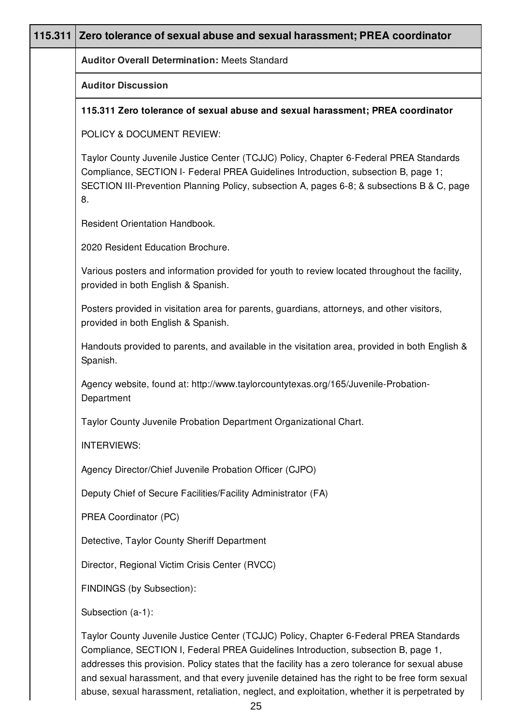| 115.311 Zero tolerance of sexual abuse and sexual harassment; PREA coordinator                                                                                                                                                                                                   |
|----------------------------------------------------------------------------------------------------------------------------------------------------------------------------------------------------------------------------------------------------------------------------------|
| <b>Auditor Overall Determination: Meets Standard</b>                                                                                                                                                                                                                             |
| <b>Auditor Discussion</b>                                                                                                                                                                                                                                                        |
| 115.311 Zero tolerance of sexual abuse and sexual harassment; PREA coordinator                                                                                                                                                                                                   |
| POLICY & DOCUMENT REVIEW:                                                                                                                                                                                                                                                        |
| Taylor County Juvenile Justice Center (TCJJC) Policy, Chapter 6-Federal PREA Standards<br>Compliance, SECTION I- Federal PREA Guidelines Introduction, subsection B, page 1;<br>SECTION III-Prevention Planning Policy, subsection A, pages 6-8; & subsections B & C, page<br>8. |
| <b>Resident Orientation Handbook.</b>                                                                                                                                                                                                                                            |
| 2020 Resident Education Brochure.                                                                                                                                                                                                                                                |
| Various posters and information provided for youth to review located throughout the facility,<br>provided in both English & Spanish.                                                                                                                                             |
| Posters provided in visitation area for parents, guardians, attorneys, and other visitors,<br>provided in both English & Spanish.                                                                                                                                                |
| Handouts provided to parents, and available in the visitation area, provided in both English &<br>Spanish.                                                                                                                                                                       |
| Agency website, found at: http://www.taylorcountytexas.org/165/Juvenile-Probation-<br>Department                                                                                                                                                                                 |
| Taylor County Juvenile Probation Department Organizational Chart.                                                                                                                                                                                                                |
| <b>INTERVIEWS:</b>                                                                                                                                                                                                                                                               |
| Agency Director/Chief Juvenile Probation Officer (CJPO)                                                                                                                                                                                                                          |
| Deputy Chief of Secure Facilities/Facility Administrator (FA)                                                                                                                                                                                                                    |
| PREA Coordinator (PC)                                                                                                                                                                                                                                                            |
| Detective, Taylor County Sheriff Department                                                                                                                                                                                                                                      |
| Director, Regional Victim Crisis Center (RVCC)                                                                                                                                                                                                                                   |
| FINDINGS (by Subsection):                                                                                                                                                                                                                                                        |
| Subsection (a-1):                                                                                                                                                                                                                                                                |
| Taylor County Juvenile Justice Center (TCJJC) Policy, Chapter 6-Federal PREA Standards<br>Compliance, SECTION I, Federal PREA Guidelines Introduction, subsection B, page 1,<br>addresses this provision. Policy states that the facility has a zero tolerance for sexual abuse  |

and sexual harassment, and that every juvenile detained has the right to be free form sexual abuse, sexual harassment, retaliation, neglect, and exploitation, whether it is perpetrated by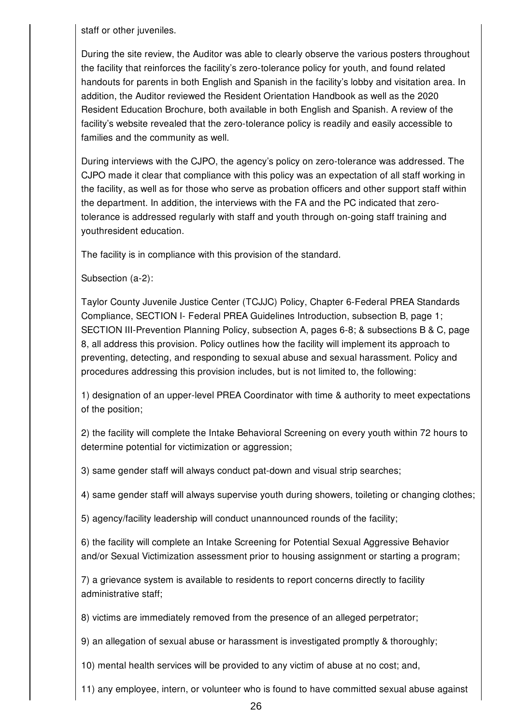staff or other juveniles.

During the site review, the Auditor was able to clearly observe the various posters throughout the facility that reinforces the facility's zero-tolerance policy for youth, and found related handouts for parents in both English and Spanish in the facility's lobby and visitation area. In addition, the Auditor reviewed the Resident Orientation Handbook as well as the 2020 Resident Education Brochure, both available in both English and Spanish. A review of the facility's website revealed that the zero-tolerance policy is readily and easily accessible to families and the community as well.

During interviews with the CJPO, the agency's policy on zero-tolerance was addressed. The CJPO made it clear that compliance with this policy was an expectation of all staff working in the facility, as well as for those who serve as probation officers and other support staff within the department. In addition, the interviews with the FA and the PC indicated that zerotolerance is addressed regularly with staff and youth through on-going staff training and youthresident education.

The facility is in compliance with this provision of the standard.

Subsection (a-2):

Taylor County Juvenile Justice Center (TCJJC) Policy, Chapter 6-Federal PREA Standards Compliance, SECTION I- Federal PREA Guidelines Introduction, subsection B, page 1; SECTION III-Prevention Planning Policy, subsection A, pages 6-8; & subsections B & C, page 8, all address this provision. Policy outlines how the facility will implement its approach to preventing, detecting, and responding to sexual abuse and sexual harassment. Policy and procedures addressing this provision includes, but is not limited to, the following:

1) designation of an upper-level PREA Coordinator with time & authority to meet expectations of the position;

2) the facility will complete the Intake Behavioral Screening on every youth within 72 hours to determine potential for victimization or aggression;

3) same gender staff will always conduct pat-down and visual strip searches;

4) same gender staff will always supervise youth during showers, toileting or changing clothes;

5) agency/facility leadership will conduct unannounced rounds of the facility;

6) the facility will complete an Intake Screening for Potential Sexual Aggressive Behavior and/or Sexual Victimization assessment prior to housing assignment or starting a program;

7) a grievance system is available to residents to report concerns directly to facility administrative staff;

8) victims are immediately removed from the presence of an alleged perpetrator;

9) an allegation of sexual abuse or harassment is investigated promptly & thoroughly;

10) mental health services will be provided to any victim of abuse at no cost; and,

11) any employee, intern, or volunteer who is found to have committed sexual abuse against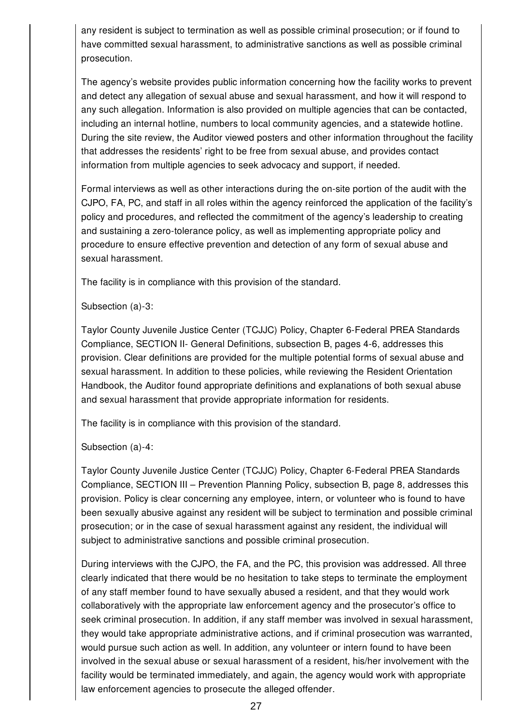any resident is subject to termination as well as possible criminal prosecution; or if found to have committed sexual harassment, to administrative sanctions as well as possible criminal prosecution.

The agency's website provides public information concerning how the facility works to prevent and detect any allegation of sexual abuse and sexual harassment, and how it will respond to any such allegation. Information is also provided on multiple agencies that can be contacted, including an internal hotline, numbers to local community agencies, and a statewide hotline. During the site review, the Auditor viewed posters and other information throughout the facility that addresses the residents' right to be free from sexual abuse, and provides contact information from multiple agencies to seek advocacy and support, if needed.

Formal interviews as well as other interactions during the on-site portion of the audit with the CJPO, FA, PC, and staff in all roles within the agency reinforced the application of the facility's policy and procedures, and reflected the commitment of the agency's leadership to creating and sustaining a zero-tolerance policy, as well as implementing appropriate policy and procedure to ensure effective prevention and detection of any form of sexual abuse and sexual harassment.

The facility is in compliance with this provision of the standard.

Subsection (a)-3:

Taylor County Juvenile Justice Center (TCJJC) Policy, Chapter 6-Federal PREA Standards Compliance, SECTION II- General Definitions, subsection B, pages 4-6, addresses this provision. Clear definitions are provided for the multiple potential forms of sexual abuse and sexual harassment. In addition to these policies, while reviewing the Resident Orientation Handbook, the Auditor found appropriate definitions and explanations of both sexual abuse and sexual harassment that provide appropriate information for residents.

The facility is in compliance with this provision of the standard.

Subsection (a)-4:

Taylor County Juvenile Justice Center (TCJJC) Policy, Chapter 6-Federal PREA Standards Compliance, SECTION III – Prevention Planning Policy, subsection B, page 8, addresses this provision. Policy is clear concerning any employee, intern, or volunteer who is found to have been sexually abusive against any resident will be subject to termination and possible criminal prosecution; or in the case of sexual harassment against any resident, the individual will subject to administrative sanctions and possible criminal prosecution.

During interviews with the CJPO, the FA, and the PC, this provision was addressed. All three clearly indicated that there would be no hesitation to take steps to terminate the employment of any staff member found to have sexually abused a resident, and that they would work collaboratively with the appropriate law enforcement agency and the prosecutor's office to seek criminal prosecution. In addition, if any staff member was involved in sexual harassment, they would take appropriate administrative actions, and if criminal prosecution was warranted, would pursue such action as well. In addition, any volunteer or intern found to have been involved in the sexual abuse or sexual harassment of a resident, his/her involvement with the facility would be terminated immediately, and again, the agency would work with appropriate law enforcement agencies to prosecute the alleged offender.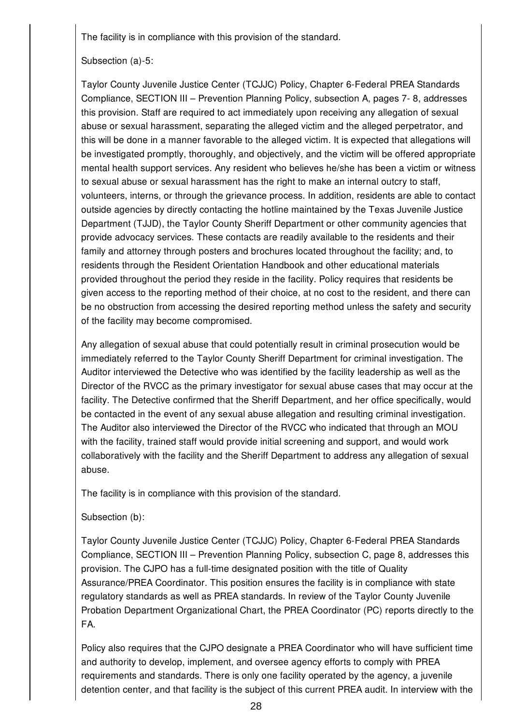The facility is in compliance with this provision of the standard.

#### Subsection (a)-5:

Taylor County Juvenile Justice Center (TCJJC) Policy, Chapter 6-Federal PREA Standards Compliance, SECTION III – Prevention Planning Policy, subsection A, pages 7- 8, addresses this provision. Staff are required to act immediately upon receiving any allegation of sexual abuse or sexual harassment, separating the alleged victim and the alleged perpetrator, and this will be done in a manner favorable to the alleged victim. It is expected that allegations will be investigated promptly, thoroughly, and objectively, and the victim will be offered appropriate mental health support services. Any resident who believes he/she has been a victim or witness to sexual abuse or sexual harassment has the right to make an internal outcry to staff, volunteers, interns, or through the grievance process. In addition, residents are able to contact outside agencies by directly contacting the hotline maintained by the Texas Juvenile Justice Department (TJJD), the Taylor County Sheriff Department or other community agencies that provide advocacy services. These contacts are readily available to the residents and their family and attorney through posters and brochures located throughout the facility; and, to residents through the Resident Orientation Handbook and other educational materials provided throughout the period they reside in the facility. Policy requires that residents be given access to the reporting method of their choice, at no cost to the resident, and there can be no obstruction from accessing the desired reporting method unless the safety and security of the facility may become compromised.

Any allegation of sexual abuse that could potentially result in criminal prosecution would be immediately referred to the Taylor County Sheriff Department for criminal investigation. The Auditor interviewed the Detective who was identified by the facility leadership as well as the Director of the RVCC as the primary investigator for sexual abuse cases that may occur at the facility. The Detective confirmed that the Sheriff Department, and her office specifically, would be contacted in the event of any sexual abuse allegation and resulting criminal investigation. The Auditor also interviewed the Director of the RVCC who indicated that through an MOU with the facility, trained staff would provide initial screening and support, and would work collaboratively with the facility and the Sheriff Department to address any allegation of sexual abuse.

The facility is in compliance with this provision of the standard.

#### Subsection (b):

Taylor County Juvenile Justice Center (TCJJC) Policy, Chapter 6-Federal PREA Standards Compliance, SECTION III – Prevention Planning Policy, subsection C, page 8, addresses this provision. The CJPO has a full-time designated position with the title of Quality Assurance/PREA Coordinator. This position ensures the facility is in compliance with state regulatory standards as well as PREA standards. In review of the Taylor County Juvenile Probation Department Organizational Chart, the PREA Coordinator (PC) reports directly to the FA.

Policy also requires that the CJPO designate a PREA Coordinator who will have sufficient time and authority to develop, implement, and oversee agency efforts to comply with PREA requirements and standards. There is only one facility operated by the agency, a juvenile detention center, and that facility is the subject of this current PREA audit. In interview with the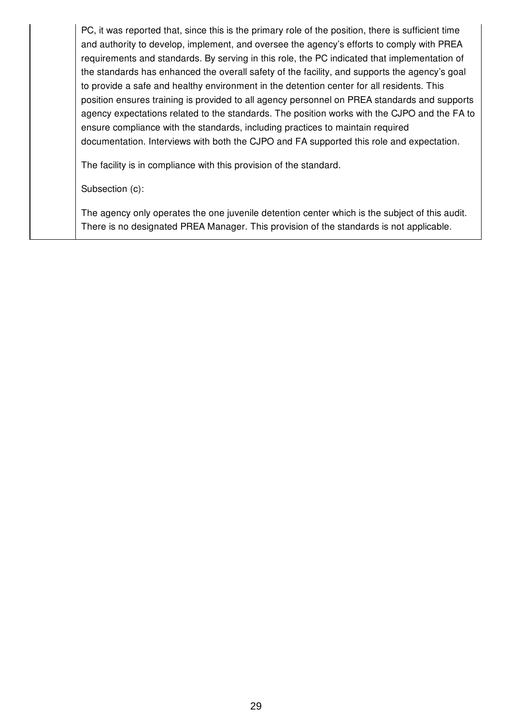PC, it was reported that, since this is the primary role of the position, there is sufficient time and authority to develop, implement, and oversee the agency's efforts to comply with PREA requirements and standards. By serving in this role, the PC indicated that implementation of the standards has enhanced the overall safety of the facility, and supports the agency's goal to provide a safe and healthy environment in the detention center for all residents. This position ensures training is provided to all agency personnel on PREA standards and supports agency expectations related to the standards. The position works with the CJPO and the FA to ensure compliance with the standards, including practices to maintain required documentation. Interviews with both the CJPO and FA supported this role and expectation.

The facility is in compliance with this provision of the standard.

Subsection (c):

The agency only operates the one juvenile detention center which is the subject of this audit. There is no designated PREA Manager. This provision of the standards is not applicable.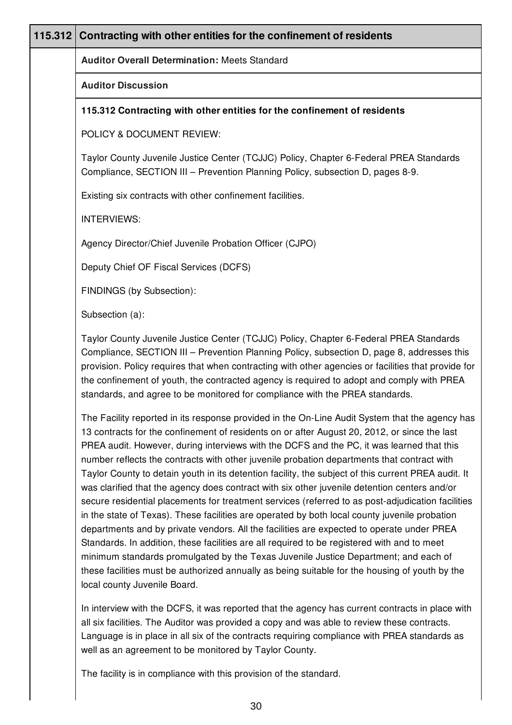| 115.312 | Contracting with other entities for the confinement of residents                                                                                                                                                                                                                                                                                                                                                                                                                                                                                                                                                                                                                                                                                                                                                                                                                                                                                                                                                                                                                                                                                                                                                            |
|---------|-----------------------------------------------------------------------------------------------------------------------------------------------------------------------------------------------------------------------------------------------------------------------------------------------------------------------------------------------------------------------------------------------------------------------------------------------------------------------------------------------------------------------------------------------------------------------------------------------------------------------------------------------------------------------------------------------------------------------------------------------------------------------------------------------------------------------------------------------------------------------------------------------------------------------------------------------------------------------------------------------------------------------------------------------------------------------------------------------------------------------------------------------------------------------------------------------------------------------------|
|         | <b>Auditor Overall Determination: Meets Standard</b>                                                                                                                                                                                                                                                                                                                                                                                                                                                                                                                                                                                                                                                                                                                                                                                                                                                                                                                                                                                                                                                                                                                                                                        |
|         | <b>Auditor Discussion</b>                                                                                                                                                                                                                                                                                                                                                                                                                                                                                                                                                                                                                                                                                                                                                                                                                                                                                                                                                                                                                                                                                                                                                                                                   |
|         | 115.312 Contracting with other entities for the confinement of residents                                                                                                                                                                                                                                                                                                                                                                                                                                                                                                                                                                                                                                                                                                                                                                                                                                                                                                                                                                                                                                                                                                                                                    |
|         | POLICY & DOCUMENT REVIEW:                                                                                                                                                                                                                                                                                                                                                                                                                                                                                                                                                                                                                                                                                                                                                                                                                                                                                                                                                                                                                                                                                                                                                                                                   |
|         | Taylor County Juvenile Justice Center (TCJJC) Policy, Chapter 6-Federal PREA Standards<br>Compliance, SECTION III - Prevention Planning Policy, subsection D, pages 8-9.                                                                                                                                                                                                                                                                                                                                                                                                                                                                                                                                                                                                                                                                                                                                                                                                                                                                                                                                                                                                                                                    |
|         | Existing six contracts with other confinement facilities.                                                                                                                                                                                                                                                                                                                                                                                                                                                                                                                                                                                                                                                                                                                                                                                                                                                                                                                                                                                                                                                                                                                                                                   |
|         | <b>INTERVIEWS:</b>                                                                                                                                                                                                                                                                                                                                                                                                                                                                                                                                                                                                                                                                                                                                                                                                                                                                                                                                                                                                                                                                                                                                                                                                          |
|         | Agency Director/Chief Juvenile Probation Officer (CJPO)                                                                                                                                                                                                                                                                                                                                                                                                                                                                                                                                                                                                                                                                                                                                                                                                                                                                                                                                                                                                                                                                                                                                                                     |
|         | Deputy Chief OF Fiscal Services (DCFS)                                                                                                                                                                                                                                                                                                                                                                                                                                                                                                                                                                                                                                                                                                                                                                                                                                                                                                                                                                                                                                                                                                                                                                                      |
|         | FINDINGS (by Subsection):                                                                                                                                                                                                                                                                                                                                                                                                                                                                                                                                                                                                                                                                                                                                                                                                                                                                                                                                                                                                                                                                                                                                                                                                   |
|         | Subsection (a):                                                                                                                                                                                                                                                                                                                                                                                                                                                                                                                                                                                                                                                                                                                                                                                                                                                                                                                                                                                                                                                                                                                                                                                                             |
|         | Taylor County Juvenile Justice Center (TCJJC) Policy, Chapter 6-Federal PREA Standards<br>Compliance, SECTION III - Prevention Planning Policy, subsection D, page 8, addresses this<br>provision. Policy requires that when contracting with other agencies or facilities that provide for<br>the confinement of youth, the contracted agency is required to adopt and comply with PREA<br>standards, and agree to be monitored for compliance with the PREA standards.                                                                                                                                                                                                                                                                                                                                                                                                                                                                                                                                                                                                                                                                                                                                                    |
|         | The Facility reported in its response provided in the On-Line Audit System that the agency has<br>13 contracts for the confinement of residents on or after August 20, 2012, or since the last<br>PREA audit. However, during interviews with the DCFS and the PC, it was learned that this<br>number reflects the contracts with other juvenile probation departments that contract with<br>Taylor County to detain youth in its detention facility, the subject of this current PREA audit. It<br>was clarified that the agency does contract with six other juvenile detention centers and/or<br>secure residential placements for treatment services (referred to as post-adjudication facilities<br>in the state of Texas). These facilities are operated by both local county juvenile probation<br>departments and by private vendors. All the facilities are expected to operate under PREA<br>Standards. In addition, these facilities are all required to be registered with and to meet<br>minimum standards promulgated by the Texas Juvenile Justice Department; and each of<br>these facilities must be authorized annually as being suitable for the housing of youth by the<br>local county Juvenile Board. |
|         | In interview with the DCFS, it was reported that the agency has current contracts in place with<br>all six facilities. The Auditor was provided a copy and was able to review these contracts.<br>Language is in place in all six of the contracts requiring compliance with PREA standards as<br>well as an agreement to be monitored by Taylor County.                                                                                                                                                                                                                                                                                                                                                                                                                                                                                                                                                                                                                                                                                                                                                                                                                                                                    |
|         | The facility is in compliance with this provision of the standard.                                                                                                                                                                                                                                                                                                                                                                                                                                                                                                                                                                                                                                                                                                                                                                                                                                                                                                                                                                                                                                                                                                                                                          |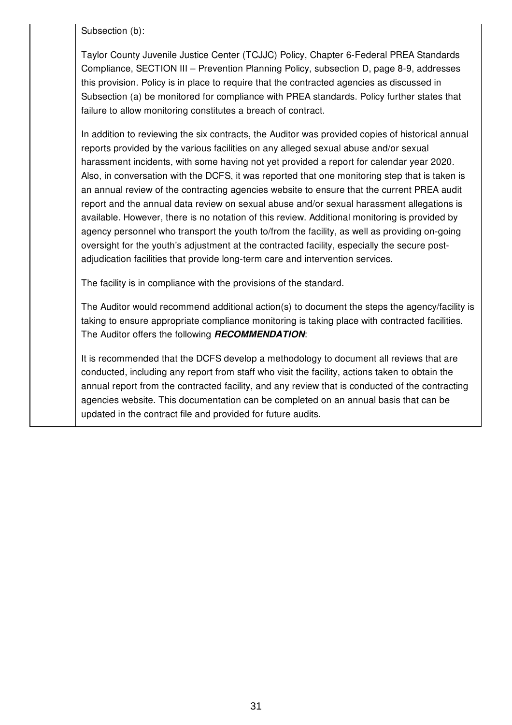Subsection (b):

Taylor County Juvenile Justice Center (TCJJC) Policy, Chapter 6-Federal PREA Standards Compliance, SECTION III – Prevention Planning Policy, subsection D, page 8-9, addresses this provision. Policy is in place to require that the contracted agencies as discussed in Subsection (a) be monitored for compliance with PREA standards. Policy further states that failure to allow monitoring constitutes a breach of contract.

In addition to reviewing the six contracts, the Auditor was provided copies of historical annual reports provided by the various facilities on any alleged sexual abuse and/or sexual harassment incidents, with some having not yet provided a report for calendar year 2020. Also, in conversation with the DCFS, it was reported that one monitoring step that is taken is an annual review of the contracting agencies website to ensure that the current PREA audit report and the annual data review on sexual abuse and/or sexual harassment allegations is available. However, there is no notation of this review. Additional monitoring is provided by agency personnel who transport the youth to/from the facility, as well as providing on-going oversight for the youth's adjustment at the contracted facility, especially the secure postadjudication facilities that provide long-term care and intervention services.

The facility is in compliance with the provisions of the standard.

The Auditor would recommend additional action(s) to document the steps the agency/facility is taking to ensure appropriate compliance monitoring is taking place with contracted facilities. The Auditor offers the following *RECOMMENDATION*:

It is recommended that the DCFS develop a methodology to document all reviews that are conducted, including any report from staff who visit the facility, actions taken to obtain the annual report from the contracted facility, and any review that is conducted of the contracting agencies website. This documentation can be completed on an annual basis that can be updated in the contract file and provided for future audits.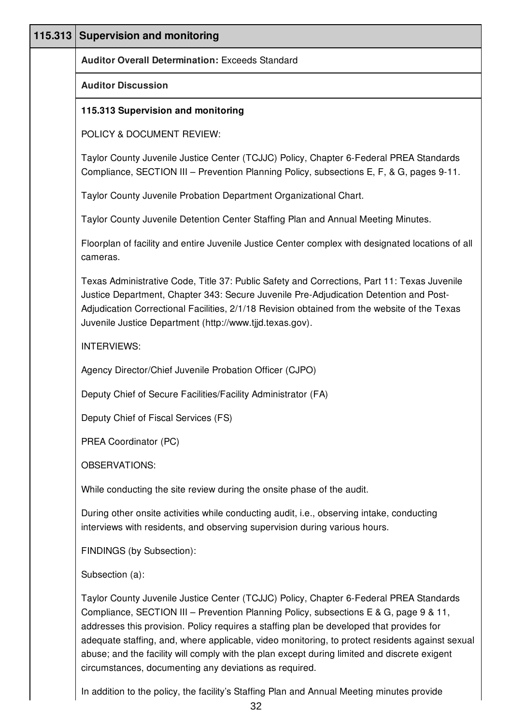| 115.313 Supervision and monitoring                                                                                                                                                                                                                                                                                                                                                                                                                                                                                                       |
|------------------------------------------------------------------------------------------------------------------------------------------------------------------------------------------------------------------------------------------------------------------------------------------------------------------------------------------------------------------------------------------------------------------------------------------------------------------------------------------------------------------------------------------|
| <b>Auditor Overall Determination: Exceeds Standard</b>                                                                                                                                                                                                                                                                                                                                                                                                                                                                                   |
| <b>Auditor Discussion</b>                                                                                                                                                                                                                                                                                                                                                                                                                                                                                                                |
| 115.313 Supervision and monitoring                                                                                                                                                                                                                                                                                                                                                                                                                                                                                                       |
| POLICY & DOCUMENT REVIEW:                                                                                                                                                                                                                                                                                                                                                                                                                                                                                                                |
| Taylor County Juvenile Justice Center (TCJJC) Policy, Chapter 6-Federal PREA Standards<br>Compliance, SECTION III - Prevention Planning Policy, subsections E, F, & G, pages 9-11.                                                                                                                                                                                                                                                                                                                                                       |
| Taylor County Juvenile Probation Department Organizational Chart.                                                                                                                                                                                                                                                                                                                                                                                                                                                                        |
| Taylor County Juvenile Detention Center Staffing Plan and Annual Meeting Minutes.                                                                                                                                                                                                                                                                                                                                                                                                                                                        |
| Floorplan of facility and entire Juvenile Justice Center complex with designated locations of all<br>cameras.                                                                                                                                                                                                                                                                                                                                                                                                                            |
| Texas Administrative Code, Title 37: Public Safety and Corrections, Part 11: Texas Juvenile<br>Justice Department, Chapter 343: Secure Juvenile Pre-Adjudication Detention and Post-<br>Adjudication Correctional Facilities, 2/1/18 Revision obtained from the website of the Texas<br>Juvenile Justice Department (http://www.tjjd.texas.gov).                                                                                                                                                                                         |
| <b>INTERVIEWS:</b>                                                                                                                                                                                                                                                                                                                                                                                                                                                                                                                       |
| Agency Director/Chief Juvenile Probation Officer (CJPO)                                                                                                                                                                                                                                                                                                                                                                                                                                                                                  |
| Deputy Chief of Secure Facilities/Facility Administrator (FA)                                                                                                                                                                                                                                                                                                                                                                                                                                                                            |
| Deputy Chief of Fiscal Services (FS)                                                                                                                                                                                                                                                                                                                                                                                                                                                                                                     |
| PREA Coordinator (PC)                                                                                                                                                                                                                                                                                                                                                                                                                                                                                                                    |
| <b>OBSERVATIONS:</b>                                                                                                                                                                                                                                                                                                                                                                                                                                                                                                                     |
| While conducting the site review during the onsite phase of the audit.                                                                                                                                                                                                                                                                                                                                                                                                                                                                   |
| During other onsite activities while conducting audit, i.e., observing intake, conducting<br>interviews with residents, and observing supervision during various hours.                                                                                                                                                                                                                                                                                                                                                                  |
| FINDINGS (by Subsection):                                                                                                                                                                                                                                                                                                                                                                                                                                                                                                                |
| Subsection (a):                                                                                                                                                                                                                                                                                                                                                                                                                                                                                                                          |
| Taylor County Juvenile Justice Center (TCJJC) Policy, Chapter 6-Federal PREA Standards<br>Compliance, SECTION III – Prevention Planning Policy, subsections E & G, page 9 & 11,<br>addresses this provision. Policy requires a staffing plan be developed that provides for<br>adequate staffing, and, where applicable, video monitoring, to protect residents against sexual<br>abuse; and the facility will comply with the plan except during limited and discrete exigent<br>circumstances, documenting any deviations as required. |

In addition to the policy, the facility's Staffing Plan and Annual Meeting minutes provide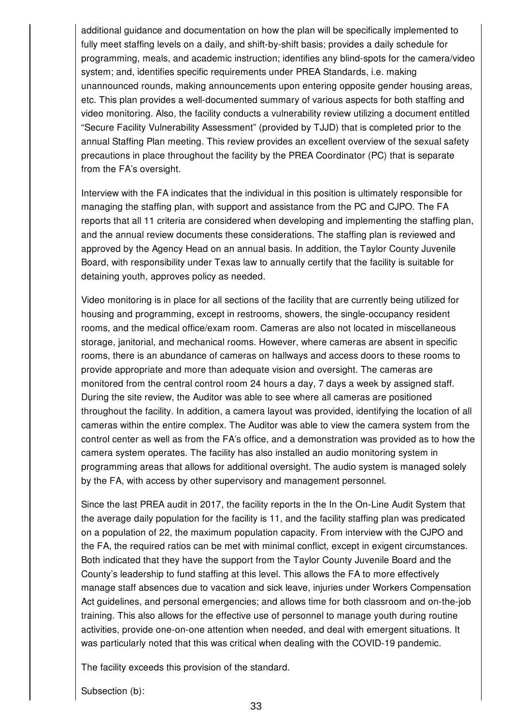additional guidance and documentation on how the plan will be specifically implemented to fully meet staffing levels on a daily, and shift-by-shift basis; provides a daily schedule for programming, meals, and academic instruction; identifies any blind-spots for the camera/video system; and, identifies specific requirements under PREA Standards, i.e. making unannounced rounds, making announcements upon entering opposite gender housing areas, etc. This plan provides a well-documented summary of various aspects for both staffing and video monitoring. Also, the facility conducts a vulnerability review utilizing a document entitled "Secure Facility Vulnerability Assessment" (provided by TJJD) that is completed prior to the annual Staffing Plan meeting. This review provides an excellent overview of the sexual safety precautions in place throughout the facility by the PREA Coordinator (PC) that is separate from the FA's oversight.

Interview with the FA indicates that the individual in this position is ultimately responsible for managing the staffing plan, with support and assistance from the PC and CJPO. The FA reports that all 11 criteria are considered when developing and implementing the staffing plan, and the annual review documents these considerations. The staffing plan is reviewed and approved by the Agency Head on an annual basis. In addition, the Taylor County Juvenile Board, with responsibility under Texas law to annually certify that the facility is suitable for detaining youth, approves policy as needed.

Video monitoring is in place for all sections of the facility that are currently being utilized for housing and programming, except in restrooms, showers, the single-occupancy resident rooms, and the medical office/exam room. Cameras are also not located in miscellaneous storage, janitorial, and mechanical rooms. However, where cameras are absent in specific rooms, there is an abundance of cameras on hallways and access doors to these rooms to provide appropriate and more than adequate vision and oversight. The cameras are monitored from the central control room 24 hours a day, 7 days a week by assigned staff. During the site review, the Auditor was able to see where all cameras are positioned throughout the facility. In addition, a camera layout was provided, identifying the location of all cameras within the entire complex. The Auditor was able to view the camera system from the control center as well as from the FA's office, and a demonstration was provided as to how the camera system operates. The facility has also installed an audio monitoring system in programming areas that allows for additional oversight. The audio system is managed solely by the FA, with access by other supervisory and management personnel.

Since the last PREA audit in 2017, the facility reports in the In the On-Line Audit System that the average daily population for the facility is 11, and the facility staffing plan was predicated on a population of 22, the maximum population capacity. From interview with the CJPO and the FA, the required ratios can be met with minimal conflict, except in exigent circumstances. Both indicated that they have the support from the Taylor County Juvenile Board and the County's leadership to fund staffing at this level. This allows the FA to more effectively manage staff absences due to vacation and sick leave, injuries under Workers Compensation Act guidelines, and personal emergencies; and allows time for both classroom and on-the-job training. This also allows for the effective use of personnel to manage youth during routine activities, provide one-on-one attention when needed, and deal with emergent situations. It was particularly noted that this was critical when dealing with the COVID-19 pandemic.

The facility exceeds this provision of the standard.

Subsection (b):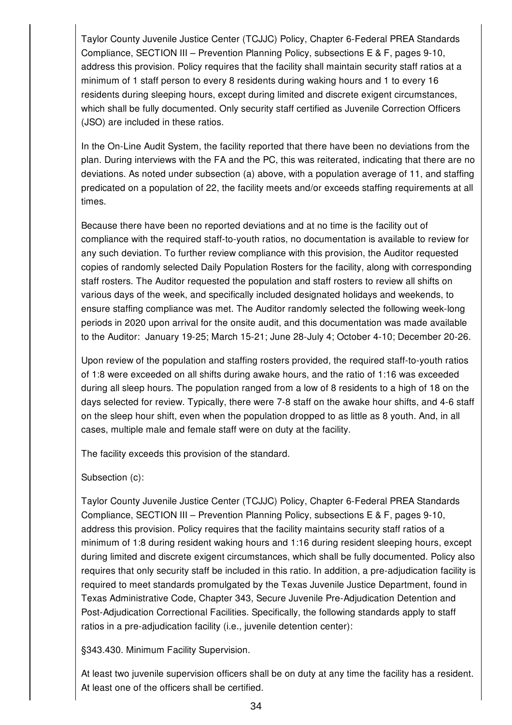Taylor County Juvenile Justice Center (TCJJC) Policy, Chapter 6-Federal PREA Standards Compliance, SECTION III – Prevention Planning Policy, subsections E & F, pages 9-10, address this provision. Policy requires that the facility shall maintain security staff ratios at a minimum of 1 staff person to every 8 residents during waking hours and 1 to every 16 residents during sleeping hours, except during limited and discrete exigent circumstances, which shall be fully documented. Only security staff certified as Juvenile Correction Officers (JSO) are included in these ratios.

In the On-Line Audit System, the facility reported that there have been no deviations from the plan. During interviews with the FA and the PC, this was reiterated, indicating that there are no deviations. As noted under subsection (a) above, with a population average of 11, and staffing predicated on a population of 22, the facility meets and/or exceeds staffing requirements at all times.

Because there have been no reported deviations and at no time is the facility out of compliance with the required staff-to-youth ratios, no documentation is available to review for any such deviation. To further review compliance with this provision, the Auditor requested copies of randomly selected Daily Population Rosters for the facility, along with corresponding staff rosters. The Auditor requested the population and staff rosters to review all shifts on various days of the week, and specifically included designated holidays and weekends, to ensure staffing compliance was met. The Auditor randomly selected the following week-long periods in 2020 upon arrival for the onsite audit, and this documentation was made available to the Auditor: January 19-25; March 15-21; June 28-July 4; October 4-10; December 20-26.

Upon review of the population and staffing rosters provided, the required staff-to-youth ratios of 1:8 were exceeded on all shifts during awake hours, and the ratio of 1:16 was exceeded during all sleep hours. The population ranged from a low of 8 residents to a high of 18 on the days selected for review. Typically, there were 7-8 staff on the awake hour shifts, and 4-6 staff on the sleep hour shift, even when the population dropped to as little as 8 youth. And, in all cases, multiple male and female staff were on duty at the facility.

The facility exceeds this provision of the standard.

Subsection (c):

Taylor County Juvenile Justice Center (TCJJC) Policy, Chapter 6-Federal PREA Standards Compliance, SECTION III – Prevention Planning Policy, subsections E & F, pages 9-10, address this provision. Policy requires that the facility maintains security staff ratios of a minimum of 1:8 during resident waking hours and 1:16 during resident sleeping hours, except during limited and discrete exigent circumstances, which shall be fully documented. Policy also requires that only security staff be included in this ratio. In addition, a pre-adjudication facility is required to meet standards promulgated by the Texas Juvenile Justice Department, found in Texas Administrative Code, Chapter 343, Secure Juvenile Pre-Adjudication Detention and Post-Adjudication Correctional Facilities. Specifically, the following standards apply to staff ratios in a pre-adjudication facility (i.e., juvenile detention center):

§343.430. Minimum Facility Supervision.

At least two juvenile supervision officers shall be on duty at any time the facility has a resident. At least one of the officers shall be certified.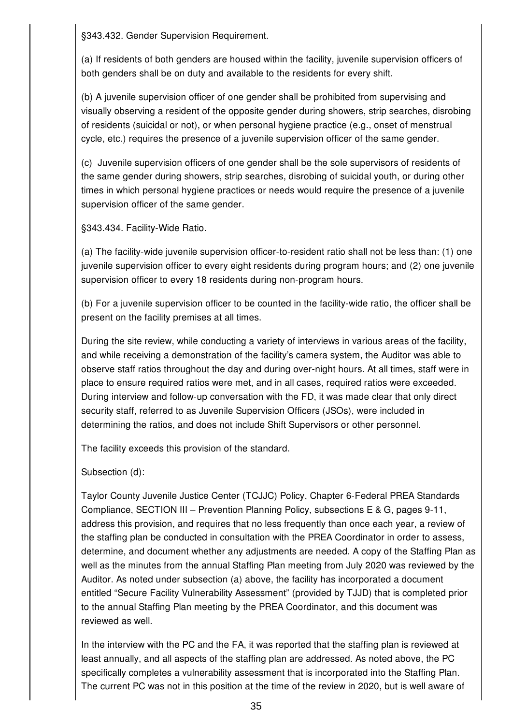§343.432. Gender Supervision Requirement.

(a) If residents of both genders are housed within the facility, juvenile supervision officers of both genders shall be on duty and available to the residents for every shift.

(b) A juvenile supervision officer of one gender shall be prohibited from supervising and visually observing a resident of the opposite gender during showers, strip searches, disrobing of residents (suicidal or not), or when personal hygiene practice (e.g., onset of menstrual cycle, etc.) requires the presence of a juvenile supervision officer of the same gender.

(c) Juvenile supervision officers of one gender shall be the sole supervisors of residents of the same gender during showers, strip searches, disrobing of suicidal youth, or during other times in which personal hygiene practices or needs would require the presence of a juvenile supervision officer of the same gender.

§343.434. Facility-Wide Ratio.

(a) The facility-wide juvenile supervision officer-to-resident ratio shall not be less than: (1) one juvenile supervision officer to every eight residents during program hours; and (2) one juvenile supervision officer to every 18 residents during non-program hours.

(b) For a juvenile supervision officer to be counted in the facility-wide ratio, the officer shall be present on the facility premises at all times.

During the site review, while conducting a variety of interviews in various areas of the facility, and while receiving a demonstration of the facility's camera system, the Auditor was able to observe staff ratios throughout the day and during over-night hours. At all times, staff were in place to ensure required ratios were met, and in all cases, required ratios were exceeded. During interview and follow-up conversation with the FD, it was made clear that only direct security staff, referred to as Juvenile Supervision Officers (JSOs), were included in determining the ratios, and does not include Shift Supervisors or other personnel.

The facility exceeds this provision of the standard.

Subsection (d):

Taylor County Juvenile Justice Center (TCJJC) Policy, Chapter 6-Federal PREA Standards Compliance, SECTION III – Prevention Planning Policy, subsections E & G, pages 9-11, address this provision, and requires that no less frequently than once each year, a review of the staffing plan be conducted in consultation with the PREA Coordinator in order to assess, determine, and document whether any adjustments are needed. A copy of the Staffing Plan as well as the minutes from the annual Staffing Plan meeting from July 2020 was reviewed by the Auditor. As noted under subsection (a) above, the facility has incorporated a document entitled "Secure Facility Vulnerability Assessment" (provided by TJJD) that is completed prior to the annual Staffing Plan meeting by the PREA Coordinator, and this document was reviewed as well.

In the interview with the PC and the FA, it was reported that the staffing plan is reviewed at least annually, and all aspects of the staffing plan are addressed. As noted above, the PC specifically completes a vulnerability assessment that is incorporated into the Staffing Plan. The current PC was not in this position at the time of the review in 2020, but is well aware of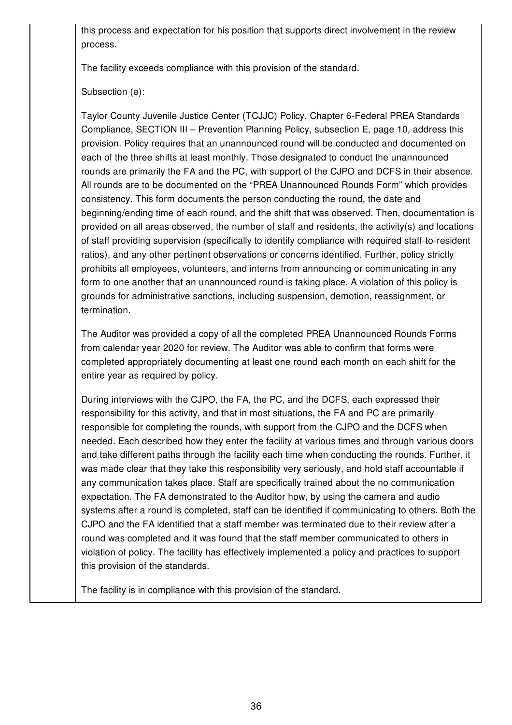this process and expectation for his position that supports direct involvement in the review process.

The facility exceeds compliance with this provision of the standard.

# Subsection (e):

Taylor County Juvenile Justice Center (TCJJC) Policy, Chapter 6-Federal PREA Standards Compliance, SECTION III – Prevention Planning Policy, subsection E, page 10, address this provision. Policy requires that an unannounced round will be conducted and documented on each of the three shifts at least monthly. Those designated to conduct the unannounced rounds are primarily the FA and the PC, with support of the CJPO and DCFS in their absence. All rounds are to be documented on the "PREA Unannounced Rounds Form" which provides consistency. This form documents the person conducting the round, the date and beginning/ending time of each round, and the shift that was observed. Then, documentation is provided on all areas observed, the number of staff and residents, the activity(s) and locations of staff providing supervision (specifically to identify compliance with required staff-to-resident ratios), and any other pertinent observations or concerns identified. Further, policy strictly prohibits all employees, volunteers, and interns from announcing or communicating in any form to one another that an unannounced round is taking place. A violation of this policy is grounds for administrative sanctions, including suspension, demotion, reassignment, or termination.

The Auditor was provided a copy of all the completed PREA Unannounced Rounds Forms from calendar year 2020 for review. The Auditor was able to confirm that forms were completed appropriately documenting at least one round each month on each shift for the entire year as required by policy.

During interviews with the CJPO, the FA, the PC, and the DCFS, each expressed their responsibility for this activity, and that in most situations, the FA and PC are primarily responsible for completing the rounds, with support from the CJPO and the DCFS when needed. Each described how they enter the facility at various times and through various doors and take different paths through the facility each time when conducting the rounds. Further, it was made clear that they take this responsibility very seriously, and hold staff accountable if any communication takes place. Staff are specifically trained about the no communication expectation. The FA demonstrated to the Auditor how, by using the camera and audio systems after a round is completed, staff can be identified if communicating to others. Both the CJPO and the FA identified that a staff member was terminated due to their review after a round was completed and it was found that the staff member communicated to others in violation of policy. The facility has effectively implemented a policy and practices to support this provision of the standards.

The facility is in compliance with this provision of the standard.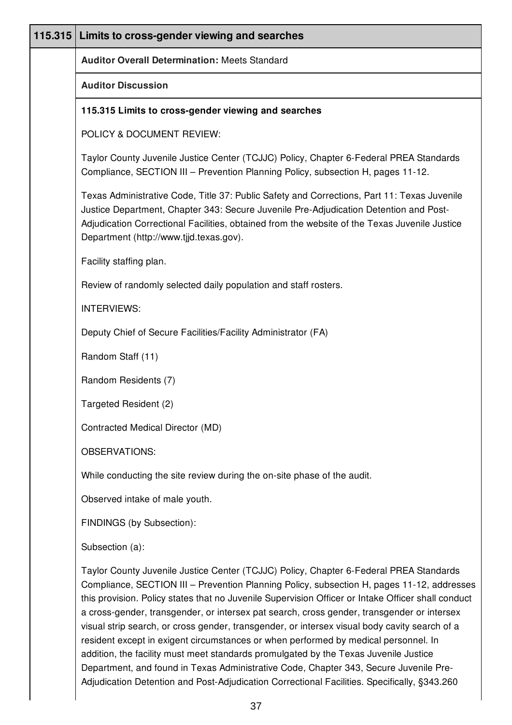| <b>Auditor Overall Determination: Meets Standard</b>                                                                                                                                                                                                                                                                                                                                                                                                                                                                                                                                                                                                                                                                                                                                                                                                              |
|-------------------------------------------------------------------------------------------------------------------------------------------------------------------------------------------------------------------------------------------------------------------------------------------------------------------------------------------------------------------------------------------------------------------------------------------------------------------------------------------------------------------------------------------------------------------------------------------------------------------------------------------------------------------------------------------------------------------------------------------------------------------------------------------------------------------------------------------------------------------|
| <b>Auditor Discussion</b>                                                                                                                                                                                                                                                                                                                                                                                                                                                                                                                                                                                                                                                                                                                                                                                                                                         |
| 115.315 Limits to cross-gender viewing and searches                                                                                                                                                                                                                                                                                                                                                                                                                                                                                                                                                                                                                                                                                                                                                                                                               |
| POLICY & DOCUMENT REVIEW:                                                                                                                                                                                                                                                                                                                                                                                                                                                                                                                                                                                                                                                                                                                                                                                                                                         |
| Taylor County Juvenile Justice Center (TCJJC) Policy, Chapter 6-Federal PREA Standards<br>Compliance, SECTION III - Prevention Planning Policy, subsection H, pages 11-12.                                                                                                                                                                                                                                                                                                                                                                                                                                                                                                                                                                                                                                                                                        |
| Texas Administrative Code, Title 37: Public Safety and Corrections, Part 11: Texas Juvenile<br>Justice Department, Chapter 343: Secure Juvenile Pre-Adjudication Detention and Post-<br>Adjudication Correctional Facilities, obtained from the website of the Texas Juvenile Justice<br>Department (http://www.tjjd.texas.gov).                                                                                                                                                                                                                                                                                                                                                                                                                                                                                                                                  |
| Facility staffing plan.                                                                                                                                                                                                                                                                                                                                                                                                                                                                                                                                                                                                                                                                                                                                                                                                                                           |
| Review of randomly selected daily population and staff rosters.                                                                                                                                                                                                                                                                                                                                                                                                                                                                                                                                                                                                                                                                                                                                                                                                   |
| <b>INTERVIEWS:</b>                                                                                                                                                                                                                                                                                                                                                                                                                                                                                                                                                                                                                                                                                                                                                                                                                                                |
| Deputy Chief of Secure Facilities/Facility Administrator (FA)                                                                                                                                                                                                                                                                                                                                                                                                                                                                                                                                                                                                                                                                                                                                                                                                     |
| Random Staff (11)                                                                                                                                                                                                                                                                                                                                                                                                                                                                                                                                                                                                                                                                                                                                                                                                                                                 |
| Random Residents (7)                                                                                                                                                                                                                                                                                                                                                                                                                                                                                                                                                                                                                                                                                                                                                                                                                                              |
| Targeted Resident (2)                                                                                                                                                                                                                                                                                                                                                                                                                                                                                                                                                                                                                                                                                                                                                                                                                                             |
| Contracted Medical Director (MD)                                                                                                                                                                                                                                                                                                                                                                                                                                                                                                                                                                                                                                                                                                                                                                                                                                  |
| <b>OBSERVATIONS:</b>                                                                                                                                                                                                                                                                                                                                                                                                                                                                                                                                                                                                                                                                                                                                                                                                                                              |
| While conducting the site review during the on-site phase of the audit.                                                                                                                                                                                                                                                                                                                                                                                                                                                                                                                                                                                                                                                                                                                                                                                           |
| Observed intake of male youth.                                                                                                                                                                                                                                                                                                                                                                                                                                                                                                                                                                                                                                                                                                                                                                                                                                    |
| FINDINGS (by Subsection):                                                                                                                                                                                                                                                                                                                                                                                                                                                                                                                                                                                                                                                                                                                                                                                                                                         |
| Subsection (a):                                                                                                                                                                                                                                                                                                                                                                                                                                                                                                                                                                                                                                                                                                                                                                                                                                                   |
| Taylor County Juvenile Justice Center (TCJJC) Policy, Chapter 6-Federal PREA Standards<br>Compliance, SECTION III - Prevention Planning Policy, subsection H, pages 11-12, addresses<br>this provision. Policy states that no Juvenile Supervision Officer or Intake Officer shall conduct<br>a cross-gender, transgender, or intersex pat search, cross gender, transgender or intersex<br>visual strip search, or cross gender, transgender, or intersex visual body cavity search of a<br>resident except in exigent circumstances or when performed by medical personnel. In<br>addition, the facility must meet standards promulgated by the Texas Juvenile Justice<br>Department, and found in Texas Administrative Code, Chapter 343, Secure Juvenile Pre-<br>Adjudication Detention and Post-Adjudication Correctional Facilities. Specifically, §343.260 |
|                                                                                                                                                                                                                                                                                                                                                                                                                                                                                                                                                                                                                                                                                                                                                                                                                                                                   |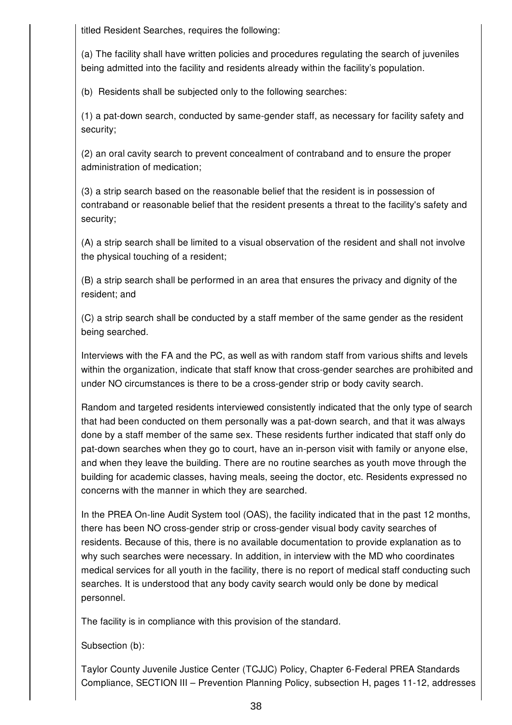titled Resident Searches, requires the following:

(a) The facility shall have written policies and procedures regulating the search of juveniles being admitted into the facility and residents already within the facility's population.

(b) Residents shall be subjected only to the following searches:

(1) a pat-down search, conducted by same-gender staff, as necessary for facility safety and security;

(2) an oral cavity search to prevent concealment of contraband and to ensure the proper administration of medication;

(3) a strip search based on the reasonable belief that the resident is in possession of contraband or reasonable belief that the resident presents a threat to the facility's safety and security;

(A) a strip search shall be limited to a visual observation of the resident and shall not involve the physical touching of a resident;

(B) a strip search shall be performed in an area that ensures the privacy and dignity of the resident; and

(C) a strip search shall be conducted by a staff member of the same gender as the resident being searched.

Interviews with the FA and the PC, as well as with random staff from various shifts and levels within the organization, indicate that staff know that cross-gender searches are prohibited and under NO circumstances is there to be a cross-gender strip or body cavity search.

Random and targeted residents interviewed consistently indicated that the only type of search that had been conducted on them personally was a pat-down search, and that it was always done by a staff member of the same sex. These residents further indicated that staff only do pat-down searches when they go to court, have an in-person visit with family or anyone else, and when they leave the building. There are no routine searches as youth move through the building for academic classes, having meals, seeing the doctor, etc. Residents expressed no concerns with the manner in which they are searched.

In the PREA On-line Audit System tool (OAS), the facility indicated that in the past 12 months, there has been NO cross-gender strip or cross-gender visual body cavity searches of residents. Because of this, there is no available documentation to provide explanation as to why such searches were necessary. In addition, in interview with the MD who coordinates medical services for all youth in the facility, there is no report of medical staff conducting such searches. It is understood that any body cavity search would only be done by medical personnel.

The facility is in compliance with this provision of the standard.

Subsection (b):

Taylor County Juvenile Justice Center (TCJJC) Policy, Chapter 6-Federal PREA Standards Compliance, SECTION III – Prevention Planning Policy, subsection H, pages 11-12, addresses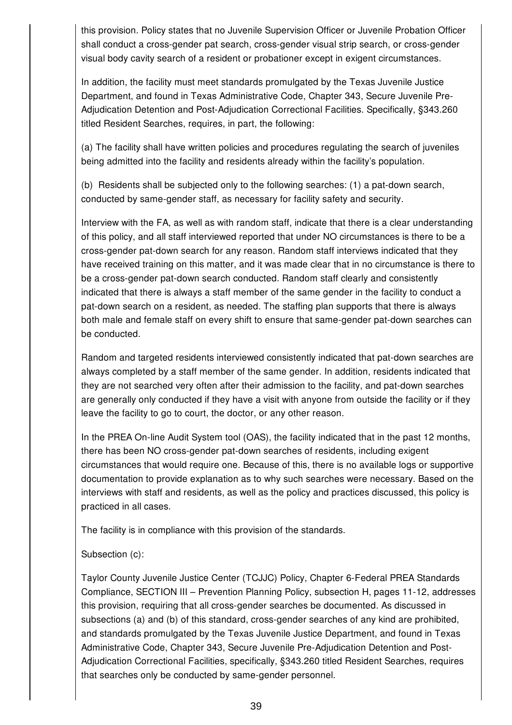this provision. Policy states that no Juvenile Supervision Officer or Juvenile Probation Officer shall conduct a cross-gender pat search, cross-gender visual strip search, or cross-gender visual body cavity search of a resident or probationer except in exigent circumstances.

In addition, the facility must meet standards promulgated by the Texas Juvenile Justice Department, and found in Texas Administrative Code, Chapter 343, Secure Juvenile Pre-Adjudication Detention and Post-Adjudication Correctional Facilities. Specifically, §343.260 titled Resident Searches, requires, in part, the following:

(a) The facility shall have written policies and procedures regulating the search of juveniles being admitted into the facility and residents already within the facility's population.

(b) Residents shall be subjected only to the following searches: (1) a pat-down search, conducted by same-gender staff, as necessary for facility safety and security.

Interview with the FA, as well as with random staff, indicate that there is a clear understanding of this policy, and all staff interviewed reported that under NO circumstances is there to be a cross-gender pat-down search for any reason. Random staff interviews indicated that they have received training on this matter, and it was made clear that in no circumstance is there to be a cross-gender pat-down search conducted. Random staff clearly and consistently indicated that there is always a staff member of the same gender in the facility to conduct a pat-down search on a resident, as needed. The staffing plan supports that there is always both male and female staff on every shift to ensure that same-gender pat-down searches can be conducted.

Random and targeted residents interviewed consistently indicated that pat-down searches are always completed by a staff member of the same gender. In addition, residents indicated that they are not searched very often after their admission to the facility, and pat-down searches are generally only conducted if they have a visit with anyone from outside the facility or if they leave the facility to go to court, the doctor, or any other reason.

In the PREA On-line Audit System tool (OAS), the facility indicated that in the past 12 months, there has been NO cross-gender pat-down searches of residents, including exigent circumstances that would require one. Because of this, there is no available logs or supportive documentation to provide explanation as to why such searches were necessary. Based on the interviews with staff and residents, as well as the policy and practices discussed, this policy is practiced in all cases.

The facility is in compliance with this provision of the standards.

## Subsection (c):

Taylor County Juvenile Justice Center (TCJJC) Policy, Chapter 6-Federal PREA Standards Compliance, SECTION III – Prevention Planning Policy, subsection H, pages 11-12, addresses this provision, requiring that all cross-gender searches be documented. As discussed in subsections (a) and (b) of this standard, cross-gender searches of any kind are prohibited, and standards promulgated by the Texas Juvenile Justice Department, and found in Texas Administrative Code, Chapter 343, Secure Juvenile Pre-Adjudication Detention and Post-Adjudication Correctional Facilities, specifically, §343.260 titled Resident Searches, requires that searches only be conducted by same-gender personnel.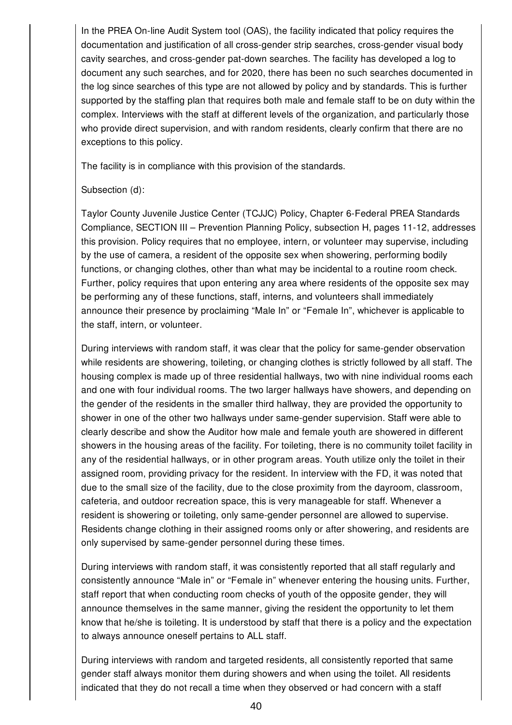In the PREA On-line Audit System tool (OAS), the facility indicated that policy requires the documentation and justification of all cross-gender strip searches, cross-gender visual body cavity searches, and cross-gender pat-down searches. The facility has developed a log to document any such searches, and for 2020, there has been no such searches documented in the log since searches of this type are not allowed by policy and by standards. This is further supported by the staffing plan that requires both male and female staff to be on duty within the complex. Interviews with the staff at different levels of the organization, and particularly those who provide direct supervision, and with random residents, clearly confirm that there are no exceptions to this policy.

The facility is in compliance with this provision of the standards.

## Subsection (d):

Taylor County Juvenile Justice Center (TCJJC) Policy, Chapter 6-Federal PREA Standards Compliance, SECTION III – Prevention Planning Policy, subsection H, pages 11-12, addresses this provision. Policy requires that no employee, intern, or volunteer may supervise, including by the use of camera, a resident of the opposite sex when showering, performing bodily functions, or changing clothes, other than what may be incidental to a routine room check. Further, policy requires that upon entering any area where residents of the opposite sex may be performing any of these functions, staff, interns, and volunteers shall immediately announce their presence by proclaiming "Male In" or "Female In", whichever is applicable to the staff, intern, or volunteer.

During interviews with random staff, it was clear that the policy for same-gender observation while residents are showering, toileting, or changing clothes is strictly followed by all staff. The housing complex is made up of three residential hallways, two with nine individual rooms each and one with four individual rooms. The two larger hallways have showers, and depending on the gender of the residents in the smaller third hallway, they are provided the opportunity to shower in one of the other two hallways under same-gender supervision. Staff were able to clearly describe and show the Auditor how male and female youth are showered in different showers in the housing areas of the facility. For toileting, there is no community toilet facility in any of the residential hallways, or in other program areas. Youth utilize only the toilet in their assigned room, providing privacy for the resident. In interview with the FD, it was noted that due to the small size of the facility, due to the close proximity from the dayroom, classroom, cafeteria, and outdoor recreation space, this is very manageable for staff. Whenever a resident is showering or toileting, only same-gender personnel are allowed to supervise. Residents change clothing in their assigned rooms only or after showering, and residents are only supervised by same-gender personnel during these times.

During interviews with random staff, it was consistently reported that all staff regularly and consistently announce "Male in" or "Female in" whenever entering the housing units. Further, staff report that when conducting room checks of youth of the opposite gender, they will announce themselves in the same manner, giving the resident the opportunity to let them know that he/she is toileting. It is understood by staff that there is a policy and the expectation to always announce oneself pertains to ALL staff.

During interviews with random and targeted residents, all consistently reported that same gender staff always monitor them during showers and when using the toilet. All residents indicated that they do not recall a time when they observed or had concern with a staff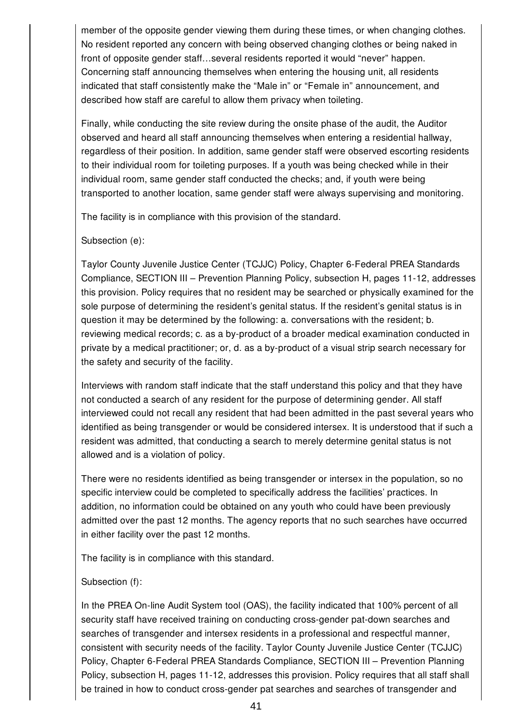member of the opposite gender viewing them during these times, or when changing clothes. No resident reported any concern with being observed changing clothes or being naked in front of opposite gender staff…several residents reported it would "never" happen. Concerning staff announcing themselves when entering the housing unit, all residents indicated that staff consistently make the "Male in" or "Female in" announcement, and described how staff are careful to allow them privacy when toileting.

Finally, while conducting the site review during the onsite phase of the audit, the Auditor observed and heard all staff announcing themselves when entering a residential hallway, regardless of their position. In addition, same gender staff were observed escorting residents to their individual room for toileting purposes. If a youth was being checked while in their individual room, same gender staff conducted the checks; and, if youth were being transported to another location, same gender staff were always supervising and monitoring.

The facility is in compliance with this provision of the standard.

Subsection (e):

Taylor County Juvenile Justice Center (TCJJC) Policy, Chapter 6-Federal PREA Standards Compliance, SECTION III – Prevention Planning Policy, subsection H, pages 11-12, addresses this provision. Policy requires that no resident may be searched or physically examined for the sole purpose of determining the resident's genital status. If the resident's genital status is in question it may be determined by the following: a. conversations with the resident; b. reviewing medical records; c. as a by-product of a broader medical examination conducted in private by a medical practitioner; or, d. as a by-product of a visual strip search necessary for the safety and security of the facility.

Interviews with random staff indicate that the staff understand this policy and that they have not conducted a search of any resident for the purpose of determining gender. All staff interviewed could not recall any resident that had been admitted in the past several years who identified as being transgender or would be considered intersex. It is understood that if such a resident was admitted, that conducting a search to merely determine genital status is not allowed and is a violation of policy.

There were no residents identified as being transgender or intersex in the population, so no specific interview could be completed to specifically address the facilities' practices. In addition, no information could be obtained on any youth who could have been previously admitted over the past 12 months. The agency reports that no such searches have occurred in either facility over the past 12 months.

The facility is in compliance with this standard.

## Subsection (f):

In the PREA On-line Audit System tool (OAS), the facility indicated that 100% percent of all security staff have received training on conducting cross-gender pat-down searches and searches of transgender and intersex residents in a professional and respectful manner, consistent with security needs of the facility. Taylor County Juvenile Justice Center (TCJJC) Policy, Chapter 6-Federal PREA Standards Compliance, SECTION III – Prevention Planning Policy, subsection H, pages 11-12, addresses this provision. Policy requires that all staff shall be trained in how to conduct cross-gender pat searches and searches of transgender and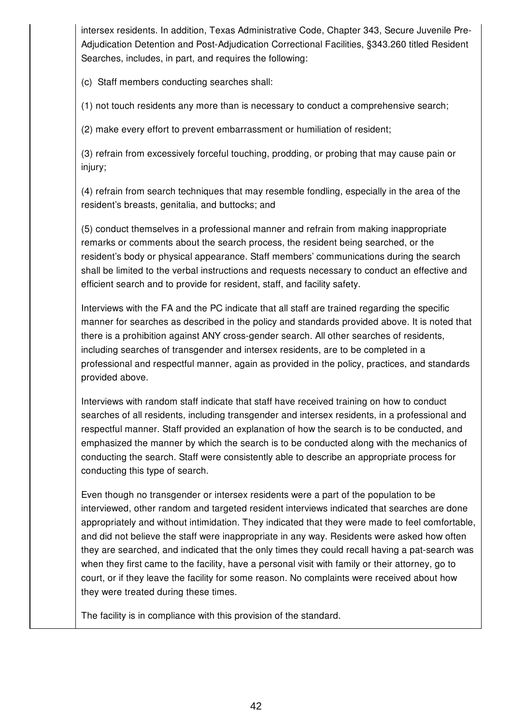intersex residents. In addition, Texas Administrative Code, Chapter 343, Secure Juvenile Pre-Adjudication Detention and Post-Adjudication Correctional Facilities, §343.260 titled Resident Searches, includes, in part, and requires the following:

(c) Staff members conducting searches shall:

(1) not touch residents any more than is necessary to conduct a comprehensive search;

(2) make every effort to prevent embarrassment or humiliation of resident;

(3) refrain from excessively forceful touching, prodding, or probing that may cause pain or injury;

(4) refrain from search techniques that may resemble fondling, especially in the area of the resident's breasts, genitalia, and buttocks; and

(5) conduct themselves in a professional manner and refrain from making inappropriate remarks or comments about the search process, the resident being searched, or the resident's body or physical appearance. Staff members' communications during the search shall be limited to the verbal instructions and requests necessary to conduct an effective and efficient search and to provide for resident, staff, and facility safety.

Interviews with the FA and the PC indicate that all staff are trained regarding the specific manner for searches as described in the policy and standards provided above. It is noted that there is a prohibition against ANY cross-gender search. All other searches of residents, including searches of transgender and intersex residents, are to be completed in a professional and respectful manner, again as provided in the policy, practices, and standards provided above.

Interviews with random staff indicate that staff have received training on how to conduct searches of all residents, including transgender and intersex residents, in a professional and respectful manner. Staff provided an explanation of how the search is to be conducted, and emphasized the manner by which the search is to be conducted along with the mechanics of conducting the search. Staff were consistently able to describe an appropriate process for conducting this type of search.

Even though no transgender or intersex residents were a part of the population to be interviewed, other random and targeted resident interviews indicated that searches are done appropriately and without intimidation. They indicated that they were made to feel comfortable, and did not believe the staff were inappropriate in any way. Residents were asked how often they are searched, and indicated that the only times they could recall having a pat-search was when they first came to the facility, have a personal visit with family or their attorney, go to court, or if they leave the facility for some reason. No complaints were received about how they were treated during these times.

The facility is in compliance with this provision of the standard.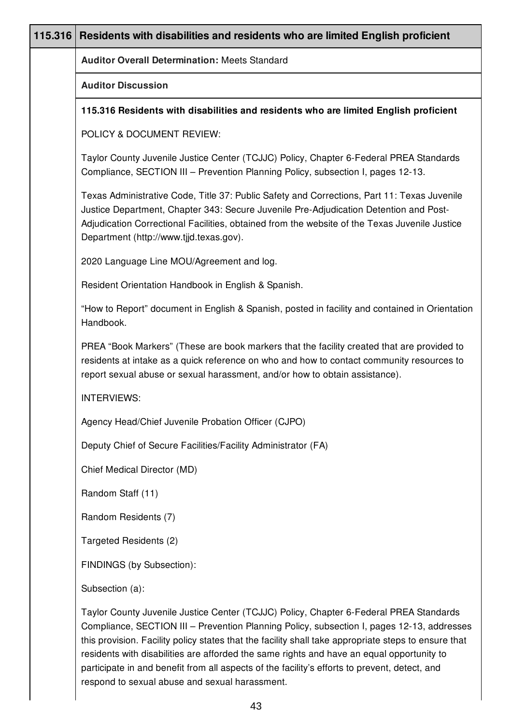| 115.316 | Residents with disabilities and residents who are limited English proficient                                                                                                                                                                                                                                                                                                                                                                                                               |
|---------|--------------------------------------------------------------------------------------------------------------------------------------------------------------------------------------------------------------------------------------------------------------------------------------------------------------------------------------------------------------------------------------------------------------------------------------------------------------------------------------------|
|         | <b>Auditor Overall Determination: Meets Standard</b>                                                                                                                                                                                                                                                                                                                                                                                                                                       |
|         | <b>Auditor Discussion</b>                                                                                                                                                                                                                                                                                                                                                                                                                                                                  |
|         | 115.316 Residents with disabilities and residents who are limited English proficient                                                                                                                                                                                                                                                                                                                                                                                                       |
|         | POLICY & DOCUMENT REVIEW:                                                                                                                                                                                                                                                                                                                                                                                                                                                                  |
|         | Taylor County Juvenile Justice Center (TCJJC) Policy, Chapter 6-Federal PREA Standards<br>Compliance, SECTION III - Prevention Planning Policy, subsection I, pages 12-13.                                                                                                                                                                                                                                                                                                                 |
|         | Texas Administrative Code, Title 37: Public Safety and Corrections, Part 11: Texas Juvenile<br>Justice Department, Chapter 343: Secure Juvenile Pre-Adjudication Detention and Post-<br>Adjudication Correctional Facilities, obtained from the website of the Texas Juvenile Justice<br>Department (http://www.tjjd.texas.gov).                                                                                                                                                           |
|         | 2020 Language Line MOU/Agreement and log.                                                                                                                                                                                                                                                                                                                                                                                                                                                  |
|         | Resident Orientation Handbook in English & Spanish.                                                                                                                                                                                                                                                                                                                                                                                                                                        |
|         | "How to Report" document in English & Spanish, posted in facility and contained in Orientation<br>Handbook.                                                                                                                                                                                                                                                                                                                                                                                |
|         | PREA "Book Markers" (These are book markers that the facility created that are provided to<br>residents at intake as a quick reference on who and how to contact community resources to<br>report sexual abuse or sexual harassment, and/or how to obtain assistance).                                                                                                                                                                                                                     |
|         | <b>INTERVIEWS:</b>                                                                                                                                                                                                                                                                                                                                                                                                                                                                         |
|         | Agency Head/Chief Juvenile Probation Officer (CJPO)                                                                                                                                                                                                                                                                                                                                                                                                                                        |
|         | Deputy Chief of Secure Facilities/Facility Administrator (FA)                                                                                                                                                                                                                                                                                                                                                                                                                              |
|         | Chief Medical Director (MD)                                                                                                                                                                                                                                                                                                                                                                                                                                                                |
|         | Random Staff (11)                                                                                                                                                                                                                                                                                                                                                                                                                                                                          |
|         | Random Residents (7)                                                                                                                                                                                                                                                                                                                                                                                                                                                                       |
|         | Targeted Residents (2)                                                                                                                                                                                                                                                                                                                                                                                                                                                                     |
|         | FINDINGS (by Subsection):                                                                                                                                                                                                                                                                                                                                                                                                                                                                  |
|         | Subsection (a):                                                                                                                                                                                                                                                                                                                                                                                                                                                                            |
|         | Taylor County Juvenile Justice Center (TCJJC) Policy, Chapter 6-Federal PREA Standards<br>Compliance, SECTION III - Prevention Planning Policy, subsection I, pages 12-13, addresses<br>this provision. Facility policy states that the facility shall take appropriate steps to ensure that<br>residents with disabilities are afforded the same rights and have an equal opportunity to<br>participate in and benefit from all aspects of the facility's efforts to prevent, detect, and |

respond to sexual abuse and sexual harassment.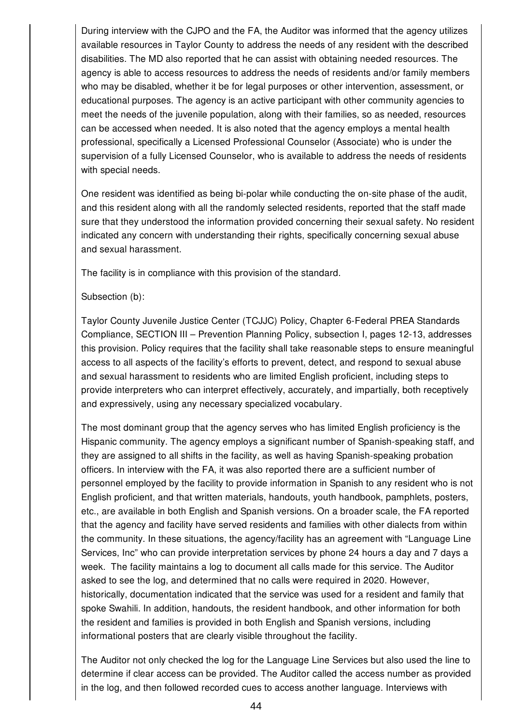During interview with the CJPO and the FA, the Auditor was informed that the agency utilizes available resources in Taylor County to address the needs of any resident with the described disabilities. The MD also reported that he can assist with obtaining needed resources. The agency is able to access resources to address the needs of residents and/or family members who may be disabled, whether it be for legal purposes or other intervention, assessment, or educational purposes. The agency is an active participant with other community agencies to meet the needs of the juvenile population, along with their families, so as needed, resources can be accessed when needed. It is also noted that the agency employs a mental health professional, specifically a Licensed Professional Counselor (Associate) who is under the supervision of a fully Licensed Counselor, who is available to address the needs of residents with special needs.

One resident was identified as being bi-polar while conducting the on-site phase of the audit, and this resident along with all the randomly selected residents, reported that the staff made sure that they understood the information provided concerning their sexual safety. No resident indicated any concern with understanding their rights, specifically concerning sexual abuse and sexual harassment.

The facility is in compliance with this provision of the standard.

## Subsection (b):

Taylor County Juvenile Justice Center (TCJJC) Policy, Chapter 6-Federal PREA Standards Compliance, SECTION III – Prevention Planning Policy, subsection I, pages 12-13, addresses this provision. Policy requires that the facility shall take reasonable steps to ensure meaningful access to all aspects of the facility's efforts to prevent, detect, and respond to sexual abuse and sexual harassment to residents who are limited English proficient, including steps to provide interpreters who can interpret effectively, accurately, and impartially, both receptively and expressively, using any necessary specialized vocabulary.

The most dominant group that the agency serves who has limited English proficiency is the Hispanic community. The agency employs a significant number of Spanish-speaking staff, and they are assigned to all shifts in the facility, as well as having Spanish-speaking probation officers. In interview with the FA, it was also reported there are a sufficient number of personnel employed by the facility to provide information in Spanish to any resident who is not English proficient, and that written materials, handouts, youth handbook, pamphlets, posters, etc., are available in both English and Spanish versions. On a broader scale, the FA reported that the agency and facility have served residents and families with other dialects from within the community. In these situations, the agency/facility has an agreement with "Language Line Services, Inc" who can provide interpretation services by phone 24 hours a day and 7 days a week. The facility maintains a log to document all calls made for this service. The Auditor asked to see the log, and determined that no calls were required in 2020. However, historically, documentation indicated that the service was used for a resident and family that spoke Swahili. In addition, handouts, the resident handbook, and other information for both the resident and families is provided in both English and Spanish versions, including informational posters that are clearly visible throughout the facility.

The Auditor not only checked the log for the Language Line Services but also used the line to determine if clear access can be provided. The Auditor called the access number as provided in the log, and then followed recorded cues to access another language. Interviews with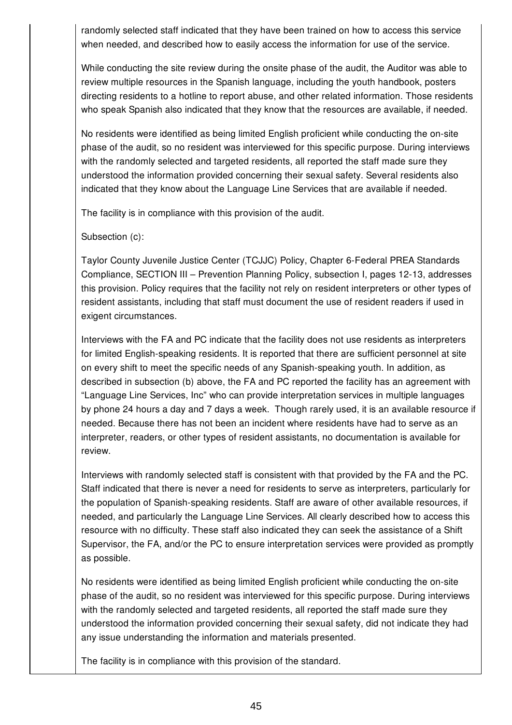randomly selected staff indicated that they have been trained on how to access this service when needed, and described how to easily access the information for use of the service.

While conducting the site review during the onsite phase of the audit, the Auditor was able to review multiple resources in the Spanish language, including the youth handbook, posters directing residents to a hotline to report abuse, and other related information. Those residents who speak Spanish also indicated that they know that the resources are available, if needed.

No residents were identified as being limited English proficient while conducting the on-site phase of the audit, so no resident was interviewed for this specific purpose. During interviews with the randomly selected and targeted residents, all reported the staff made sure they understood the information provided concerning their sexual safety. Several residents also indicated that they know about the Language Line Services that are available if needed.

The facility is in compliance with this provision of the audit.

Subsection (c):

Taylor County Juvenile Justice Center (TCJJC) Policy, Chapter 6-Federal PREA Standards Compliance, SECTION III – Prevention Planning Policy, subsection I, pages 12-13, addresses this provision. Policy requires that the facility not rely on resident interpreters or other types of resident assistants, including that staff must document the use of resident readers if used in exigent circumstances.

Interviews with the FA and PC indicate that the facility does not use residents as interpreters for limited English-speaking residents. It is reported that there are sufficient personnel at site on every shift to meet the specific needs of any Spanish-speaking youth. In addition, as described in subsection (b) above, the FA and PC reported the facility has an agreement with "Language Line Services, Inc" who can provide interpretation services in multiple languages by phone 24 hours a day and 7 days a week. Though rarely used, it is an available resource if needed. Because there has not been an incident where residents have had to serve as an interpreter, readers, or other types of resident assistants, no documentation is available for review.

Interviews with randomly selected staff is consistent with that provided by the FA and the PC. Staff indicated that there is never a need for residents to serve as interpreters, particularly for the population of Spanish-speaking residents. Staff are aware of other available resources, if needed, and particularly the Language Line Services. All clearly described how to access this resource with no difficulty. These staff also indicated they can seek the assistance of a Shift Supervisor, the FA, and/or the PC to ensure interpretation services were provided as promptly as possible.

No residents were identified as being limited English proficient while conducting the on-site phase of the audit, so no resident was interviewed for this specific purpose. During interviews with the randomly selected and targeted residents, all reported the staff made sure they understood the information provided concerning their sexual safety, did not indicate they had any issue understanding the information and materials presented.

The facility is in compliance with this provision of the standard.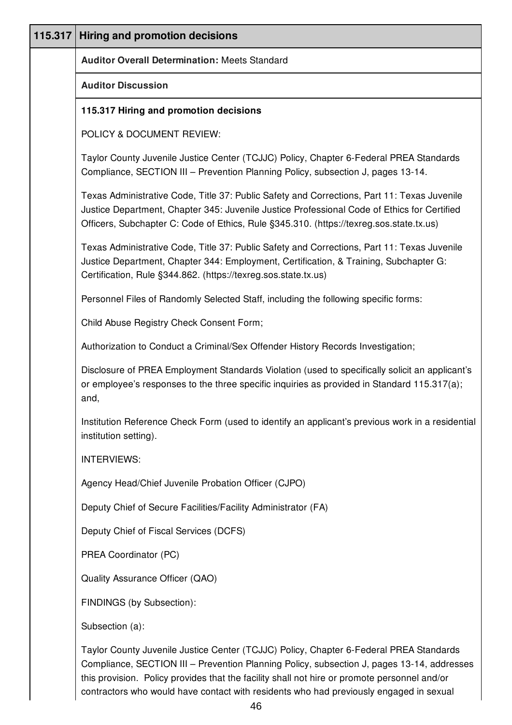| 115.317 | <b>Hiring and promotion decisions</b>                                                                                                                                                                                                                                                 |
|---------|---------------------------------------------------------------------------------------------------------------------------------------------------------------------------------------------------------------------------------------------------------------------------------------|
|         | <b>Auditor Overall Determination: Meets Standard</b>                                                                                                                                                                                                                                  |
|         | <b>Auditor Discussion</b>                                                                                                                                                                                                                                                             |
|         | 115.317 Hiring and promotion decisions                                                                                                                                                                                                                                                |
|         | POLICY & DOCUMENT REVIEW:                                                                                                                                                                                                                                                             |
|         | Taylor County Juvenile Justice Center (TCJJC) Policy, Chapter 6-Federal PREA Standards<br>Compliance, SECTION III - Prevention Planning Policy, subsection J, pages 13-14.                                                                                                            |
|         | Texas Administrative Code, Title 37: Public Safety and Corrections, Part 11: Texas Juvenile<br>Justice Department, Chapter 345: Juvenile Justice Professional Code of Ethics for Certified<br>Officers, Subchapter C: Code of Ethics, Rule §345.310. (https://texreg.sos.state.tx.us) |
|         | Texas Administrative Code, Title 37: Public Safety and Corrections, Part 11: Texas Juvenile<br>Justice Department, Chapter 344: Employment, Certification, & Training, Subchapter G:<br>Certification, Rule §344.862. (https://texreg.sos.state.tx.us)                                |
|         | Personnel Files of Randomly Selected Staff, including the following specific forms:                                                                                                                                                                                                   |
|         | Child Abuse Registry Check Consent Form;                                                                                                                                                                                                                                              |
|         | Authorization to Conduct a Criminal/Sex Offender History Records Investigation;                                                                                                                                                                                                       |
|         | Disclosure of PREA Employment Standards Violation (used to specifically solicit an applicant's<br>or employee's responses to the three specific inquiries as provided in Standard 115.317(a);<br>and,                                                                                 |
|         | Institution Reference Check Form (used to identify an applicant's previous work in a residential<br>institution setting).                                                                                                                                                             |
|         | <b>INTERVIEWS:</b>                                                                                                                                                                                                                                                                    |
|         | Agency Head/Chief Juvenile Probation Officer (CJPO)                                                                                                                                                                                                                                   |
|         | Deputy Chief of Secure Facilities/Facility Administrator (FA)                                                                                                                                                                                                                         |
|         | Deputy Chief of Fiscal Services (DCFS)                                                                                                                                                                                                                                                |
|         | PREA Coordinator (PC)                                                                                                                                                                                                                                                                 |
|         | Quality Assurance Officer (QAO)                                                                                                                                                                                                                                                       |
|         | FINDINGS (by Subsection):                                                                                                                                                                                                                                                             |
|         | Subsection (a):                                                                                                                                                                                                                                                                       |
|         | Taylor County Juvenile Justice Center (TCJJC) Policy, Chapter 6-Federal PREA Standards                                                                                                                                                                                                |

Compliance, SECTION III – Prevention Planning Policy, subsection J, pages 13-14, addresses this provision. Policy provides that the facility shall not hire or promote personnel and/or contractors who would have contact with residents who had previously engaged in sexual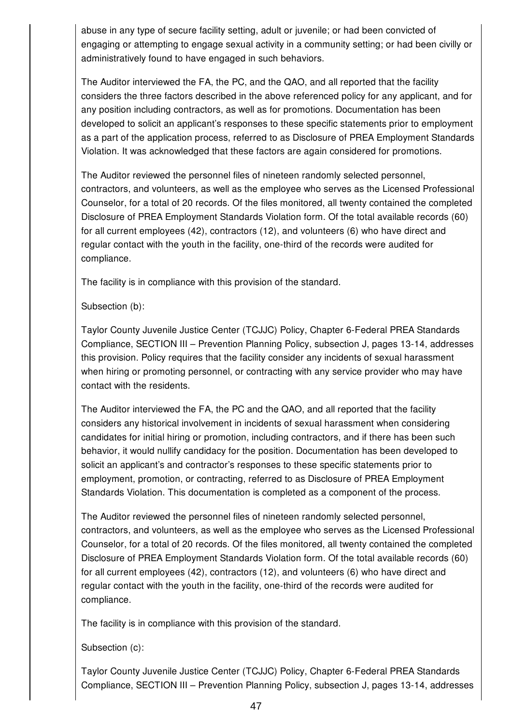abuse in any type of secure facility setting, adult or juvenile; or had been convicted of engaging or attempting to engage sexual activity in a community setting; or had been civilly or administratively found to have engaged in such behaviors.

The Auditor interviewed the FA, the PC, and the QAO, and all reported that the facility considers the three factors described in the above referenced policy for any applicant, and for any position including contractors, as well as for promotions. Documentation has been developed to solicit an applicant's responses to these specific statements prior to employment as a part of the application process, referred to as Disclosure of PREA Employment Standards Violation. It was acknowledged that these factors are again considered for promotions.

The Auditor reviewed the personnel files of nineteen randomly selected personnel, contractors, and volunteers, as well as the employee who serves as the Licensed Professional Counselor, for a total of 20 records. Of the files monitored, all twenty contained the completed Disclosure of PREA Employment Standards Violation form. Of the total available records (60) for all current employees (42), contractors (12), and volunteers (6) who have direct and regular contact with the youth in the facility, one-third of the records were audited for compliance.

The facility is in compliance with this provision of the standard.

Subsection (b):

Taylor County Juvenile Justice Center (TCJJC) Policy, Chapter 6-Federal PREA Standards Compliance, SECTION III – Prevention Planning Policy, subsection J, pages 13-14, addresses this provision. Policy requires that the facility consider any incidents of sexual harassment when hiring or promoting personnel, or contracting with any service provider who may have contact with the residents.

The Auditor interviewed the FA, the PC and the QAO, and all reported that the facility considers any historical involvement in incidents of sexual harassment when considering candidates for initial hiring or promotion, including contractors, and if there has been such behavior, it would nullify candidacy for the position. Documentation has been developed to solicit an applicant's and contractor's responses to these specific statements prior to employment, promotion, or contracting, referred to as Disclosure of PREA Employment Standards Violation. This documentation is completed as a component of the process.

The Auditor reviewed the personnel files of nineteen randomly selected personnel, contractors, and volunteers, as well as the employee who serves as the Licensed Professional Counselor, for a total of 20 records. Of the files monitored, all twenty contained the completed Disclosure of PREA Employment Standards Violation form. Of the total available records (60) for all current employees (42), contractors (12), and volunteers (6) who have direct and regular contact with the youth in the facility, one-third of the records were audited for compliance.

The facility is in compliance with this provision of the standard.

Subsection (c):

Taylor County Juvenile Justice Center (TCJJC) Policy, Chapter 6-Federal PREA Standards Compliance, SECTION III – Prevention Planning Policy, subsection J, pages 13-14, addresses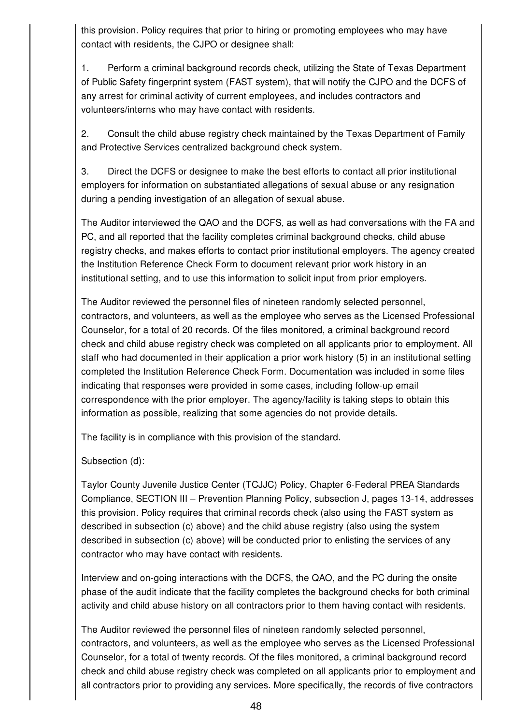this provision. Policy requires that prior to hiring or promoting employees who may have contact with residents, the CJPO or designee shall:

1. Perform a criminal background records check, utilizing the State of Texas Department of Public Safety fingerprint system (FAST system), that will notify the CJPO and the DCFS of any arrest for criminal activity of current employees, and includes contractors and volunteers/interns who may have contact with residents.

2. Consult the child abuse registry check maintained by the Texas Department of Family and Protective Services centralized background check system.

3. Direct the DCFS or designee to make the best efforts to contact all prior institutional employers for information on substantiated allegations of sexual abuse or any resignation during a pending investigation of an allegation of sexual abuse.

The Auditor interviewed the QAO and the DCFS, as well as had conversations with the FA and PC, and all reported that the facility completes criminal background checks, child abuse registry checks, and makes efforts to contact prior institutional employers. The agency created the Institution Reference Check Form to document relevant prior work history in an institutional setting, and to use this information to solicit input from prior employers.

The Auditor reviewed the personnel files of nineteen randomly selected personnel, contractors, and volunteers, as well as the employee who serves as the Licensed Professional Counselor, for a total of 20 records. Of the files monitored, a criminal background record check and child abuse registry check was completed on all applicants prior to employment. All staff who had documented in their application a prior work history (5) in an institutional setting completed the Institution Reference Check Form. Documentation was included in some files indicating that responses were provided in some cases, including follow-up email correspondence with the prior employer. The agency/facility is taking steps to obtain this information as possible, realizing that some agencies do not provide details.

The facility is in compliance with this provision of the standard.

Subsection (d):

Taylor County Juvenile Justice Center (TCJJC) Policy, Chapter 6-Federal PREA Standards Compliance, SECTION III – Prevention Planning Policy, subsection J, pages 13-14, addresses this provision. Policy requires that criminal records check (also using the FAST system as described in subsection (c) above) and the child abuse registry (also using the system described in subsection (c) above) will be conducted prior to enlisting the services of any contractor who may have contact with residents.

Interview and on-going interactions with the DCFS, the QAO, and the PC during the onsite phase of the audit indicate that the facility completes the background checks for both criminal activity and child abuse history on all contractors prior to them having contact with residents.

The Auditor reviewed the personnel files of nineteen randomly selected personnel, contractors, and volunteers, as well as the employee who serves as the Licensed Professional Counselor, for a total of twenty records. Of the files monitored, a criminal background record check and child abuse registry check was completed on all applicants prior to employment and all contractors prior to providing any services. More specifically, the records of five contractors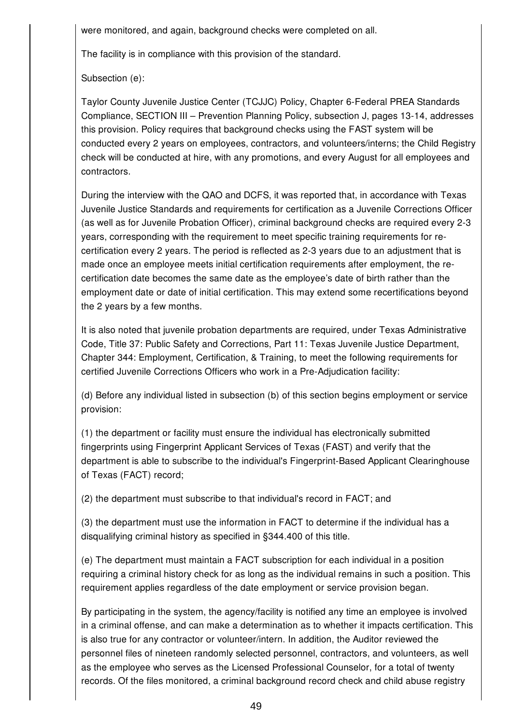were monitored, and again, background checks were completed on all.

The facility is in compliance with this provision of the standard.

Subsection (e):

Taylor County Juvenile Justice Center (TCJJC) Policy, Chapter 6-Federal PREA Standards Compliance, SECTION III – Prevention Planning Policy, subsection J, pages 13-14, addresses this provision. Policy requires that background checks using the FAST system will be conducted every 2 years on employees, contractors, and volunteers/interns; the Child Registry check will be conducted at hire, with any promotions, and every August for all employees and contractors.

During the interview with the QAO and DCFS, it was reported that, in accordance with Texas Juvenile Justice Standards and requirements for certification as a Juvenile Corrections Officer (as well as for Juvenile Probation Officer), criminal background checks are required every 2-3 years, corresponding with the requirement to meet specific training requirements for recertification every 2 years. The period is reflected as 2-3 years due to an adjustment that is made once an employee meets initial certification requirements after employment, the recertification date becomes the same date as the employee's date of birth rather than the employment date or date of initial certification. This may extend some recertifications beyond the 2 years by a few months.

It is also noted that juvenile probation departments are required, under Texas Administrative Code, Title 37: Public Safety and Corrections, Part 11: Texas Juvenile Justice Department, Chapter 344: Employment, Certification, & Training, to meet the following requirements for certified Juvenile Corrections Officers who work in a Pre-Adjudication facility:

(d) Before any individual listed in subsection (b) of this section begins employment or service provision:

(1) the department or facility must ensure the individual has electronically submitted fingerprints using Fingerprint Applicant Services of Texas (FAST) and verify that the department is able to subscribe to the individual's Fingerprint-Based Applicant Clearinghouse of Texas (FACT) record;

(2) the department must subscribe to that individual's record in FACT; and

(3) the department must use the information in FACT to determine if the individual has a disqualifying criminal history as specified in §344.400 of this title.

(e) The department must maintain a FACT subscription for each individual in a position requiring a criminal history check for as long as the individual remains in such a position. This requirement applies regardless of the date employment or service provision began.

By participating in the system, the agency/facility is notified any time an employee is involved in a criminal offense, and can make a determination as to whether it impacts certification. This is also true for any contractor or volunteer/intern. In addition, the Auditor reviewed the personnel files of nineteen randomly selected personnel, contractors, and volunteers, as well as the employee who serves as the Licensed Professional Counselor, for a total of twenty records. Of the files monitored, a criminal background record check and child abuse registry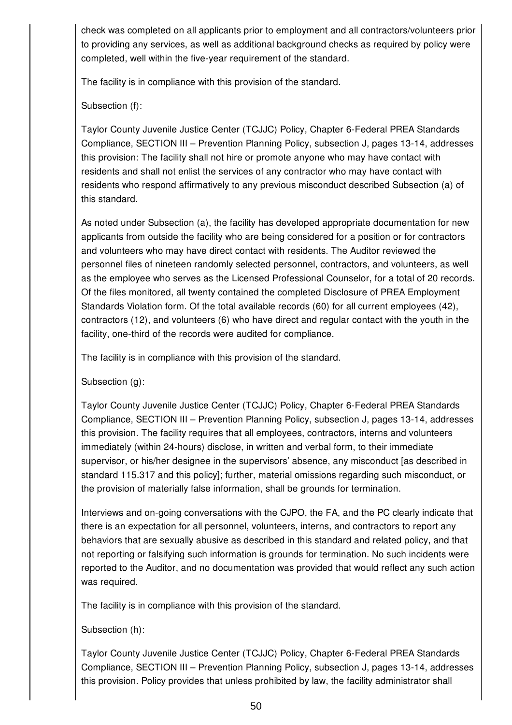check was completed on all applicants prior to employment and all contractors/volunteers prior to providing any services, as well as additional background checks as required by policy were completed, well within the five-year requirement of the standard.

The facility is in compliance with this provision of the standard.

Subsection (f):

Taylor County Juvenile Justice Center (TCJJC) Policy, Chapter 6-Federal PREA Standards Compliance, SECTION III – Prevention Planning Policy, subsection J, pages 13-14, addresses this provision: The facility shall not hire or promote anyone who may have contact with residents and shall not enlist the services of any contractor who may have contact with residents who respond affirmatively to any previous misconduct described Subsection (a) of this standard.

As noted under Subsection (a), the facility has developed appropriate documentation for new applicants from outside the facility who are being considered for a position or for contractors and volunteers who may have direct contact with residents. The Auditor reviewed the personnel files of nineteen randomly selected personnel, contractors, and volunteers, as well as the employee who serves as the Licensed Professional Counselor, for a total of 20 records. Of the files monitored, all twenty contained the completed Disclosure of PREA Employment Standards Violation form. Of the total available records (60) for all current employees (42), contractors (12), and volunteers (6) who have direct and regular contact with the youth in the facility, one-third of the records were audited for compliance.

The facility is in compliance with this provision of the standard.

Subsection (g):

Taylor County Juvenile Justice Center (TCJJC) Policy, Chapter 6-Federal PREA Standards Compliance, SECTION III – Prevention Planning Policy, subsection J, pages 13-14, addresses this provision. The facility requires that all employees, contractors, interns and volunteers immediately (within 24-hours) disclose, in written and verbal form, to their immediate supervisor, or his/her designee in the supervisors' absence, any misconduct [as described in standard 115.317 and this policy]; further, material omissions regarding such misconduct, or the provision of materially false information, shall be grounds for termination.

Interviews and on-going conversations with the CJPO, the FA, and the PC clearly indicate that there is an expectation for all personnel, volunteers, interns, and contractors to report any behaviors that are sexually abusive as described in this standard and related policy, and that not reporting or falsifying such information is grounds for termination. No such incidents were reported to the Auditor, and no documentation was provided that would reflect any such action was required.

The facility is in compliance with this provision of the standard.

Subsection (h):

Taylor County Juvenile Justice Center (TCJJC) Policy, Chapter 6-Federal PREA Standards Compliance, SECTION III – Prevention Planning Policy, subsection J, pages 13-14, addresses this provision. Policy provides that unless prohibited by law, the facility administrator shall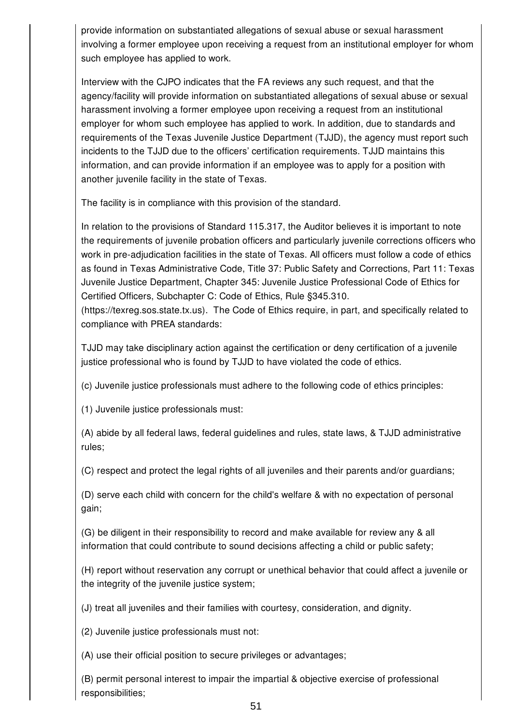provide information on substantiated allegations of sexual abuse or sexual harassment involving a former employee upon receiving a request from an institutional employer for whom such employee has applied to work.

Interview with the CJPO indicates that the FA reviews any such request, and that the agency/facility will provide information on substantiated allegations of sexual abuse or sexual harassment involving a former employee upon receiving a request from an institutional employer for whom such employee has applied to work. In addition, due to standards and requirements of the Texas Juvenile Justice Department (TJJD), the agency must report such incidents to the TJJD due to the officers' certification requirements. TJJD maintains this information, and can provide information if an employee was to apply for a position with another juvenile facility in the state of Texas.

The facility is in compliance with this provision of the standard.

In relation to the provisions of Standard 115.317, the Auditor believes it is important to note the requirements of juvenile probation officers and particularly juvenile corrections officers who work in pre-adjudication facilities in the state of Texas. All officers must follow a code of ethics as found in Texas Administrative Code, Title 37: Public Safety and Corrections, Part 11: Texas Juvenile Justice Department, Chapter 345: Juvenile Justice Professional Code of Ethics for Certified Officers, Subchapter C: Code of Ethics, Rule §345.310. (https://texreg.sos.state.tx.us). The Code of Ethics require, in part, and specifically related to compliance with PREA standards:

TJJD may take disciplinary action against the certification or deny certification of a juvenile justice professional who is found by TJJD to have violated the code of ethics.

(c) Juvenile justice professionals must adhere to the following code of ethics principles:

(1) Juvenile justice professionals must:

(A) abide by all federal laws, federal guidelines and rules, state laws, & TJJD administrative rules;

(C) respect and protect the legal rights of all juveniles and their parents and/or guardians;

(D) serve each child with concern for the child's welfare & with no expectation of personal gain;

(G) be diligent in their responsibility to record and make available for review any & all information that could contribute to sound decisions affecting a child or public safety;

(H) report without reservation any corrupt or unethical behavior that could affect a juvenile or the integrity of the juvenile justice system;

(J) treat all juveniles and their families with courtesy, consideration, and dignity.

(2) Juvenile justice professionals must not:

(A) use their official position to secure privileges or advantages;

(B) permit personal interest to impair the impartial & objective exercise of professional responsibilities;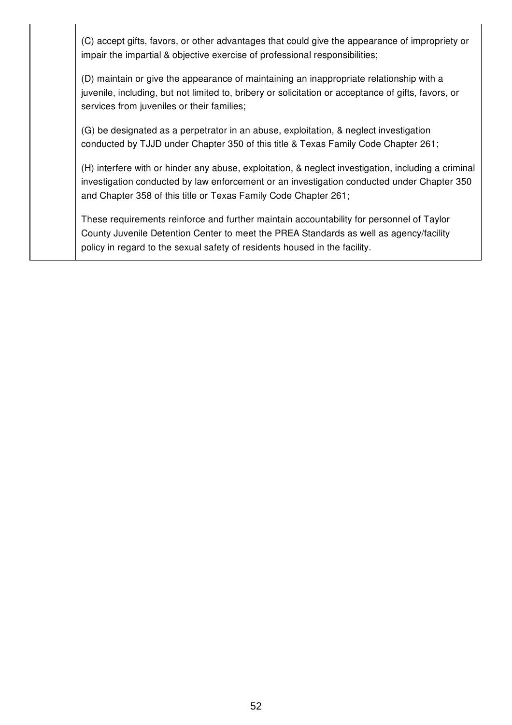(C) accept gifts, favors, or other advantages that could give the appearance of impropriety or impair the impartial & objective exercise of professional responsibilities;

(D) maintain or give the appearance of maintaining an inappropriate relationship with a juvenile, including, but not limited to, bribery or solicitation or acceptance of gifts, favors, or services from juveniles or their families;

(G) be designated as a perpetrator in an abuse, exploitation, & neglect investigation conducted by TJJD under Chapter 350 of this title & Texas Family Code Chapter 261;

(H) interfere with or hinder any abuse, exploitation, & neglect investigation, including a criminal investigation conducted by law enforcement or an investigation conducted under Chapter 350 and Chapter 358 of this title or Texas Family Code Chapter 261;

These requirements reinforce and further maintain accountability for personnel of Taylor County Juvenile Detention Center to meet the PREA Standards as well as agency/facility policy in regard to the sexual safety of residents housed in the facility.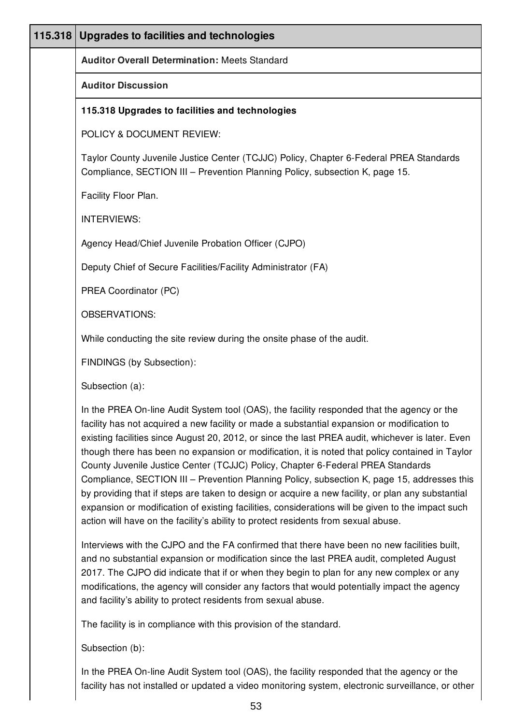| 115.318 | Upgrades to facilities and technologies                                                                                                                                                                                                                                                                                                                                                                                                                                                                                                                                                                                                                                                                                                                                                                                                                                             |
|---------|-------------------------------------------------------------------------------------------------------------------------------------------------------------------------------------------------------------------------------------------------------------------------------------------------------------------------------------------------------------------------------------------------------------------------------------------------------------------------------------------------------------------------------------------------------------------------------------------------------------------------------------------------------------------------------------------------------------------------------------------------------------------------------------------------------------------------------------------------------------------------------------|
|         | <b>Auditor Overall Determination: Meets Standard</b>                                                                                                                                                                                                                                                                                                                                                                                                                                                                                                                                                                                                                                                                                                                                                                                                                                |
|         | <b>Auditor Discussion</b>                                                                                                                                                                                                                                                                                                                                                                                                                                                                                                                                                                                                                                                                                                                                                                                                                                                           |
|         | 115.318 Upgrades to facilities and technologies                                                                                                                                                                                                                                                                                                                                                                                                                                                                                                                                                                                                                                                                                                                                                                                                                                     |
|         | POLICY & DOCUMENT REVIEW:                                                                                                                                                                                                                                                                                                                                                                                                                                                                                                                                                                                                                                                                                                                                                                                                                                                           |
|         | Taylor County Juvenile Justice Center (TCJJC) Policy, Chapter 6-Federal PREA Standards<br>Compliance, SECTION III - Prevention Planning Policy, subsection K, page 15.                                                                                                                                                                                                                                                                                                                                                                                                                                                                                                                                                                                                                                                                                                              |
|         | Facility Floor Plan.                                                                                                                                                                                                                                                                                                                                                                                                                                                                                                                                                                                                                                                                                                                                                                                                                                                                |
|         | <b>INTERVIEWS:</b>                                                                                                                                                                                                                                                                                                                                                                                                                                                                                                                                                                                                                                                                                                                                                                                                                                                                  |
|         | Agency Head/Chief Juvenile Probation Officer (CJPO)                                                                                                                                                                                                                                                                                                                                                                                                                                                                                                                                                                                                                                                                                                                                                                                                                                 |
|         | Deputy Chief of Secure Facilities/Facility Administrator (FA)                                                                                                                                                                                                                                                                                                                                                                                                                                                                                                                                                                                                                                                                                                                                                                                                                       |
|         | PREA Coordinator (PC)                                                                                                                                                                                                                                                                                                                                                                                                                                                                                                                                                                                                                                                                                                                                                                                                                                                               |
|         | <b>OBSERVATIONS:</b>                                                                                                                                                                                                                                                                                                                                                                                                                                                                                                                                                                                                                                                                                                                                                                                                                                                                |
|         | While conducting the site review during the onsite phase of the audit.                                                                                                                                                                                                                                                                                                                                                                                                                                                                                                                                                                                                                                                                                                                                                                                                              |
|         | FINDINGS (by Subsection):                                                                                                                                                                                                                                                                                                                                                                                                                                                                                                                                                                                                                                                                                                                                                                                                                                                           |
|         | Subsection (a):                                                                                                                                                                                                                                                                                                                                                                                                                                                                                                                                                                                                                                                                                                                                                                                                                                                                     |
|         | In the PREA On-line Audit System tool (OAS), the facility responded that the agency or the<br>facility has not acquired a new facility or made a substantial expansion or modification to<br>existing facilities since August 20, 2012, or since the last PREA audit, whichever is later. Even<br>though there has been no expansion or modification, it is noted that policy contained in Taylor<br>County Juvenile Justice Center (TCJJC) Policy, Chapter 6-Federal PREA Standards<br>Compliance, SECTION III - Prevention Planning Policy, subsection K, page 15, addresses this<br>by providing that if steps are taken to design or acquire a new facility, or plan any substantial<br>expansion or modification of existing facilities, considerations will be given to the impact such<br>action will have on the facility's ability to protect residents from sexual abuse. |
|         | Interviews with the CJPO and the FA confirmed that there have been no new facilities built,<br>and no substantial expansion or modification since the last PREA audit, completed August<br>2017. The CJPO did indicate that if or when they begin to plan for any new complex or any<br>modifications, the agency will consider any factors that would potentially impact the agency<br>and facility's ability to protect residents from sexual abuse.                                                                                                                                                                                                                                                                                                                                                                                                                              |
|         | The facility is in compliance with this provision of the standard.                                                                                                                                                                                                                                                                                                                                                                                                                                                                                                                                                                                                                                                                                                                                                                                                                  |
|         |                                                                                                                                                                                                                                                                                                                                                                                                                                                                                                                                                                                                                                                                                                                                                                                                                                                                                     |

Subsection (b):

In the PREA On-line Audit System tool (OAS), the facility responded that the agency or the facility has not installed or updated a video monitoring system, electronic surveillance, or other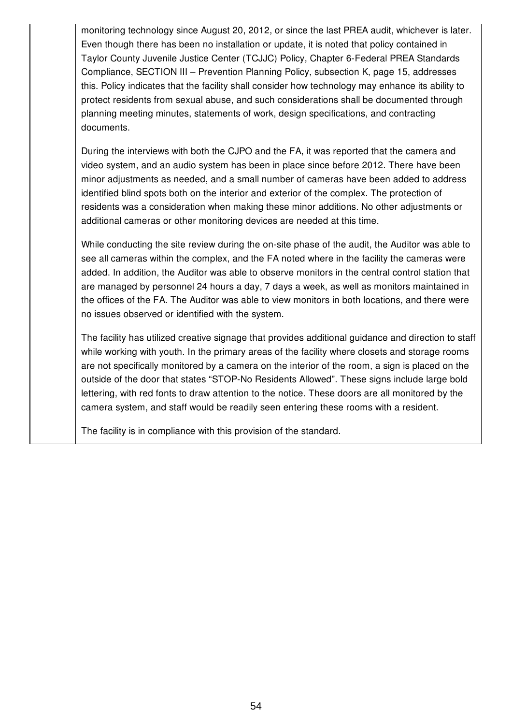monitoring technology since August 20, 2012, or since the last PREA audit, whichever is later. Even though there has been no installation or update, it is noted that policy contained in Taylor County Juvenile Justice Center (TCJJC) Policy, Chapter 6-Federal PREA Standards Compliance, SECTION III – Prevention Planning Policy, subsection K, page 15, addresses this. Policy indicates that the facility shall consider how technology may enhance its ability to protect residents from sexual abuse, and such considerations shall be documented through planning meeting minutes, statements of work, design specifications, and contracting documents.

During the interviews with both the CJPO and the FA, it was reported that the camera and video system, and an audio system has been in place since before 2012. There have been minor adjustments as needed, and a small number of cameras have been added to address identified blind spots both on the interior and exterior of the complex. The protection of residents was a consideration when making these minor additions. No other adjustments or additional cameras or other monitoring devices are needed at this time.

While conducting the site review during the on-site phase of the audit, the Auditor was able to see all cameras within the complex, and the FA noted where in the facility the cameras were added. In addition, the Auditor was able to observe monitors in the central control station that are managed by personnel 24 hours a day, 7 days a week, as well as monitors maintained in the offices of the FA. The Auditor was able to view monitors in both locations, and there were no issues observed or identified with the system.

The facility has utilized creative signage that provides additional guidance and direction to staff while working with youth. In the primary areas of the facility where closets and storage rooms are not specifically monitored by a camera on the interior of the room, a sign is placed on the outside of the door that states "STOP-No Residents Allowed". These signs include large bold lettering, with red fonts to draw attention to the notice. These doors are all monitored by the camera system, and staff would be readily seen entering these rooms with a resident.

The facility is in compliance with this provision of the standard.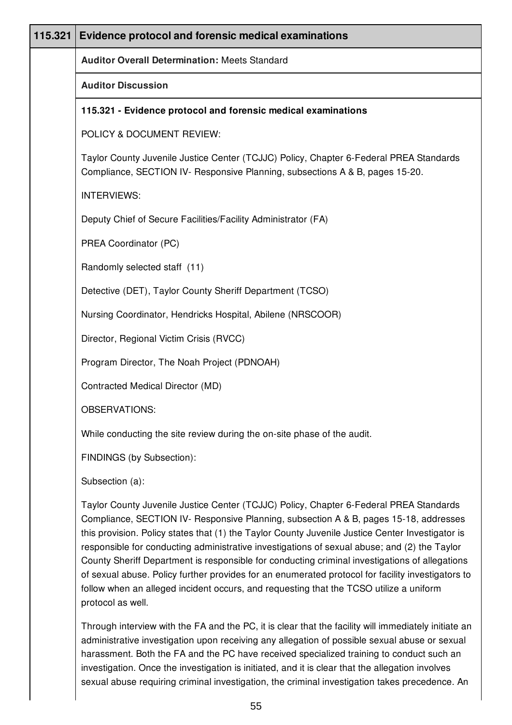| 115.321 | <b>Evidence protocol and forensic medical examinations</b>                                                                                                                                                                                                                                                                                                                          |
|---------|-------------------------------------------------------------------------------------------------------------------------------------------------------------------------------------------------------------------------------------------------------------------------------------------------------------------------------------------------------------------------------------|
|         | <b>Auditor Overall Determination: Meets Standard</b>                                                                                                                                                                                                                                                                                                                                |
|         | <b>Auditor Discussion</b>                                                                                                                                                                                                                                                                                                                                                           |
|         | 115.321 - Evidence protocol and forensic medical examinations                                                                                                                                                                                                                                                                                                                       |
|         | POLICY & DOCUMENT REVIEW:                                                                                                                                                                                                                                                                                                                                                           |
|         | Taylor County Juvenile Justice Center (TCJJC) Policy, Chapter 6-Federal PREA Standards<br>Compliance, SECTION IV- Responsive Planning, subsections A & B, pages 15-20.                                                                                                                                                                                                              |
|         | <b>INTERVIEWS:</b>                                                                                                                                                                                                                                                                                                                                                                  |
|         | Deputy Chief of Secure Facilities/Facility Administrator (FA)                                                                                                                                                                                                                                                                                                                       |
|         | PREA Coordinator (PC)                                                                                                                                                                                                                                                                                                                                                               |
|         | Randomly selected staff (11)                                                                                                                                                                                                                                                                                                                                                        |
|         | Detective (DET), Taylor County Sheriff Department (TCSO)                                                                                                                                                                                                                                                                                                                            |
|         | Nursing Coordinator, Hendricks Hospital, Abilene (NRSCOOR)                                                                                                                                                                                                                                                                                                                          |
|         | Director, Regional Victim Crisis (RVCC)                                                                                                                                                                                                                                                                                                                                             |
|         | Program Director, The Noah Project (PDNOAH)                                                                                                                                                                                                                                                                                                                                         |
|         | Contracted Medical Director (MD)                                                                                                                                                                                                                                                                                                                                                    |
|         | <b>OBSERVATIONS:</b>                                                                                                                                                                                                                                                                                                                                                                |
|         | While conducting the site review during the on-site phase of the audit.                                                                                                                                                                                                                                                                                                             |
|         | FINDINGS (by Subsection):                                                                                                                                                                                                                                                                                                                                                           |
|         | Subsection (a):                                                                                                                                                                                                                                                                                                                                                                     |
|         | Taylor County Juvenile Justice Center (TCJJC) Policy, Chapter 6-Federal PREA Standards<br>Compliance, SECTION IV- Responsive Planning, subsection A & B, pages 15-18, addresses<br>this provision. Policy states that (1) the Taylor County Juvenile Justice Center Investigator is<br>responsible for conducting administrative investigations of sexual abuser and (2) the Taylor |

conducting administrative investigations of sexual abuse; and (2) the Taylor County Sheriff Department is responsible for conducting criminal investigations of allegations of sexual abuse. Policy further provides for an enumerated protocol for facility investigators to follow when an alleged incident occurs, and requesting that the TCSO utilize a uniform protocol as well.

Through interview with the FA and the PC, it is clear that the facility will immediately initiate an administrative investigation upon receiving any allegation of possible sexual abuse or sexual harassment. Both the FA and the PC have received specialized training to conduct such an investigation. Once the investigation is initiated, and it is clear that the allegation involves sexual abuse requiring criminal investigation, the criminal investigation takes precedence. An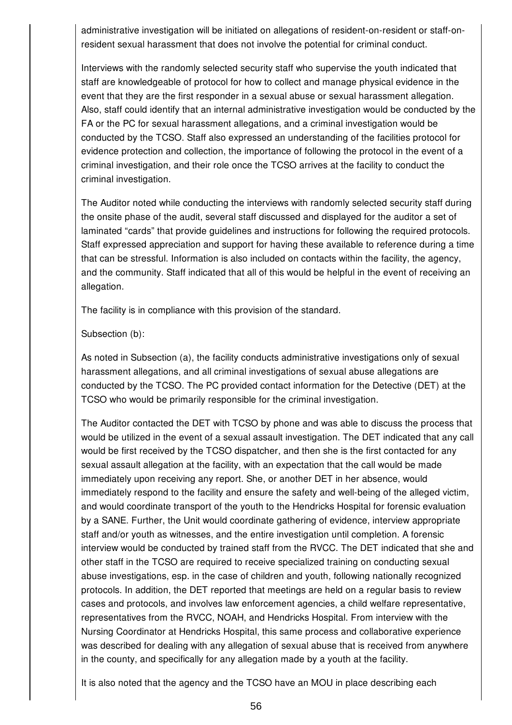administrative investigation will be initiated on allegations of resident-on-resident or staff-onresident sexual harassment that does not involve the potential for criminal conduct.

Interviews with the randomly selected security staff who supervise the youth indicated that staff are knowledgeable of protocol for how to collect and manage physical evidence in the event that they are the first responder in a sexual abuse or sexual harassment allegation. Also, staff could identify that an internal administrative investigation would be conducted by the FA or the PC for sexual harassment allegations, and a criminal investigation would be conducted by the TCSO. Staff also expressed an understanding of the facilities protocol for evidence protection and collection, the importance of following the protocol in the event of a criminal investigation, and their role once the TCSO arrives at the facility to conduct the criminal investigation.

The Auditor noted while conducting the interviews with randomly selected security staff during the onsite phase of the audit, several staff discussed and displayed for the auditor a set of laminated "cards" that provide guidelines and instructions for following the required protocols. Staff expressed appreciation and support for having these available to reference during a time that can be stressful. Information is also included on contacts within the facility, the agency, and the community. Staff indicated that all of this would be helpful in the event of receiving an allegation.

The facility is in compliance with this provision of the standard.

### Subsection (b):

As noted in Subsection (a), the facility conducts administrative investigations only of sexual harassment allegations, and all criminal investigations of sexual abuse allegations are conducted by the TCSO. The PC provided contact information for the Detective (DET) at the TCSO who would be primarily responsible for the criminal investigation.

The Auditor contacted the DET with TCSO by phone and was able to discuss the process that would be utilized in the event of a sexual assault investigation. The DET indicated that any call would be first received by the TCSO dispatcher, and then she is the first contacted for any sexual assault allegation at the facility, with an expectation that the call would be made immediately upon receiving any report. She, or another DET in her absence, would immediately respond to the facility and ensure the safety and well-being of the alleged victim, and would coordinate transport of the youth to the Hendricks Hospital for forensic evaluation by a SANE. Further, the Unit would coordinate gathering of evidence, interview appropriate staff and/or youth as witnesses, and the entire investigation until completion. A forensic interview would be conducted by trained staff from the RVCC. The DET indicated that she and other staff in the TCSO are required to receive specialized training on conducting sexual abuse investigations, esp. in the case of children and youth, following nationally recognized protocols. In addition, the DET reported that meetings are held on a regular basis to review cases and protocols, and involves law enforcement agencies, a child welfare representative, representatives from the RVCC, NOAH, and Hendricks Hospital. From interview with the Nursing Coordinator at Hendricks Hospital, this same process and collaborative experience was described for dealing with any allegation of sexual abuse that is received from anywhere in the county, and specifically for any allegation made by a youth at the facility.

It is also noted that the agency and the TCSO have an MOU in place describing each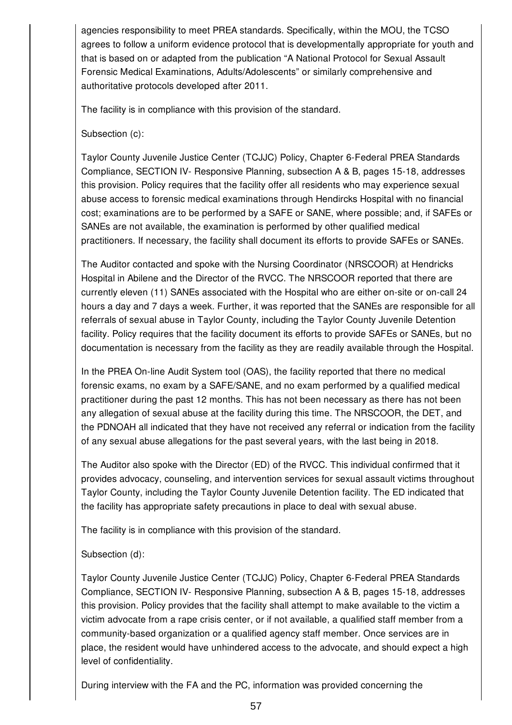agencies responsibility to meet PREA standards. Specifically, within the MOU, the TCSO agrees to follow a uniform evidence protocol that is developmentally appropriate for youth and that is based on or adapted from the publication "A National Protocol for Sexual Assault Forensic Medical Examinations, Adults/Adolescents" or similarly comprehensive and authoritative protocols developed after 2011.

The facility is in compliance with this provision of the standard.

Subsection (c):

Taylor County Juvenile Justice Center (TCJJC) Policy, Chapter 6-Federal PREA Standards Compliance, SECTION IV- Responsive Planning, subsection A & B, pages 15-18, addresses this provision. Policy requires that the facility offer all residents who may experience sexual abuse access to forensic medical examinations through Hendircks Hospital with no financial cost; examinations are to be performed by a SAFE or SANE, where possible; and, if SAFEs or SANEs are not available, the examination is performed by other qualified medical practitioners. If necessary, the facility shall document its efforts to provide SAFEs or SANEs.

The Auditor contacted and spoke with the Nursing Coordinator (NRSCOOR) at Hendricks Hospital in Abilene and the Director of the RVCC. The NRSCOOR reported that there are currently eleven (11) SANEs associated with the Hospital who are either on-site or on-call 24 hours a day and 7 days a week. Further, it was reported that the SANEs are responsible for all referrals of sexual abuse in Taylor County, including the Taylor County Juvenile Detention facility. Policy requires that the facility document its efforts to provide SAFEs or SANEs, but no documentation is necessary from the facility as they are readily available through the Hospital.

In the PREA On-line Audit System tool (OAS), the facility reported that there no medical forensic exams, no exam by a SAFE/SANE, and no exam performed by a qualified medical practitioner during the past 12 months. This has not been necessary as there has not been any allegation of sexual abuse at the facility during this time. The NRSCOOR, the DET, and the PDNOAH all indicated that they have not received any referral or indication from the facility of any sexual abuse allegations for the past several years, with the last being in 2018.

The Auditor also spoke with the Director (ED) of the RVCC. This individual confirmed that it provides advocacy, counseling, and intervention services for sexual assault victims throughout Taylor County, including the Taylor County Juvenile Detention facility. The ED indicated that the facility has appropriate safety precautions in place to deal with sexual abuse.

The facility is in compliance with this provision of the standard.

# Subsection (d):

Taylor County Juvenile Justice Center (TCJJC) Policy, Chapter 6-Federal PREA Standards Compliance, SECTION IV- Responsive Planning, subsection A & B, pages 15-18, addresses this provision. Policy provides that the facility shall attempt to make available to the victim a victim advocate from a rape crisis center, or if not available, a qualified staff member from a community-based organization or a qualified agency staff member. Once services are in place, the resident would have unhindered access to the advocate, and should expect a high level of confidentiality.

During interview with the FA and the PC, information was provided concerning the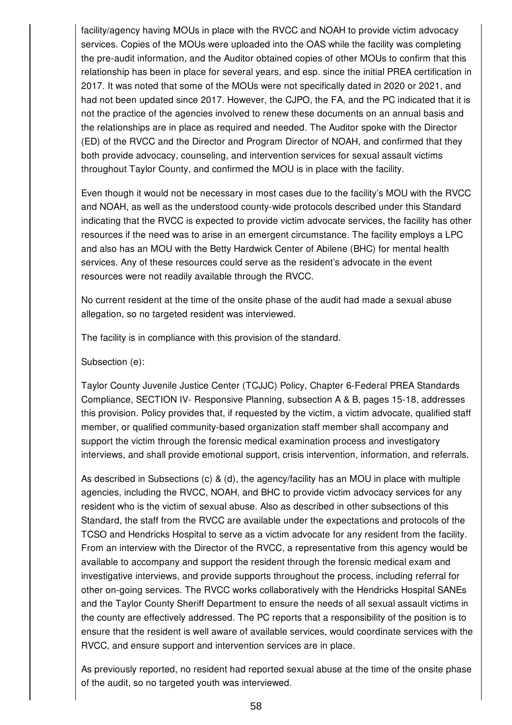facility/agency having MOUs in place with the RVCC and NOAH to provide victim advocacy services. Copies of the MOUs were uploaded into the OAS while the facility was completing the pre-audit information, and the Auditor obtained copies of other MOUs to confirm that this relationship has been in place for several years, and esp. since the initial PREA certification in 2017. It was noted that some of the MOUs were not specifically dated in 2020 or 2021, and had not been updated since 2017. However, the CJPO, the FA, and the PC indicated that it is not the practice of the agencies involved to renew these documents on an annual basis and the relationships are in place as required and needed. The Auditor spoke with the Director (ED) of the RVCC and the Director and Program Director of NOAH, and confirmed that they both provide advocacy, counseling, and intervention services for sexual assault victims throughout Taylor County, and confirmed the MOU is in place with the facility.

Even though it would not be necessary in most cases due to the facility's MOU with the RVCC and NOAH, as well as the understood county-wide protocols described under this Standard indicating that the RVCC is expected to provide victim advocate services, the facility has other resources if the need was to arise in an emergent circumstance. The facility employs a LPC and also has an MOU with the Betty Hardwick Center of Abilene (BHC) for mental health services. Any of these resources could serve as the resident's advocate in the event resources were not readily available through the RVCC.

No current resident at the time of the onsite phase of the audit had made a sexual abuse allegation, so no targeted resident was interviewed.

The facility is in compliance with this provision of the standard.

Subsection (e):

Taylor County Juvenile Justice Center (TCJJC) Policy, Chapter 6-Federal PREA Standards Compliance, SECTION IV- Responsive Planning, subsection A & B, pages 15-18, addresses this provision. Policy provides that, if requested by the victim, a victim advocate, qualified staff member, or qualified community-based organization staff member shall accompany and support the victim through the forensic medical examination process and investigatory interviews, and shall provide emotional support, crisis intervention, information, and referrals.

As described in Subsections (c) & (d), the agency/facility has an MOU in place with multiple agencies, including the RVCC, NOAH, and BHC to provide victim advocacy services for any resident who is the victim of sexual abuse. Also as described in other subsections of this Standard, the staff from the RVCC are available under the expectations and protocols of the TCSO and Hendricks Hospital to serve as a victim advocate for any resident from the facility. From an interview with the Director of the RVCC, a representative from this agency would be available to accompany and support the resident through the forensic medical exam and investigative interviews, and provide supports throughout the process, including referral for other on-going services. The RVCC works collaboratively with the Hendricks Hospital SANEs and the Taylor County Sheriff Department to ensure the needs of all sexual assault victims in the county are effectively addressed. The PC reports that a responsibility of the position is to ensure that the resident is well aware of available services, would coordinate services with the RVCC, and ensure support and intervention services are in place.

As previously reported, no resident had reported sexual abuse at the time of the onsite phase of the audit, so no targeted youth was interviewed.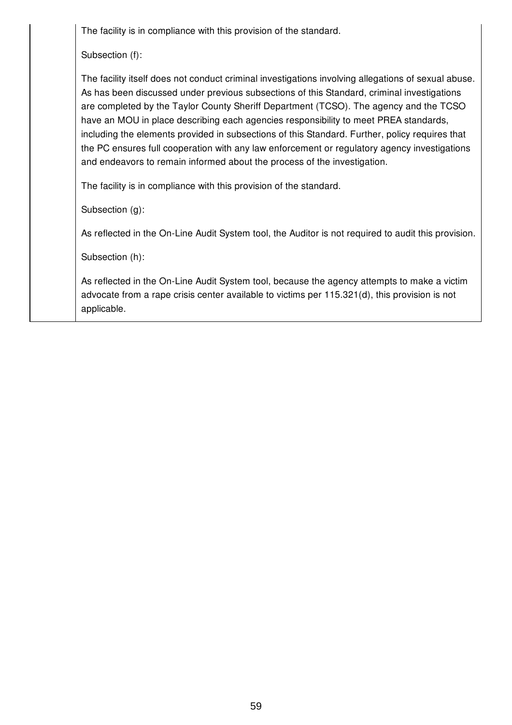The facility is in compliance with this provision of the standard.

Subsection (f):

The facility itself does not conduct criminal investigations involving allegations of sexual abuse. As has been discussed under previous subsections of this Standard, criminal investigations are completed by the Taylor County Sheriff Department (TCSO). The agency and the TCSO have an MOU in place describing each agencies responsibility to meet PREA standards, including the elements provided in subsections of this Standard. Further, policy requires that the PC ensures full cooperation with any law enforcement or regulatory agency investigations and endeavors to remain informed about the process of the investigation.

The facility is in compliance with this provision of the standard.

Subsection (g):

As reflected in the On-Line Audit System tool, the Auditor is not required to audit this provision.

Subsection (h):

As reflected in the On-Line Audit System tool, because the agency attempts to make a victim advocate from a rape crisis center available to victims per 115.321(d), this provision is not applicable.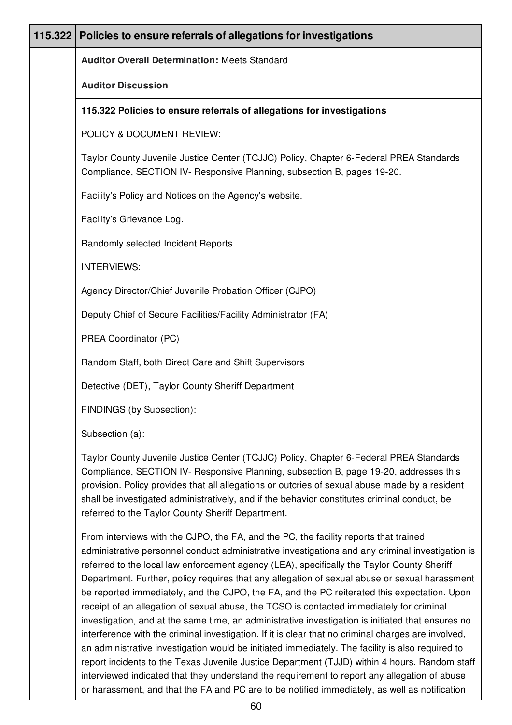| 115.322 | Policies to ensure referrals of allegations for investigations                                                                                                                                                                                                                                                                                                                                                                         |
|---------|----------------------------------------------------------------------------------------------------------------------------------------------------------------------------------------------------------------------------------------------------------------------------------------------------------------------------------------------------------------------------------------------------------------------------------------|
|         | <b>Auditor Overall Determination: Meets Standard</b>                                                                                                                                                                                                                                                                                                                                                                                   |
|         | <b>Auditor Discussion</b>                                                                                                                                                                                                                                                                                                                                                                                                              |
|         | 115.322 Policies to ensure referrals of allegations for investigations                                                                                                                                                                                                                                                                                                                                                                 |
|         | POLICY & DOCUMENT REVIEW:                                                                                                                                                                                                                                                                                                                                                                                                              |
|         | Taylor County Juvenile Justice Center (TCJJC) Policy, Chapter 6-Federal PREA Standards<br>Compliance, SECTION IV- Responsive Planning, subsection B, pages 19-20.                                                                                                                                                                                                                                                                      |
|         | Facility's Policy and Notices on the Agency's website.                                                                                                                                                                                                                                                                                                                                                                                 |
|         | Facility's Grievance Log.                                                                                                                                                                                                                                                                                                                                                                                                              |
|         | Randomly selected Incident Reports.                                                                                                                                                                                                                                                                                                                                                                                                    |
|         | <b>INTERVIEWS:</b>                                                                                                                                                                                                                                                                                                                                                                                                                     |
|         | Agency Director/Chief Juvenile Probation Officer (CJPO)                                                                                                                                                                                                                                                                                                                                                                                |
|         | Deputy Chief of Secure Facilities/Facility Administrator (FA)                                                                                                                                                                                                                                                                                                                                                                          |
|         | PREA Coordinator (PC)                                                                                                                                                                                                                                                                                                                                                                                                                  |
|         | Random Staff, both Direct Care and Shift Supervisors                                                                                                                                                                                                                                                                                                                                                                                   |
|         | Detective (DET), Taylor County Sheriff Department                                                                                                                                                                                                                                                                                                                                                                                      |
|         | FINDINGS (by Subsection):                                                                                                                                                                                                                                                                                                                                                                                                              |
|         | Subsection (a):                                                                                                                                                                                                                                                                                                                                                                                                                        |
|         | Taylor County Juvenile Justice Center (TCJJC) Policy, Chapter 6-Federal PREA Standards<br>Compliance, SECTION IV- Responsive Planning, subsection B, page 19-20, addresses this<br>provision. Policy provides that all allegations or outcries of sexual abuse made by a resident<br>shall be investigated administratively, and if the behavior constitutes criminal conduct, be<br>referred to the Taylor County Sheriff Department. |
|         | From interviews with the CJPO, the FA, and the PC, the facility reports that trained<br>administrative personnel conduct administrative investigations and any criminal investigation is                                                                                                                                                                                                                                               |

administrative personnel conduct administrative investigations and any criminal investigation is referred to the local law enforcement agency (LEA), specifically the Taylor County Sheriff Department. Further, policy requires that any allegation of sexual abuse or sexual harassment be reported immediately, and the CJPO, the FA, and the PC reiterated this expectation. Upon receipt of an allegation of sexual abuse, the TCSO is contacted immediately for criminal investigation, and at the same time, an administrative investigation is initiated that ensures no interference with the criminal investigation. If it is clear that no criminal charges are involved, an administrative investigation would be initiated immediately. The facility is also required to report incidents to the Texas Juvenile Justice Department (TJJD) within 4 hours. Random staff interviewed indicated that they understand the requirement to report any allegation of abuse or harassment, and that the FA and PC are to be notified immediately, as well as notification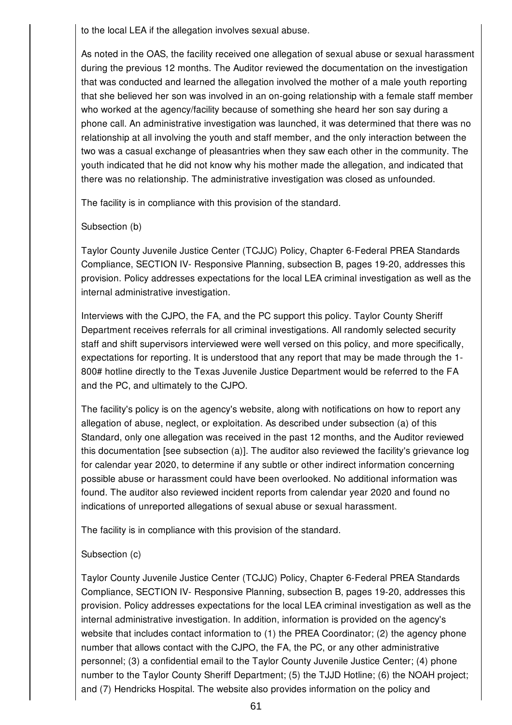to the local LEA if the allegation involves sexual abuse.

As noted in the OAS, the facility received one allegation of sexual abuse or sexual harassment during the previous 12 months. The Auditor reviewed the documentation on the investigation that was conducted and learned the allegation involved the mother of a male youth reporting that she believed her son was involved in an on-going relationship with a female staff member who worked at the agency/facility because of something she heard her son say during a phone call. An administrative investigation was launched, it was determined that there was no relationship at all involving the youth and staff member, and the only interaction between the two was a casual exchange of pleasantries when they saw each other in the community. The youth indicated that he did not know why his mother made the allegation, and indicated that there was no relationship. The administrative investigation was closed as unfounded.

The facility is in compliance with this provision of the standard.

## Subsection (b)

Taylor County Juvenile Justice Center (TCJJC) Policy, Chapter 6-Federal PREA Standards Compliance, SECTION IV- Responsive Planning, subsection B, pages 19-20, addresses this provision. Policy addresses expectations for the local LEA criminal investigation as well as the internal administrative investigation.

Interviews with the CJPO, the FA, and the PC support this policy. Taylor County Sheriff Department receives referrals for all criminal investigations. All randomly selected security staff and shift supervisors interviewed were well versed on this policy, and more specifically, expectations for reporting. It is understood that any report that may be made through the 1- 800# hotline directly to the Texas Juvenile Justice Department would be referred to the FA and the PC, and ultimately to the CJPO.

The facility's policy is on the agency's website, along with notifications on how to report any allegation of abuse, neglect, or exploitation. As described under subsection (a) of this Standard, only one allegation was received in the past 12 months, and the Auditor reviewed this documentation [see subsection (a)]. The auditor also reviewed the facility's grievance log for calendar year 2020, to determine if any subtle or other indirect information concerning possible abuse or harassment could have been overlooked. No additional information was found. The auditor also reviewed incident reports from calendar year 2020 and found no indications of unreported allegations of sexual abuse or sexual harassment.

The facility is in compliance with this provision of the standard.

# Subsection (c)

Taylor County Juvenile Justice Center (TCJJC) Policy, Chapter 6-Federal PREA Standards Compliance, SECTION IV- Responsive Planning, subsection B, pages 19-20, addresses this provision. Policy addresses expectations for the local LEA criminal investigation as well as the internal administrative investigation. In addition, information is provided on the agency's website that includes contact information to (1) the PREA Coordinator; (2) the agency phone number that allows contact with the CJPO, the FA, the PC, or any other administrative personnel; (3) a confidential email to the Taylor County Juvenile Justice Center; (4) phone number to the Taylor County Sheriff Department; (5) the TJJD Hotline; (6) the NOAH project; and (7) Hendricks Hospital. The website also provides information on the policy and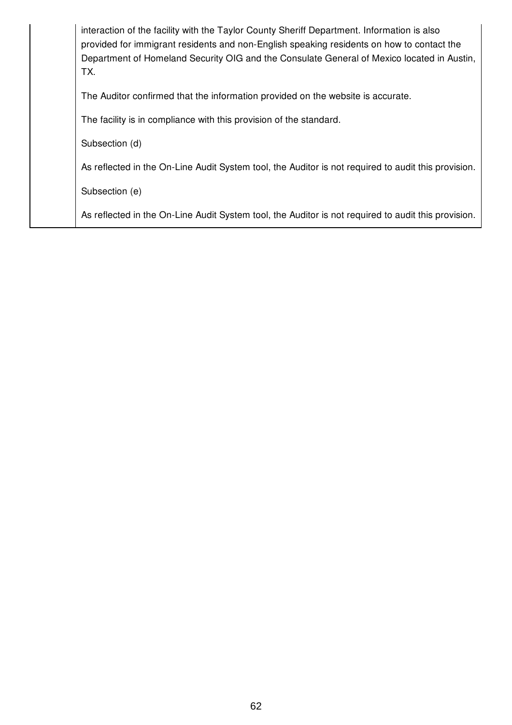| interaction of the facility with the Taylor County Sheriff Department. Information is also<br>provided for immigrant residents and non-English speaking residents on how to contact the<br>Department of Homeland Security OIG and the Consulate General of Mexico located in Austin,<br>TX. |
|----------------------------------------------------------------------------------------------------------------------------------------------------------------------------------------------------------------------------------------------------------------------------------------------|
| The Auditor confirmed that the information provided on the website is accurate.                                                                                                                                                                                                              |
| The facility is in compliance with this provision of the standard.                                                                                                                                                                                                                           |
| Subsection (d)                                                                                                                                                                                                                                                                               |
| As reflected in the On-Line Audit System tool, the Auditor is not required to audit this provision.                                                                                                                                                                                          |
| Subsection (e)                                                                                                                                                                                                                                                                               |
| As reflected in the On-Line Audit System tool, the Auditor is not required to audit this provision.                                                                                                                                                                                          |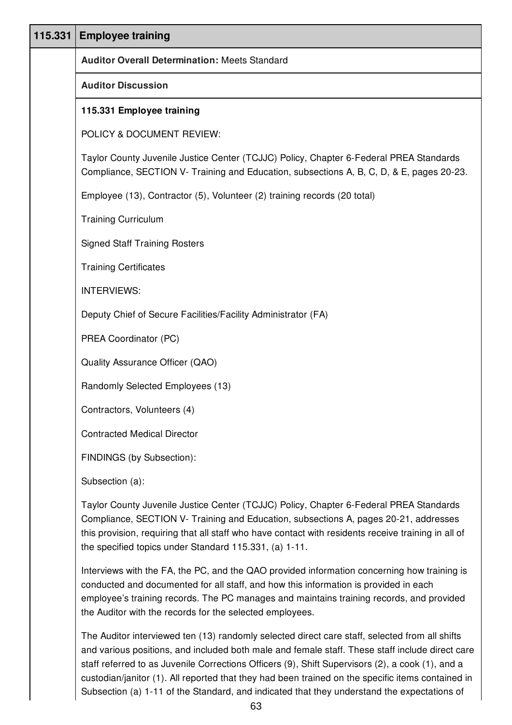| 115.331 | <b>Employee training</b>                                                                                                                                                                                                                                                              |
|---------|---------------------------------------------------------------------------------------------------------------------------------------------------------------------------------------------------------------------------------------------------------------------------------------|
|         | <b>Auditor Overall Determination: Meets Standard</b>                                                                                                                                                                                                                                  |
|         | <b>Auditor Discussion</b>                                                                                                                                                                                                                                                             |
|         | 115.331 Employee training                                                                                                                                                                                                                                                             |
|         | POLICY & DOCUMENT REVIEW:                                                                                                                                                                                                                                                             |
|         | Taylor County Juvenile Justice Center (TCJJC) Policy, Chapter 6-Federal PREA Standards<br>Compliance, SECTION V- Training and Education, subsections A, B, C, D, & E, pages 20-23.                                                                                                    |
|         | Employee (13), Contractor (5), Volunteer (2) training records (20 total)                                                                                                                                                                                                              |
|         | <b>Training Curriculum</b>                                                                                                                                                                                                                                                            |
|         | <b>Signed Staff Training Rosters</b>                                                                                                                                                                                                                                                  |
|         | <b>Training Certificates</b>                                                                                                                                                                                                                                                          |
|         | <b>INTERVIEWS:</b>                                                                                                                                                                                                                                                                    |
|         | Deputy Chief of Secure Facilities/Facility Administrator (FA)                                                                                                                                                                                                                         |
|         | PREA Coordinator (PC)                                                                                                                                                                                                                                                                 |
|         | Quality Assurance Officer (QAO)                                                                                                                                                                                                                                                       |
|         | Randomly Selected Employees (13)                                                                                                                                                                                                                                                      |
|         | Contractors, Volunteers (4)                                                                                                                                                                                                                                                           |
|         | <b>Contracted Medical Director</b>                                                                                                                                                                                                                                                    |
|         | FINDINGS (by Subsection):                                                                                                                                                                                                                                                             |
|         | Subsection (a):                                                                                                                                                                                                                                                                       |
|         | Taylor County Juvenile Justice Center (TCJJC) Policy, Chapter 6-Federal PREA Standards<br>Compliance, SECTION V- Training and Education, subsections A, pages 20-21, addresses<br>this provision, requiring that all staff who have contact with residents receive training in all of |

the specified topics under Standard 115.331, (a) 1-11. Interviews with the FA, the PC, and the QAO provided information concerning how training is conducted and documented for all staff, and how this information is provided in each

employee's training records. The PC manages and maintains training records, and provided the Auditor with the records for the selected employees.

The Auditor interviewed ten (13) randomly selected direct care staff, selected from all shifts and various positions, and included both male and female staff. These staff include direct care staff referred to as Juvenile Corrections Officers (9), Shift Supervisors (2), a cook (1), and a custodian/janitor (1). All reported that they had been trained on the specific items contained in Subsection (a) 1-11 of the Standard, and indicated that they understand the expectations of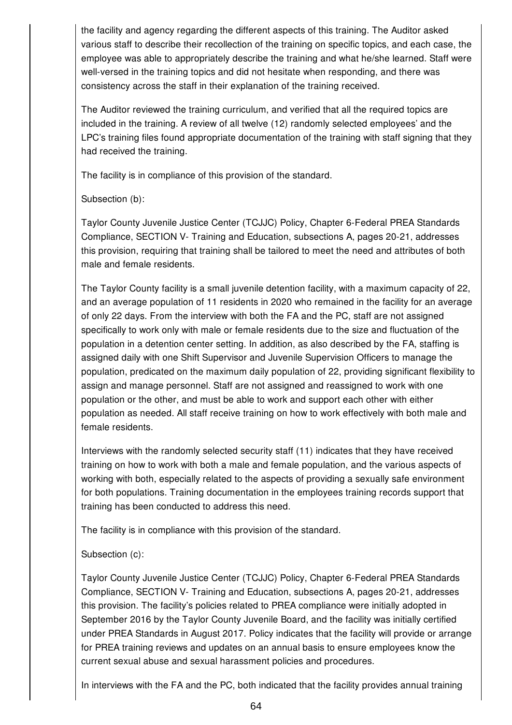the facility and agency regarding the different aspects of this training. The Auditor asked various staff to describe their recollection of the training on specific topics, and each case, the employee was able to appropriately describe the training and what he/she learned. Staff were well-versed in the training topics and did not hesitate when responding, and there was consistency across the staff in their explanation of the training received.

The Auditor reviewed the training curriculum, and verified that all the required topics are included in the training. A review of all twelve (12) randomly selected employees' and the LPC's training files found appropriate documentation of the training with staff signing that they had received the training.

The facility is in compliance of this provision of the standard.

## Subsection (b):

Taylor County Juvenile Justice Center (TCJJC) Policy, Chapter 6-Federal PREA Standards Compliance, SECTION V- Training and Education, subsections A, pages 20-21, addresses this provision, requiring that training shall be tailored to meet the need and attributes of both male and female residents.

The Taylor County facility is a small juvenile detention facility, with a maximum capacity of 22, and an average population of 11 residents in 2020 who remained in the facility for an average of only 22 days. From the interview with both the FA and the PC, staff are not assigned specifically to work only with male or female residents due to the size and fluctuation of the population in a detention center setting. In addition, as also described by the FA, staffing is assigned daily with one Shift Supervisor and Juvenile Supervision Officers to manage the population, predicated on the maximum daily population of 22, providing significant flexibility to assign and manage personnel. Staff are not assigned and reassigned to work with one population or the other, and must be able to work and support each other with either population as needed. All staff receive training on how to work effectively with both male and female residents.

Interviews with the randomly selected security staff (11) indicates that they have received training on how to work with both a male and female population, and the various aspects of working with both, especially related to the aspects of providing a sexually safe environment for both populations. Training documentation in the employees training records support that training has been conducted to address this need.

The facility is in compliance with this provision of the standard.

## Subsection (c):

Taylor County Juvenile Justice Center (TCJJC) Policy, Chapter 6-Federal PREA Standards Compliance, SECTION V- Training and Education, subsections A, pages 20-21, addresses this provision. The facility's policies related to PREA compliance were initially adopted in September 2016 by the Taylor County Juvenile Board, and the facility was initially certified under PREA Standards in August 2017. Policy indicates that the facility will provide or arrange for PREA training reviews and updates on an annual basis to ensure employees know the current sexual abuse and sexual harassment policies and procedures.

In interviews with the FA and the PC, both indicated that the facility provides annual training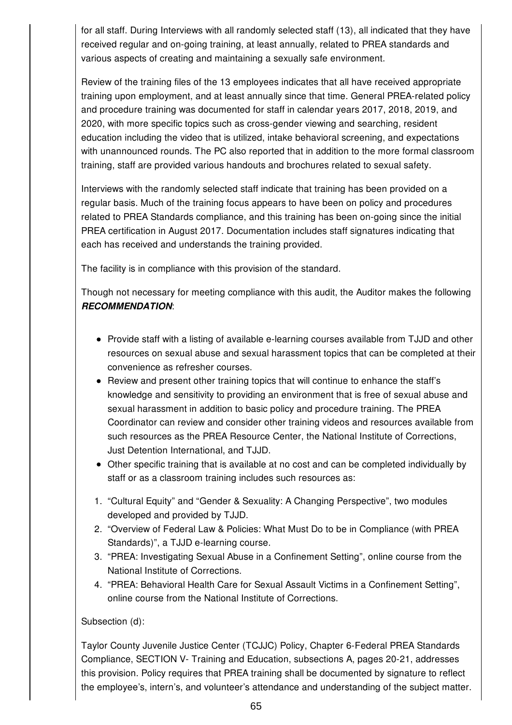for all staff. During Interviews with all randomly selected staff (13), all indicated that they have received regular and on-going training, at least annually, related to PREA standards and various aspects of creating and maintaining a sexually safe environment.

Review of the training files of the 13 employees indicates that all have received appropriate training upon employment, and at least annually since that time. General PREA-related policy and procedure training was documented for staff in calendar years 2017, 2018, 2019, and 2020, with more specific topics such as cross-gender viewing and searching, resident education including the video that is utilized, intake behavioral screening, and expectations with unannounced rounds. The PC also reported that in addition to the more formal classroom training, staff are provided various handouts and brochures related to sexual safety.

Interviews with the randomly selected staff indicate that training has been provided on a regular basis. Much of the training focus appears to have been on policy and procedures related to PREA Standards compliance, and this training has been on-going since the initial PREA certification in August 2017. Documentation includes staff signatures indicating that each has received and understands the training provided.

The facility is in compliance with this provision of the standard.

Though not necessary for meeting compliance with this audit, the Auditor makes the following *RECOMMENDATION*:

- Provide staff with a listing of available e-learning courses available from TJJD and other resources on sexual abuse and sexual harassment topics that can be completed at their convenience as refresher courses.
- Review and present other training topics that will continue to enhance the staff's knowledge and sensitivity to providing an environment that is free of sexual abuse and sexual harassment in addition to basic policy and procedure training. The PREA Coordinator can review and consider other training videos and resources available from such resources as the PREA Resource Center, the National Institute of Corrections, Just Detention International, and TJJD.
- Other specific training that is available at no cost and can be completed individually by staff or as a classroom training includes such resources as:
- 1. "Cultural Equity" and "Gender & Sexuality: A Changing Perspective", two modules developed and provided by TJJD.
- 2. "Overview of Federal Law & Policies: What Must Do to be in Compliance (with PREA Standards)", a TJJD e-learning course.
- 3. "PREA: Investigating Sexual Abuse in a Confinement Setting", online course from the National Institute of Corrections.
- 4. "PREA: Behavioral Health Care for Sexual Assault Victims in a Confinement Setting", online course from the National Institute of Corrections.

# Subsection (d):

Taylor County Juvenile Justice Center (TCJJC) Policy, Chapter 6-Federal PREA Standards Compliance, SECTION V- Training and Education, subsections A, pages 20-21, addresses this provision. Policy requires that PREA training shall be documented by signature to reflect the employee's, intern's, and volunteer's attendance and understanding of the subject matter.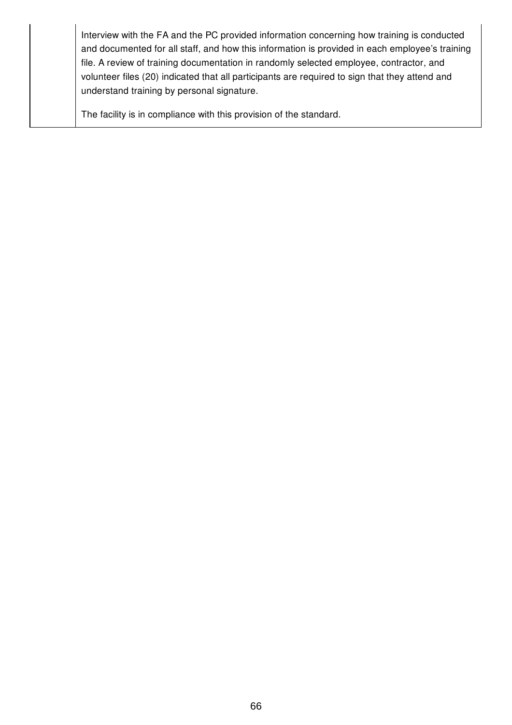Interview with the FA and the PC provided information concerning how training is conducted and documented for all staff, and how this information is provided in each employee's training file. A review of training documentation in randomly selected employee, contractor, and volunteer files (20) indicated that all participants are required to sign that they attend and understand training by personal signature.

The facility is in compliance with this provision of the standard.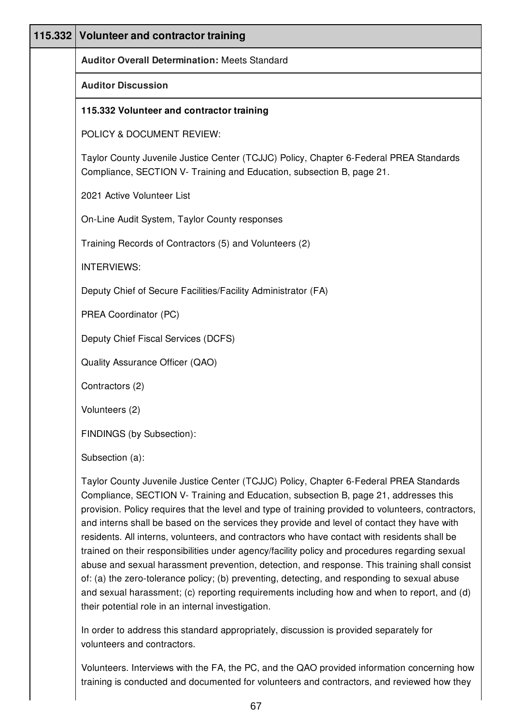| 115.332 Volunteer and contractor training                                                                                                                                      |
|--------------------------------------------------------------------------------------------------------------------------------------------------------------------------------|
| <b>Auditor Overall Determination: Meets Standard</b>                                                                                                                           |
| <b>Auditor Discussion</b>                                                                                                                                                      |
| 115.332 Volunteer and contractor training                                                                                                                                      |
| POLICY & DOCUMENT REVIEW:                                                                                                                                                      |
| Taylor County Juvenile Justice Center (TCJJC) Policy, Chapter 6-Federal PREA Standards<br>Compliance, SECTION V- Training and Education, subsection B, page 21.                |
| 2021 Active Volunteer List                                                                                                                                                     |
| On-Line Audit System, Taylor County responses                                                                                                                                  |
| Training Records of Contractors (5) and Volunteers (2)                                                                                                                         |
| <b>INTERVIEWS:</b>                                                                                                                                                             |
| Deputy Chief of Secure Facilities/Facility Administrator (FA)                                                                                                                  |
| PREA Coordinator (PC)                                                                                                                                                          |
| Deputy Chief Fiscal Services (DCFS)                                                                                                                                            |
| Quality Assurance Officer (QAO)                                                                                                                                                |
| Contractors (2)                                                                                                                                                                |
| Volunteers (2)                                                                                                                                                                 |
| FINDINGS (by Subsection):                                                                                                                                                      |
| Subsection (a):                                                                                                                                                                |
| Taylor County Juvenile Justice Center (TCJJC) Policy, Chapter 6-Federal PREA Standards<br>Compliance, SECTION V- Training and Education, subsection B, page 21, addresses this |

Compliance, SECTION V- Training and Education, subsection B, page 21, addresses this provision. Policy requires that the level and type of training provided to volunteers, contractors, and interns shall be based on the services they provide and level of contact they have with residents. All interns, volunteers, and contractors who have contact with residents shall be trained on their responsibilities under agency/facility policy and procedures regarding sexual abuse and sexual harassment prevention, detection, and response. This training shall consist of: (a) the zero-tolerance policy; (b) preventing, detecting, and responding to sexual abuse and sexual harassment; (c) reporting requirements including how and when to report, and (d) their potential role in an internal investigation.

In order to address this standard appropriately, discussion is provided separately for volunteers and contractors.

Volunteers. Interviews with the FA, the PC, and the QAO provided information concerning how training is conducted and documented for volunteers and contractors, and reviewed how they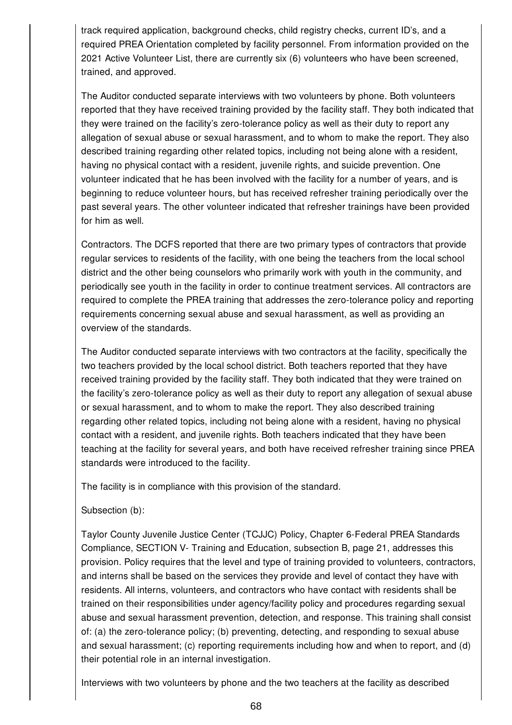track required application, background checks, child registry checks, current ID's, and a required PREA Orientation completed by facility personnel. From information provided on the 2021 Active Volunteer List, there are currently six (6) volunteers who have been screened, trained, and approved.

The Auditor conducted separate interviews with two volunteers by phone. Both volunteers reported that they have received training provided by the facility staff. They both indicated that they were trained on the facility's zero-tolerance policy as well as their duty to report any allegation of sexual abuse or sexual harassment, and to whom to make the report. They also described training regarding other related topics, including not being alone with a resident, having no physical contact with a resident, juvenile rights, and suicide prevention. One volunteer indicated that he has been involved with the facility for a number of years, and is beginning to reduce volunteer hours, but has received refresher training periodically over the past several years. The other volunteer indicated that refresher trainings have been provided for him as well.

Contractors. The DCFS reported that there are two primary types of contractors that provide regular services to residents of the facility, with one being the teachers from the local school district and the other being counselors who primarily work with youth in the community, and periodically see youth in the facility in order to continue treatment services. All contractors are required to complete the PREA training that addresses the zero-tolerance policy and reporting requirements concerning sexual abuse and sexual harassment, as well as providing an overview of the standards.

The Auditor conducted separate interviews with two contractors at the facility, specifically the two teachers provided by the local school district. Both teachers reported that they have received training provided by the facility staff. They both indicated that they were trained on the facility's zero-tolerance policy as well as their duty to report any allegation of sexual abuse or sexual harassment, and to whom to make the report. They also described training regarding other related topics, including not being alone with a resident, having no physical contact with a resident, and juvenile rights. Both teachers indicated that they have been teaching at the facility for several years, and both have received refresher training since PREA standards were introduced to the facility.

The facility is in compliance with this provision of the standard.

Subsection (b):

Taylor County Juvenile Justice Center (TCJJC) Policy, Chapter 6-Federal PREA Standards Compliance, SECTION V- Training and Education, subsection B, page 21, addresses this provision. Policy requires that the level and type of training provided to volunteers, contractors, and interns shall be based on the services they provide and level of contact they have with residents. All interns, volunteers, and contractors who have contact with residents shall be trained on their responsibilities under agency/facility policy and procedures regarding sexual abuse and sexual harassment prevention, detection, and response. This training shall consist of: (a) the zero-tolerance policy; (b) preventing, detecting, and responding to sexual abuse and sexual harassment; (c) reporting requirements including how and when to report, and (d) their potential role in an internal investigation.

Interviews with two volunteers by phone and the two teachers at the facility as described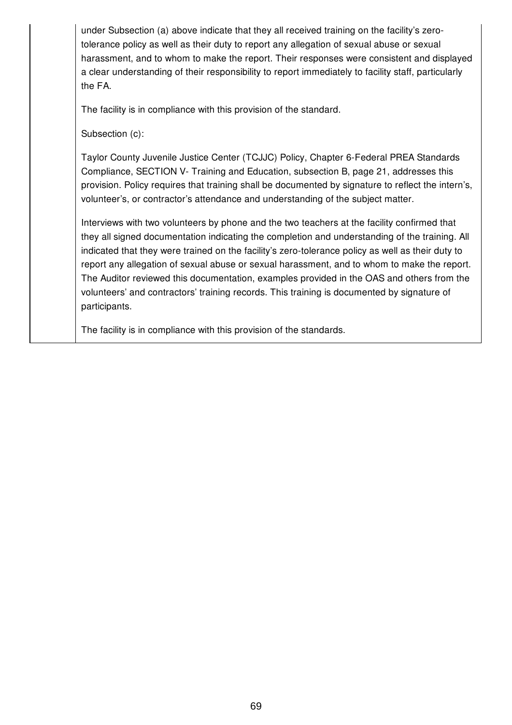under Subsection (a) above indicate that they all received training on the facility's zerotolerance policy as well as their duty to report any allegation of sexual abuse or sexual harassment, and to whom to make the report. Their responses were consistent and displayed a clear understanding of their responsibility to report immediately to facility staff, particularly the FA.

The facility is in compliance with this provision of the standard.

Subsection (c):

Taylor County Juvenile Justice Center (TCJJC) Policy, Chapter 6-Federal PREA Standards Compliance, SECTION V- Training and Education, subsection B, page 21, addresses this provision. Policy requires that training shall be documented by signature to reflect the intern's, volunteer's, or contractor's attendance and understanding of the subject matter.

Interviews with two volunteers by phone and the two teachers at the facility confirmed that they all signed documentation indicating the completion and understanding of the training. All indicated that they were trained on the facility's zero-tolerance policy as well as their duty to report any allegation of sexual abuse or sexual harassment, and to whom to make the report. The Auditor reviewed this documentation, examples provided in the OAS and others from the volunteers' and contractors' training records. This training is documented by signature of participants.

The facility is in compliance with this provision of the standards.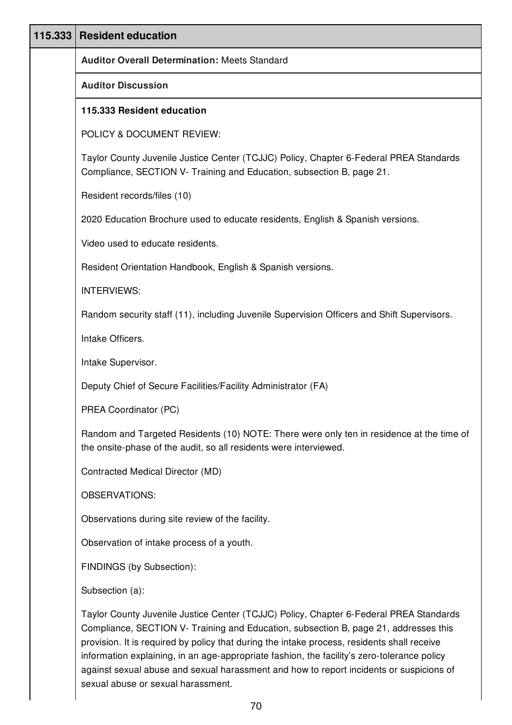| 115.333 | <b>Resident education</b>                                                                                                                                                                                                                                                                                                                                                                                                                                               |
|---------|-------------------------------------------------------------------------------------------------------------------------------------------------------------------------------------------------------------------------------------------------------------------------------------------------------------------------------------------------------------------------------------------------------------------------------------------------------------------------|
|         | <b>Auditor Overall Determination: Meets Standard</b>                                                                                                                                                                                                                                                                                                                                                                                                                    |
|         | <b>Auditor Discussion</b>                                                                                                                                                                                                                                                                                                                                                                                                                                               |
|         | 115.333 Resident education                                                                                                                                                                                                                                                                                                                                                                                                                                              |
|         | POLICY & DOCUMENT REVIEW:                                                                                                                                                                                                                                                                                                                                                                                                                                               |
|         | Taylor County Juvenile Justice Center (TCJJC) Policy, Chapter 6-Federal PREA Standards<br>Compliance, SECTION V- Training and Education, subsection B, page 21.                                                                                                                                                                                                                                                                                                         |
|         | Resident records/files (10)                                                                                                                                                                                                                                                                                                                                                                                                                                             |
|         | 2020 Education Brochure used to educate residents, English & Spanish versions.                                                                                                                                                                                                                                                                                                                                                                                          |
|         | Video used to educate residents.                                                                                                                                                                                                                                                                                                                                                                                                                                        |
|         | Resident Orientation Handbook, English & Spanish versions.                                                                                                                                                                                                                                                                                                                                                                                                              |
|         | <b>INTERVIEWS:</b>                                                                                                                                                                                                                                                                                                                                                                                                                                                      |
|         | Random security staff (11), including Juvenile Supervision Officers and Shift Supervisors.                                                                                                                                                                                                                                                                                                                                                                              |
|         | Intake Officers.                                                                                                                                                                                                                                                                                                                                                                                                                                                        |
|         | Intake Supervisor.                                                                                                                                                                                                                                                                                                                                                                                                                                                      |
|         | Deputy Chief of Secure Facilities/Facility Administrator (FA)                                                                                                                                                                                                                                                                                                                                                                                                           |
|         | PREA Coordinator (PC)                                                                                                                                                                                                                                                                                                                                                                                                                                                   |
|         | Random and Targeted Residents (10) NOTE: There were only ten in residence at the time of<br>the onsite-phase of the audit, so all residents were interviewed.                                                                                                                                                                                                                                                                                                           |
|         | Contracted Medical Director (MD)                                                                                                                                                                                                                                                                                                                                                                                                                                        |
|         | <b>OBSERVATIONS:</b>                                                                                                                                                                                                                                                                                                                                                                                                                                                    |
|         | Observations during site review of the facility.                                                                                                                                                                                                                                                                                                                                                                                                                        |
|         | Observation of intake process of a youth.                                                                                                                                                                                                                                                                                                                                                                                                                               |
|         | FINDINGS (by Subsection):                                                                                                                                                                                                                                                                                                                                                                                                                                               |
|         | Subsection (a):                                                                                                                                                                                                                                                                                                                                                                                                                                                         |
|         | Taylor County Juvenile Justice Center (TCJJC) Policy, Chapter 6-Federal PREA Standards<br>Compliance, SECTION V- Training and Education, subsection B, page 21, addresses this<br>provision. It is required by policy that during the intake process, residents shall receive<br>information explaining, in an age-appropriate fashion, the facility's zero-tolerance policy<br>against sexual abuse and sexual harassment and how to report incidents or suspicions of |

sexual abuse or sexual harassment.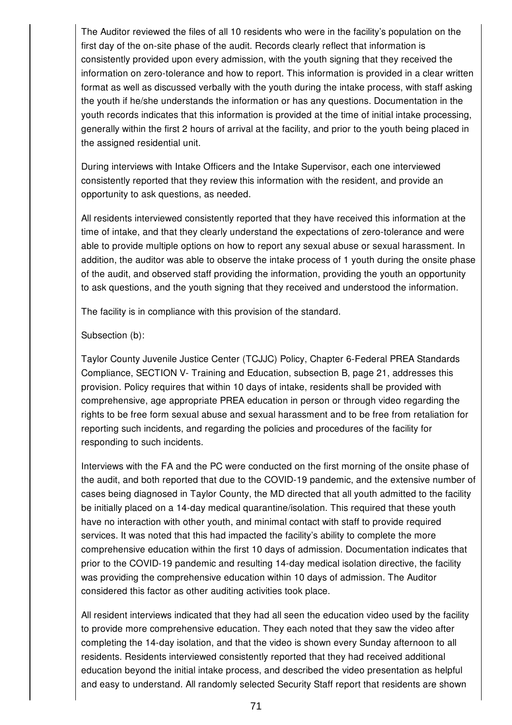The Auditor reviewed the files of all 10 residents who were in the facility's population on the first day of the on-site phase of the audit. Records clearly reflect that information is consistently provided upon every admission, with the youth signing that they received the information on zero-tolerance and how to report. This information is provided in a clear written format as well as discussed verbally with the youth during the intake process, with staff asking the youth if he/she understands the information or has any questions. Documentation in the youth records indicates that this information is provided at the time of initial intake processing, generally within the first 2 hours of arrival at the facility, and prior to the youth being placed in the assigned residential unit.

During interviews with Intake Officers and the Intake Supervisor, each one interviewed consistently reported that they review this information with the resident, and provide an opportunity to ask questions, as needed.

All residents interviewed consistently reported that they have received this information at the time of intake, and that they clearly understand the expectations of zero-tolerance and were able to provide multiple options on how to report any sexual abuse or sexual harassment. In addition, the auditor was able to observe the intake process of 1 youth during the onsite phase of the audit, and observed staff providing the information, providing the youth an opportunity to ask questions, and the youth signing that they received and understood the information.

The facility is in compliance with this provision of the standard.

### Subsection (b):

Taylor County Juvenile Justice Center (TCJJC) Policy, Chapter 6-Federal PREA Standards Compliance, SECTION V- Training and Education, subsection B, page 21, addresses this provision. Policy requires that within 10 days of intake, residents shall be provided with comprehensive, age appropriate PREA education in person or through video regarding the rights to be free form sexual abuse and sexual harassment and to be free from retaliation for reporting such incidents, and regarding the policies and procedures of the facility for responding to such incidents.

Interviews with the FA and the PC were conducted on the first morning of the onsite phase of the audit, and both reported that due to the COVID-19 pandemic, and the extensive number of cases being diagnosed in Taylor County, the MD directed that all youth admitted to the facility be initially placed on a 14-day medical quarantine/isolation. This required that these youth have no interaction with other youth, and minimal contact with staff to provide required services. It was noted that this had impacted the facility's ability to complete the more comprehensive education within the first 10 days of admission. Documentation indicates that prior to the COVID-19 pandemic and resulting 14-day medical isolation directive, the facility was providing the comprehensive education within 10 days of admission. The Auditor considered this factor as other auditing activities took place.

All resident interviews indicated that they had all seen the education video used by the facility to provide more comprehensive education. They each noted that they saw the video after completing the 14-day isolation, and that the video is shown every Sunday afternoon to all residents. Residents interviewed consistently reported that they had received additional education beyond the initial intake process, and described the video presentation as helpful and easy to understand. All randomly selected Security Staff report that residents are shown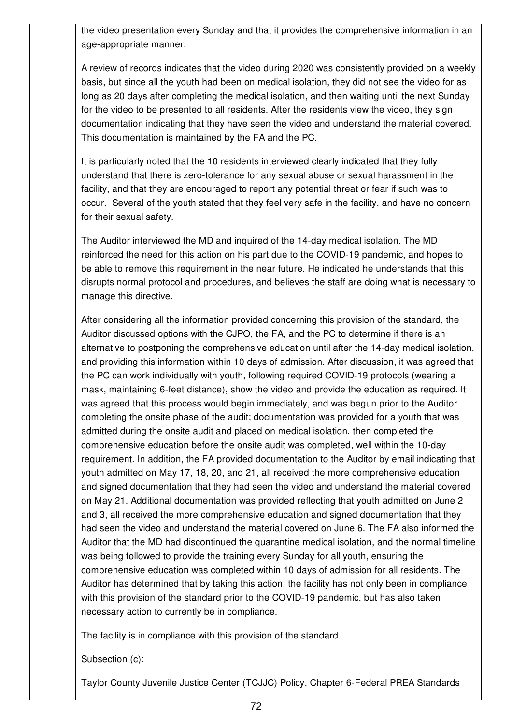the video presentation every Sunday and that it provides the comprehensive information in an age-appropriate manner.

A review of records indicates that the video during 2020 was consistently provided on a weekly basis, but since all the youth had been on medical isolation, they did not see the video for as long as 20 days after completing the medical isolation, and then waiting until the next Sunday for the video to be presented to all residents. After the residents view the video, they sign documentation indicating that they have seen the video and understand the material covered. This documentation is maintained by the FA and the PC.

It is particularly noted that the 10 residents interviewed clearly indicated that they fully understand that there is zero-tolerance for any sexual abuse or sexual harassment in the facility, and that they are encouraged to report any potential threat or fear if such was to occur. Several of the youth stated that they feel very safe in the facility, and have no concern for their sexual safety.

The Auditor interviewed the MD and inquired of the 14-day medical isolation. The MD reinforced the need for this action on his part due to the COVID-19 pandemic, and hopes to be able to remove this requirement in the near future. He indicated he understands that this disrupts normal protocol and procedures, and believes the staff are doing what is necessary to manage this directive.

After considering all the information provided concerning this provision of the standard, the Auditor discussed options with the CJPO, the FA, and the PC to determine if there is an alternative to postponing the comprehensive education until after the 14-day medical isolation, and providing this information within 10 days of admission. After discussion, it was agreed that the PC can work individually with youth, following required COVID-19 protocols (wearing a mask, maintaining 6-feet distance), show the video and provide the education as required. It was agreed that this process would begin immediately, and was begun prior to the Auditor completing the onsite phase of the audit; documentation was provided for a youth that was admitted during the onsite audit and placed on medical isolation, then completed the comprehensive education before the onsite audit was completed, well within the 10-day requirement. In addition, the FA provided documentation to the Auditor by email indicating that youth admitted on May 17, 18, 20, and 21, all received the more comprehensive education and signed documentation that they had seen the video and understand the material covered on May 21. Additional documentation was provided reflecting that youth admitted on June 2 and 3, all received the more comprehensive education and signed documentation that they had seen the video and understand the material covered on June 6. The FA also informed the Auditor that the MD had discontinued the quarantine medical isolation, and the normal timeline was being followed to provide the training every Sunday for all youth, ensuring the comprehensive education was completed within 10 days of admission for all residents. The Auditor has determined that by taking this action, the facility has not only been in compliance with this provision of the standard prior to the COVID-19 pandemic, but has also taken necessary action to currently be in compliance.

The facility is in compliance with this provision of the standard.

Subsection (c):

Taylor County Juvenile Justice Center (TCJJC) Policy, Chapter 6-Federal PREA Standards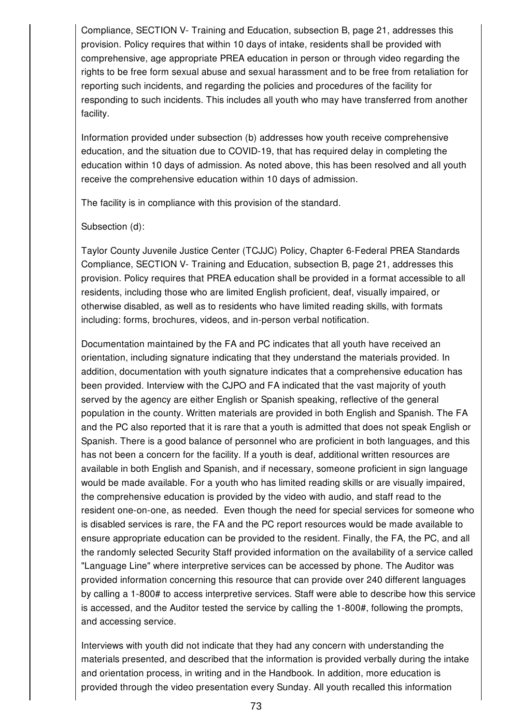Compliance, SECTION V- Training and Education, subsection B, page 21, addresses this provision. Policy requires that within 10 days of intake, residents shall be provided with comprehensive, age appropriate PREA education in person or through video regarding the rights to be free form sexual abuse and sexual harassment and to be free from retaliation for reporting such incidents, and regarding the policies and procedures of the facility for responding to such incidents. This includes all youth who may have transferred from another facility.

Information provided under subsection (b) addresses how youth receive comprehensive education, and the situation due to COVID-19, that has required delay in completing the education within 10 days of admission. As noted above, this has been resolved and all youth receive the comprehensive education within 10 days of admission.

The facility is in compliance with this provision of the standard.

#### Subsection (d):

Taylor County Juvenile Justice Center (TCJJC) Policy, Chapter 6-Federal PREA Standards Compliance, SECTION V- Training and Education, subsection B, page 21, addresses this provision. Policy requires that PREA education shall be provided in a format accessible to all residents, including those who are limited English proficient, deaf, visually impaired, or otherwise disabled, as well as to residents who have limited reading skills, with formats including: forms, brochures, videos, and in-person verbal notification.

Documentation maintained by the FA and PC indicates that all youth have received an orientation, including signature indicating that they understand the materials provided. In addition, documentation with youth signature indicates that a comprehensive education has been provided. Interview with the CJPO and FA indicated that the vast majority of youth served by the agency are either English or Spanish speaking, reflective of the general population in the county. Written materials are provided in both English and Spanish. The FA and the PC also reported that it is rare that a youth is admitted that does not speak English or Spanish. There is a good balance of personnel who are proficient in both languages, and this has not been a concern for the facility. If a youth is deaf, additional written resources are available in both English and Spanish, and if necessary, someone proficient in sign language would be made available. For a youth who has limited reading skills or are visually impaired, the comprehensive education is provided by the video with audio, and staff read to the resident one-on-one, as needed. Even though the need for special services for someone who is disabled services is rare, the FA and the PC report resources would be made available to ensure appropriate education can be provided to the resident. Finally, the FA, the PC, and all the randomly selected Security Staff provided information on the availability of a service called "Language Line" where interpretive services can be accessed by phone. The Auditor was provided information concerning this resource that can provide over 240 different languages by calling a 1-800# to access interpretive services. Staff were able to describe how this service is accessed, and the Auditor tested the service by calling the 1-800#, following the prompts, and accessing service.

Interviews with youth did not indicate that they had any concern with understanding the materials presented, and described that the information is provided verbally during the intake and orientation process, in writing and in the Handbook. In addition, more education is provided through the video presentation every Sunday. All youth recalled this information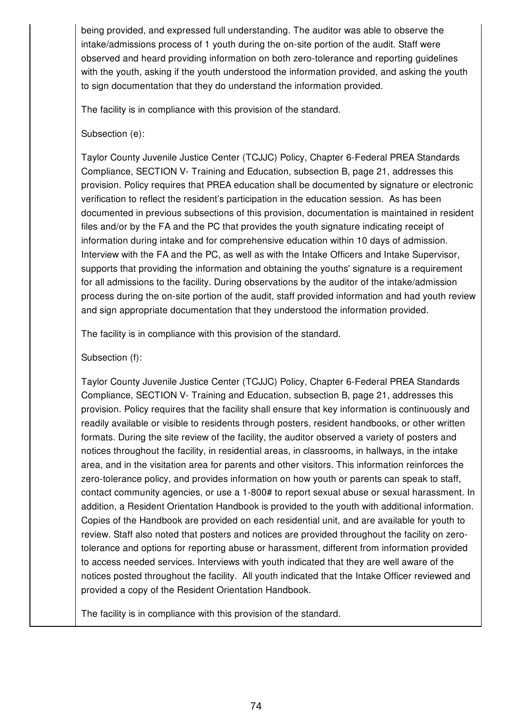being provided, and expressed full understanding. The auditor was able to observe the intake/admissions process of 1 youth during the on-site portion of the audit. Staff were observed and heard providing information on both zero-tolerance and reporting guidelines with the youth, asking if the youth understood the information provided, and asking the youth to sign documentation that they do understand the information provided.

The facility is in compliance with this provision of the standard.

## Subsection (e):

Taylor County Juvenile Justice Center (TCJJC) Policy, Chapter 6-Federal PREA Standards Compliance, SECTION V- Training and Education, subsection B, page 21, addresses this provision. Policy requires that PREA education shall be documented by signature or electronic verification to reflect the resident's participation in the education session. As has been documented in previous subsections of this provision, documentation is maintained in resident files and/or by the FA and the PC that provides the youth signature indicating receipt of information during intake and for comprehensive education within 10 days of admission. Interview with the FA and the PC, as well as with the Intake Officers and Intake Supervisor, supports that providing the information and obtaining the youths' signature is a requirement for all admissions to the facility. During observations by the auditor of the intake/admission process during the on-site portion of the audit, staff provided information and had youth review and sign appropriate documentation that they understood the information provided.

The facility is in compliance with this provision of the standard.

## Subsection (f):

Taylor County Juvenile Justice Center (TCJJC) Policy, Chapter 6-Federal PREA Standards Compliance, SECTION V- Training and Education, subsection B, page 21, addresses this provision. Policy requires that the facility shall ensure that key information is continuously and readily available or visible to residents through posters, resident handbooks, or other written formats. During the site review of the facility, the auditor observed a variety of posters and notices throughout the facility, in residential areas, in classrooms, in hallways, in the intake area, and in the visitation area for parents and other visitors. This information reinforces the zero-tolerance policy, and provides information on how youth or parents can speak to staff, contact community agencies, or use a 1-800# to report sexual abuse or sexual harassment. In addition, a Resident Orientation Handbook is provided to the youth with additional information. Copies of the Handbook are provided on each residential unit, and are available for youth to review. Staff also noted that posters and notices are provided throughout the facility on zerotolerance and options for reporting abuse or harassment, different from information provided to access needed services. Interviews with youth indicated that they are well aware of the notices posted throughout the facility. All youth indicated that the Intake Officer reviewed and provided a copy of the Resident Orientation Handbook.

The facility is in compliance with this provision of the standard.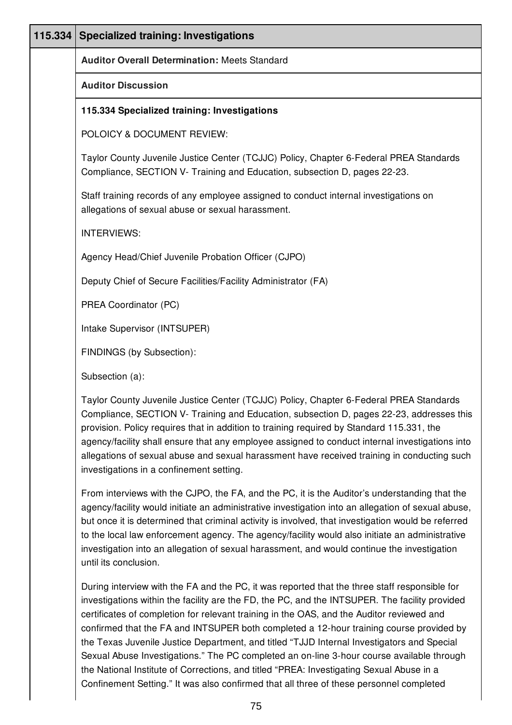| 115.334 | <b>Specialized training: Investigations</b>                                                                                                                                                                                                                                                                                                                                                                                                                                                                                         |
|---------|-------------------------------------------------------------------------------------------------------------------------------------------------------------------------------------------------------------------------------------------------------------------------------------------------------------------------------------------------------------------------------------------------------------------------------------------------------------------------------------------------------------------------------------|
|         | <b>Auditor Overall Determination: Meets Standard</b>                                                                                                                                                                                                                                                                                                                                                                                                                                                                                |
|         | <b>Auditor Discussion</b>                                                                                                                                                                                                                                                                                                                                                                                                                                                                                                           |
|         | 115.334 Specialized training: Investigations                                                                                                                                                                                                                                                                                                                                                                                                                                                                                        |
|         | POLOICY & DOCUMENT REVIEW:                                                                                                                                                                                                                                                                                                                                                                                                                                                                                                          |
|         | Taylor County Juvenile Justice Center (TCJJC) Policy, Chapter 6-Federal PREA Standards<br>Compliance, SECTION V- Training and Education, subsection D, pages 22-23.                                                                                                                                                                                                                                                                                                                                                                 |
|         | Staff training records of any employee assigned to conduct internal investigations on<br>allegations of sexual abuse or sexual harassment.                                                                                                                                                                                                                                                                                                                                                                                          |
|         | <b>INTERVIEWS:</b>                                                                                                                                                                                                                                                                                                                                                                                                                                                                                                                  |
|         | Agency Head/Chief Juvenile Probation Officer (CJPO)                                                                                                                                                                                                                                                                                                                                                                                                                                                                                 |
|         | Deputy Chief of Secure Facilities/Facility Administrator (FA)                                                                                                                                                                                                                                                                                                                                                                                                                                                                       |
|         | PREA Coordinator (PC)                                                                                                                                                                                                                                                                                                                                                                                                                                                                                                               |
|         | Intake Supervisor (INTSUPER)                                                                                                                                                                                                                                                                                                                                                                                                                                                                                                        |
|         | FINDINGS (by Subsection):                                                                                                                                                                                                                                                                                                                                                                                                                                                                                                           |
|         | Subsection (a):                                                                                                                                                                                                                                                                                                                                                                                                                                                                                                                     |
|         | Taylor County Juvenile Justice Center (TCJJC) Policy, Chapter 6-Federal PREA Standards<br>Compliance, SECTION V- Training and Education, subsection D, pages 22-23, addresses this<br>provision. Policy requires that in addition to training required by Standard 115.331, the<br>agency/facility shall ensure that any employee assigned to conduct internal investigations into<br>allegations of sexual abuse and sexual harassment have received training in conducting such<br>investigations in a confinement setting.       |
|         | From interviews with the CJPO, the FA, and the PC, it is the Auditor's understanding that the<br>agency/facility would initiate an administrative investigation into an allegation of sexual abuse,<br>but once it is determined that criminal activity is involved, that investigation would be referred<br>to the local law enforcement agency. The agency/facility would also initiate an administrative<br>investigation into an allegation of sexual harassment, and would continue the investigation<br>until its conclusion. |
|         | During interview with the FA and the PC, it was reported that the three staff responsible for<br>investigations within the facility are the FD, the PC, and the INTSUPER. The facility provided<br>certificates of completion for relevant training in the OAS, and the Auditor reviewed and<br>confirmed that the FA and INTSUPER both completed a 12-hour training course provided by<br>the Texas Juvenile Justice Department, and titled "TJJD Internal Investigators and Special                                               |

Sexual Abuse Investigations." The PC completed an on-line 3-hour course available through the National Institute of Corrections, and titled "PREA: Investigating Sexual Abuse in a Confinement Setting." It was also confirmed that all three of these personnel completed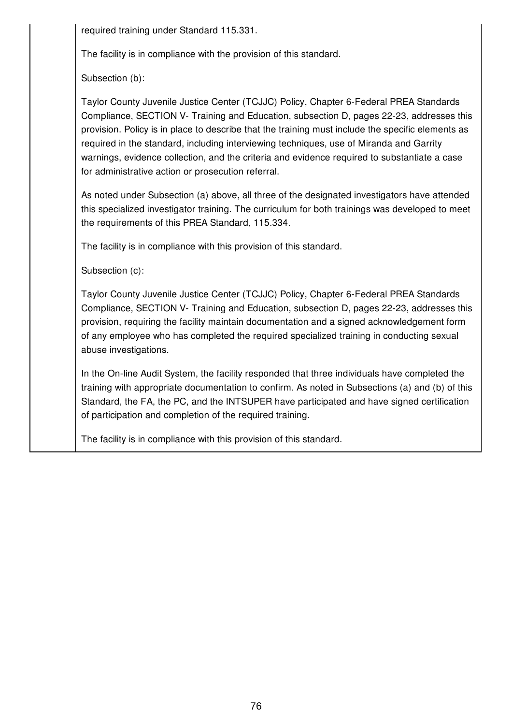required training under Standard 115.331.

The facility is in compliance with the provision of this standard.

Subsection (b):

Taylor County Juvenile Justice Center (TCJJC) Policy, Chapter 6-Federal PREA Standards Compliance, SECTION V- Training and Education, subsection D, pages 22-23, addresses this provision. Policy is in place to describe that the training must include the specific elements as required in the standard, including interviewing techniques, use of Miranda and Garrity warnings, evidence collection, and the criteria and evidence required to substantiate a case for administrative action or prosecution referral.

As noted under Subsection (a) above, all three of the designated investigators have attended this specialized investigator training. The curriculum for both trainings was developed to meet the requirements of this PREA Standard, 115.334.

The facility is in compliance with this provision of this standard.

Subsection (c):

Taylor County Juvenile Justice Center (TCJJC) Policy, Chapter 6-Federal PREA Standards Compliance, SECTION V- Training and Education, subsection D, pages 22-23, addresses this provision, requiring the facility maintain documentation and a signed acknowledgement form of any employee who has completed the required specialized training in conducting sexual abuse investigations.

In the On-line Audit System, the facility responded that three individuals have completed the training with appropriate documentation to confirm. As noted in Subsections (a) and (b) of this Standard, the FA, the PC, and the INTSUPER have participated and have signed certification of participation and completion of the required training.

The facility is in compliance with this provision of this standard.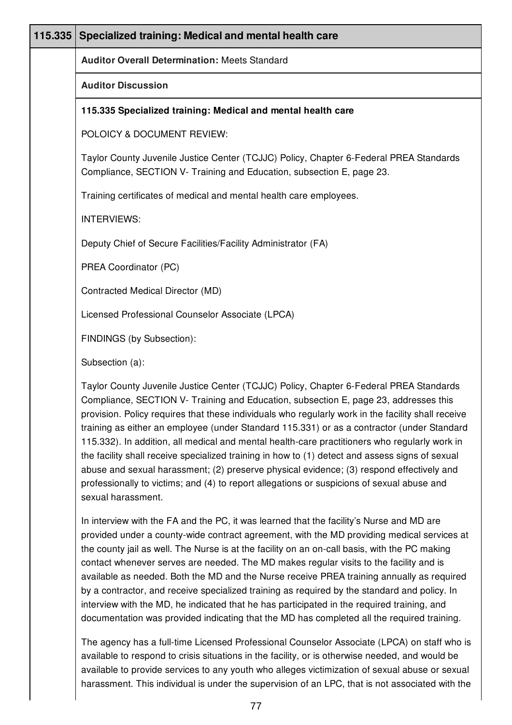| 115.335 | Specialized training: Medical and mental health care                                                                                                                                                                                                                                                                                                                                                                                                                                                                                                                                                                                                                               |
|---------|------------------------------------------------------------------------------------------------------------------------------------------------------------------------------------------------------------------------------------------------------------------------------------------------------------------------------------------------------------------------------------------------------------------------------------------------------------------------------------------------------------------------------------------------------------------------------------------------------------------------------------------------------------------------------------|
|         | <b>Auditor Overall Determination: Meets Standard</b>                                                                                                                                                                                                                                                                                                                                                                                                                                                                                                                                                                                                                               |
|         | <b>Auditor Discussion</b>                                                                                                                                                                                                                                                                                                                                                                                                                                                                                                                                                                                                                                                          |
|         | 115.335 Specialized training: Medical and mental health care                                                                                                                                                                                                                                                                                                                                                                                                                                                                                                                                                                                                                       |
|         | POLOICY & DOCUMENT REVIEW:                                                                                                                                                                                                                                                                                                                                                                                                                                                                                                                                                                                                                                                         |
|         | Taylor County Juvenile Justice Center (TCJJC) Policy, Chapter 6-Federal PREA Standards<br>Compliance, SECTION V- Training and Education, subsection E, page 23.                                                                                                                                                                                                                                                                                                                                                                                                                                                                                                                    |
|         | Training certificates of medical and mental health care employees.                                                                                                                                                                                                                                                                                                                                                                                                                                                                                                                                                                                                                 |
|         | <b>INTERVIEWS:</b>                                                                                                                                                                                                                                                                                                                                                                                                                                                                                                                                                                                                                                                                 |
|         | Deputy Chief of Secure Facilities/Facility Administrator (FA)                                                                                                                                                                                                                                                                                                                                                                                                                                                                                                                                                                                                                      |
|         | PREA Coordinator (PC)                                                                                                                                                                                                                                                                                                                                                                                                                                                                                                                                                                                                                                                              |
|         | Contracted Medical Director (MD)                                                                                                                                                                                                                                                                                                                                                                                                                                                                                                                                                                                                                                                   |
|         | Licensed Professional Counselor Associate (LPCA)                                                                                                                                                                                                                                                                                                                                                                                                                                                                                                                                                                                                                                   |
|         | FINDINGS (by Subsection):                                                                                                                                                                                                                                                                                                                                                                                                                                                                                                                                                                                                                                                          |
|         | Subsection (a):                                                                                                                                                                                                                                                                                                                                                                                                                                                                                                                                                                                                                                                                    |
|         | Taylor County Juvenile Justice Center (TCJJC) Policy, Chapter 6-Federal PREA Standards<br>Compliance, SECTION V- Training and Education, subsection E, page 23, addresses this<br>provision. Policy requires that these individuals who regularly work in the facility shall receive<br>training as either an employee (under Standard 115.331) or as a contractor (under Standard<br>115.332). In addition, all medical and mental health-care practitioners who regularly work in<br>the facility shall receive specialized training in how to (1) detect and assess signs of sexual<br>abuse and sexual harassment; (2) preserve physical evidence; (3) respond effectively and |

professionally to victims; and (4) to report allegations or suspicions of sexual abuse and sexual harassment.

In interview with the FA and the PC, it was learned that the facility's Nurse and MD are provided under a county-wide contract agreement, with the MD providing medical services at the county jail as well. The Nurse is at the facility on an on-call basis, with the PC making contact whenever serves are needed. The MD makes regular visits to the facility and is available as needed. Both the MD and the Nurse receive PREA training annually as required by a contractor, and receive specialized training as required by the standard and policy. In interview with the MD, he indicated that he has participated in the required training, and documentation was provided indicating that the MD has completed all the required training.

The agency has a full-time Licensed Professional Counselor Associate (LPCA) on staff who is available to respond to crisis situations in the facility, or is otherwise needed, and would be available to provide services to any youth who alleges victimization of sexual abuse or sexual harassment. This individual is under the supervision of an LPC, that is not associated with the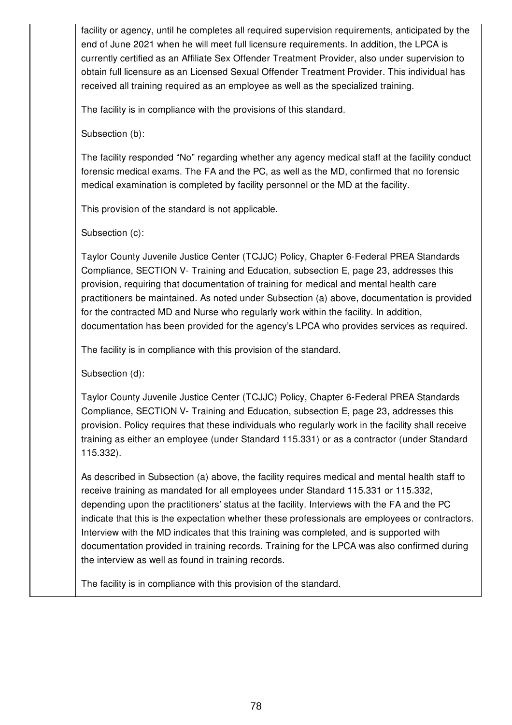facility or agency, until he completes all required supervision requirements, anticipated by the end of June 2021 when he will meet full licensure requirements. In addition, the LPCA is currently certified as an Affiliate Sex Offender Treatment Provider, also under supervision to obtain full licensure as an Licensed Sexual Offender Treatment Provider. This individual has received all training required as an employee as well as the specialized training.

The facility is in compliance with the provisions of this standard.

Subsection (b):

The facility responded "No" regarding whether any agency medical staff at the facility conduct forensic medical exams. The FA and the PC, as well as the MD, confirmed that no forensic medical examination is completed by facility personnel or the MD at the facility.

This provision of the standard is not applicable.

Subsection (c):

Taylor County Juvenile Justice Center (TCJJC) Policy, Chapter 6-Federal PREA Standards Compliance, SECTION V- Training and Education, subsection E, page 23, addresses this provision, requiring that documentation of training for medical and mental health care practitioners be maintained. As noted under Subsection (a) above, documentation is provided for the contracted MD and Nurse who regularly work within the facility. In addition, documentation has been provided for the agency's LPCA who provides services as required.

The facility is in compliance with this provision of the standard.

Subsection (d):

Taylor County Juvenile Justice Center (TCJJC) Policy, Chapter 6-Federal PREA Standards Compliance, SECTION V- Training and Education, subsection E, page 23, addresses this provision. Policy requires that these individuals who regularly work in the facility shall receive training as either an employee (under Standard 115.331) or as a contractor (under Standard 115.332).

As described in Subsection (a) above, the facility requires medical and mental health staff to receive training as mandated for all employees under Standard 115.331 or 115.332, depending upon the practitioners' status at the facility. Interviews with the FA and the PC indicate that this is the expectation whether these professionals are employees or contractors. Interview with the MD indicates that this training was completed, and is supported with documentation provided in training records. Training for the LPCA was also confirmed during the interview as well as found in training records.

The facility is in compliance with this provision of the standard.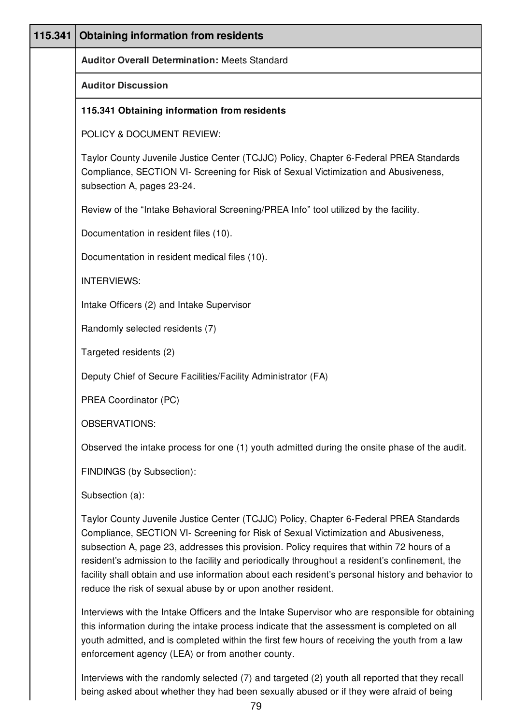| 115.341 | <b>Obtaining information from residents</b>                                                                                                                                                                                                                                                                                                                                                                                                                                                                                                       |
|---------|---------------------------------------------------------------------------------------------------------------------------------------------------------------------------------------------------------------------------------------------------------------------------------------------------------------------------------------------------------------------------------------------------------------------------------------------------------------------------------------------------------------------------------------------------|
|         | <b>Auditor Overall Determination: Meets Standard</b>                                                                                                                                                                                                                                                                                                                                                                                                                                                                                              |
|         | <b>Auditor Discussion</b>                                                                                                                                                                                                                                                                                                                                                                                                                                                                                                                         |
|         | 115.341 Obtaining information from residents                                                                                                                                                                                                                                                                                                                                                                                                                                                                                                      |
|         | POLICY & DOCUMENT REVIEW:                                                                                                                                                                                                                                                                                                                                                                                                                                                                                                                         |
|         | Taylor County Juvenile Justice Center (TCJJC) Policy, Chapter 6-Federal PREA Standards<br>Compliance, SECTION VI- Screening for Risk of Sexual Victimization and Abusiveness,<br>subsection A, pages 23-24.                                                                                                                                                                                                                                                                                                                                       |
|         | Review of the "Intake Behavioral Screening/PREA Info" tool utilized by the facility.                                                                                                                                                                                                                                                                                                                                                                                                                                                              |
|         | Documentation in resident files (10).                                                                                                                                                                                                                                                                                                                                                                                                                                                                                                             |
|         | Documentation in resident medical files (10).                                                                                                                                                                                                                                                                                                                                                                                                                                                                                                     |
|         | <b>INTERVIEWS:</b>                                                                                                                                                                                                                                                                                                                                                                                                                                                                                                                                |
|         | Intake Officers (2) and Intake Supervisor                                                                                                                                                                                                                                                                                                                                                                                                                                                                                                         |
|         | Randomly selected residents (7)                                                                                                                                                                                                                                                                                                                                                                                                                                                                                                                   |
|         | Targeted residents (2)                                                                                                                                                                                                                                                                                                                                                                                                                                                                                                                            |
|         | Deputy Chief of Secure Facilities/Facility Administrator (FA)                                                                                                                                                                                                                                                                                                                                                                                                                                                                                     |
|         | PREA Coordinator (PC)                                                                                                                                                                                                                                                                                                                                                                                                                                                                                                                             |
|         | <b>OBSERVATIONS:</b>                                                                                                                                                                                                                                                                                                                                                                                                                                                                                                                              |
|         | Observed the intake process for one (1) youth admitted during the onsite phase of the audit.                                                                                                                                                                                                                                                                                                                                                                                                                                                      |
|         | FINDINGS (by Subsection):                                                                                                                                                                                                                                                                                                                                                                                                                                                                                                                         |
|         | Subsection (a):                                                                                                                                                                                                                                                                                                                                                                                                                                                                                                                                   |
|         | Taylor County Juvenile Justice Center (TCJJC) Policy, Chapter 6-Federal PREA Standards<br>Compliance, SECTION VI- Screening for Risk of Sexual Victimization and Abusiveness,<br>subsection A, page 23, addresses this provision. Policy requires that within 72 hours of a<br>resident's admission to the facility and periodically throughout a resident's confinement, the<br>facility shall obtain and use information about each resident's personal history and behavior to<br>reduce the risk of sexual abuse by or upon another resident. |
|         | Interviews with the Intake Officers and the Intake Supervisor who are responsible for obtaining                                                                                                                                                                                                                                                                                                                                                                                                                                                   |

this information during the intake process indicate that the assessment is completed on all youth admitted, and is completed within the first few hours of receiving the youth from a law enforcement agency (LEA) or from another county.

Interviews with the randomly selected (7) and targeted (2) youth all reported that they recall being asked about whether they had been sexually abused or if they were afraid of being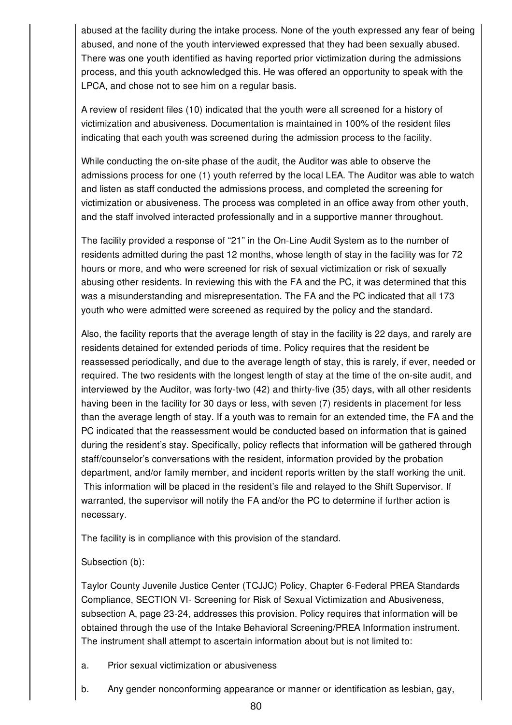abused at the facility during the intake process. None of the youth expressed any fear of being abused, and none of the youth interviewed expressed that they had been sexually abused. There was one youth identified as having reported prior victimization during the admissions process, and this youth acknowledged this. He was offered an opportunity to speak with the LPCA, and chose not to see him on a regular basis.

A review of resident files (10) indicated that the youth were all screened for a history of victimization and abusiveness. Documentation is maintained in 100% of the resident files indicating that each youth was screened during the admission process to the facility.

While conducting the on-site phase of the audit, the Auditor was able to observe the admissions process for one (1) youth referred by the local LEA. The Auditor was able to watch and listen as staff conducted the admissions process, and completed the screening for victimization or abusiveness. The process was completed in an office away from other youth, and the staff involved interacted professionally and in a supportive manner throughout.

The facility provided a response of "21" in the On-Line Audit System as to the number of residents admitted during the past 12 months, whose length of stay in the facility was for 72 hours or more, and who were screened for risk of sexual victimization or risk of sexually abusing other residents. In reviewing this with the FA and the PC, it was determined that this was a misunderstanding and misrepresentation. The FA and the PC indicated that all 173 youth who were admitted were screened as required by the policy and the standard.

Also, the facility reports that the average length of stay in the facility is 22 days, and rarely are residents detained for extended periods of time. Policy requires that the resident be reassessed periodically, and due to the average length of stay, this is rarely, if ever, needed or required. The two residents with the longest length of stay at the time of the on-site audit, and interviewed by the Auditor, was forty-two (42) and thirty-five (35) days, with all other residents having been in the facility for 30 days or less, with seven (7) residents in placement for less than the average length of stay. If a youth was to remain for an extended time, the FA and the PC indicated that the reassessment would be conducted based on information that is gained during the resident's stay. Specifically, policy reflects that information will be gathered through staff/counselor's conversations with the resident, information provided by the probation department, and/or family member, and incident reports written by the staff working the unit. This information will be placed in the resident's file and relayed to the Shift Supervisor. If warranted, the supervisor will notify the FA and/or the PC to determine if further action is necessary.

The facility is in compliance with this provision of the standard.

### Subsection (b):

Taylor County Juvenile Justice Center (TCJJC) Policy, Chapter 6-Federal PREA Standards Compliance, SECTION VI- Screening for Risk of Sexual Victimization and Abusiveness, subsection A, page 23-24, addresses this provision. Policy requires that information will be obtained through the use of the Intake Behavioral Screening/PREA Information instrument. The instrument shall attempt to ascertain information about but is not limited to:

- a. Prior sexual victimization or abusiveness
- b. Any gender nonconforming appearance or manner or identification as lesbian, gay,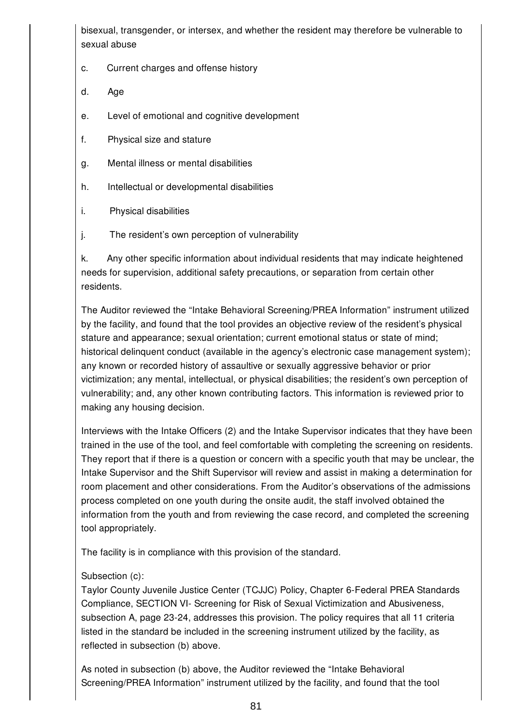bisexual, transgender, or intersex, and whether the resident may therefore be vulnerable to sexual abuse

- c. Current charges and offense history
- d. Age
- e. Level of emotional and cognitive development
- f. Physical size and stature
- g. Mental illness or mental disabilities
- h. Intellectual or developmental disabilities
- i. Physical disabilities
- j. The resident's own perception of vulnerability

k. Any other specific information about individual residents that may indicate heightened needs for supervision, additional safety precautions, or separation from certain other residents.

The Auditor reviewed the "Intake Behavioral Screening/PREA Information" instrument utilized by the facility, and found that the tool provides an objective review of the resident's physical stature and appearance; sexual orientation; current emotional status or state of mind; historical delinquent conduct (available in the agency's electronic case management system); any known or recorded history of assaultive or sexually aggressive behavior or prior victimization; any mental, intellectual, or physical disabilities; the resident's own perception of vulnerability; and, any other known contributing factors. This information is reviewed prior to making any housing decision.

Interviews with the Intake Officers (2) and the Intake Supervisor indicates that they have been trained in the use of the tool, and feel comfortable with completing the screening on residents. They report that if there is a question or concern with a specific youth that may be unclear, the Intake Supervisor and the Shift Supervisor will review and assist in making a determination for room placement and other considerations. From the Auditor's observations of the admissions process completed on one youth during the onsite audit, the staff involved obtained the information from the youth and from reviewing the case record, and completed the screening tool appropriately.

The facility is in compliance with this provision of the standard.

# Subsection (c):

Taylor County Juvenile Justice Center (TCJJC) Policy, Chapter 6-Federal PREA Standards Compliance, SECTION VI- Screening for Risk of Sexual Victimization and Abusiveness, subsection A, page 23-24, addresses this provision. The policy requires that all 11 criteria listed in the standard be included in the screening instrument utilized by the facility, as reflected in subsection (b) above.

As noted in subsection (b) above, the Auditor reviewed the "Intake Behavioral Screening/PREA Information" instrument utilized by the facility, and found that the tool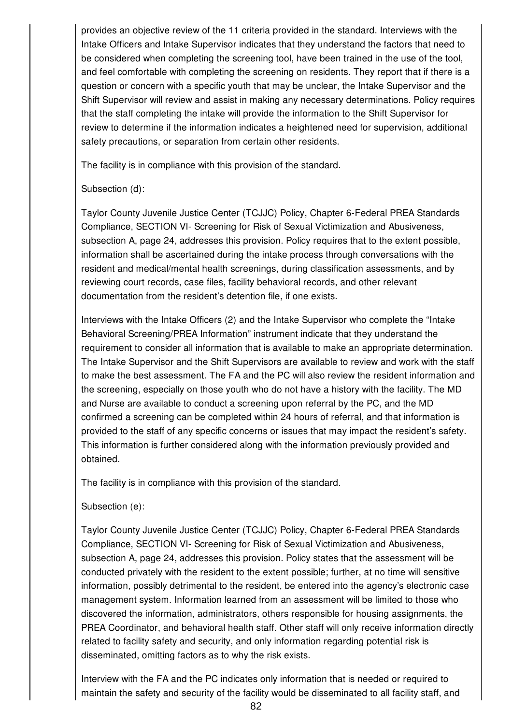provides an objective review of the 11 criteria provided in the standard. Interviews with the Intake Officers and Intake Supervisor indicates that they understand the factors that need to be considered when completing the screening tool, have been trained in the use of the tool, and feel comfortable with completing the screening on residents. They report that if there is a question or concern with a specific youth that may be unclear, the Intake Supervisor and the Shift Supervisor will review and assist in making any necessary determinations. Policy requires that the staff completing the intake will provide the information to the Shift Supervisor for review to determine if the information indicates a heightened need for supervision, additional safety precautions, or separation from certain other residents.

The facility is in compliance with this provision of the standard.

### Subsection (d):

Taylor County Juvenile Justice Center (TCJJC) Policy, Chapter 6-Federal PREA Standards Compliance, SECTION VI- Screening for Risk of Sexual Victimization and Abusiveness, subsection A, page 24, addresses this provision. Policy requires that to the extent possible, information shall be ascertained during the intake process through conversations with the resident and medical/mental health screenings, during classification assessments, and by reviewing court records, case files, facility behavioral records, and other relevant documentation from the resident's detention file, if one exists.

Interviews with the Intake Officers (2) and the Intake Supervisor who complete the "Intake Behavioral Screening/PREA Information" instrument indicate that they understand the requirement to consider all information that is available to make an appropriate determination. The Intake Supervisor and the Shift Supervisors are available to review and work with the staff to make the best assessment. The FA and the PC will also review the resident information and the screening, especially on those youth who do not have a history with the facility. The MD and Nurse are available to conduct a screening upon referral by the PC, and the MD confirmed a screening can be completed within 24 hours of referral, and that information is provided to the staff of any specific concerns or issues that may impact the resident's safety. This information is further considered along with the information previously provided and obtained.

The facility is in compliance with this provision of the standard.

### Subsection (e):

Taylor County Juvenile Justice Center (TCJJC) Policy, Chapter 6-Federal PREA Standards Compliance, SECTION VI- Screening for Risk of Sexual Victimization and Abusiveness, subsection A, page 24, addresses this provision. Policy states that the assessment will be conducted privately with the resident to the extent possible; further, at no time will sensitive information, possibly detrimental to the resident, be entered into the agency's electronic case management system. Information learned from an assessment will be limited to those who discovered the information, administrators, others responsible for housing assignments, the PREA Coordinator, and behavioral health staff. Other staff will only receive information directly related to facility safety and security, and only information regarding potential risk is disseminated, omitting factors as to why the risk exists.

Interview with the FA and the PC indicates only information that is needed or required to maintain the safety and security of the facility would be disseminated to all facility staff, and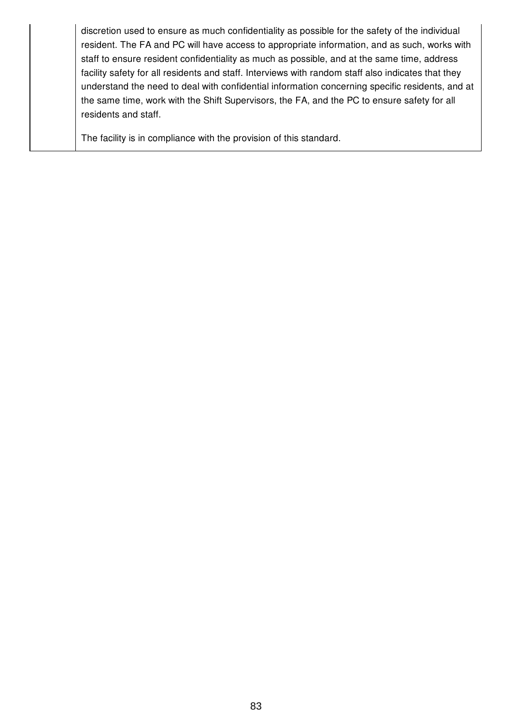discretion used to ensure as much confidentiality as possible for the safety of the individual resident. The FA and PC will have access to appropriate information, and as such, works with staff to ensure resident confidentiality as much as possible, and at the same time, address facility safety for all residents and staff. Interviews with random staff also indicates that they understand the need to deal with confidential information concerning specific residents, and at the same time, work with the Shift Supervisors, the FA, and the PC to ensure safety for all residents and staff.

The facility is in compliance with the provision of this standard.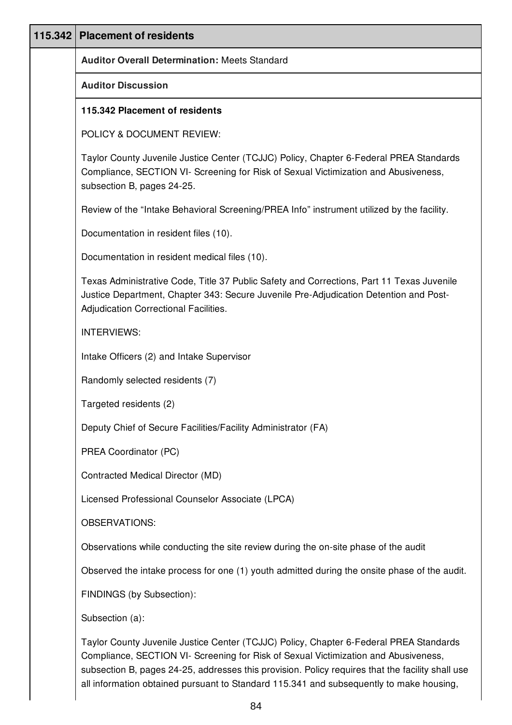| 115.342   Placement of residents                                                                                                                                                                                                                                                                                                                                             |
|------------------------------------------------------------------------------------------------------------------------------------------------------------------------------------------------------------------------------------------------------------------------------------------------------------------------------------------------------------------------------|
| <b>Auditor Overall Determination: Meets Standard</b>                                                                                                                                                                                                                                                                                                                         |
| <b>Auditor Discussion</b>                                                                                                                                                                                                                                                                                                                                                    |
| 115.342 Placement of residents                                                                                                                                                                                                                                                                                                                                               |
| POLICY & DOCUMENT REVIEW:                                                                                                                                                                                                                                                                                                                                                    |
| Taylor County Juvenile Justice Center (TCJJC) Policy, Chapter 6-Federal PREA Standards<br>Compliance, SECTION VI- Screening for Risk of Sexual Victimization and Abusiveness,<br>subsection B, pages 24-25.                                                                                                                                                                  |
| Review of the "Intake Behavioral Screening/PREA Info" instrument utilized by the facility.                                                                                                                                                                                                                                                                                   |
| Documentation in resident files (10).                                                                                                                                                                                                                                                                                                                                        |
| Documentation in resident medical files (10).                                                                                                                                                                                                                                                                                                                                |
| Texas Administrative Code, Title 37 Public Safety and Corrections, Part 11 Texas Juvenile<br>Justice Department, Chapter 343: Secure Juvenile Pre-Adjudication Detention and Post-<br>Adjudication Correctional Facilities.                                                                                                                                                  |
| <b>INTERVIEWS:</b>                                                                                                                                                                                                                                                                                                                                                           |
| Intake Officers (2) and Intake Supervisor                                                                                                                                                                                                                                                                                                                                    |
| Randomly selected residents (7)                                                                                                                                                                                                                                                                                                                                              |
| Targeted residents (2)                                                                                                                                                                                                                                                                                                                                                       |
| Deputy Chief of Secure Facilities/Facility Administrator (FA)                                                                                                                                                                                                                                                                                                                |
| PREA Coordinator (PC)                                                                                                                                                                                                                                                                                                                                                        |
| Contracted Medical Director (MD)                                                                                                                                                                                                                                                                                                                                             |
| Licensed Professional Counselor Associate (LPCA)                                                                                                                                                                                                                                                                                                                             |
| <b>OBSERVATIONS:</b>                                                                                                                                                                                                                                                                                                                                                         |
| Observations while conducting the site review during the on-site phase of the audit                                                                                                                                                                                                                                                                                          |
| Observed the intake process for one (1) youth admitted during the onsite phase of the audit.                                                                                                                                                                                                                                                                                 |
| FINDINGS (by Subsection):                                                                                                                                                                                                                                                                                                                                                    |
| Subsection (a):                                                                                                                                                                                                                                                                                                                                                              |
| Taylor County Juvenile Justice Center (TCJJC) Policy, Chapter 6-Federal PREA Standards<br>Compliance, SECTION VI- Screening for Risk of Sexual Victimization and Abusiveness,<br>subsection B, pages 24-25, addresses this provision. Policy requires that the facility shall use<br>all information obtained pursuant to Standard 115.341 and subsequently to make housing, |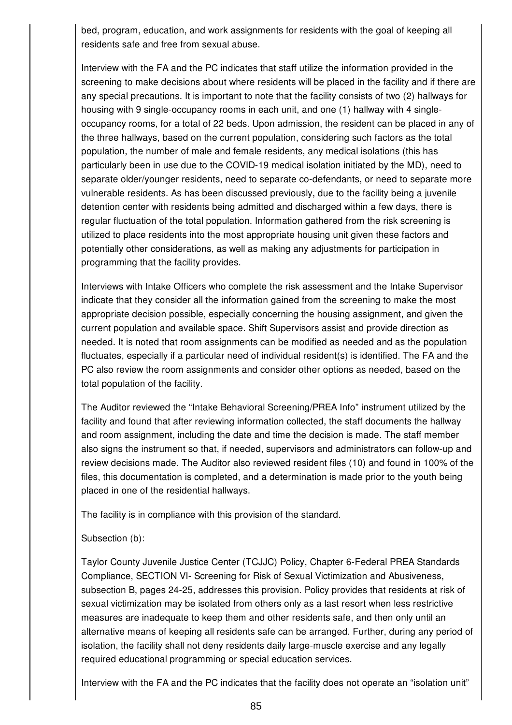bed, program, education, and work assignments for residents with the goal of keeping all residents safe and free from sexual abuse.

Interview with the FA and the PC indicates that staff utilize the information provided in the screening to make decisions about where residents will be placed in the facility and if there are any special precautions. It is important to note that the facility consists of two (2) hallways for housing with 9 single-occupancy rooms in each unit, and one (1) hallway with 4 singleoccupancy rooms, for a total of 22 beds. Upon admission, the resident can be placed in any of the three hallways, based on the current population, considering such factors as the total population, the number of male and female residents, any medical isolations (this has particularly been in use due to the COVID-19 medical isolation initiated by the MD), need to separate older/younger residents, need to separate co-defendants, or need to separate more vulnerable residents. As has been discussed previously, due to the facility being a juvenile detention center with residents being admitted and discharged within a few days, there is regular fluctuation of the total population. Information gathered from the risk screening is utilized to place residents into the most appropriate housing unit given these factors and potentially other considerations, as well as making any adjustments for participation in programming that the facility provides.

Interviews with Intake Officers who complete the risk assessment and the Intake Supervisor indicate that they consider all the information gained from the screening to make the most appropriate decision possible, especially concerning the housing assignment, and given the current population and available space. Shift Supervisors assist and provide direction as needed. It is noted that room assignments can be modified as needed and as the population fluctuates, especially if a particular need of individual resident(s) is identified. The FA and the PC also review the room assignments and consider other options as needed, based on the total population of the facility.

The Auditor reviewed the "Intake Behavioral Screening/PREA Info" instrument utilized by the facility and found that after reviewing information collected, the staff documents the hallway and room assignment, including the date and time the decision is made. The staff member also signs the instrument so that, if needed, supervisors and administrators can follow-up and review decisions made. The Auditor also reviewed resident files (10) and found in 100% of the files, this documentation is completed, and a determination is made prior to the youth being placed in one of the residential hallways.

The facility is in compliance with this provision of the standard.

### Subsection (b):

Taylor County Juvenile Justice Center (TCJJC) Policy, Chapter 6-Federal PREA Standards Compliance, SECTION VI- Screening for Risk of Sexual Victimization and Abusiveness, subsection B, pages 24-25, addresses this provision. Policy provides that residents at risk of sexual victimization may be isolated from others only as a last resort when less restrictive measures are inadequate to keep them and other residents safe, and then only until an alternative means of keeping all residents safe can be arranged. Further, during any period of isolation, the facility shall not deny residents daily large-muscle exercise and any legally required educational programming or special education services.

Interview with the FA and the PC indicates that the facility does not operate an "isolation unit"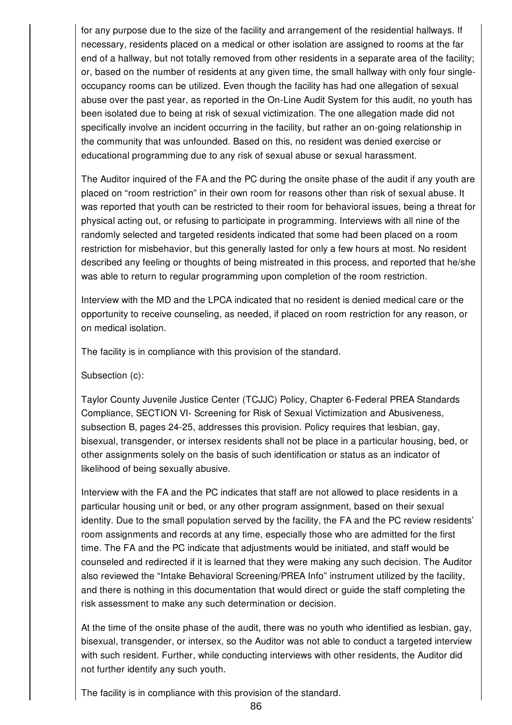for any purpose due to the size of the facility and arrangement of the residential hallways. If necessary, residents placed on a medical or other isolation are assigned to rooms at the far end of a hallway, but not totally removed from other residents in a separate area of the facility; or, based on the number of residents at any given time, the small hallway with only four singleoccupancy rooms can be utilized. Even though the facility has had one allegation of sexual abuse over the past year, as reported in the On-Line Audit System for this audit, no youth has been isolated due to being at risk of sexual victimization. The one allegation made did not specifically involve an incident occurring in the facility, but rather an on-going relationship in the community that was unfounded. Based on this, no resident was denied exercise or educational programming due to any risk of sexual abuse or sexual harassment.

The Auditor inquired of the FA and the PC during the onsite phase of the audit if any youth are placed on "room restriction" in their own room for reasons other than risk of sexual abuse. It was reported that youth can be restricted to their room for behavioral issues, being a threat for physical acting out, or refusing to participate in programming. Interviews with all nine of the randomly selected and targeted residents indicated that some had been placed on a room restriction for misbehavior, but this generally lasted for only a few hours at most. No resident described any feeling or thoughts of being mistreated in this process, and reported that he/she was able to return to regular programming upon completion of the room restriction.

Interview with the MD and the LPCA indicated that no resident is denied medical care or the opportunity to receive counseling, as needed, if placed on room restriction for any reason, or on medical isolation.

The facility is in compliance with this provision of the standard.

Subsection (c):

Taylor County Juvenile Justice Center (TCJJC) Policy, Chapter 6-Federal PREA Standards Compliance, SECTION VI- Screening for Risk of Sexual Victimization and Abusiveness, subsection B, pages 24-25, addresses this provision. Policy requires that lesbian, gay, bisexual, transgender, or intersex residents shall not be place in a particular housing, bed, or other assignments solely on the basis of such identification or status as an indicator of likelihood of being sexually abusive.

Interview with the FA and the PC indicates that staff are not allowed to place residents in a particular housing unit or bed, or any other program assignment, based on their sexual identity. Due to the small population served by the facility, the FA and the PC review residents' room assignments and records at any time, especially those who are admitted for the first time. The FA and the PC indicate that adjustments would be initiated, and staff would be counseled and redirected if it is learned that they were making any such decision. The Auditor also reviewed the "Intake Behavioral Screening/PREA Info" instrument utilized by the facility, and there is nothing in this documentation that would direct or guide the staff completing the risk assessment to make any such determination or decision.

At the time of the onsite phase of the audit, there was no youth who identified as lesbian, gay, bisexual, transgender, or intersex, so the Auditor was not able to conduct a targeted interview with such resident. Further, while conducting interviews with other residents, the Auditor did not further identify any such youth.

The facility is in compliance with this provision of the standard.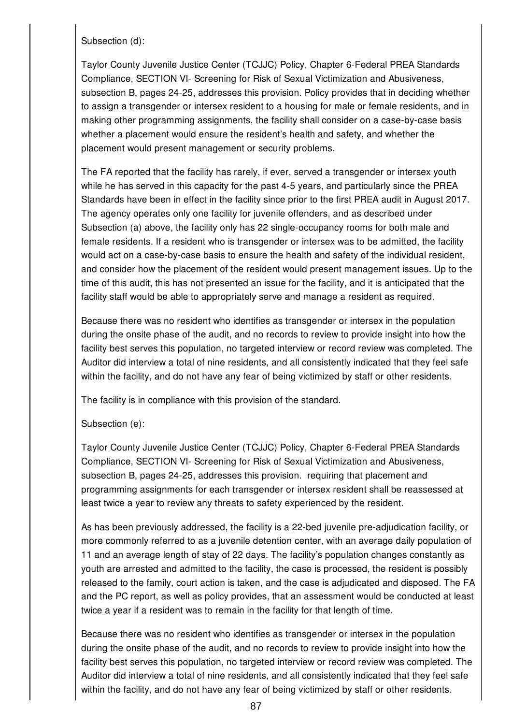Subsection (d):

Taylor County Juvenile Justice Center (TCJJC) Policy, Chapter 6-Federal PREA Standards Compliance, SECTION VI- Screening for Risk of Sexual Victimization and Abusiveness, subsection B, pages 24-25, addresses this provision. Policy provides that in deciding whether to assign a transgender or intersex resident to a housing for male or female residents, and in making other programming assignments, the facility shall consider on a case-by-case basis whether a placement would ensure the resident's health and safety, and whether the placement would present management or security problems.

The FA reported that the facility has rarely, if ever, served a transgender or intersex youth while he has served in this capacity for the past 4-5 years, and particularly since the PREA Standards have been in effect in the facility since prior to the first PREA audit in August 2017. The agency operates only one facility for juvenile offenders, and as described under Subsection (a) above, the facility only has 22 single-occupancy rooms for both male and female residents. If a resident who is transgender or intersex was to be admitted, the facility would act on a case-by-case basis to ensure the health and safety of the individual resident, and consider how the placement of the resident would present management issues. Up to the time of this audit, this has not presented an issue for the facility, and it is anticipated that the facility staff would be able to appropriately serve and manage a resident as required.

Because there was no resident who identifies as transgender or intersex in the population during the onsite phase of the audit, and no records to review to provide insight into how the facility best serves this population, no targeted interview or record review was completed. The Auditor did interview a total of nine residents, and all consistently indicated that they feel safe within the facility, and do not have any fear of being victimized by staff or other residents.

The facility is in compliance with this provision of the standard.

### Subsection (e):

Taylor County Juvenile Justice Center (TCJJC) Policy, Chapter 6-Federal PREA Standards Compliance, SECTION VI- Screening for Risk of Sexual Victimization and Abusiveness, subsection B, pages 24-25, addresses this provision. requiring that placement and programming assignments for each transgender or intersex resident shall be reassessed at least twice a year to review any threats to safety experienced by the resident.

As has been previously addressed, the facility is a 22-bed juvenile pre-adjudication facility, or more commonly referred to as a juvenile detention center, with an average daily population of 11 and an average length of stay of 22 days. The facility's population changes constantly as youth are arrested and admitted to the facility, the case is processed, the resident is possibly released to the family, court action is taken, and the case is adjudicated and disposed. The FA and the PC report, as well as policy provides, that an assessment would be conducted at least twice a year if a resident was to remain in the facility for that length of time.

Because there was no resident who identifies as transgender or intersex in the population during the onsite phase of the audit, and no records to review to provide insight into how the facility best serves this population, no targeted interview or record review was completed. The Auditor did interview a total of nine residents, and all consistently indicated that they feel safe within the facility, and do not have any fear of being victimized by staff or other residents.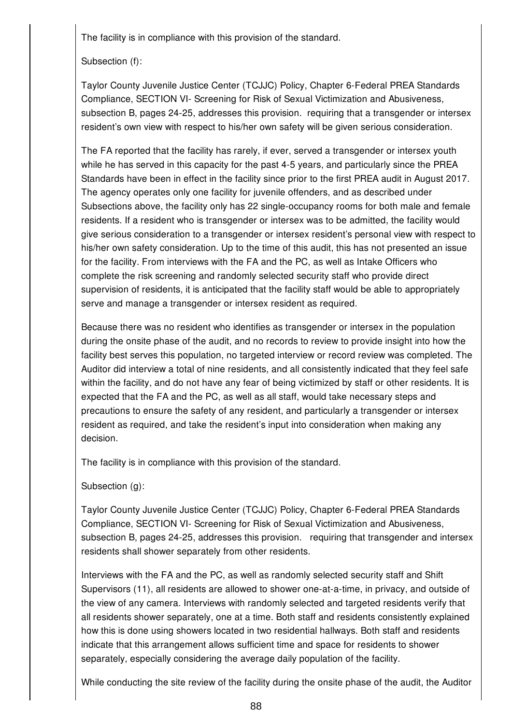The facility is in compliance with this provision of the standard.

## Subsection (f):

Taylor County Juvenile Justice Center (TCJJC) Policy, Chapter 6-Federal PREA Standards Compliance, SECTION VI- Screening for Risk of Sexual Victimization and Abusiveness, subsection B, pages 24-25, addresses this provision. requiring that a transgender or intersex resident's own view with respect to his/her own safety will be given serious consideration.

The FA reported that the facility has rarely, if ever, served a transgender or intersex youth while he has served in this capacity for the past 4-5 years, and particularly since the PREA Standards have been in effect in the facility since prior to the first PREA audit in August 2017. The agency operates only one facility for juvenile offenders, and as described under Subsections above, the facility only has 22 single-occupancy rooms for both male and female residents. If a resident who is transgender or intersex was to be admitted, the facility would give serious consideration to a transgender or intersex resident's personal view with respect to his/her own safety consideration. Up to the time of this audit, this has not presented an issue for the facility. From interviews with the FA and the PC, as well as Intake Officers who complete the risk screening and randomly selected security staff who provide direct supervision of residents, it is anticipated that the facility staff would be able to appropriately serve and manage a transgender or intersex resident as required.

Because there was no resident who identifies as transgender or intersex in the population during the onsite phase of the audit, and no records to review to provide insight into how the facility best serves this population, no targeted interview or record review was completed. The Auditor did interview a total of nine residents, and all consistently indicated that they feel safe within the facility, and do not have any fear of being victimized by staff or other residents. It is expected that the FA and the PC, as well as all staff, would take necessary steps and precautions to ensure the safety of any resident, and particularly a transgender or intersex resident as required, and take the resident's input into consideration when making any decision.

The facility is in compliance with this provision of the standard.

Subsection (g):

Taylor County Juvenile Justice Center (TCJJC) Policy, Chapter 6-Federal PREA Standards Compliance, SECTION VI- Screening for Risk of Sexual Victimization and Abusiveness, subsection B, pages 24-25, addresses this provision. requiring that transgender and intersex residents shall shower separately from other residents.

Interviews with the FA and the PC, as well as randomly selected security staff and Shift Supervisors (11), all residents are allowed to shower one-at-a-time, in privacy, and outside of the view of any camera. Interviews with randomly selected and targeted residents verify that all residents shower separately, one at a time. Both staff and residents consistently explained how this is done using showers located in two residential hallways. Both staff and residents indicate that this arrangement allows sufficient time and space for residents to shower separately, especially considering the average daily population of the facility.

While conducting the site review of the facility during the onsite phase of the audit, the Auditor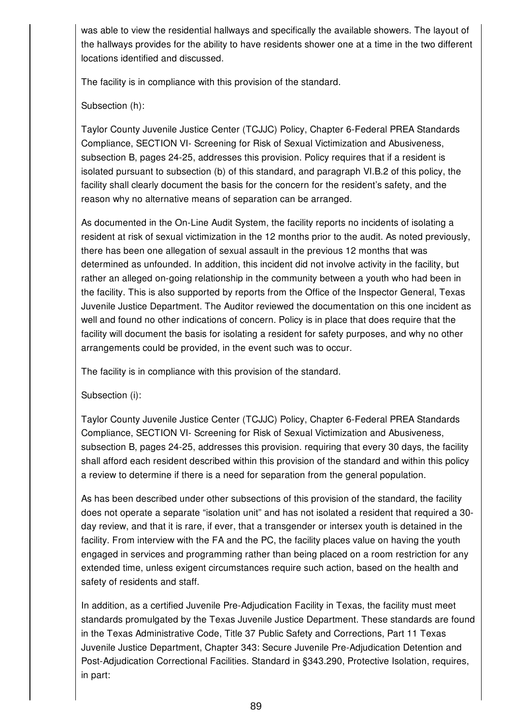was able to view the residential hallways and specifically the available showers. The layout of the hallways provides for the ability to have residents shower one at a time in the two different locations identified and discussed.

The facility is in compliance with this provision of the standard.

Subsection (h):

Taylor County Juvenile Justice Center (TCJJC) Policy, Chapter 6-Federal PREA Standards Compliance, SECTION VI- Screening for Risk of Sexual Victimization and Abusiveness, subsection B, pages 24-25, addresses this provision. Policy requires that if a resident is isolated pursuant to subsection (b) of this standard, and paragraph VI.B.2 of this policy, the facility shall clearly document the basis for the concern for the resident's safety, and the reason why no alternative means of separation can be arranged.

As documented in the On-Line Audit System, the facility reports no incidents of isolating a resident at risk of sexual victimization in the 12 months prior to the audit. As noted previously, there has been one allegation of sexual assault in the previous 12 months that was determined as unfounded. In addition, this incident did not involve activity in the facility, but rather an alleged on-going relationship in the community between a youth who had been in the facility. This is also supported by reports from the Office of the Inspector General, Texas Juvenile Justice Department. The Auditor reviewed the documentation on this one incident as well and found no other indications of concern. Policy is in place that does require that the facility will document the basis for isolating a resident for safety purposes, and why no other arrangements could be provided, in the event such was to occur.

The facility is in compliance with this provision of the standard.

Subsection (i):

Taylor County Juvenile Justice Center (TCJJC) Policy, Chapter 6-Federal PREA Standards Compliance, SECTION VI- Screening for Risk of Sexual Victimization and Abusiveness, subsection B, pages 24-25, addresses this provision. requiring that every 30 days, the facility shall afford each resident described within this provision of the standard and within this policy a review to determine if there is a need for separation from the general population.

As has been described under other subsections of this provision of the standard, the facility does not operate a separate "isolation unit" and has not isolated a resident that required a 30 day review, and that it is rare, if ever, that a transgender or intersex youth is detained in the facility. From interview with the FA and the PC, the facility places value on having the youth engaged in services and programming rather than being placed on a room restriction for any extended time, unless exigent circumstances require such action, based on the health and safety of residents and staff.

In addition, as a certified Juvenile Pre-Adjudication Facility in Texas, the facility must meet standards promulgated by the Texas Juvenile Justice Department. These standards are found in the Texas Administrative Code, Title 37 Public Safety and Corrections, Part 11 Texas Juvenile Justice Department, Chapter 343: Secure Juvenile Pre-Adjudication Detention and Post-Adjudication Correctional Facilities. Standard in §343.290, Protective Isolation, requires, in part: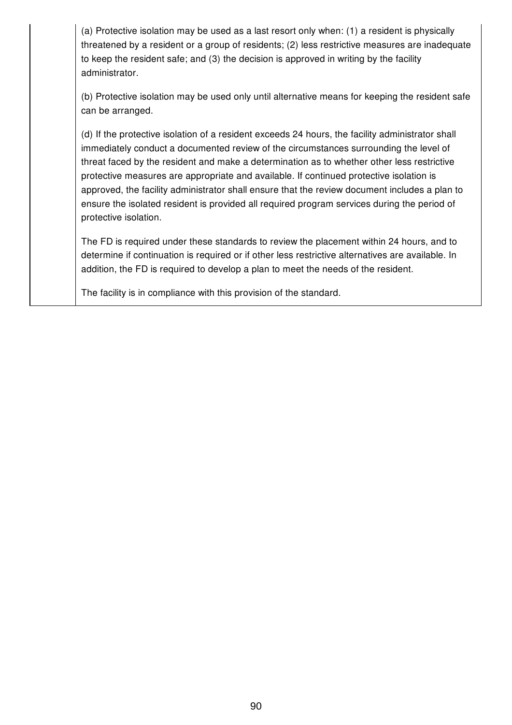(a) Protective isolation may be used as a last resort only when: (1) a resident is physically threatened by a resident or a group of residents; (2) less restrictive measures are inadequate to keep the resident safe; and (3) the decision is approved in writing by the facility administrator.

(b) Protective isolation may be used only until alternative means for keeping the resident safe can be arranged.

(d) If the protective isolation of a resident exceeds 24 hours, the facility administrator shall immediately conduct a documented review of the circumstances surrounding the level of threat faced by the resident and make a determination as to whether other less restrictive protective measures are appropriate and available. If continued protective isolation is approved, the facility administrator shall ensure that the review document includes a plan to ensure the isolated resident is provided all required program services during the period of protective isolation.

The FD is required under these standards to review the placement within 24 hours, and to determine if continuation is required or if other less restrictive alternatives are available. In addition, the FD is required to develop a plan to meet the needs of the resident.

The facility is in compliance with this provision of the standard.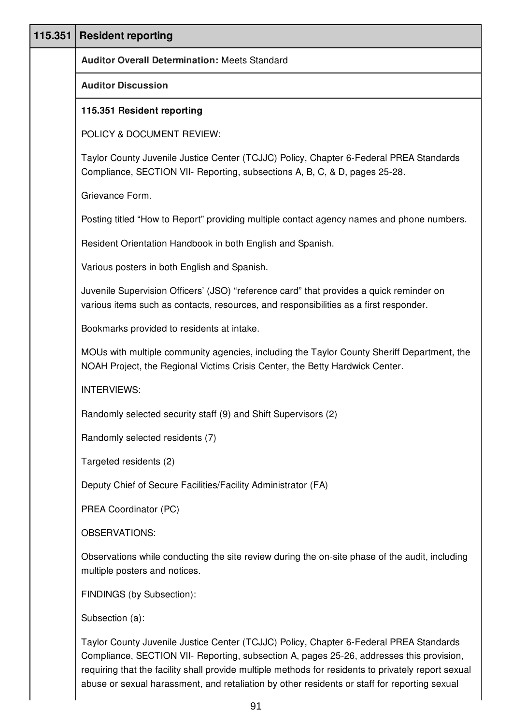| 115.351 | <b>Resident reporting</b>                                                                                                                                                                                                                                                                 |
|---------|-------------------------------------------------------------------------------------------------------------------------------------------------------------------------------------------------------------------------------------------------------------------------------------------|
|         | <b>Auditor Overall Determination: Meets Standard</b>                                                                                                                                                                                                                                      |
|         | <b>Auditor Discussion</b>                                                                                                                                                                                                                                                                 |
|         | 115.351 Resident reporting                                                                                                                                                                                                                                                                |
|         | POLICY & DOCUMENT REVIEW:                                                                                                                                                                                                                                                                 |
|         | Taylor County Juvenile Justice Center (TCJJC) Policy, Chapter 6-Federal PREA Standards<br>Compliance, SECTION VII- Reporting, subsections A, B, C, & D, pages 25-28.                                                                                                                      |
|         | Grievance Form.                                                                                                                                                                                                                                                                           |
|         | Posting titled "How to Report" providing multiple contact agency names and phone numbers.                                                                                                                                                                                                 |
|         | Resident Orientation Handbook in both English and Spanish.                                                                                                                                                                                                                                |
|         | Various posters in both English and Spanish.                                                                                                                                                                                                                                              |
|         | Juvenile Supervision Officers' (JSO) "reference card" that provides a quick reminder on<br>various items such as contacts, resources, and responsibilities as a first responder.                                                                                                          |
|         | Bookmarks provided to residents at intake.                                                                                                                                                                                                                                                |
|         | MOUs with multiple community agencies, including the Taylor County Sheriff Department, the<br>NOAH Project, the Regional Victims Crisis Center, the Betty Hardwick Center.                                                                                                                |
|         | <b>INTERVIEWS:</b>                                                                                                                                                                                                                                                                        |
|         | Randomly selected security staff (9) and Shift Supervisors (2)                                                                                                                                                                                                                            |
|         | Randomly selected residents (7)                                                                                                                                                                                                                                                           |
|         | Targeted residents (2)                                                                                                                                                                                                                                                                    |
|         | Deputy Chief of Secure Facilities/Facility Administrator (FA)                                                                                                                                                                                                                             |
|         | PREA Coordinator (PC)                                                                                                                                                                                                                                                                     |
|         | <b>OBSERVATIONS:</b>                                                                                                                                                                                                                                                                      |
|         | Observations while conducting the site review during the on-site phase of the audit, including<br>multiple posters and notices.                                                                                                                                                           |
|         | FINDINGS (by Subsection):                                                                                                                                                                                                                                                                 |
|         | Subsection (a):                                                                                                                                                                                                                                                                           |
|         | Taylor County Juvenile Justice Center (TCJJC) Policy, Chapter 6-Federal PREA Standards<br>Compliance, SECTION VII- Reporting, subsection A, pages 25-26, addresses this provision,<br>requiring that the facility shall provide multiple methods for residents to privately report sexual |

abuse or sexual harassment, and retaliation by other residents or staff for reporting sexual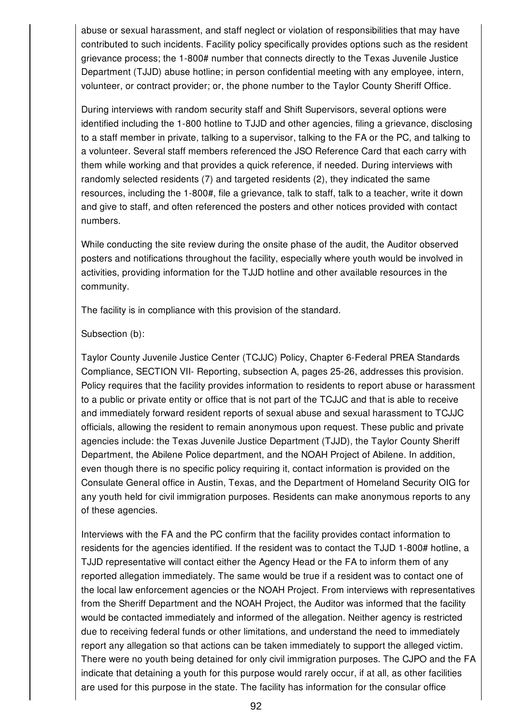abuse or sexual harassment, and staff neglect or violation of responsibilities that may have contributed to such incidents. Facility policy specifically provides options such as the resident grievance process; the 1-800# number that connects directly to the Texas Juvenile Justice Department (TJJD) abuse hotline; in person confidential meeting with any employee, intern, volunteer, or contract provider; or, the phone number to the Taylor County Sheriff Office.

During interviews with random security staff and Shift Supervisors, several options were identified including the 1-800 hotline to TJJD and other agencies, filing a grievance, disclosing to a staff member in private, talking to a supervisor, talking to the FA or the PC, and talking to a volunteer. Several staff members referenced the JSO Reference Card that each carry with them while working and that provides a quick reference, if needed. During interviews with randomly selected residents (7) and targeted residents (2), they indicated the same resources, including the 1-800#, file a grievance, talk to staff, talk to a teacher, write it down and give to staff, and often referenced the posters and other notices provided with contact numbers.

While conducting the site review during the onsite phase of the audit, the Auditor observed posters and notifications throughout the facility, especially where youth would be involved in activities, providing information for the TJJD hotline and other available resources in the community.

The facility is in compliance with this provision of the standard.

### Subsection (b):

Taylor County Juvenile Justice Center (TCJJC) Policy, Chapter 6-Federal PREA Standards Compliance, SECTION VII- Reporting, subsection A, pages 25-26, addresses this provision. Policy requires that the facility provides information to residents to report abuse or harassment to a public or private entity or office that is not part of the TCJJC and that is able to receive and immediately forward resident reports of sexual abuse and sexual harassment to TCJJC officials, allowing the resident to remain anonymous upon request. These public and private agencies include: the Texas Juvenile Justice Department (TJJD), the Taylor County Sheriff Department, the Abilene Police department, and the NOAH Project of Abilene. In addition, even though there is no specific policy requiring it, contact information is provided on the Consulate General office in Austin, Texas, and the Department of Homeland Security OIG for any youth held for civil immigration purposes. Residents can make anonymous reports to any of these agencies.

Interviews with the FA and the PC confirm that the facility provides contact information to residents for the agencies identified. If the resident was to contact the TJJD 1-800# hotline, a TJJD representative will contact either the Agency Head or the FA to inform them of any reported allegation immediately. The same would be true if a resident was to contact one of the local law enforcement agencies or the NOAH Project. From interviews with representatives from the Sheriff Department and the NOAH Project, the Auditor was informed that the facility would be contacted immediately and informed of the allegation. Neither agency is restricted due to receiving federal funds or other limitations, and understand the need to immediately report any allegation so that actions can be taken immediately to support the alleged victim. There were no youth being detained for only civil immigration purposes. The CJPO and the FA indicate that detaining a youth for this purpose would rarely occur, if at all, as other facilities are used for this purpose in the state. The facility has information for the consular office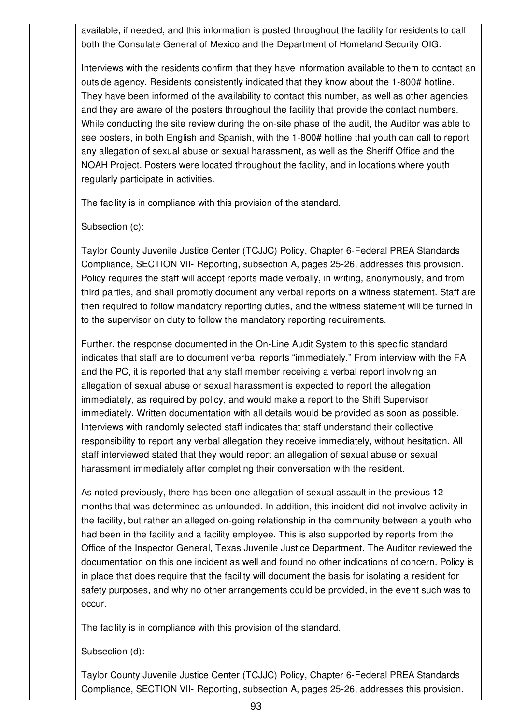available, if needed, and this information is posted throughout the facility for residents to call both the Consulate General of Mexico and the Department of Homeland Security OIG.

Interviews with the residents confirm that they have information available to them to contact an outside agency. Residents consistently indicated that they know about the 1-800# hotline. They have been informed of the availability to contact this number, as well as other agencies, and they are aware of the posters throughout the facility that provide the contact numbers. While conducting the site review during the on-site phase of the audit, the Auditor was able to see posters, in both English and Spanish, with the 1-800# hotline that youth can call to report any allegation of sexual abuse or sexual harassment, as well as the Sheriff Office and the NOAH Project. Posters were located throughout the facility, and in locations where youth regularly participate in activities.

The facility is in compliance with this provision of the standard.

### Subsection (c):

Taylor County Juvenile Justice Center (TCJJC) Policy, Chapter 6-Federal PREA Standards Compliance, SECTION VII- Reporting, subsection A, pages 25-26, addresses this provision. Policy requires the staff will accept reports made verbally, in writing, anonymously, and from third parties, and shall promptly document any verbal reports on a witness statement. Staff are then required to follow mandatory reporting duties, and the witness statement will be turned in to the supervisor on duty to follow the mandatory reporting requirements.

Further, the response documented in the On-Line Audit System to this specific standard indicates that staff are to document verbal reports "immediately." From interview with the FA and the PC, it is reported that any staff member receiving a verbal report involving an allegation of sexual abuse or sexual harassment is expected to report the allegation immediately, as required by policy, and would make a report to the Shift Supervisor immediately. Written documentation with all details would be provided as soon as possible. Interviews with randomly selected staff indicates that staff understand their collective responsibility to report any verbal allegation they receive immediately, without hesitation. All staff interviewed stated that they would report an allegation of sexual abuse or sexual harassment immediately after completing their conversation with the resident.

As noted previously, there has been one allegation of sexual assault in the previous 12 months that was determined as unfounded. In addition, this incident did not involve activity in the facility, but rather an alleged on-going relationship in the community between a youth who had been in the facility and a facility employee. This is also supported by reports from the Office of the Inspector General, Texas Juvenile Justice Department. The Auditor reviewed the documentation on this one incident as well and found no other indications of concern. Policy is in place that does require that the facility will document the basis for isolating a resident for safety purposes, and why no other arrangements could be provided, in the event such was to occur.

The facility is in compliance with this provision of the standard.

### Subsection (d):

Taylor County Juvenile Justice Center (TCJJC) Policy, Chapter 6-Federal PREA Standards Compliance, SECTION VII- Reporting, subsection A, pages 25-26, addresses this provision.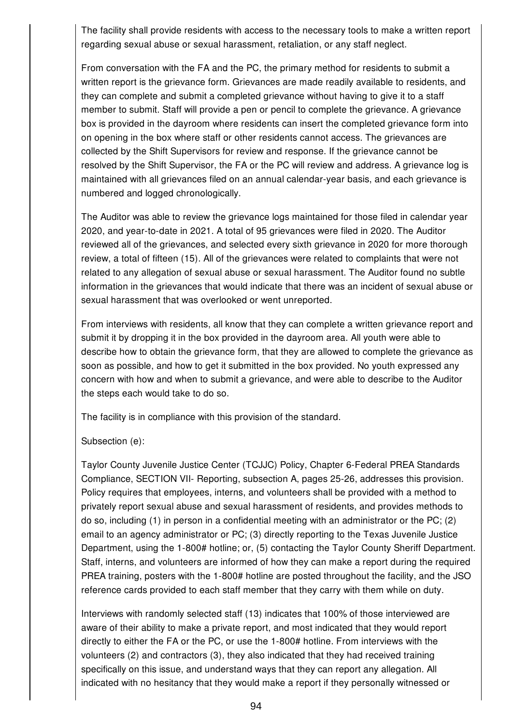The facility shall provide residents with access to the necessary tools to make a written report regarding sexual abuse or sexual harassment, retaliation, or any staff neglect.

From conversation with the FA and the PC, the primary method for residents to submit a written report is the grievance form. Grievances are made readily available to residents, and they can complete and submit a completed grievance without having to give it to a staff member to submit. Staff will provide a pen or pencil to complete the grievance. A grievance box is provided in the dayroom where residents can insert the completed grievance form into on opening in the box where staff or other residents cannot access. The grievances are collected by the Shift Supervisors for review and response. If the grievance cannot be resolved by the Shift Supervisor, the FA or the PC will review and address. A grievance log is maintained with all grievances filed on an annual calendar-year basis, and each grievance is numbered and logged chronologically.

The Auditor was able to review the grievance logs maintained for those filed in calendar year 2020, and year-to-date in 2021. A total of 95 grievances were filed in 2020. The Auditor reviewed all of the grievances, and selected every sixth grievance in 2020 for more thorough review, a total of fifteen (15). All of the grievances were related to complaints that were not related to any allegation of sexual abuse or sexual harassment. The Auditor found no subtle information in the grievances that would indicate that there was an incident of sexual abuse or sexual harassment that was overlooked or went unreported.

From interviews with residents, all know that they can complete a written grievance report and submit it by dropping it in the box provided in the dayroom area. All youth were able to describe how to obtain the grievance form, that they are allowed to complete the grievance as soon as possible, and how to get it submitted in the box provided. No youth expressed any concern with how and when to submit a grievance, and were able to describe to the Auditor the steps each would take to do so.

The facility is in compliance with this provision of the standard.

### Subsection (e):

Taylor County Juvenile Justice Center (TCJJC) Policy, Chapter 6-Federal PREA Standards Compliance, SECTION VII- Reporting, subsection A, pages 25-26, addresses this provision. Policy requires that employees, interns, and volunteers shall be provided with a method to privately report sexual abuse and sexual harassment of residents, and provides methods to do so, including (1) in person in a confidential meeting with an administrator or the PC; (2) email to an agency administrator or PC; (3) directly reporting to the Texas Juvenile Justice Department, using the 1-800# hotline; or, (5) contacting the Taylor County Sheriff Department. Staff, interns, and volunteers are informed of how they can make a report during the required PREA training, posters with the 1-800# hotline are posted throughout the facility, and the JSO reference cards provided to each staff member that they carry with them while on duty.

Interviews with randomly selected staff (13) indicates that 100% of those interviewed are aware of their ability to make a private report, and most indicated that they would report directly to either the FA or the PC, or use the 1-800# hotline. From interviews with the volunteers (2) and contractors (3), they also indicated that they had received training specifically on this issue, and understand ways that they can report any allegation. All indicated with no hesitancy that they would make a report if they personally witnessed or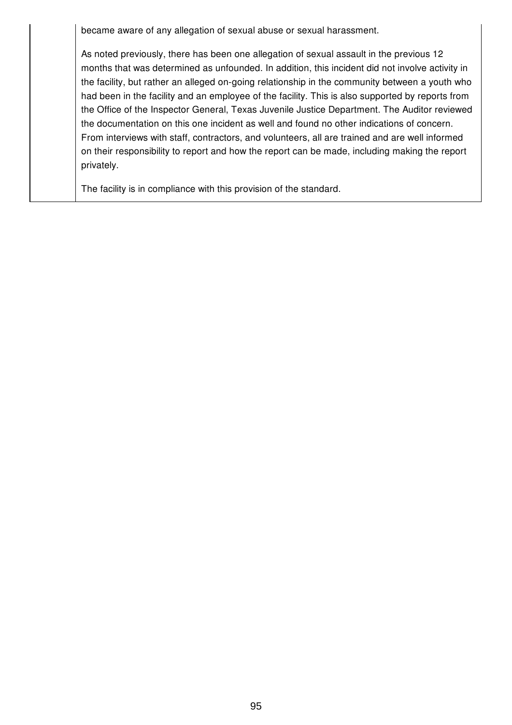became aware of any allegation of sexual abuse or sexual harassment.

As noted previously, there has been one allegation of sexual assault in the previous 12 months that was determined as unfounded. In addition, this incident did not involve activity in the facility, but rather an alleged on-going relationship in the community between a youth who had been in the facility and an employee of the facility. This is also supported by reports from the Office of the Inspector General, Texas Juvenile Justice Department. The Auditor reviewed the documentation on this one incident as well and found no other indications of concern. From interviews with staff, contractors, and volunteers, all are trained and are well informed on their responsibility to report and how the report can be made, including making the report privately.

The facility is in compliance with this provision of the standard.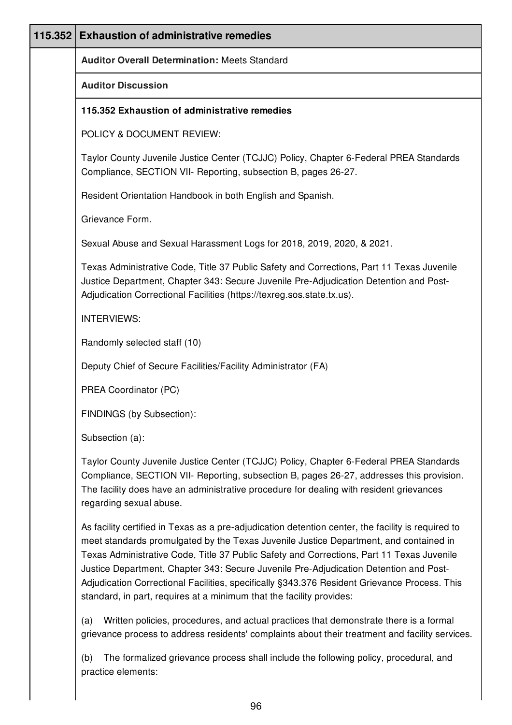| 115.352 | <b>Exhaustion of administrative remedies</b>                                                                                                                                                                                                                                                                                                                                                                                                                                      |
|---------|-----------------------------------------------------------------------------------------------------------------------------------------------------------------------------------------------------------------------------------------------------------------------------------------------------------------------------------------------------------------------------------------------------------------------------------------------------------------------------------|
|         | <b>Auditor Overall Determination: Meets Standard</b>                                                                                                                                                                                                                                                                                                                                                                                                                              |
|         | <b>Auditor Discussion</b>                                                                                                                                                                                                                                                                                                                                                                                                                                                         |
|         | 115.352 Exhaustion of administrative remedies                                                                                                                                                                                                                                                                                                                                                                                                                                     |
|         | POLICY & DOCUMENT REVIEW:                                                                                                                                                                                                                                                                                                                                                                                                                                                         |
|         | Taylor County Juvenile Justice Center (TCJJC) Policy, Chapter 6-Federal PREA Standards<br>Compliance, SECTION VII- Reporting, subsection B, pages 26-27.                                                                                                                                                                                                                                                                                                                          |
|         | Resident Orientation Handbook in both English and Spanish.                                                                                                                                                                                                                                                                                                                                                                                                                        |
|         | Grievance Form.                                                                                                                                                                                                                                                                                                                                                                                                                                                                   |
|         | Sexual Abuse and Sexual Harassment Logs for 2018, 2019, 2020, & 2021.                                                                                                                                                                                                                                                                                                                                                                                                             |
|         | Texas Administrative Code, Title 37 Public Safety and Corrections, Part 11 Texas Juvenile<br>Justice Department, Chapter 343: Secure Juvenile Pre-Adjudication Detention and Post-<br>Adjudication Correctional Facilities (https://texreg.sos.state.tx.us).                                                                                                                                                                                                                      |
|         | <b>INTERVIEWS:</b>                                                                                                                                                                                                                                                                                                                                                                                                                                                                |
|         | Randomly selected staff (10)                                                                                                                                                                                                                                                                                                                                                                                                                                                      |
|         | Deputy Chief of Secure Facilities/Facility Administrator (FA)                                                                                                                                                                                                                                                                                                                                                                                                                     |
|         | PREA Coordinator (PC)                                                                                                                                                                                                                                                                                                                                                                                                                                                             |
|         | FINDINGS (by Subsection):                                                                                                                                                                                                                                                                                                                                                                                                                                                         |
|         | Subsection (a):                                                                                                                                                                                                                                                                                                                                                                                                                                                                   |
|         | Taylor County Juvenile Justice Center (TCJJC) Policy, Chapter 6-Federal PREA Standards<br>Compliance, SECTION VII- Reporting, subsection B, pages 26-27, addresses this provision.<br>The facility does have an administrative procedure for dealing with resident grievances<br>regarding sexual abuse.                                                                                                                                                                          |
|         | As facility certified in Texas as a pre-adjudication detention center, the facility is required to<br>meet standards promulgated by the Texas Juvenile Justice Department, and contained in<br>Texas Administrative Code, Title 37 Public Safety and Corrections, Part 11 Texas Juvenile<br>Justice Department, Chapter 343: Secure Juvenile Pre-Adjudication Detention and Post-<br>Adjudication Correctional Facilities, specifically §343.376 Resident Grievance Process. This |

(a) Written policies, procedures, and actual practices that demonstrate there is a formal grievance process to address residents' complaints about their treatment and facility services.

(b) The formalized grievance process shall include the following policy, procedural, and practice elements:

standard, in part, requires at a minimum that the facility provides: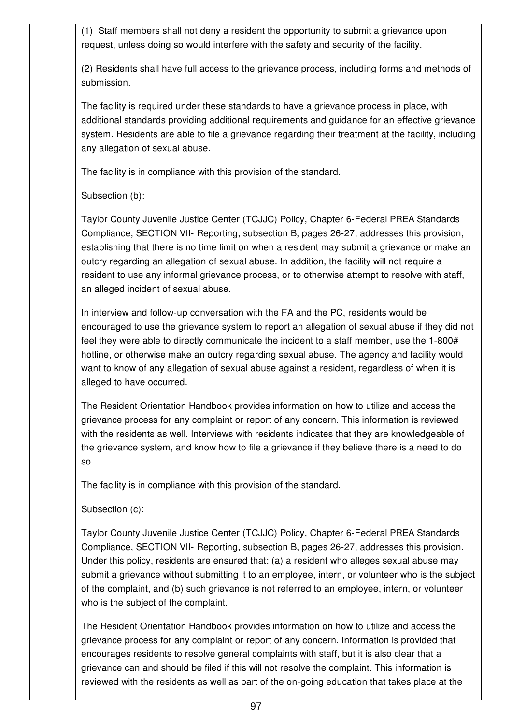(1) Staff members shall not deny a resident the opportunity to submit a grievance upon request, unless doing so would interfere with the safety and security of the facility.

(2) Residents shall have full access to the grievance process, including forms and methods of submission.

The facility is required under these standards to have a grievance process in place, with additional standards providing additional requirements and guidance for an effective grievance system. Residents are able to file a grievance regarding their treatment at the facility, including any allegation of sexual abuse.

The facility is in compliance with this provision of the standard.

### Subsection (b):

Taylor County Juvenile Justice Center (TCJJC) Policy, Chapter 6-Federal PREA Standards Compliance, SECTION VII- Reporting, subsection B, pages 26-27, addresses this provision, establishing that there is no time limit on when a resident may submit a grievance or make an outcry regarding an allegation of sexual abuse. In addition, the facility will not require a resident to use any informal grievance process, or to otherwise attempt to resolve with staff, an alleged incident of sexual abuse.

In interview and follow-up conversation with the FA and the PC, residents would be encouraged to use the grievance system to report an allegation of sexual abuse if they did not feel they were able to directly communicate the incident to a staff member, use the 1-800# hotline, or otherwise make an outcry regarding sexual abuse. The agency and facility would want to know of any allegation of sexual abuse against a resident, regardless of when it is alleged to have occurred.

The Resident Orientation Handbook provides information on how to utilize and access the grievance process for any complaint or report of any concern. This information is reviewed with the residents as well. Interviews with residents indicates that they are knowledgeable of the grievance system, and know how to file a grievance if they believe there is a need to do so.

The facility is in compliance with this provision of the standard.

### Subsection (c):

Taylor County Juvenile Justice Center (TCJJC) Policy, Chapter 6-Federal PREA Standards Compliance, SECTION VII- Reporting, subsection B, pages 26-27, addresses this provision. Under this policy, residents are ensured that: (a) a resident who alleges sexual abuse may submit a grievance without submitting it to an employee, intern, or volunteer who is the subject of the complaint, and (b) such grievance is not referred to an employee, intern, or volunteer who is the subject of the complaint.

The Resident Orientation Handbook provides information on how to utilize and access the grievance process for any complaint or report of any concern. Information is provided that encourages residents to resolve general complaints with staff, but it is also clear that a grievance can and should be filed if this will not resolve the complaint. This information is reviewed with the residents as well as part of the on-going education that takes place at the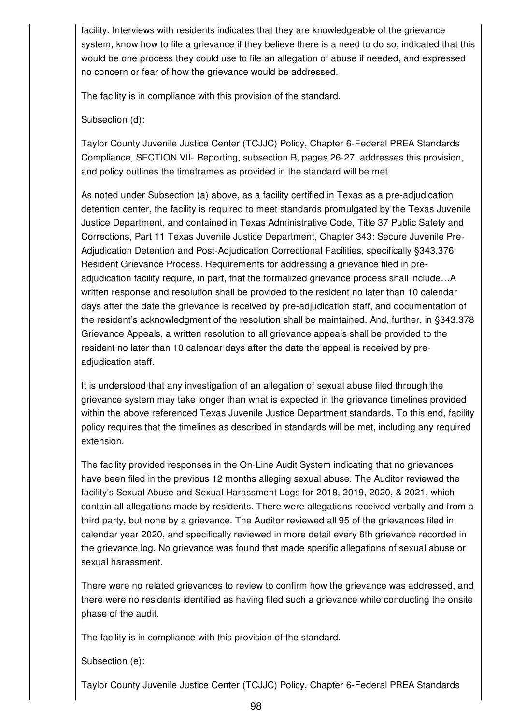facility. Interviews with residents indicates that they are knowledgeable of the grievance system, know how to file a grievance if they believe there is a need to do so, indicated that this would be one process they could use to file an allegation of abuse if needed, and expressed no concern or fear of how the grievance would be addressed.

The facility is in compliance with this provision of the standard.

Subsection (d):

Taylor County Juvenile Justice Center (TCJJC) Policy, Chapter 6-Federal PREA Standards Compliance, SECTION VII- Reporting, subsection B, pages 26-27, addresses this provision, and policy outlines the timeframes as provided in the standard will be met.

As noted under Subsection (a) above, as a facility certified in Texas as a pre-adjudication detention center, the facility is required to meet standards promulgated by the Texas Juvenile Justice Department, and contained in Texas Administrative Code, Title 37 Public Safety and Corrections, Part 11 Texas Juvenile Justice Department, Chapter 343: Secure Juvenile Pre-Adjudication Detention and Post-Adjudication Correctional Facilities, specifically §343.376 Resident Grievance Process. Requirements for addressing a grievance filed in preadjudication facility require, in part, that the formalized grievance process shall include…A written response and resolution shall be provided to the resident no later than 10 calendar days after the date the grievance is received by pre-adjudication staff, and documentation of the resident's acknowledgment of the resolution shall be maintained. And, further, in §343.378 Grievance Appeals, a written resolution to all grievance appeals shall be provided to the resident no later than 10 calendar days after the date the appeal is received by preadjudication staff.

It is understood that any investigation of an allegation of sexual abuse filed through the grievance system may take longer than what is expected in the grievance timelines provided within the above referenced Texas Juvenile Justice Department standards. To this end, facility policy requires that the timelines as described in standards will be met, including any required extension.

The facility provided responses in the On-Line Audit System indicating that no grievances have been filed in the previous 12 months alleging sexual abuse. The Auditor reviewed the facility's Sexual Abuse and Sexual Harassment Logs for 2018, 2019, 2020, & 2021, which contain all allegations made by residents. There were allegations received verbally and from a third party, but none by a grievance. The Auditor reviewed all 95 of the grievances filed in calendar year 2020, and specifically reviewed in more detail every 6th grievance recorded in the grievance log. No grievance was found that made specific allegations of sexual abuse or sexual harassment.

There were no related grievances to review to confirm how the grievance was addressed, and there were no residents identified as having filed such a grievance while conducting the onsite phase of the audit.

The facility is in compliance with this provision of the standard.

Subsection (e):

Taylor County Juvenile Justice Center (TCJJC) Policy, Chapter 6-Federal PREA Standards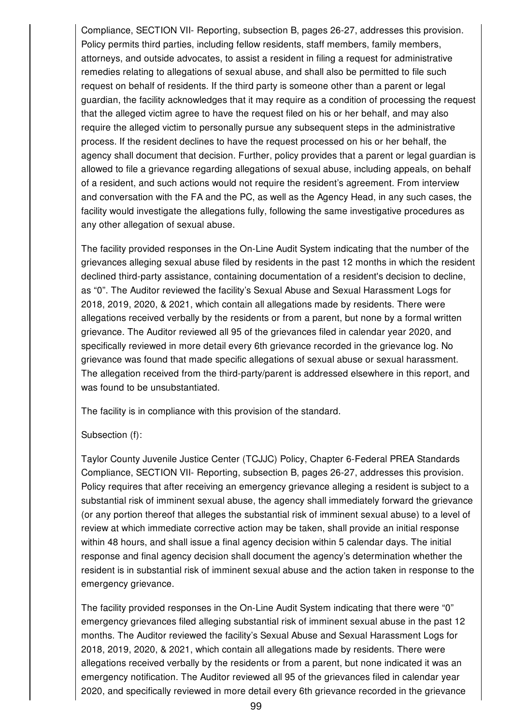Compliance, SECTION VII- Reporting, subsection B, pages 26-27, addresses this provision. Policy permits third parties, including fellow residents, staff members, family members, attorneys, and outside advocates, to assist a resident in filing a request for administrative remedies relating to allegations of sexual abuse, and shall also be permitted to file such request on behalf of residents. If the third party is someone other than a parent or legal guardian, the facility acknowledges that it may require as a condition of processing the request that the alleged victim agree to have the request filed on his or her behalf, and may also require the alleged victim to personally pursue any subsequent steps in the administrative process. If the resident declines to have the request processed on his or her behalf, the agency shall document that decision. Further, policy provides that a parent or legal guardian is allowed to file a grievance regarding allegations of sexual abuse, including appeals, on behalf of a resident, and such actions would not require the resident's agreement. From interview and conversation with the FA and the PC, as well as the Agency Head, in any such cases, the facility would investigate the allegations fully, following the same investigative procedures as any other allegation of sexual abuse.

The facility provided responses in the On-Line Audit System indicating that the number of the grievances alleging sexual abuse filed by residents in the past 12 months in which the resident declined third-party assistance, containing documentation of a resident's decision to decline, as "0". The Auditor reviewed the facility's Sexual Abuse and Sexual Harassment Logs for 2018, 2019, 2020, & 2021, which contain all allegations made by residents. There were allegations received verbally by the residents or from a parent, but none by a formal written grievance. The Auditor reviewed all 95 of the grievances filed in calendar year 2020, and specifically reviewed in more detail every 6th grievance recorded in the grievance log. No grievance was found that made specific allegations of sexual abuse or sexual harassment. The allegation received from the third-party/parent is addressed elsewhere in this report, and was found to be unsubstantiated.

The facility is in compliance with this provision of the standard.

### Subsection (f):

Taylor County Juvenile Justice Center (TCJJC) Policy, Chapter 6-Federal PREA Standards Compliance, SECTION VII- Reporting, subsection B, pages 26-27, addresses this provision. Policy requires that after receiving an emergency grievance alleging a resident is subject to a substantial risk of imminent sexual abuse, the agency shall immediately forward the grievance (or any portion thereof that alleges the substantial risk of imminent sexual abuse) to a level of review at which immediate corrective action may be taken, shall provide an initial response within 48 hours, and shall issue a final agency decision within 5 calendar days. The initial response and final agency decision shall document the agency's determination whether the resident is in substantial risk of imminent sexual abuse and the action taken in response to the emergency grievance.

The facility provided responses in the On-Line Audit System indicating that there were "0" emergency grievances filed alleging substantial risk of imminent sexual abuse in the past 12 months. The Auditor reviewed the facility's Sexual Abuse and Sexual Harassment Logs for 2018, 2019, 2020, & 2021, which contain all allegations made by residents. There were allegations received verbally by the residents or from a parent, but none indicated it was an emergency notification. The Auditor reviewed all 95 of the grievances filed in calendar year 2020, and specifically reviewed in more detail every 6th grievance recorded in the grievance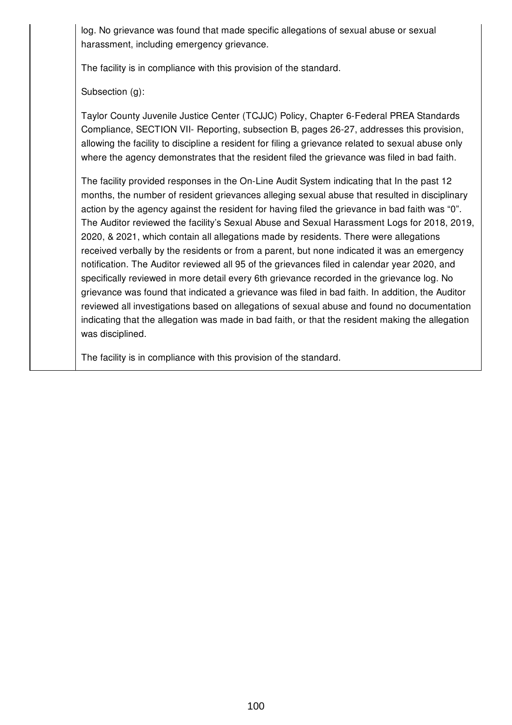log. No grievance was found that made specific allegations of sexual abuse or sexual harassment, including emergency grievance.

The facility is in compliance with this provision of the standard.

Subsection (g):

Taylor County Juvenile Justice Center (TCJJC) Policy, Chapter 6-Federal PREA Standards Compliance, SECTION VII- Reporting, subsection B, pages 26-27, addresses this provision, allowing the facility to discipline a resident for filing a grievance related to sexual abuse only where the agency demonstrates that the resident filed the grievance was filed in bad faith.

The facility provided responses in the On-Line Audit System indicating that In the past 12 months, the number of resident grievances alleging sexual abuse that resulted in disciplinary action by the agency against the resident for having filed the grievance in bad faith was "0". The Auditor reviewed the facility's Sexual Abuse and Sexual Harassment Logs for 2018, 2019, 2020, & 2021, which contain all allegations made by residents. There were allegations received verbally by the residents or from a parent, but none indicated it was an emergency notification. The Auditor reviewed all 95 of the grievances filed in calendar year 2020, and specifically reviewed in more detail every 6th grievance recorded in the grievance log. No grievance was found that indicated a grievance was filed in bad faith. In addition, the Auditor reviewed all investigations based on allegations of sexual abuse and found no documentation indicating that the allegation was made in bad faith, or that the resident making the allegation was disciplined.

The facility is in compliance with this provision of the standard.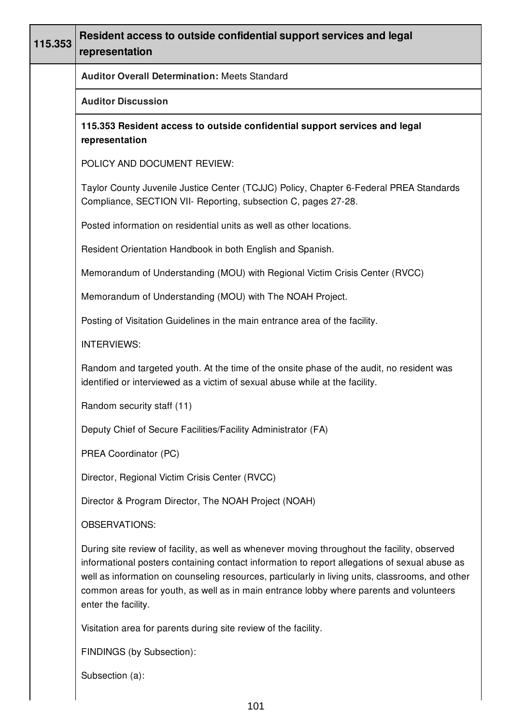| 115.353 | Resident access to outside confidential support services and legal<br>representation                                                                                                                                                                                                                                                                                                                               |
|---------|--------------------------------------------------------------------------------------------------------------------------------------------------------------------------------------------------------------------------------------------------------------------------------------------------------------------------------------------------------------------------------------------------------------------|
|         | <b>Auditor Overall Determination: Meets Standard</b>                                                                                                                                                                                                                                                                                                                                                               |
|         | <b>Auditor Discussion</b>                                                                                                                                                                                                                                                                                                                                                                                          |
|         | 115.353 Resident access to outside confidential support services and legal<br>representation                                                                                                                                                                                                                                                                                                                       |
|         | POLICY AND DOCUMENT REVIEW:                                                                                                                                                                                                                                                                                                                                                                                        |
|         | Taylor County Juvenile Justice Center (TCJJC) Policy, Chapter 6-Federal PREA Standards<br>Compliance, SECTION VII- Reporting, subsection C, pages 27-28.                                                                                                                                                                                                                                                           |
|         | Posted information on residential units as well as other locations.                                                                                                                                                                                                                                                                                                                                                |
|         | Resident Orientation Handbook in both English and Spanish.                                                                                                                                                                                                                                                                                                                                                         |
|         | Memorandum of Understanding (MOU) with Regional Victim Crisis Center (RVCC)                                                                                                                                                                                                                                                                                                                                        |
|         | Memorandum of Understanding (MOU) with The NOAH Project.                                                                                                                                                                                                                                                                                                                                                           |
|         | Posting of Visitation Guidelines in the main entrance area of the facility.                                                                                                                                                                                                                                                                                                                                        |
|         | <b>INTERVIEWS:</b>                                                                                                                                                                                                                                                                                                                                                                                                 |
|         | Random and targeted youth. At the time of the onsite phase of the audit, no resident was<br>identified or interviewed as a victim of sexual abuse while at the facility.                                                                                                                                                                                                                                           |
|         | Random security staff (11)                                                                                                                                                                                                                                                                                                                                                                                         |
|         | Deputy Chief of Secure Facilities/Facility Administrator (FA)                                                                                                                                                                                                                                                                                                                                                      |
|         | PREA Coordinator (PC)                                                                                                                                                                                                                                                                                                                                                                                              |
|         | Director, Regional Victim Crisis Center (RVCC)                                                                                                                                                                                                                                                                                                                                                                     |
|         | Director & Program Director, The NOAH Project (NOAH)                                                                                                                                                                                                                                                                                                                                                               |
|         | OBSERVATIONS:                                                                                                                                                                                                                                                                                                                                                                                                      |
|         | During site review of facility, as well as whenever moving throughout the facility, observed<br>informational posters containing contact information to report allegations of sexual abuse as<br>well as information on counseling resources, particularly in living units, classrooms, and other<br>common areas for youth, as well as in main entrance lobby where parents and volunteers<br>enter the facility. |
|         | Visitation area for parents during site review of the facility.                                                                                                                                                                                                                                                                                                                                                    |
|         | FINDINGS (by Subsection):                                                                                                                                                                                                                                                                                                                                                                                          |

Subsection (a):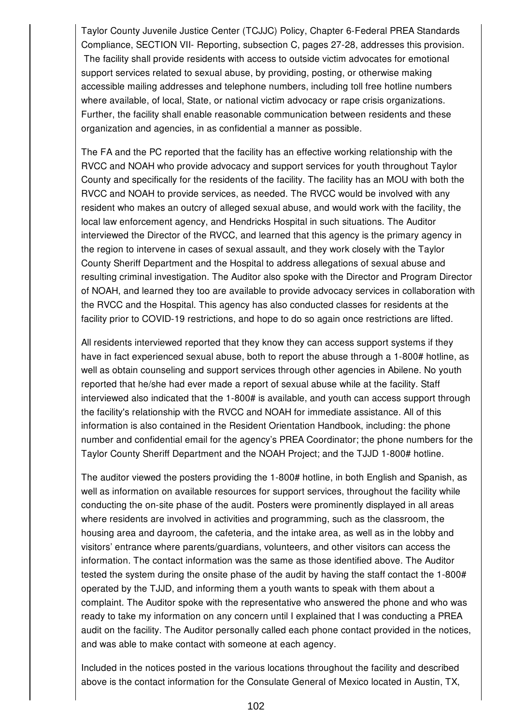Taylor County Juvenile Justice Center (TCJJC) Policy, Chapter 6-Federal PREA Standards Compliance, SECTION VII- Reporting, subsection C, pages 27-28, addresses this provision. The facility shall provide residents with access to outside victim advocates for emotional support services related to sexual abuse, by providing, posting, or otherwise making accessible mailing addresses and telephone numbers, including toll free hotline numbers where available, of local, State, or national victim advocacy or rape crisis organizations. Further, the facility shall enable reasonable communication between residents and these organization and agencies, in as confidential a manner as possible.

The FA and the PC reported that the facility has an effective working relationship with the RVCC and NOAH who provide advocacy and support services for youth throughout Taylor County and specifically for the residents of the facility. The facility has an MOU with both the RVCC and NOAH to provide services, as needed. The RVCC would be involved with any resident who makes an outcry of alleged sexual abuse, and would work with the facility, the local law enforcement agency, and Hendricks Hospital in such situations. The Auditor interviewed the Director of the RVCC, and learned that this agency is the primary agency in the region to intervene in cases of sexual assault, and they work closely with the Taylor County Sheriff Department and the Hospital to address allegations of sexual abuse and resulting criminal investigation. The Auditor also spoke with the Director and Program Director of NOAH, and learned they too are available to provide advocacy services in collaboration with the RVCC and the Hospital. This agency has also conducted classes for residents at the facility prior to COVID-19 restrictions, and hope to do so again once restrictions are lifted.

All residents interviewed reported that they know they can access support systems if they have in fact experienced sexual abuse, both to report the abuse through a 1-800# hotline, as well as obtain counseling and support services through other agencies in Abilene. No youth reported that he/she had ever made a report of sexual abuse while at the facility. Staff interviewed also indicated that the 1-800# is available, and youth can access support through the facility's relationship with the RVCC and NOAH for immediate assistance. All of this information is also contained in the Resident Orientation Handbook, including: the phone number and confidential email for the agency's PREA Coordinator; the phone numbers for the Taylor County Sheriff Department and the NOAH Project; and the TJJD 1-800# hotline.

The auditor viewed the posters providing the 1-800# hotline, in both English and Spanish, as well as information on available resources for support services, throughout the facility while conducting the on-site phase of the audit. Posters were prominently displayed in all areas where residents are involved in activities and programming, such as the classroom, the housing area and dayroom, the cafeteria, and the intake area, as well as in the lobby and visitors' entrance where parents/guardians, volunteers, and other visitors can access the information. The contact information was the same as those identified above. The Auditor tested the system during the onsite phase of the audit by having the staff contact the 1-800# operated by the TJJD, and informing them a youth wants to speak with them about a complaint. The Auditor spoke with the representative who answered the phone and who was ready to take my information on any concern until I explained that I was conducting a PREA audit on the facility. The Auditor personally called each phone contact provided in the notices, and was able to make contact with someone at each agency.

Included in the notices posted in the various locations throughout the facility and described above is the contact information for the Consulate General of Mexico located in Austin, TX,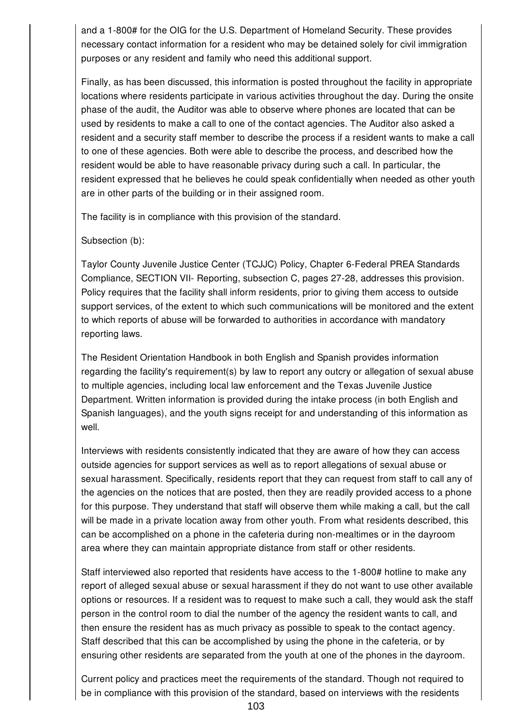and a 1-800# for the OIG for the U.S. Department of Homeland Security. These provides necessary contact information for a resident who may be detained solely for civil immigration purposes or any resident and family who need this additional support.

Finally, as has been discussed, this information is posted throughout the facility in appropriate locations where residents participate in various activities throughout the day. During the onsite phase of the audit, the Auditor was able to observe where phones are located that can be used by residents to make a call to one of the contact agencies. The Auditor also asked a resident and a security staff member to describe the process if a resident wants to make a call to one of these agencies. Both were able to describe the process, and described how the resident would be able to have reasonable privacy during such a call. In particular, the resident expressed that he believes he could speak confidentially when needed as other youth are in other parts of the building or in their assigned room.

The facility is in compliance with this provision of the standard.

Subsection (b):

Taylor County Juvenile Justice Center (TCJJC) Policy, Chapter 6-Federal PREA Standards Compliance, SECTION VII- Reporting, subsection C, pages 27-28, addresses this provision. Policy requires that the facility shall inform residents, prior to giving them access to outside support services, of the extent to which such communications will be monitored and the extent to which reports of abuse will be forwarded to authorities in accordance with mandatory reporting laws.

The Resident Orientation Handbook in both English and Spanish provides information regarding the facility's requirement(s) by law to report any outcry or allegation of sexual abuse to multiple agencies, including local law enforcement and the Texas Juvenile Justice Department. Written information is provided during the intake process (in both English and Spanish languages), and the youth signs receipt for and understanding of this information as well.

Interviews with residents consistently indicated that they are aware of how they can access outside agencies for support services as well as to report allegations of sexual abuse or sexual harassment. Specifically, residents report that they can request from staff to call any of the agencies on the notices that are posted, then they are readily provided access to a phone for this purpose. They understand that staff will observe them while making a call, but the call will be made in a private location away from other youth. From what residents described, this can be accomplished on a phone in the cafeteria during non-mealtimes or in the dayroom area where they can maintain appropriate distance from staff or other residents.

Staff interviewed also reported that residents have access to the 1-800# hotline to make any report of alleged sexual abuse or sexual harassment if they do not want to use other available options or resources. If a resident was to request to make such a call, they would ask the staff person in the control room to dial the number of the agency the resident wants to call, and then ensure the resident has as much privacy as possible to speak to the contact agency. Staff described that this can be accomplished by using the phone in the cafeteria, or by ensuring other residents are separated from the youth at one of the phones in the dayroom.

Current policy and practices meet the requirements of the standard. Though not required to be in compliance with this provision of the standard, based on interviews with the residents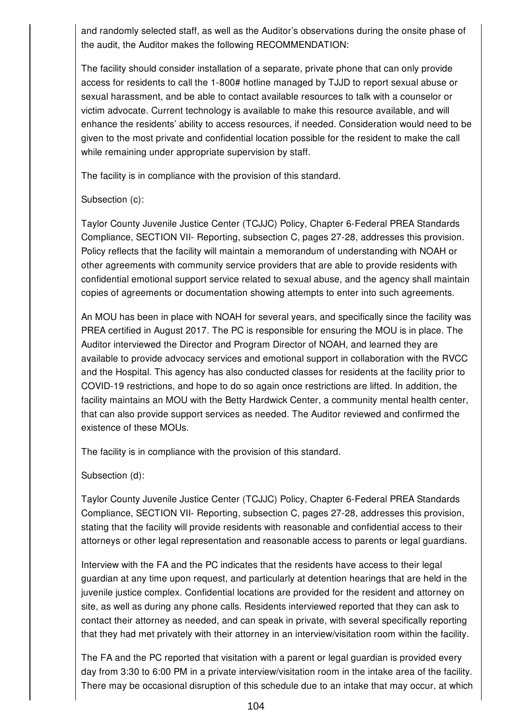and randomly selected staff, as well as the Auditor's observations during the onsite phase of the audit, the Auditor makes the following RECOMMENDATION:

The facility should consider installation of a separate, private phone that can only provide access for residents to call the 1-800# hotline managed by TJJD to report sexual abuse or sexual harassment, and be able to contact available resources to talk with a counselor or victim advocate. Current technology is available to make this resource available, and will enhance the residents' ability to access resources, if needed. Consideration would need to be given to the most private and confidential location possible for the resident to make the call while remaining under appropriate supervision by staff.

The facility is in compliance with the provision of this standard.

### Subsection (c):

Taylor County Juvenile Justice Center (TCJJC) Policy, Chapter 6-Federal PREA Standards Compliance, SECTION VII- Reporting, subsection C, pages 27-28, addresses this provision. Policy reflects that the facility will maintain a memorandum of understanding with NOAH or other agreements with community service providers that are able to provide residents with confidential emotional support service related to sexual abuse, and the agency shall maintain copies of agreements or documentation showing attempts to enter into such agreements.

An MOU has been in place with NOAH for several years, and specifically since the facility was PREA certified in August 2017. The PC is responsible for ensuring the MOU is in place. The Auditor interviewed the Director and Program Director of NOAH, and learned they are available to provide advocacy services and emotional support in collaboration with the RVCC and the Hospital. This agency has also conducted classes for residents at the facility prior to COVID-19 restrictions, and hope to do so again once restrictions are lifted. In addition, the facility maintains an MOU with the Betty Hardwick Center, a community mental health center, that can also provide support services as needed. The Auditor reviewed and confirmed the existence of these MOUs.

The facility is in compliance with the provision of this standard.

Subsection (d):

Taylor County Juvenile Justice Center (TCJJC) Policy, Chapter 6-Federal PREA Standards Compliance, SECTION VII- Reporting, subsection C, pages 27-28, addresses this provision, stating that the facility will provide residents with reasonable and confidential access to their attorneys or other legal representation and reasonable access to parents or legal guardians.

Interview with the FA and the PC indicates that the residents have access to their legal guardian at any time upon request, and particularly at detention hearings that are held in the juvenile justice complex. Confidential locations are provided for the resident and attorney on site, as well as during any phone calls. Residents interviewed reported that they can ask to contact their attorney as needed, and can speak in private, with several specifically reporting that they had met privately with their attorney in an interview/visitation room within the facility.

The FA and the PC reported that visitation with a parent or legal guardian is provided every day from 3:30 to 6:00 PM in a private interview/visitation room in the intake area of the facility. There may be occasional disruption of this schedule due to an intake that may occur, at which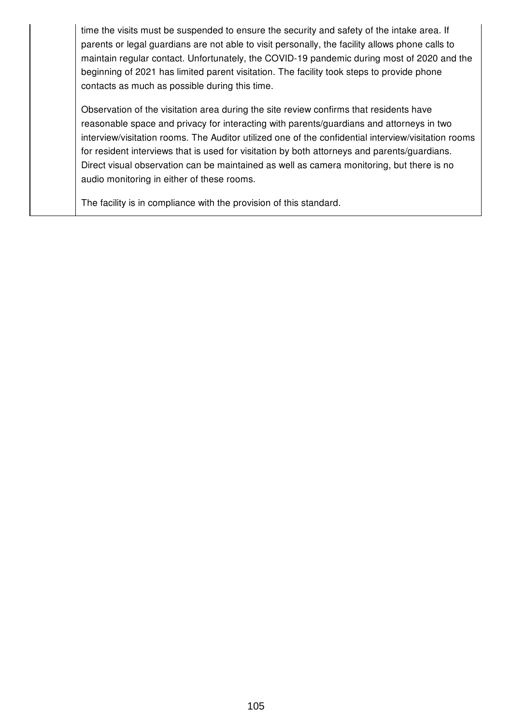time the visits must be suspended to ensure the security and safety of the intake area. If parents or legal guardians are not able to visit personally, the facility allows phone calls to maintain regular contact. Unfortunately, the COVID-19 pandemic during most of 2020 and the beginning of 2021 has limited parent visitation. The facility took steps to provide phone contacts as much as possible during this time.

Observation of the visitation area during the site review confirms that residents have reasonable space and privacy for interacting with parents/guardians and attorneys in two interview/visitation rooms. The Auditor utilized one of the confidential interview/visitation rooms for resident interviews that is used for visitation by both attorneys and parents/guardians. Direct visual observation can be maintained as well as camera monitoring, but there is no audio monitoring in either of these rooms.

The facility is in compliance with the provision of this standard.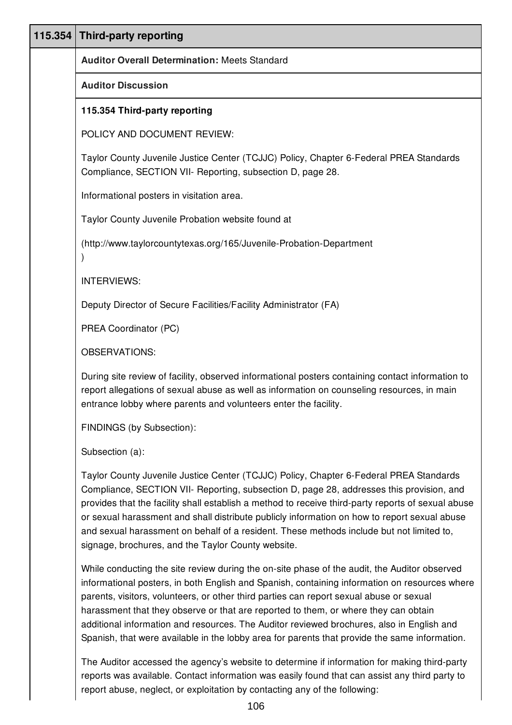| 115.354 | <b>Third-party reporting</b>                                                                                                                                                                                                                                                                                                                                                                                                                                                                                                                                                  |
|---------|-------------------------------------------------------------------------------------------------------------------------------------------------------------------------------------------------------------------------------------------------------------------------------------------------------------------------------------------------------------------------------------------------------------------------------------------------------------------------------------------------------------------------------------------------------------------------------|
|         | <b>Auditor Overall Determination: Meets Standard</b>                                                                                                                                                                                                                                                                                                                                                                                                                                                                                                                          |
|         | <b>Auditor Discussion</b>                                                                                                                                                                                                                                                                                                                                                                                                                                                                                                                                                     |
|         | 115.354 Third-party reporting                                                                                                                                                                                                                                                                                                                                                                                                                                                                                                                                                 |
|         | POLICY AND DOCUMENT REVIEW:                                                                                                                                                                                                                                                                                                                                                                                                                                                                                                                                                   |
|         | Taylor County Juvenile Justice Center (TCJJC) Policy, Chapter 6-Federal PREA Standards<br>Compliance, SECTION VII- Reporting, subsection D, page 28.                                                                                                                                                                                                                                                                                                                                                                                                                          |
|         | Informational posters in visitation area.                                                                                                                                                                                                                                                                                                                                                                                                                                                                                                                                     |
|         | Taylor County Juvenile Probation website found at                                                                                                                                                                                                                                                                                                                                                                                                                                                                                                                             |
|         | (http://www.taylorcountytexas.org/165/Juvenile-Probation-Department                                                                                                                                                                                                                                                                                                                                                                                                                                                                                                           |
|         | <b>INTERVIEWS:</b>                                                                                                                                                                                                                                                                                                                                                                                                                                                                                                                                                            |
|         | Deputy Director of Secure Facilities/Facility Administrator (FA)                                                                                                                                                                                                                                                                                                                                                                                                                                                                                                              |
|         | PREA Coordinator (PC)                                                                                                                                                                                                                                                                                                                                                                                                                                                                                                                                                         |
|         | <b>OBSERVATIONS:</b>                                                                                                                                                                                                                                                                                                                                                                                                                                                                                                                                                          |
|         | During site review of facility, observed informational posters containing contact information to<br>report allegations of sexual abuse as well as information on counseling resources, in main<br>entrance lobby where parents and volunteers enter the facility.                                                                                                                                                                                                                                                                                                             |
|         | FINDINGS (by Subsection):                                                                                                                                                                                                                                                                                                                                                                                                                                                                                                                                                     |
|         | Subsection (a):                                                                                                                                                                                                                                                                                                                                                                                                                                                                                                                                                               |
|         | Taylor County Juvenile Justice Center (TCJJC) Policy, Chapter 6-Federal PREA Standards<br>Compliance, SECTION VII- Reporting, subsection D, page 28, addresses this provision, and<br>provides that the facility shall establish a method to receive third-party reports of sexual abuse<br>or sexual harassment and shall distribute publicly information on how to report sexual abuse<br>and sexual harassment on behalf of a resident. These methods include but not limited to,<br>signage, brochures, and the Taylor County website.                                    |
|         | While conducting the site review during the on-site phase of the audit, the Auditor observed<br>informational posters, in both English and Spanish, containing information on resources where<br>parents, visitors, volunteers, or other third parties can report sexual abuse or sexual<br>harassment that they observe or that are reported to them, or where they can obtain<br>additional information and resources. The Auditor reviewed brochures, also in English and<br>Spanish, that were available in the lobby area for parents that provide the same information. |

The Auditor accessed the agency's website to determine if information for making third-party reports was available. Contact information was easily found that can assist any third party to report abuse, neglect, or exploitation by contacting any of the following: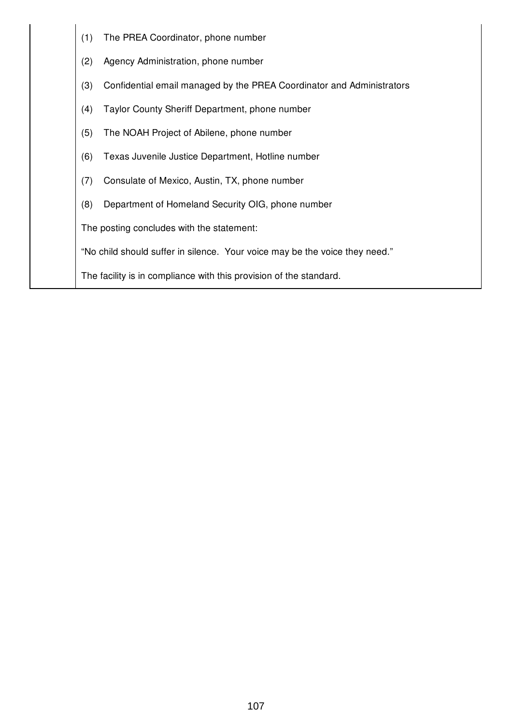(1) The PREA Coordinator, phone number (2) Agency Administration, phone number (3) Confidential email managed by the PREA Coordinator and Administrators (4) Taylor County Sheriff Department, phone number (5) The NOAH Project of Abilene, phone number (6) Texas Juvenile Justice Department, Hotline number (7) Consulate of Mexico, Austin, TX, phone number (8) Department of Homeland Security OIG, phone number The posting concludes with the statement: "No child should suffer in silence. Your voice may be the voice they need." The facility is in compliance with this provision of the standard.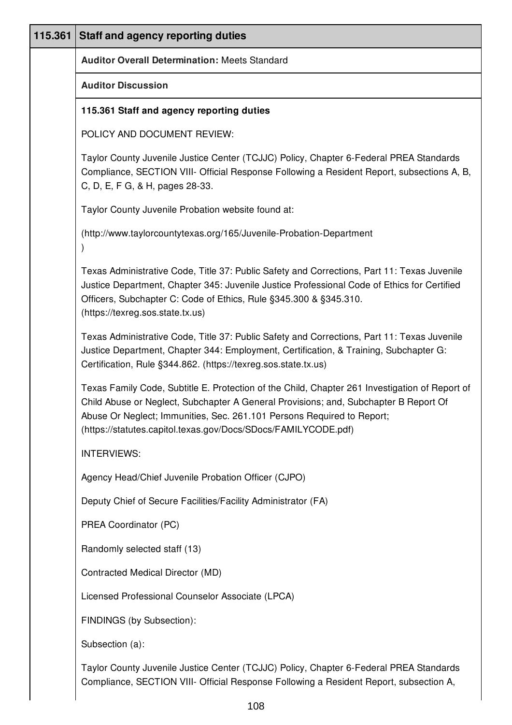| 115.361 | <b>Staff and agency reporting duties</b>                                                                                                                                                                                                                                                                                           |
|---------|------------------------------------------------------------------------------------------------------------------------------------------------------------------------------------------------------------------------------------------------------------------------------------------------------------------------------------|
|         | <b>Auditor Overall Determination: Meets Standard</b>                                                                                                                                                                                                                                                                               |
|         | <b>Auditor Discussion</b>                                                                                                                                                                                                                                                                                                          |
|         | 115.361 Staff and agency reporting duties                                                                                                                                                                                                                                                                                          |
|         | POLICY AND DOCUMENT REVIEW:                                                                                                                                                                                                                                                                                                        |
|         | Taylor County Juvenile Justice Center (TCJJC) Policy, Chapter 6-Federal PREA Standards<br>Compliance, SECTION VIII- Official Response Following a Resident Report, subsections A, B,<br>C, D, E, F G, & H, pages 28-33.                                                                                                            |
|         | Taylor County Juvenile Probation website found at:                                                                                                                                                                                                                                                                                 |
|         | (http://www.taylorcountytexas.org/165/Juvenile-Probation-Department                                                                                                                                                                                                                                                                |
|         | Texas Administrative Code, Title 37: Public Safety and Corrections, Part 11: Texas Juvenile<br>Justice Department, Chapter 345: Juvenile Justice Professional Code of Ethics for Certified<br>Officers, Subchapter C: Code of Ethics, Rule §345.300 & §345.310.<br>(https://texreg.sos.state.tx.us)                                |
|         | Texas Administrative Code, Title 37: Public Safety and Corrections, Part 11: Texas Juvenile<br>Justice Department, Chapter 344: Employment, Certification, & Training, Subchapter G:<br>Certification, Rule §344.862. (https://texreg.sos.state.tx.us)                                                                             |
|         | Texas Family Code, Subtitle E. Protection of the Child, Chapter 261 Investigation of Report of<br>Child Abuse or Neglect, Subchapter A General Provisions; and, Subchapter B Report Of<br>Abuse Or Neglect; Immunities, Sec. 261.101 Persons Required to Report;<br>(https://statutes.capitol.texas.gov/Docs/SDocs/FAMILYCODE.pdf) |
|         | <b>INTERVIEWS:</b>                                                                                                                                                                                                                                                                                                                 |
|         | Agency Head/Chief Juvenile Probation Officer (CJPO)                                                                                                                                                                                                                                                                                |
|         | Deputy Chief of Secure Facilities/Facility Administrator (FA)                                                                                                                                                                                                                                                                      |
|         | PREA Coordinator (PC)                                                                                                                                                                                                                                                                                                              |
|         | Randomly selected staff (13)                                                                                                                                                                                                                                                                                                       |
|         | Contracted Medical Director (MD)                                                                                                                                                                                                                                                                                                   |
|         | Licensed Professional Counselor Associate (LPCA)                                                                                                                                                                                                                                                                                   |
|         | FINDINGS (by Subsection):                                                                                                                                                                                                                                                                                                          |
|         | Subsection (a):                                                                                                                                                                                                                                                                                                                    |
|         | Taylor County Juvenile Justice Center (TCJJC) Policy, Chapter 6-Federal PREA Standards                                                                                                                                                                                                                                             |

108

Compliance, SECTION VIII- Official Response Following a Resident Report, subsection A,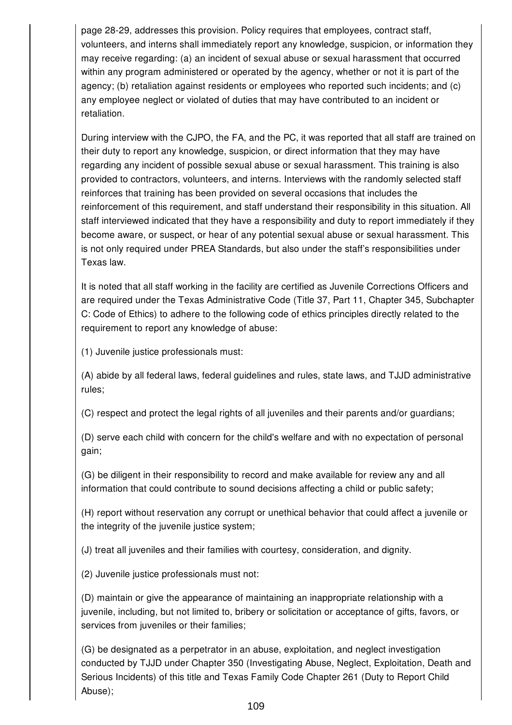page 28-29, addresses this provision. Policy requires that employees, contract staff, volunteers, and interns shall immediately report any knowledge, suspicion, or information they may receive regarding: (a) an incident of sexual abuse or sexual harassment that occurred within any program administered or operated by the agency, whether or not it is part of the agency; (b) retaliation against residents or employees who reported such incidents; and (c) any employee neglect or violated of duties that may have contributed to an incident or retaliation.

During interview with the CJPO, the FA, and the PC, it was reported that all staff are trained on their duty to report any knowledge, suspicion, or direct information that they may have regarding any incident of possible sexual abuse or sexual harassment. This training is also provided to contractors, volunteers, and interns. Interviews with the randomly selected staff reinforces that training has been provided on several occasions that includes the reinforcement of this requirement, and staff understand their responsibility in this situation. All staff interviewed indicated that they have a responsibility and duty to report immediately if they become aware, or suspect, or hear of any potential sexual abuse or sexual harassment. This is not only required under PREA Standards, but also under the staff's responsibilities under Texas law.

It is noted that all staff working in the facility are certified as Juvenile Corrections Officers and are required under the Texas Administrative Code (Title 37, Part 11, Chapter 345, Subchapter C: Code of Ethics) to adhere to the following code of ethics principles directly related to the requirement to report any knowledge of abuse:

(1) Juvenile justice professionals must:

(A) abide by all federal laws, federal guidelines and rules, state laws, and TJJD administrative rules;

(C) respect and protect the legal rights of all juveniles and their parents and/or guardians;

(D) serve each child with concern for the child's welfare and with no expectation of personal gain;

(G) be diligent in their responsibility to record and make available for review any and all information that could contribute to sound decisions affecting a child or public safety;

(H) report without reservation any corrupt or unethical behavior that could affect a juvenile or the integrity of the juvenile justice system;

(J) treat all juveniles and their families with courtesy, consideration, and dignity.

(2) Juvenile justice professionals must not:

(D) maintain or give the appearance of maintaining an inappropriate relationship with a juvenile, including, but not limited to, bribery or solicitation or acceptance of gifts, favors, or services from juveniles or their families;

(G) be designated as a perpetrator in an abuse, exploitation, and neglect investigation conducted by TJJD under Chapter 350 (Investigating Abuse, Neglect, Exploitation, Death and Serious Incidents) of this title and Texas Family Code Chapter 261 (Duty to Report Child Abuse);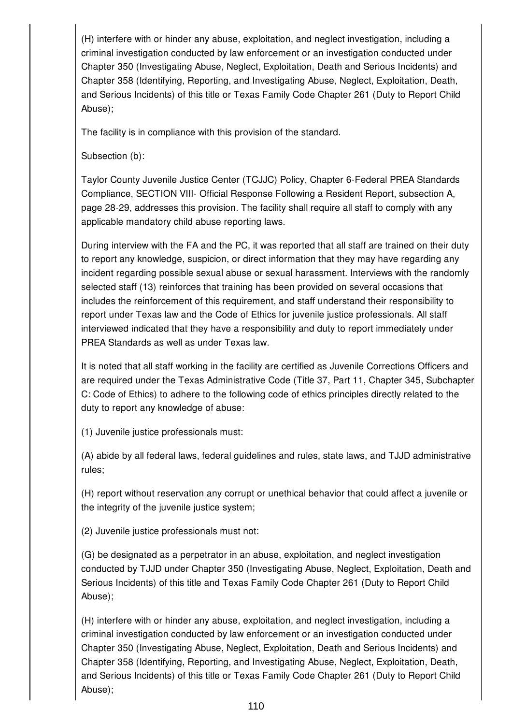(H) interfere with or hinder any abuse, exploitation, and neglect investigation, including a criminal investigation conducted by law enforcement or an investigation conducted under Chapter 350 (Investigating Abuse, Neglect, Exploitation, Death and Serious Incidents) and Chapter 358 (Identifying, Reporting, and Investigating Abuse, Neglect, Exploitation, Death, and Serious Incidents) of this title or Texas Family Code Chapter 261 (Duty to Report Child Abuse);

The facility is in compliance with this provision of the standard.

Subsection (b):

Taylor County Juvenile Justice Center (TCJJC) Policy, Chapter 6-Federal PREA Standards Compliance, SECTION VIII- Official Response Following a Resident Report, subsection A, page 28-29, addresses this provision. The facility shall require all staff to comply with any applicable mandatory child abuse reporting laws.

During interview with the FA and the PC, it was reported that all staff are trained on their duty to report any knowledge, suspicion, or direct information that they may have regarding any incident regarding possible sexual abuse or sexual harassment. Interviews with the randomly selected staff (13) reinforces that training has been provided on several occasions that includes the reinforcement of this requirement, and staff understand their responsibility to report under Texas law and the Code of Ethics for juvenile justice professionals. All staff interviewed indicated that they have a responsibility and duty to report immediately under PREA Standards as well as under Texas law.

It is noted that all staff working in the facility are certified as Juvenile Corrections Officers and are required under the Texas Administrative Code (Title 37, Part 11, Chapter 345, Subchapter C: Code of Ethics) to adhere to the following code of ethics principles directly related to the duty to report any knowledge of abuse:

(1) Juvenile justice professionals must:

(A) abide by all federal laws, federal guidelines and rules, state laws, and TJJD administrative rules;

(H) report without reservation any corrupt or unethical behavior that could affect a juvenile or the integrity of the juvenile justice system;

(2) Juvenile justice professionals must not:

(G) be designated as a perpetrator in an abuse, exploitation, and neglect investigation conducted by TJJD under Chapter 350 (Investigating Abuse, Neglect, Exploitation, Death and Serious Incidents) of this title and Texas Family Code Chapter 261 (Duty to Report Child Abuse);

(H) interfere with or hinder any abuse, exploitation, and neglect investigation, including a criminal investigation conducted by law enforcement or an investigation conducted under Chapter 350 (Investigating Abuse, Neglect, Exploitation, Death and Serious Incidents) and Chapter 358 (Identifying, Reporting, and Investigating Abuse, Neglect, Exploitation, Death, and Serious Incidents) of this title or Texas Family Code Chapter 261 (Duty to Report Child Abuse);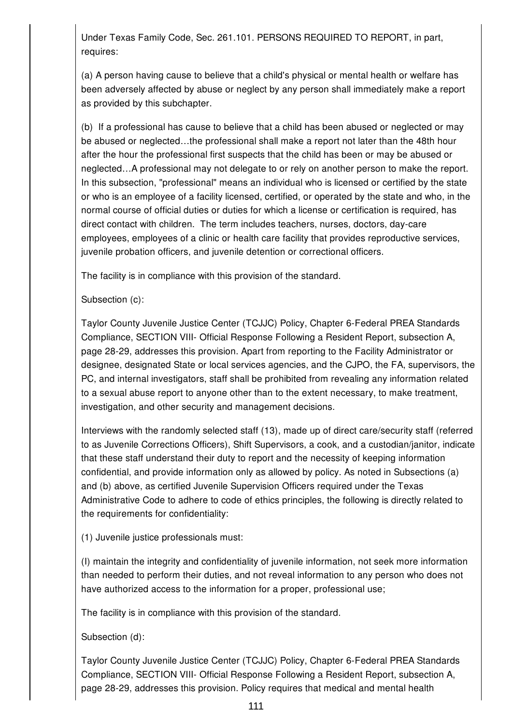Under Texas Family Code, Sec. 261.101. PERSONS REQUIRED TO REPORT, in part, requires:

(a) A person having cause to believe that a child's physical or mental health or welfare has been adversely affected by abuse or neglect by any person shall immediately make a report as provided by this subchapter.

(b) If a professional has cause to believe that a child has been abused or neglected or may be abused or neglected…the professional shall make a report not later than the 48th hour after the hour the professional first suspects that the child has been or may be abused or neglected…A professional may not delegate to or rely on another person to make the report. In this subsection, "professional" means an individual who is licensed or certified by the state or who is an employee of a facility licensed, certified, or operated by the state and who, in the normal course of official duties or duties for which a license or certification is required, has direct contact with children. The term includes teachers, nurses, doctors, day-care employees, employees of a clinic or health care facility that provides reproductive services, juvenile probation officers, and juvenile detention or correctional officers.

The facility is in compliance with this provision of the standard.

Subsection (c):

Taylor County Juvenile Justice Center (TCJJC) Policy, Chapter 6-Federal PREA Standards Compliance, SECTION VIII- Official Response Following a Resident Report, subsection A, page 28-29, addresses this provision. Apart from reporting to the Facility Administrator or designee, designated State or local services agencies, and the CJPO, the FA, supervisors, the PC, and internal investigators, staff shall be prohibited from revealing any information related to a sexual abuse report to anyone other than to the extent necessary, to make treatment, investigation, and other security and management decisions.

Interviews with the randomly selected staff (13), made up of direct care/security staff (referred to as Juvenile Corrections Officers), Shift Supervisors, a cook, and a custodian/janitor, indicate that these staff understand their duty to report and the necessity of keeping information confidential, and provide information only as allowed by policy. As noted in Subsections (a) and (b) above, as certified Juvenile Supervision Officers required under the Texas Administrative Code to adhere to code of ethics principles, the following is directly related to the requirements for confidentiality:

(1) Juvenile justice professionals must:

(I) maintain the integrity and confidentiality of juvenile information, not seek more information than needed to perform their duties, and not reveal information to any person who does not have authorized access to the information for a proper, professional use;

The facility is in compliance with this provision of the standard.

Subsection (d):

Taylor County Juvenile Justice Center (TCJJC) Policy, Chapter 6-Federal PREA Standards Compliance, SECTION VIII- Official Response Following a Resident Report, subsection A, page 28-29, addresses this provision. Policy requires that medical and mental health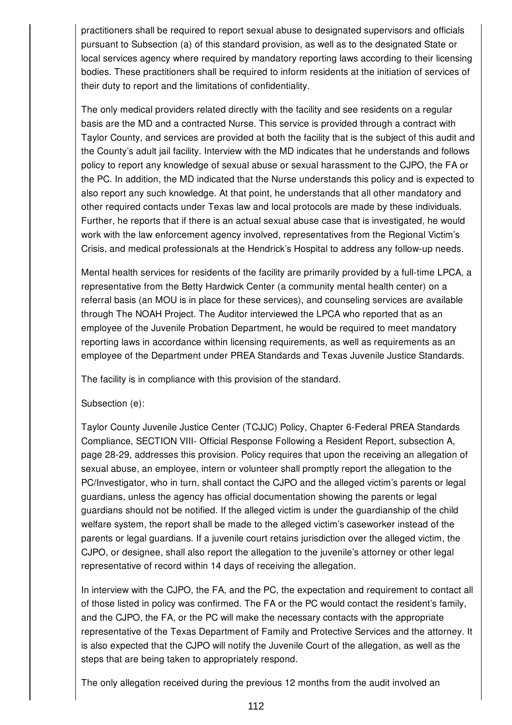practitioners shall be required to report sexual abuse to designated supervisors and officials pursuant to Subsection (a) of this standard provision, as well as to the designated State or local services agency where required by mandatory reporting laws according to their licensing bodies. These practitioners shall be required to inform residents at the initiation of services of their duty to report and the limitations of confidentiality.

The only medical providers related directly with the facility and see residents on a regular basis are the MD and a contracted Nurse. This service is provided through a contract with Taylor County, and services are provided at both the facility that is the subject of this audit and the County's adult jail facility. Interview with the MD indicates that he understands and follows policy to report any knowledge of sexual abuse or sexual harassment to the CJPO, the FA or the PC. In addition, the MD indicated that the Nurse understands this policy and is expected to also report any such knowledge. At that point, he understands that all other mandatory and other required contacts under Texas law and local protocols are made by these individuals. Further, he reports that if there is an actual sexual abuse case that is investigated, he would work with the law enforcement agency involved, representatives from the Regional Victim's Crisis, and medical professionals at the Hendrick's Hospital to address any follow-up needs.

Mental health services for residents of the facility are primarily provided by a full-time LPCA, a representative from the Betty Hardwick Center (a community mental health center) on a referral basis (an MOU is in place for these services), and counseling services are available through The NOAH Project. The Auditor interviewed the LPCA who reported that as an employee of the Juvenile Probation Department, he would be required to meet mandatory reporting laws in accordance within licensing requirements, as well as requirements as an employee of the Department under PREA Standards and Texas Juvenile Justice Standards.

The facility is in compliance with this provision of the standard.

### Subsection (e):

Taylor County Juvenile Justice Center (TCJJC) Policy, Chapter 6-Federal PREA Standards Compliance, SECTION VIII- Official Response Following a Resident Report, subsection A, page 28-29, addresses this provision. Policy requires that upon the receiving an allegation of sexual abuse, an employee, intern or volunteer shall promptly report the allegation to the PC/Investigator, who in turn, shall contact the CJPO and the alleged victim's parents or legal guardians, unless the agency has official documentation showing the parents or legal guardians should not be notified. If the alleged victim is under the guardianship of the child welfare system, the report shall be made to the alleged victim's caseworker instead of the parents or legal guardians. If a juvenile court retains jurisdiction over the alleged victim, the CJPO, or designee, shall also report the allegation to the juvenile's attorney or other legal representative of record within 14 days of receiving the allegation.

In interview with the CJPO, the FA, and the PC, the expectation and requirement to contact all of those listed in policy was confirmed. The FA or the PC would contact the resident's family, and the CJPO, the FA, or the PC will make the necessary contacts with the appropriate representative of the Texas Department of Family and Protective Services and the attorney. It is also expected that the CJPO will notify the Juvenile Court of the allegation, as well as the steps that are being taken to appropriately respond.

The only allegation received during the previous 12 months from the audit involved an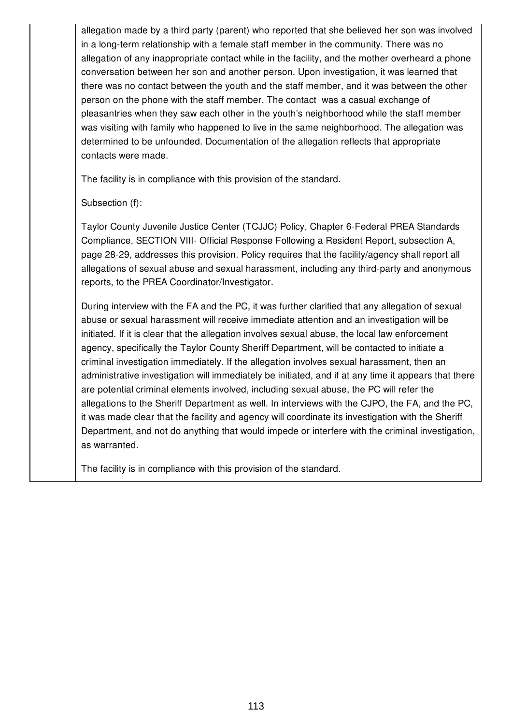allegation made by a third party (parent) who reported that she believed her son was involved in a long-term relationship with a female staff member in the community. There was no allegation of any inappropriate contact while in the facility, and the mother overheard a phone conversation between her son and another person. Upon investigation, it was learned that there was no contact between the youth and the staff member, and it was between the other person on the phone with the staff member. The contact was a casual exchange of pleasantries when they saw each other in the youth's neighborhood while the staff member was visiting with family who happened to live in the same neighborhood. The allegation was determined to be unfounded. Documentation of the allegation reflects that appropriate contacts were made.

The facility is in compliance with this provision of the standard.

Subsection (f):

Taylor County Juvenile Justice Center (TCJJC) Policy, Chapter 6-Federal PREA Standards Compliance, SECTION VIII- Official Response Following a Resident Report, subsection A, page 28-29, addresses this provision. Policy requires that the facility/agency shall report all allegations of sexual abuse and sexual harassment, including any third-party and anonymous reports, to the PREA Coordinator/Investigator.

During interview with the FA and the PC, it was further clarified that any allegation of sexual abuse or sexual harassment will receive immediate attention and an investigation will be initiated. If it is clear that the allegation involves sexual abuse, the local law enforcement agency, specifically the Taylor County Sheriff Department, will be contacted to initiate a criminal investigation immediately. If the allegation involves sexual harassment, then an administrative investigation will immediately be initiated, and if at any time it appears that there are potential criminal elements involved, including sexual abuse, the PC will refer the allegations to the Sheriff Department as well. In interviews with the CJPO, the FA, and the PC, it was made clear that the facility and agency will coordinate its investigation with the Sheriff Department, and not do anything that would impede or interfere with the criminal investigation, as warranted.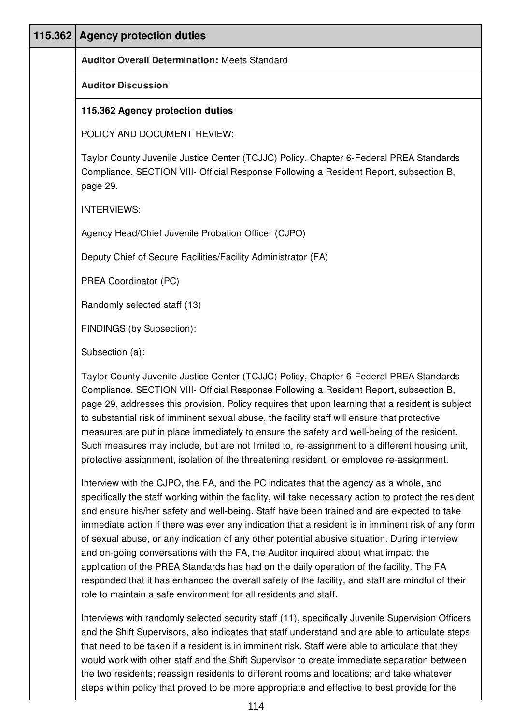| 115.362 | <b>Agency protection duties</b>                                                                                                                                                                                                                                                                                                                                                                                                                                                                                                                                                                                                                                                 |  |  |
|---------|---------------------------------------------------------------------------------------------------------------------------------------------------------------------------------------------------------------------------------------------------------------------------------------------------------------------------------------------------------------------------------------------------------------------------------------------------------------------------------------------------------------------------------------------------------------------------------------------------------------------------------------------------------------------------------|--|--|
|         | <b>Auditor Overall Determination: Meets Standard</b>                                                                                                                                                                                                                                                                                                                                                                                                                                                                                                                                                                                                                            |  |  |
|         | <b>Auditor Discussion</b>                                                                                                                                                                                                                                                                                                                                                                                                                                                                                                                                                                                                                                                       |  |  |
|         | 115.362 Agency protection duties                                                                                                                                                                                                                                                                                                                                                                                                                                                                                                                                                                                                                                                |  |  |
|         | POLICY AND DOCUMENT REVIEW:                                                                                                                                                                                                                                                                                                                                                                                                                                                                                                                                                                                                                                                     |  |  |
|         | Taylor County Juvenile Justice Center (TCJJC) Policy, Chapter 6-Federal PREA Standards<br>Compliance, SECTION VIII- Official Response Following a Resident Report, subsection B,<br>page 29.                                                                                                                                                                                                                                                                                                                                                                                                                                                                                    |  |  |
|         | <b>INTERVIEWS:</b>                                                                                                                                                                                                                                                                                                                                                                                                                                                                                                                                                                                                                                                              |  |  |
|         | Agency Head/Chief Juvenile Probation Officer (CJPO)                                                                                                                                                                                                                                                                                                                                                                                                                                                                                                                                                                                                                             |  |  |
|         | Deputy Chief of Secure Facilities/Facility Administrator (FA)                                                                                                                                                                                                                                                                                                                                                                                                                                                                                                                                                                                                                   |  |  |
|         | PREA Coordinator (PC)                                                                                                                                                                                                                                                                                                                                                                                                                                                                                                                                                                                                                                                           |  |  |
|         | Randomly selected staff (13)                                                                                                                                                                                                                                                                                                                                                                                                                                                                                                                                                                                                                                                    |  |  |
|         | FINDINGS (by Subsection):                                                                                                                                                                                                                                                                                                                                                                                                                                                                                                                                                                                                                                                       |  |  |
|         | Subsection (a):                                                                                                                                                                                                                                                                                                                                                                                                                                                                                                                                                                                                                                                                 |  |  |
|         | Taylor County Juvenile Justice Center (TCJJC) Policy, Chapter 6-Federal PREA Standards<br>Compliance, SECTION VIII- Official Response Following a Resident Report, subsection B,<br>page 29, addresses this provision. Policy requires that upon learning that a resident is subject<br>to substantial risk of imminent sexual abuse, the facility staff will ensure that protective<br>measures are put in place immediately to ensure the safety and well-being of the resident.<br>Such measures may include, but are not limited to, re-assignment to a different housing unit,<br>protective assignment, isolation of the threatening resident, or employee re-assignment. |  |  |

Interview with the CJPO, the FA, and the PC indicates that the agency as a whole, and specifically the staff working within the facility, will take necessary action to protect the resident and ensure his/her safety and well-being. Staff have been trained and are expected to take immediate action if there was ever any indication that a resident is in imminent risk of any form of sexual abuse, or any indication of any other potential abusive situation. During interview and on-going conversations with the FA, the Auditor inquired about what impact the application of the PREA Standards has had on the daily operation of the facility. The FA responded that it has enhanced the overall safety of the facility, and staff are mindful of their role to maintain a safe environment for all residents and staff.

Interviews with randomly selected security staff (11), specifically Juvenile Supervision Officers and the Shift Supervisors, also indicates that staff understand and are able to articulate steps that need to be taken if a resident is in imminent risk. Staff were able to articulate that they would work with other staff and the Shift Supervisor to create immediate separation between the two residents; reassign residents to different rooms and locations; and take whatever steps within policy that proved to be more appropriate and effective to best provide for the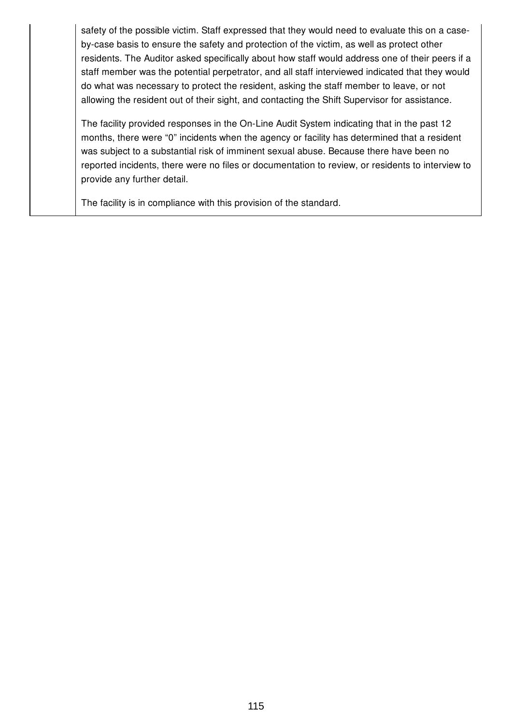safety of the possible victim. Staff expressed that they would need to evaluate this on a caseby-case basis to ensure the safety and protection of the victim, as well as protect other residents. The Auditor asked specifically about how staff would address one of their peers if a staff member was the potential perpetrator, and all staff interviewed indicated that they would do what was necessary to protect the resident, asking the staff member to leave, or not allowing the resident out of their sight, and contacting the Shift Supervisor for assistance.

The facility provided responses in the On-Line Audit System indicating that in the past 12 months, there were "0" incidents when the agency or facility has determined that a resident was subject to a substantial risk of imminent sexual abuse. Because there have been no reported incidents, there were no files or documentation to review, or residents to interview to provide any further detail.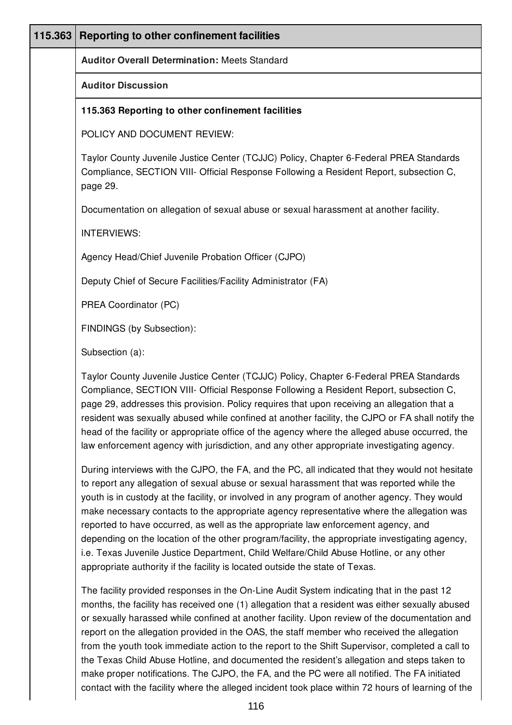| 115.363 | Reporting to other confinement facilities                                                                                                                                                                                                                                                                                                                                                                                                                                                                                                                                                                                                                                                                                                                    |
|---------|--------------------------------------------------------------------------------------------------------------------------------------------------------------------------------------------------------------------------------------------------------------------------------------------------------------------------------------------------------------------------------------------------------------------------------------------------------------------------------------------------------------------------------------------------------------------------------------------------------------------------------------------------------------------------------------------------------------------------------------------------------------|
|         | <b>Auditor Overall Determination: Meets Standard</b>                                                                                                                                                                                                                                                                                                                                                                                                                                                                                                                                                                                                                                                                                                         |
|         | <b>Auditor Discussion</b>                                                                                                                                                                                                                                                                                                                                                                                                                                                                                                                                                                                                                                                                                                                                    |
|         | 115.363 Reporting to other confinement facilities                                                                                                                                                                                                                                                                                                                                                                                                                                                                                                                                                                                                                                                                                                            |
|         | POLICY AND DOCUMENT REVIEW:                                                                                                                                                                                                                                                                                                                                                                                                                                                                                                                                                                                                                                                                                                                                  |
|         | Taylor County Juvenile Justice Center (TCJJC) Policy, Chapter 6-Federal PREA Standards<br>Compliance, SECTION VIII- Official Response Following a Resident Report, subsection C,<br>page 29.                                                                                                                                                                                                                                                                                                                                                                                                                                                                                                                                                                 |
|         | Documentation on allegation of sexual abuse or sexual harassment at another facility.                                                                                                                                                                                                                                                                                                                                                                                                                                                                                                                                                                                                                                                                        |
|         | <b>INTERVIEWS:</b>                                                                                                                                                                                                                                                                                                                                                                                                                                                                                                                                                                                                                                                                                                                                           |
|         | Agency Head/Chief Juvenile Probation Officer (CJPO)                                                                                                                                                                                                                                                                                                                                                                                                                                                                                                                                                                                                                                                                                                          |
|         | Deputy Chief of Secure Facilities/Facility Administrator (FA)                                                                                                                                                                                                                                                                                                                                                                                                                                                                                                                                                                                                                                                                                                |
|         | PREA Coordinator (PC)                                                                                                                                                                                                                                                                                                                                                                                                                                                                                                                                                                                                                                                                                                                                        |
|         | FINDINGS (by Subsection):                                                                                                                                                                                                                                                                                                                                                                                                                                                                                                                                                                                                                                                                                                                                    |
|         | Subsection (a):                                                                                                                                                                                                                                                                                                                                                                                                                                                                                                                                                                                                                                                                                                                                              |
|         | Taylor County Juvenile Justice Center (TCJJC) Policy, Chapter 6-Federal PREA Standards<br>Compliance, SECTION VIII- Official Response Following a Resident Report, subsection C,<br>page 29, addresses this provision. Policy requires that upon receiving an allegation that a<br>resident was sexually abused while confined at another facility, the CJPO or FA shall notify the<br>head of the facility or appropriate office of the agency where the alleged abuse occurred, the<br>law enforcement agency with jurisdiction, and any other appropriate investigating agency.                                                                                                                                                                           |
|         | During interviews with the CJPO, the FA, and the PC, all indicated that they would not hesitate<br>to report any allegation of sexual abuse or sexual harassment that was reported while the<br>youth is in custody at the facility, or involved in any program of another agency. They would<br>make necessary contacts to the appropriate agency representative where the allegation was<br>reported to have occurred, as well as the appropriate law enforcement agency, and<br>depending on the location of the other program/facility, the appropriate investigating agency,<br>i.e. Texas Juvenile Justice Department, Child Welfare/Child Abuse Hotline, or any other<br>appropriate authority if the facility is located outside the state of Texas. |
|         | The facility provided responses in the On-Line Audit System indicating that in the past 12<br>months, the facility has received one (1) allegation that a resident was either sexually abused<br>or sexually harassed while confined at another facility. Upon review of the documentation and                                                                                                                                                                                                                                                                                                                                                                                                                                                               |

report on the allegation provided in the OAS, the staff member who received the allegation from the youth took immediate action to the report to the Shift Supervisor, completed a call to the Texas Child Abuse Hotline, and documented the resident's allegation and steps taken to make proper notifications. The CJPO, the FA, and the PC were all notified. The FA initiated contact with the facility where the alleged incident took place within 72 hours of learning of the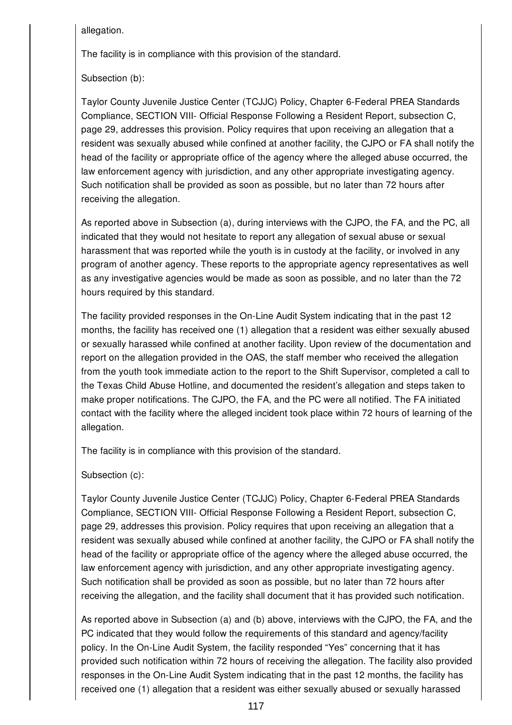allegation.

The facility is in compliance with this provision of the standard.

Subsection (b):

Taylor County Juvenile Justice Center (TCJJC) Policy, Chapter 6-Federal PREA Standards Compliance, SECTION VIII- Official Response Following a Resident Report, subsection C, page 29, addresses this provision. Policy requires that upon receiving an allegation that a resident was sexually abused while confined at another facility, the CJPO or FA shall notify the head of the facility or appropriate office of the agency where the alleged abuse occurred, the law enforcement agency with jurisdiction, and any other appropriate investigating agency. Such notification shall be provided as soon as possible, but no later than 72 hours after receiving the allegation.

As reported above in Subsection (a), during interviews with the CJPO, the FA, and the PC, all indicated that they would not hesitate to report any allegation of sexual abuse or sexual harassment that was reported while the youth is in custody at the facility, or involved in any program of another agency. These reports to the appropriate agency representatives as well as any investigative agencies would be made as soon as possible, and no later than the 72 hours required by this standard.

The facility provided responses in the On-Line Audit System indicating that in the past 12 months, the facility has received one (1) allegation that a resident was either sexually abused or sexually harassed while confined at another facility. Upon review of the documentation and report on the allegation provided in the OAS, the staff member who received the allegation from the youth took immediate action to the report to the Shift Supervisor, completed a call to the Texas Child Abuse Hotline, and documented the resident's allegation and steps taken to make proper notifications. The CJPO, the FA, and the PC were all notified. The FA initiated contact with the facility where the alleged incident took place within 72 hours of learning of the allegation.

The facility is in compliance with this provision of the standard.

Subsection (c):

Taylor County Juvenile Justice Center (TCJJC) Policy, Chapter 6-Federal PREA Standards Compliance, SECTION VIII- Official Response Following a Resident Report, subsection C, page 29, addresses this provision. Policy requires that upon receiving an allegation that a resident was sexually abused while confined at another facility, the CJPO or FA shall notify the head of the facility or appropriate office of the agency where the alleged abuse occurred, the law enforcement agency with jurisdiction, and any other appropriate investigating agency. Such notification shall be provided as soon as possible, but no later than 72 hours after receiving the allegation, and the facility shall document that it has provided such notification.

As reported above in Subsection (a) and (b) above, interviews with the CJPO, the FA, and the PC indicated that they would follow the requirements of this standard and agency/facility policy. In the On-Line Audit System, the facility responded "Yes" concerning that it has provided such notification within 72 hours of receiving the allegation. The facility also provided responses in the On-Line Audit System indicating that in the past 12 months, the facility has received one (1) allegation that a resident was either sexually abused or sexually harassed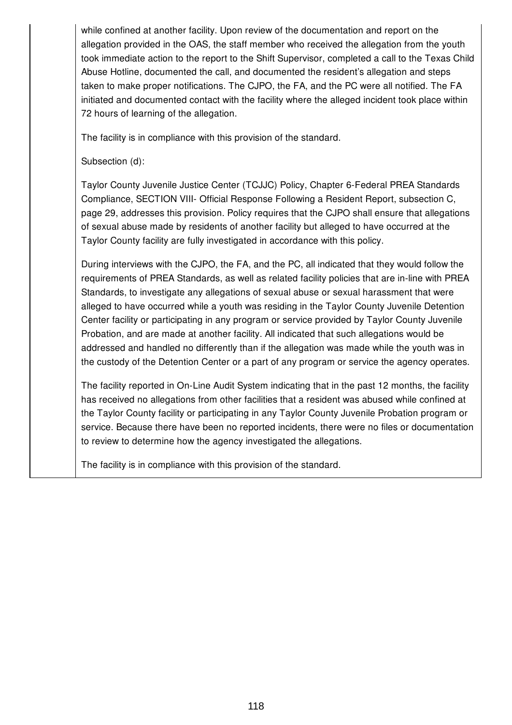while confined at another facility. Upon review of the documentation and report on the allegation provided in the OAS, the staff member who received the allegation from the youth took immediate action to the report to the Shift Supervisor, completed a call to the Texas Child Abuse Hotline, documented the call, and documented the resident's allegation and steps taken to make proper notifications. The CJPO, the FA, and the PC were all notified. The FA initiated and documented contact with the facility where the alleged incident took place within 72 hours of learning of the allegation.

The facility is in compliance with this provision of the standard.

Subsection (d):

Taylor County Juvenile Justice Center (TCJJC) Policy, Chapter 6-Federal PREA Standards Compliance, SECTION VIII- Official Response Following a Resident Report, subsection C, page 29, addresses this provision. Policy requires that the CJPO shall ensure that allegations of sexual abuse made by residents of another facility but alleged to have occurred at the Taylor County facility are fully investigated in accordance with this policy.

During interviews with the CJPO, the FA, and the PC, all indicated that they would follow the requirements of PREA Standards, as well as related facility policies that are in-line with PREA Standards, to investigate any allegations of sexual abuse or sexual harassment that were alleged to have occurred while a youth was residing in the Taylor County Juvenile Detention Center facility or participating in any program or service provided by Taylor County Juvenile Probation, and are made at another facility. All indicated that such allegations would be addressed and handled no differently than if the allegation was made while the youth was in the custody of the Detention Center or a part of any program or service the agency operates.

The facility reported in On-Line Audit System indicating that in the past 12 months, the facility has received no allegations from other facilities that a resident was abused while confined at the Taylor County facility or participating in any Taylor County Juvenile Probation program or service. Because there have been no reported incidents, there were no files or documentation to review to determine how the agency investigated the allegations.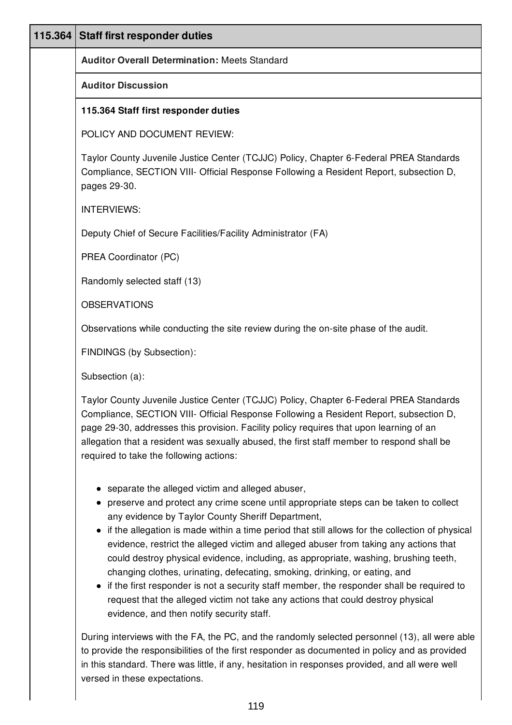| 115.364 | <b>Staff first responder duties</b>                                                                                                                                                                                                                                                                                                                                                                                                                                                                                                                                                                                                                                                                                                                                                              |
|---------|--------------------------------------------------------------------------------------------------------------------------------------------------------------------------------------------------------------------------------------------------------------------------------------------------------------------------------------------------------------------------------------------------------------------------------------------------------------------------------------------------------------------------------------------------------------------------------------------------------------------------------------------------------------------------------------------------------------------------------------------------------------------------------------------------|
|         | <b>Auditor Overall Determination: Meets Standard</b>                                                                                                                                                                                                                                                                                                                                                                                                                                                                                                                                                                                                                                                                                                                                             |
|         | <b>Auditor Discussion</b>                                                                                                                                                                                                                                                                                                                                                                                                                                                                                                                                                                                                                                                                                                                                                                        |
|         | 115.364 Staff first responder duties                                                                                                                                                                                                                                                                                                                                                                                                                                                                                                                                                                                                                                                                                                                                                             |
|         | POLICY AND DOCUMENT REVIEW:                                                                                                                                                                                                                                                                                                                                                                                                                                                                                                                                                                                                                                                                                                                                                                      |
|         | Taylor County Juvenile Justice Center (TCJJC) Policy, Chapter 6-Federal PREA Standards<br>Compliance, SECTION VIII- Official Response Following a Resident Report, subsection D,<br>pages 29-30.                                                                                                                                                                                                                                                                                                                                                                                                                                                                                                                                                                                                 |
|         | <b>INTERVIEWS:</b>                                                                                                                                                                                                                                                                                                                                                                                                                                                                                                                                                                                                                                                                                                                                                                               |
|         | Deputy Chief of Secure Facilities/Facility Administrator (FA)                                                                                                                                                                                                                                                                                                                                                                                                                                                                                                                                                                                                                                                                                                                                    |
|         | PREA Coordinator (PC)                                                                                                                                                                                                                                                                                                                                                                                                                                                                                                                                                                                                                                                                                                                                                                            |
|         | Randomly selected staff (13)                                                                                                                                                                                                                                                                                                                                                                                                                                                                                                                                                                                                                                                                                                                                                                     |
|         | <b>OBSERVATIONS</b>                                                                                                                                                                                                                                                                                                                                                                                                                                                                                                                                                                                                                                                                                                                                                                              |
|         | Observations while conducting the site review during the on-site phase of the audit.                                                                                                                                                                                                                                                                                                                                                                                                                                                                                                                                                                                                                                                                                                             |
|         | FINDINGS (by Subsection):                                                                                                                                                                                                                                                                                                                                                                                                                                                                                                                                                                                                                                                                                                                                                                        |
|         | Subsection (a):                                                                                                                                                                                                                                                                                                                                                                                                                                                                                                                                                                                                                                                                                                                                                                                  |
|         | Taylor County Juvenile Justice Center (TCJJC) Policy, Chapter 6-Federal PREA Standards<br>Compliance, SECTION VIII- Official Response Following a Resident Report, subsection D,<br>page 29-30, addresses this provision. Facility policy requires that upon learning of an<br>allegation that a resident was sexually abused, the first staff member to respond shall be<br>required to take the following actions:                                                                                                                                                                                                                                                                                                                                                                             |
|         | • separate the alleged victim and alleged abuser,<br>preserve and protect any crime scene until appropriate steps can be taken to collect<br>any evidence by Taylor County Sheriff Department,<br>if the allegation is made within a time period that still allows for the collection of physical<br>evidence, restrict the alleged victim and alleged abuser from taking any actions that<br>could destroy physical evidence, including, as appropriate, washing, brushing teeth,<br>changing clothes, urinating, defecating, smoking, drinking, or eating, and<br>• if the first responder is not a security staff member, the responder shall be required to<br>request that the alleged victim not take any actions that could destroy physical<br>evidence, and then notify security staff. |
|         | During interviews with the FA, the PC, and the randomly selected personnel (13), all were able<br>to provide the responsibilities of the first responder as documented in policy and as provided                                                                                                                                                                                                                                                                                                                                                                                                                                                                                                                                                                                                 |

to provide the responsibilities of the first responder as documented in policy and as provided in this standard. There was little, if any, hesitation in responses provided, and all were well versed in these expectations.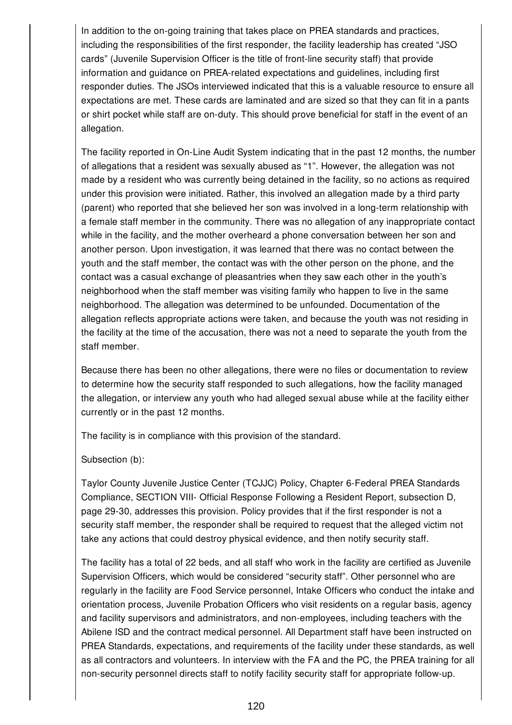In addition to the on-going training that takes place on PREA standards and practices, including the responsibilities of the first responder, the facility leadership has created "JSO cards" (Juvenile Supervision Officer is the title of front-line security staff) that provide information and guidance on PREA-related expectations and guidelines, including first responder duties. The JSOs interviewed indicated that this is a valuable resource to ensure all expectations are met. These cards are laminated and are sized so that they can fit in a pants or shirt pocket while staff are on-duty. This should prove beneficial for staff in the event of an allegation.

The facility reported in On-Line Audit System indicating that in the past 12 months, the number of allegations that a resident was sexually abused as "1". However, the allegation was not made by a resident who was currently being detained in the facility, so no actions as required under this provision were initiated. Rather, this involved an allegation made by a third party (parent) who reported that she believed her son was involved in a long-term relationship with a female staff member in the community. There was no allegation of any inappropriate contact while in the facility, and the mother overheard a phone conversation between her son and another person. Upon investigation, it was learned that there was no contact between the youth and the staff member, the contact was with the other person on the phone, and the contact was a casual exchange of pleasantries when they saw each other in the youth's neighborhood when the staff member was visiting family who happen to live in the same neighborhood. The allegation was determined to be unfounded. Documentation of the allegation reflects appropriate actions were taken, and because the youth was not residing in the facility at the time of the accusation, there was not a need to separate the youth from the staff member.

Because there has been no other allegations, there were no files or documentation to review to determine how the security staff responded to such allegations, how the facility managed the allegation, or interview any youth who had alleged sexual abuse while at the facility either currently or in the past 12 months.

The facility is in compliance with this provision of the standard.

### Subsection (b):

Taylor County Juvenile Justice Center (TCJJC) Policy, Chapter 6-Federal PREA Standards Compliance, SECTION VIII- Official Response Following a Resident Report, subsection D, page 29-30, addresses this provision. Policy provides that if the first responder is not a security staff member, the responder shall be required to request that the alleged victim not take any actions that could destroy physical evidence, and then notify security staff.

The facility has a total of 22 beds, and all staff who work in the facility are certified as Juvenile Supervision Officers, which would be considered "security staff". Other personnel who are regularly in the facility are Food Service personnel, Intake Officers who conduct the intake and orientation process, Juvenile Probation Officers who visit residents on a regular basis, agency and facility supervisors and administrators, and non-employees, including teachers with the Abilene ISD and the contract medical personnel. All Department staff have been instructed on PREA Standards, expectations, and requirements of the facility under these standards, as well as all contractors and volunteers. In interview with the FA and the PC, the PREA training for all non-security personnel directs staff to notify facility security staff for appropriate follow-up.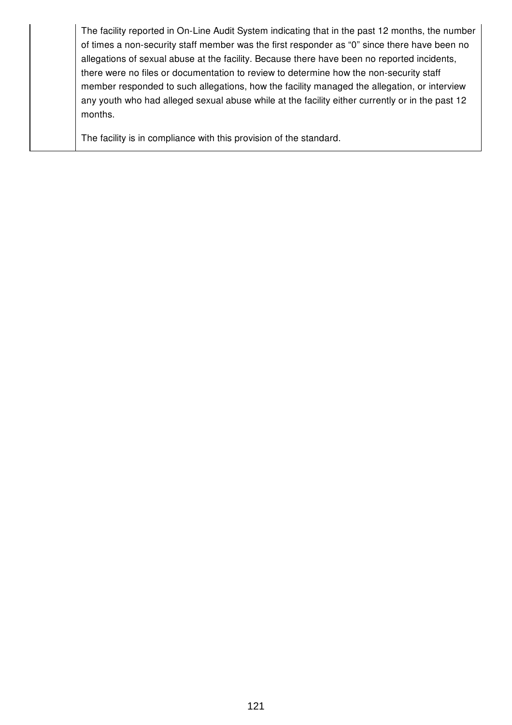The facility reported in On-Line Audit System indicating that in the past 12 months, the number of times a non-security staff member was the first responder as "0" since there have been no allegations of sexual abuse at the facility. Because there have been no reported incidents, there were no files or documentation to review to determine how the non-security staff member responded to such allegations, how the facility managed the allegation, or interview any youth who had alleged sexual abuse while at the facility either currently or in the past 12 months.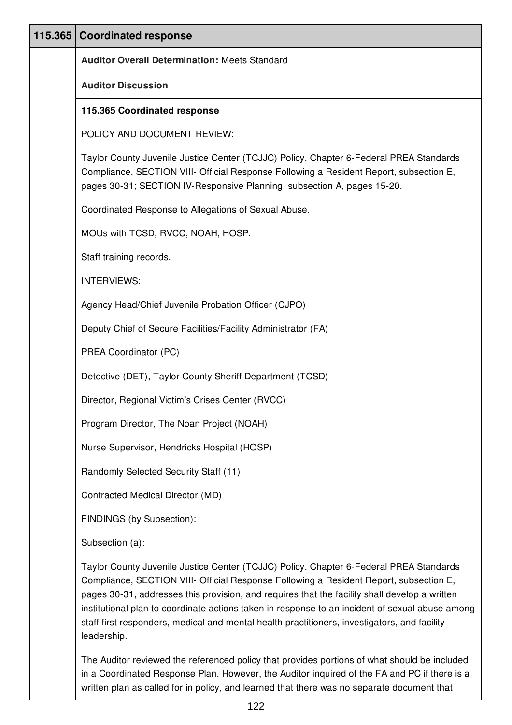| 115.365 | <b>Coordinated response</b>                                                                                                                                                                                                                                                                                                                                                                                                                                                                         |  |
|---------|-----------------------------------------------------------------------------------------------------------------------------------------------------------------------------------------------------------------------------------------------------------------------------------------------------------------------------------------------------------------------------------------------------------------------------------------------------------------------------------------------------|--|
|         | <b>Auditor Overall Determination: Meets Standard</b>                                                                                                                                                                                                                                                                                                                                                                                                                                                |  |
|         | <b>Auditor Discussion</b>                                                                                                                                                                                                                                                                                                                                                                                                                                                                           |  |
|         | 115.365 Coordinated response                                                                                                                                                                                                                                                                                                                                                                                                                                                                        |  |
|         | POLICY AND DOCUMENT REVIEW:                                                                                                                                                                                                                                                                                                                                                                                                                                                                         |  |
|         | Taylor County Juvenile Justice Center (TCJJC) Policy, Chapter 6-Federal PREA Standards<br>Compliance, SECTION VIII- Official Response Following a Resident Report, subsection E,<br>pages 30-31; SECTION IV-Responsive Planning, subsection A, pages 15-20.                                                                                                                                                                                                                                         |  |
|         | Coordinated Response to Allegations of Sexual Abuse.                                                                                                                                                                                                                                                                                                                                                                                                                                                |  |
|         | MOUs with TCSD, RVCC, NOAH, HOSP.                                                                                                                                                                                                                                                                                                                                                                                                                                                                   |  |
|         | Staff training records.                                                                                                                                                                                                                                                                                                                                                                                                                                                                             |  |
|         | <b>INTERVIEWS:</b>                                                                                                                                                                                                                                                                                                                                                                                                                                                                                  |  |
|         | Agency Head/Chief Juvenile Probation Officer (CJPO)                                                                                                                                                                                                                                                                                                                                                                                                                                                 |  |
|         | Deputy Chief of Secure Facilities/Facility Administrator (FA)                                                                                                                                                                                                                                                                                                                                                                                                                                       |  |
|         | PREA Coordinator (PC)                                                                                                                                                                                                                                                                                                                                                                                                                                                                               |  |
|         | Detective (DET), Taylor County Sheriff Department (TCSD)                                                                                                                                                                                                                                                                                                                                                                                                                                            |  |
|         | Director, Regional Victim's Crises Center (RVCC)                                                                                                                                                                                                                                                                                                                                                                                                                                                    |  |
|         | Program Director, The Noan Project (NOAH)                                                                                                                                                                                                                                                                                                                                                                                                                                                           |  |
|         | Nurse Supervisor, Hendricks Hospital (HOSP)                                                                                                                                                                                                                                                                                                                                                                                                                                                         |  |
|         | Randomly Selected Security Staff (11)                                                                                                                                                                                                                                                                                                                                                                                                                                                               |  |
|         | Contracted Medical Director (MD)                                                                                                                                                                                                                                                                                                                                                                                                                                                                    |  |
|         | FINDINGS (by Subsection):                                                                                                                                                                                                                                                                                                                                                                                                                                                                           |  |
|         | Subsection (a):                                                                                                                                                                                                                                                                                                                                                                                                                                                                                     |  |
|         | Taylor County Juvenile Justice Center (TCJJC) Policy, Chapter 6-Federal PREA Standards<br>Compliance, SECTION VIII- Official Response Following a Resident Report, subsection E,<br>pages 30-31, addresses this provision, and requires that the facility shall develop a written<br>institutional plan to coordinate actions taken in response to an incident of sexual abuse among<br>staff first responders, medical and mental health practitioners, investigators, and facility<br>leadership. |  |

The Auditor reviewed the referenced policy that provides portions of what should be included in a Coordinated Response Plan. However, the Auditor inquired of the FA and PC if there is a written plan as called for in policy, and learned that there was no separate document that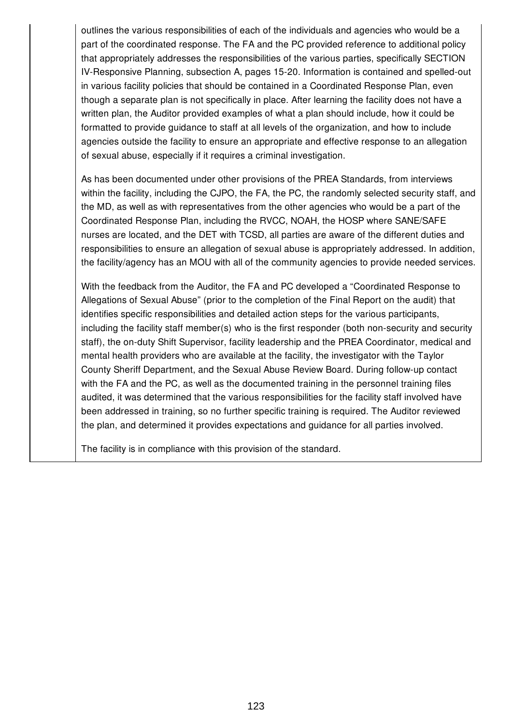outlines the various responsibilities of each of the individuals and agencies who would be a part of the coordinated response. The FA and the PC provided reference to additional policy that appropriately addresses the responsibilities of the various parties, specifically SECTION IV-Responsive Planning, subsection A, pages 15-20. Information is contained and spelled-out in various facility policies that should be contained in a Coordinated Response Plan, even though a separate plan is not specifically in place. After learning the facility does not have a written plan, the Auditor provided examples of what a plan should include, how it could be formatted to provide guidance to staff at all levels of the organization, and how to include agencies outside the facility to ensure an appropriate and effective response to an allegation of sexual abuse, especially if it requires a criminal investigation.

As has been documented under other provisions of the PREA Standards, from interviews within the facility, including the CJPO, the FA, the PC, the randomly selected security staff, and the MD, as well as with representatives from the other agencies who would be a part of the Coordinated Response Plan, including the RVCC, NOAH, the HOSP where SANE/SAFE nurses are located, and the DET with TCSD, all parties are aware of the different duties and responsibilities to ensure an allegation of sexual abuse is appropriately addressed. In addition, the facility/agency has an MOU with all of the community agencies to provide needed services.

With the feedback from the Auditor, the FA and PC developed a "Coordinated Response to Allegations of Sexual Abuse" (prior to the completion of the Final Report on the audit) that identifies specific responsibilities and detailed action steps for the various participants, including the facility staff member(s) who is the first responder (both non-security and security staff), the on-duty Shift Supervisor, facility leadership and the PREA Coordinator, medical and mental health providers who are available at the facility, the investigator with the Taylor County Sheriff Department, and the Sexual Abuse Review Board. During follow-up contact with the FA and the PC, as well as the documented training in the personnel training files audited, it was determined that the various responsibilities for the facility staff involved have been addressed in training, so no further specific training is required. The Auditor reviewed the plan, and determined it provides expectations and guidance for all parties involved.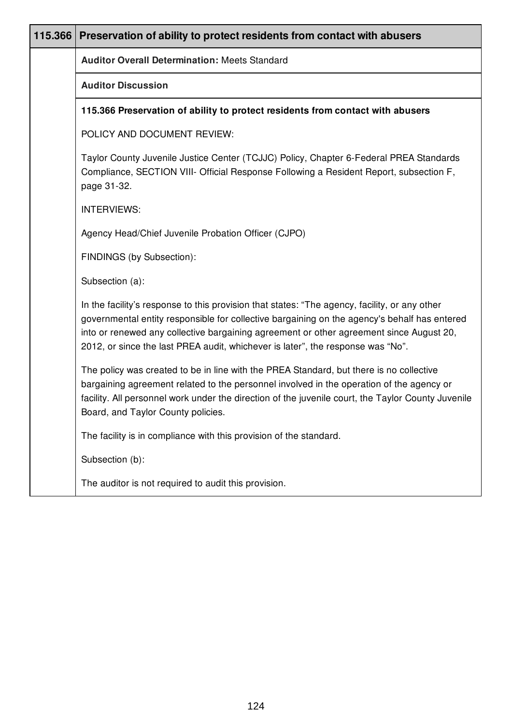| 115.366 Preservation of ability to protect residents from contact with abusers                                                                                                                                                                                                                                                                                              |
|-----------------------------------------------------------------------------------------------------------------------------------------------------------------------------------------------------------------------------------------------------------------------------------------------------------------------------------------------------------------------------|
| <b>Auditor Overall Determination: Meets Standard</b>                                                                                                                                                                                                                                                                                                                        |
| <b>Auditor Discussion</b>                                                                                                                                                                                                                                                                                                                                                   |
| 115.366 Preservation of ability to protect residents from contact with abusers                                                                                                                                                                                                                                                                                              |
| POLICY AND DOCUMENT REVIEW:                                                                                                                                                                                                                                                                                                                                                 |
| Taylor County Juvenile Justice Center (TCJJC) Policy, Chapter 6-Federal PREA Standards<br>Compliance, SECTION VIII- Official Response Following a Resident Report, subsection F,<br>page 31-32.                                                                                                                                                                             |
| <b>INTERVIEWS:</b>                                                                                                                                                                                                                                                                                                                                                          |
| Agency Head/Chief Juvenile Probation Officer (CJPO)                                                                                                                                                                                                                                                                                                                         |
| FINDINGS (by Subsection):                                                                                                                                                                                                                                                                                                                                                   |
| Subsection (a):                                                                                                                                                                                                                                                                                                                                                             |
| In the facility's response to this provision that states: "The agency, facility, or any other<br>governmental entity responsible for collective bargaining on the agency's behalf has entered<br>into or renewed any collective bargaining agreement or other agreement since August 20,<br>2012, or since the last PREA audit, whichever is later", the response was "No". |
| The policy was created to be in line with the PREA Standard, but there is no collective<br>bargaining agreement related to the personnel involved in the operation of the agency or<br>facility. All personnel work under the direction of the juvenile court, the Taylor County Juvenile<br>Board, and Taylor County policies.                                             |
| The facility is in compliance with this provision of the standard.                                                                                                                                                                                                                                                                                                          |
| Subsection (b):                                                                                                                                                                                                                                                                                                                                                             |
| The auditor is not required to audit this provision.                                                                                                                                                                                                                                                                                                                        |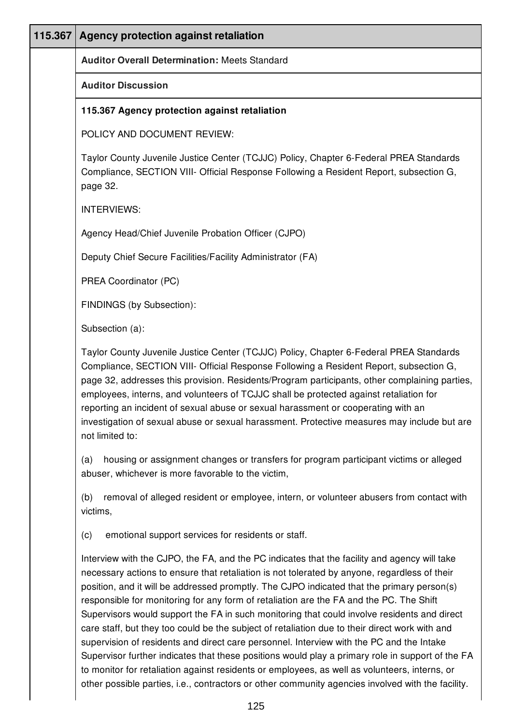| 115.367 | Agency protection against retaliation                                                                                                                                                                                                                                                                                                                                                                                                                                                                                                                                                                                                                                                                                                                                                                                                                                                                                                                                                        |
|---------|----------------------------------------------------------------------------------------------------------------------------------------------------------------------------------------------------------------------------------------------------------------------------------------------------------------------------------------------------------------------------------------------------------------------------------------------------------------------------------------------------------------------------------------------------------------------------------------------------------------------------------------------------------------------------------------------------------------------------------------------------------------------------------------------------------------------------------------------------------------------------------------------------------------------------------------------------------------------------------------------|
|         | <b>Auditor Overall Determination: Meets Standard</b>                                                                                                                                                                                                                                                                                                                                                                                                                                                                                                                                                                                                                                                                                                                                                                                                                                                                                                                                         |
|         | <b>Auditor Discussion</b>                                                                                                                                                                                                                                                                                                                                                                                                                                                                                                                                                                                                                                                                                                                                                                                                                                                                                                                                                                    |
|         | 115.367 Agency protection against retaliation                                                                                                                                                                                                                                                                                                                                                                                                                                                                                                                                                                                                                                                                                                                                                                                                                                                                                                                                                |
|         | POLICY AND DOCUMENT REVIEW:                                                                                                                                                                                                                                                                                                                                                                                                                                                                                                                                                                                                                                                                                                                                                                                                                                                                                                                                                                  |
|         | Taylor County Juvenile Justice Center (TCJJC) Policy, Chapter 6-Federal PREA Standards<br>Compliance, SECTION VIII- Official Response Following a Resident Report, subsection G,<br>page 32.                                                                                                                                                                                                                                                                                                                                                                                                                                                                                                                                                                                                                                                                                                                                                                                                 |
|         | <b>INTERVIEWS:</b>                                                                                                                                                                                                                                                                                                                                                                                                                                                                                                                                                                                                                                                                                                                                                                                                                                                                                                                                                                           |
|         | Agency Head/Chief Juvenile Probation Officer (CJPO)                                                                                                                                                                                                                                                                                                                                                                                                                                                                                                                                                                                                                                                                                                                                                                                                                                                                                                                                          |
|         | Deputy Chief Secure Facilities/Facility Administrator (FA)                                                                                                                                                                                                                                                                                                                                                                                                                                                                                                                                                                                                                                                                                                                                                                                                                                                                                                                                   |
|         | PREA Coordinator (PC)                                                                                                                                                                                                                                                                                                                                                                                                                                                                                                                                                                                                                                                                                                                                                                                                                                                                                                                                                                        |
|         | FINDINGS (by Subsection):                                                                                                                                                                                                                                                                                                                                                                                                                                                                                                                                                                                                                                                                                                                                                                                                                                                                                                                                                                    |
|         | Subsection (a):                                                                                                                                                                                                                                                                                                                                                                                                                                                                                                                                                                                                                                                                                                                                                                                                                                                                                                                                                                              |
|         | Taylor County Juvenile Justice Center (TCJJC) Policy, Chapter 6-Federal PREA Standards<br>Compliance, SECTION VIII- Official Response Following a Resident Report, subsection G,<br>page 32, addresses this provision. Residents/Program participants, other complaining parties,<br>employees, interns, and volunteers of TCJJC shall be protected against retaliation for<br>reporting an incident of sexual abuse or sexual harassment or cooperating with an<br>investigation of sexual abuse or sexual harassment. Protective measures may include but are<br>not limited to:                                                                                                                                                                                                                                                                                                                                                                                                           |
|         | housing or assignment changes or transfers for program participant victims or alleged<br>(a)<br>abuser, whichever is more favorable to the victim,                                                                                                                                                                                                                                                                                                                                                                                                                                                                                                                                                                                                                                                                                                                                                                                                                                           |
|         | removal of alleged resident or employee, intern, or volunteer abusers from contact with<br>(b)<br>victims,                                                                                                                                                                                                                                                                                                                                                                                                                                                                                                                                                                                                                                                                                                                                                                                                                                                                                   |
|         | emotional support services for residents or staff.<br>(c)                                                                                                                                                                                                                                                                                                                                                                                                                                                                                                                                                                                                                                                                                                                                                                                                                                                                                                                                    |
|         | Interview with the CJPO, the FA, and the PC indicates that the facility and agency will take<br>necessary actions to ensure that retaliation is not tolerated by anyone, regardless of their<br>position, and it will be addressed promptly. The CJPO indicated that the primary person(s)<br>responsible for monitoring for any form of retaliation are the FA and the PC. The Shift<br>Supervisors would support the FA in such monitoring that could involve residents and direct<br>care staff, but they too could be the subject of retaliation due to their direct work with and<br>supervision of residents and direct care personnel. Interview with the PC and the Intake<br>Supervisor further indicates that these positions would play a primary role in support of the FA<br>to monitor for retaliation against residents or employees, as well as volunteers, interns, or<br>other possible parties, i.e., contractors or other community agencies involved with the facility. |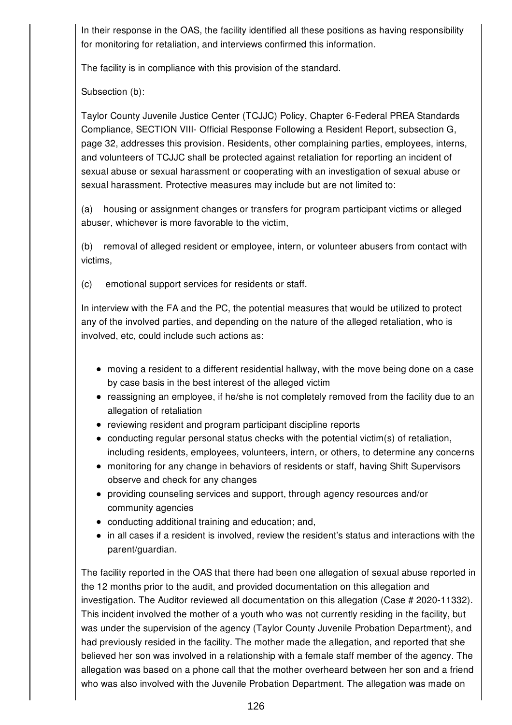In their response in the OAS, the facility identified all these positions as having responsibility for monitoring for retaliation, and interviews confirmed this information.

The facility is in compliance with this provision of the standard.

Subsection (b):

Taylor County Juvenile Justice Center (TCJJC) Policy, Chapter 6-Federal PREA Standards Compliance, SECTION VIII- Official Response Following a Resident Report, subsection G, page 32, addresses this provision. Residents, other complaining parties, employees, interns, and volunteers of TCJJC shall be protected against retaliation for reporting an incident of sexual abuse or sexual harassment or cooperating with an investigation of sexual abuse or sexual harassment. Protective measures may include but are not limited to:

(a) housing or assignment changes or transfers for program participant victims or alleged abuser, whichever is more favorable to the victim,

(b) removal of alleged resident or employee, intern, or volunteer abusers from contact with victims,

(c) emotional support services for residents or staff.

In interview with the FA and the PC, the potential measures that would be utilized to protect any of the involved parties, and depending on the nature of the alleged retaliation, who is involved, etc, could include such actions as:

- moving a resident to a different residential hallway, with the move being done on a case by case basis in the best interest of the alleged victim
- reassigning an employee, if he/she is not completely removed from the facility due to an allegation of retaliation
- reviewing resident and program participant discipline reports
- $\bullet$  conducting regular personal status checks with the potential victim(s) of retaliation, including residents, employees, volunteers, intern, or others, to determine any concerns
- monitoring for any change in behaviors of residents or staff, having Shift Supervisors observe and check for any changes
- providing counseling services and support, through agency resources and/or community agencies
- conducting additional training and education; and,
- in all cases if a resident is involved, review the resident's status and interactions with the parent/guardian.

The facility reported in the OAS that there had been one allegation of sexual abuse reported in the 12 months prior to the audit, and provided documentation on this allegation and investigation. The Auditor reviewed all documentation on this allegation (Case # 2020-11332). This incident involved the mother of a youth who was not currently residing in the facility, but was under the supervision of the agency (Taylor County Juvenile Probation Department), and had previously resided in the facility. The mother made the allegation, and reported that she believed her son was involved in a relationship with a female staff member of the agency. The allegation was based on a phone call that the mother overheard between her son and a friend who was also involved with the Juvenile Probation Department. The allegation was made on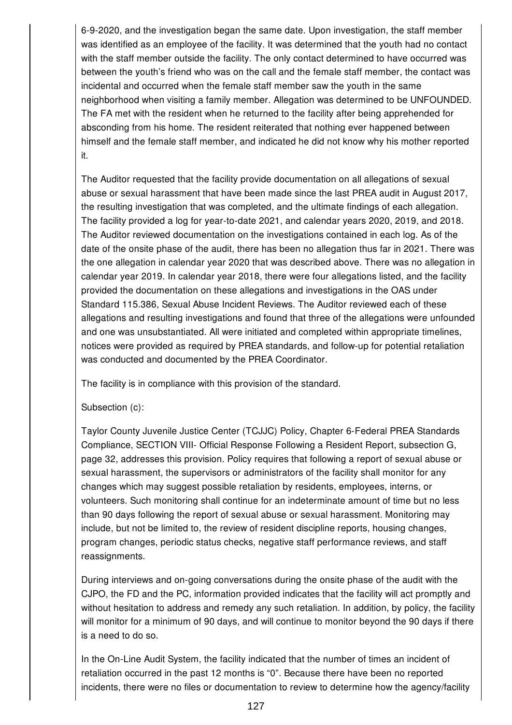6-9-2020, and the investigation began the same date. Upon investigation, the staff member was identified as an employee of the facility. It was determined that the youth had no contact with the staff member outside the facility. The only contact determined to have occurred was between the youth's friend who was on the call and the female staff member, the contact was incidental and occurred when the female staff member saw the youth in the same neighborhood when visiting a family member. Allegation was determined to be UNFOUNDED. The FA met with the resident when he returned to the facility after being apprehended for absconding from his home. The resident reiterated that nothing ever happened between himself and the female staff member, and indicated he did not know why his mother reported it.

The Auditor requested that the facility provide documentation on all allegations of sexual abuse or sexual harassment that have been made since the last PREA audit in August 2017, the resulting investigation that was completed, and the ultimate findings of each allegation. The facility provided a log for year-to-date 2021, and calendar years 2020, 2019, and 2018. The Auditor reviewed documentation on the investigations contained in each log. As of the date of the onsite phase of the audit, there has been no allegation thus far in 2021. There was the one allegation in calendar year 2020 that was described above. There was no allegation in calendar year 2019. In calendar year 2018, there were four allegations listed, and the facility provided the documentation on these allegations and investigations in the OAS under Standard 115.386, Sexual Abuse Incident Reviews. The Auditor reviewed each of these allegations and resulting investigations and found that three of the allegations were unfounded and one was unsubstantiated. All were initiated and completed within appropriate timelines, notices were provided as required by PREA standards, and follow-up for potential retaliation was conducted and documented by the PREA Coordinator.

The facility is in compliance with this provision of the standard.

### Subsection (c):

Taylor County Juvenile Justice Center (TCJJC) Policy, Chapter 6-Federal PREA Standards Compliance, SECTION VIII- Official Response Following a Resident Report, subsection G, page 32, addresses this provision. Policy requires that following a report of sexual abuse or sexual harassment, the supervisors or administrators of the facility shall monitor for any changes which may suggest possible retaliation by residents, employees, interns, or volunteers. Such monitoring shall continue for an indeterminate amount of time but no less than 90 days following the report of sexual abuse or sexual harassment. Monitoring may include, but not be limited to, the review of resident discipline reports, housing changes, program changes, periodic status checks, negative staff performance reviews, and staff reassignments.

During interviews and on-going conversations during the onsite phase of the audit with the CJPO, the FD and the PC, information provided indicates that the facility will act promptly and without hesitation to address and remedy any such retaliation. In addition, by policy, the facility will monitor for a minimum of 90 days, and will continue to monitor beyond the 90 days if there is a need to do so.

In the On-Line Audit System, the facility indicated that the number of times an incident of retaliation occurred in the past 12 months is "0". Because there have been no reported incidents, there were no files or documentation to review to determine how the agency/facility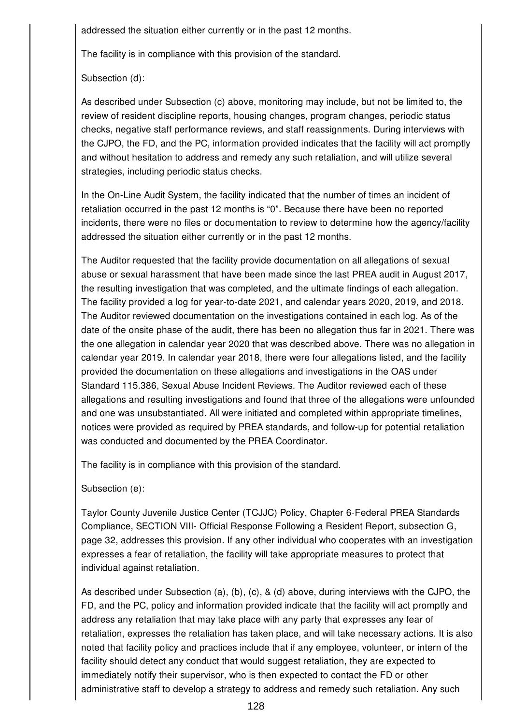addressed the situation either currently or in the past 12 months.

The facility is in compliance with this provision of the standard.

Subsection (d):

As described under Subsection (c) above, monitoring may include, but not be limited to, the review of resident discipline reports, housing changes, program changes, periodic status checks, negative staff performance reviews, and staff reassignments. During interviews with the CJPO, the FD, and the PC, information provided indicates that the facility will act promptly and without hesitation to address and remedy any such retaliation, and will utilize several strategies, including periodic status checks.

In the On-Line Audit System, the facility indicated that the number of times an incident of retaliation occurred in the past 12 months is "0". Because there have been no reported incidents, there were no files or documentation to review to determine how the agency/facility addressed the situation either currently or in the past 12 months.

The Auditor requested that the facility provide documentation on all allegations of sexual abuse or sexual harassment that have been made since the last PREA audit in August 2017, the resulting investigation that was completed, and the ultimate findings of each allegation. The facility provided a log for year-to-date 2021, and calendar years 2020, 2019, and 2018. The Auditor reviewed documentation on the investigations contained in each log. As of the date of the onsite phase of the audit, there has been no allegation thus far in 2021. There was the one allegation in calendar year 2020 that was described above. There was no allegation in calendar year 2019. In calendar year 2018, there were four allegations listed, and the facility provided the documentation on these allegations and investigations in the OAS under Standard 115.386, Sexual Abuse Incident Reviews. The Auditor reviewed each of these allegations and resulting investigations and found that three of the allegations were unfounded and one was unsubstantiated. All were initiated and completed within appropriate timelines, notices were provided as required by PREA standards, and follow-up for potential retaliation was conducted and documented by the PREA Coordinator.

The facility is in compliance with this provision of the standard.

Subsection (e):

Taylor County Juvenile Justice Center (TCJJC) Policy, Chapter 6-Federal PREA Standards Compliance, SECTION VIII- Official Response Following a Resident Report, subsection G, page 32, addresses this provision. If any other individual who cooperates with an investigation expresses a fear of retaliation, the facility will take appropriate measures to protect that individual against retaliation.

As described under Subsection (a), (b), (c), & (d) above, during interviews with the CJPO, the FD, and the PC, policy and information provided indicate that the facility will act promptly and address any retaliation that may take place with any party that expresses any fear of retaliation, expresses the retaliation has taken place, and will take necessary actions. It is also noted that facility policy and practices include that if any employee, volunteer, or intern of the facility should detect any conduct that would suggest retaliation, they are expected to immediately notify their supervisor, who is then expected to contact the FD or other administrative staff to develop a strategy to address and remedy such retaliation. Any such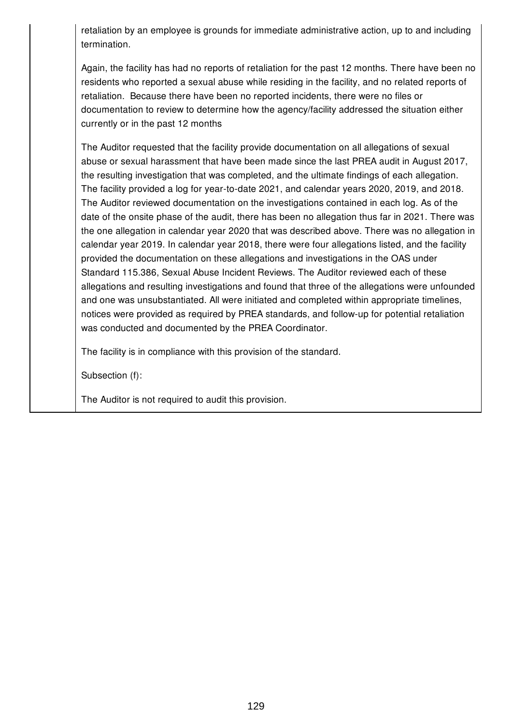retaliation by an employee is grounds for immediate administrative action, up to and including termination.

Again, the facility has had no reports of retaliation for the past 12 months. There have been no residents who reported a sexual abuse while residing in the facility, and no related reports of retaliation. Because there have been no reported incidents, there were no files or documentation to review to determine how the agency/facility addressed the situation either currently or in the past 12 months

The Auditor requested that the facility provide documentation on all allegations of sexual abuse or sexual harassment that have been made since the last PREA audit in August 2017, the resulting investigation that was completed, and the ultimate findings of each allegation. The facility provided a log for year-to-date 2021, and calendar years 2020, 2019, and 2018. The Auditor reviewed documentation on the investigations contained in each log. As of the date of the onsite phase of the audit, there has been no allegation thus far in 2021. There was the one allegation in calendar year 2020 that was described above. There was no allegation in calendar year 2019. In calendar year 2018, there were four allegations listed, and the facility provided the documentation on these allegations and investigations in the OAS under Standard 115.386, Sexual Abuse Incident Reviews. The Auditor reviewed each of these allegations and resulting investigations and found that three of the allegations were unfounded and one was unsubstantiated. All were initiated and completed within appropriate timelines, notices were provided as required by PREA standards, and follow-up for potential retaliation was conducted and documented by the PREA Coordinator.

The facility is in compliance with this provision of the standard.

Subsection (f):

The Auditor is not required to audit this provision.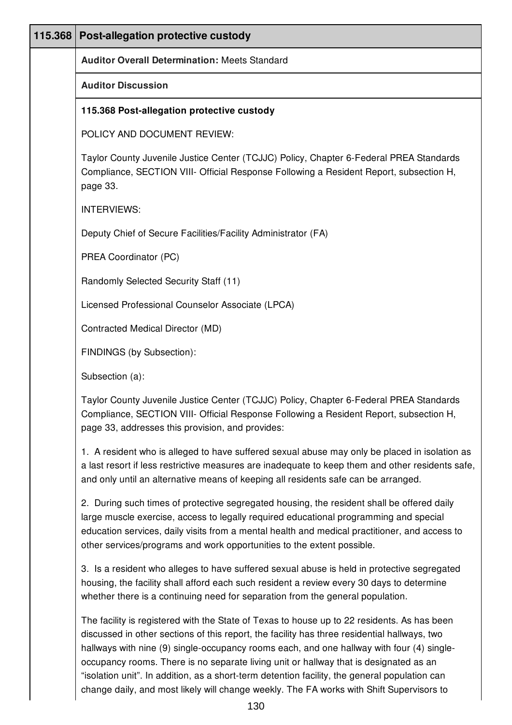| 115.368 | Post-allegation protective custody                                                                                                                                                                                                                                                                                                                                                                                                                                                 |
|---------|------------------------------------------------------------------------------------------------------------------------------------------------------------------------------------------------------------------------------------------------------------------------------------------------------------------------------------------------------------------------------------------------------------------------------------------------------------------------------------|
|         | <b>Auditor Overall Determination: Meets Standard</b>                                                                                                                                                                                                                                                                                                                                                                                                                               |
|         | <b>Auditor Discussion</b>                                                                                                                                                                                                                                                                                                                                                                                                                                                          |
|         | 115.368 Post-allegation protective custody                                                                                                                                                                                                                                                                                                                                                                                                                                         |
|         | POLICY AND DOCUMENT REVIEW:                                                                                                                                                                                                                                                                                                                                                                                                                                                        |
|         | Taylor County Juvenile Justice Center (TCJJC) Policy, Chapter 6-Federal PREA Standards<br>Compliance, SECTION VIII- Official Response Following a Resident Report, subsection H,<br>page 33.                                                                                                                                                                                                                                                                                       |
|         | <b>INTERVIEWS:</b>                                                                                                                                                                                                                                                                                                                                                                                                                                                                 |
|         | Deputy Chief of Secure Facilities/Facility Administrator (FA)                                                                                                                                                                                                                                                                                                                                                                                                                      |
|         | PREA Coordinator (PC)                                                                                                                                                                                                                                                                                                                                                                                                                                                              |
|         | Randomly Selected Security Staff (11)                                                                                                                                                                                                                                                                                                                                                                                                                                              |
|         | Licensed Professional Counselor Associate (LPCA)                                                                                                                                                                                                                                                                                                                                                                                                                                   |
|         | Contracted Medical Director (MD)                                                                                                                                                                                                                                                                                                                                                                                                                                                   |
|         | FINDINGS (by Subsection):                                                                                                                                                                                                                                                                                                                                                                                                                                                          |
|         | Subsection (a):                                                                                                                                                                                                                                                                                                                                                                                                                                                                    |
|         | Taylor County Juvenile Justice Center (TCJJC) Policy, Chapter 6-Federal PREA Standards<br>Compliance, SECTION VIII- Official Response Following a Resident Report, subsection H,<br>page 33, addresses this provision, and provides:                                                                                                                                                                                                                                               |
|         | 1. A resident who is alleged to have suffered sexual abuse may only be placed in isolation as<br>a last resort if less restrictive measures are inadequate to keep them and other residents safe,<br>and only until an alternative means of keeping all residents safe can be arranged.                                                                                                                                                                                            |
|         | 2. During such times of protective segregated housing, the resident shall be offered daily<br>large muscle exercise, access to legally required educational programming and special<br>education services, daily visits from a mental health and medical practitioner, and access to<br>other services/programs and work opportunities to the extent possible.                                                                                                                     |
|         | 3. Is a resident who alleges to have suffered sexual abuse is held in protective segregated<br>housing, the facility shall afford each such resident a review every 30 days to determine<br>whether there is a continuing need for separation from the general population.                                                                                                                                                                                                         |
|         | The facility is registered with the State of Texas to house up to 22 residents. As has been<br>discussed in other sections of this report, the facility has three residential hallways, two<br>hallways with nine (9) single-occupancy rooms each, and one hallway with four (4) single-<br>occupancy rooms. There is no separate living unit or hallway that is designated as an<br>"isolation unit". In addition, as a short-term detention facility, the general population can |

change daily, and most likely will change weekly. The FA works with Shift Supervisors to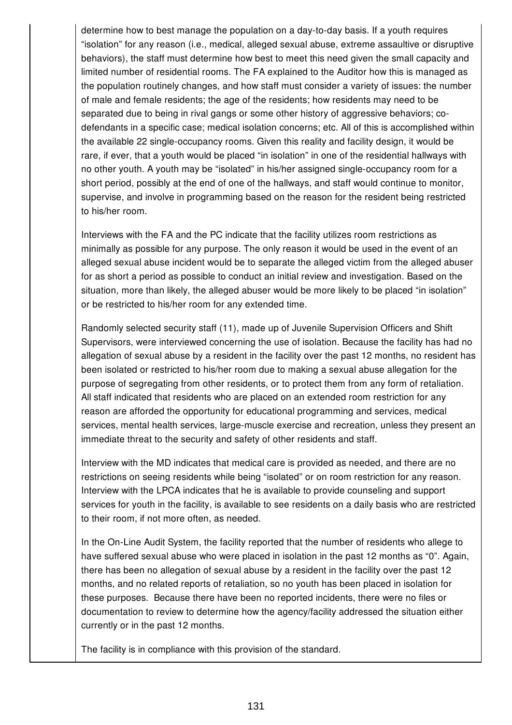determine how to best manage the population on a day-to-day basis. If a youth requires "isolation" for any reason (i.e., medical, alleged sexual abuse, extreme assaultive or disruptive behaviors), the staff must determine how best to meet this need given the small capacity and limited number of residential rooms. The FA explained to the Auditor how this is managed as the population routinely changes, and how staff must consider a variety of issues: the number of male and female residents; the age of the residents; how residents may need to be separated due to being in rival gangs or some other history of aggressive behaviors; codefendants in a specific case; medical isolation concerns; etc. All of this is accomplished within the available 22 single-occupancy rooms. Given this reality and facility design, it would be rare, if ever, that a youth would be placed "in isolation" in one of the residential hallways with no other youth. A youth may be "isolated" in his/her assigned single-occupancy room for a short period, possibly at the end of one of the hallways, and staff would continue to monitor, supervise, and involve in programming based on the reason for the resident being restricted to his/her room.

Interviews with the FA and the PC indicate that the facility utilizes room restrictions as minimally as possible for any purpose. The only reason it would be used in the event of an alleged sexual abuse incident would be to separate the alleged victim from the alleged abuser for as short a period as possible to conduct an initial review and investigation. Based on the situation, more than likely, the alleged abuser would be more likely to be placed "in isolation" or be restricted to his/her room for any extended time.

Randomly selected security staff (11), made up of Juvenile Supervision Officers and Shift Supervisors, were interviewed concerning the use of isolation. Because the facility has had no allegation of sexual abuse by a resident in the facility over the past 12 months, no resident has been isolated or restricted to his/her room due to making a sexual abuse allegation for the purpose of segregating from other residents, or to protect them from any form of retaliation. All staff indicated that residents who are placed on an extended room restriction for any reason are afforded the opportunity for educational programming and services, medical services, mental health services, large-muscle exercise and recreation, unless they present an immediate threat to the security and safety of other residents and staff.

Interview with the MD indicates that medical care is provided as needed, and there are no restrictions on seeing residents while being "isolated" or on room restriction for any reason. Interview with the LPCA indicates that he is available to provide counseling and support services for youth in the facility, is available to see residents on a daily basis who are restricted to their room, if not more often, as needed.

In the On-Line Audit System, the facility reported that the number of residents who allege to have suffered sexual abuse who were placed in isolation in the past 12 months as "0". Again, there has been no allegation of sexual abuse by a resident in the facility over the past 12 months, and no related reports of retaliation, so no youth has been placed in isolation for these purposes. Because there have been no reported incidents, there were no files or documentation to review to determine how the agency/facility addressed the situation either currently or in the past 12 months.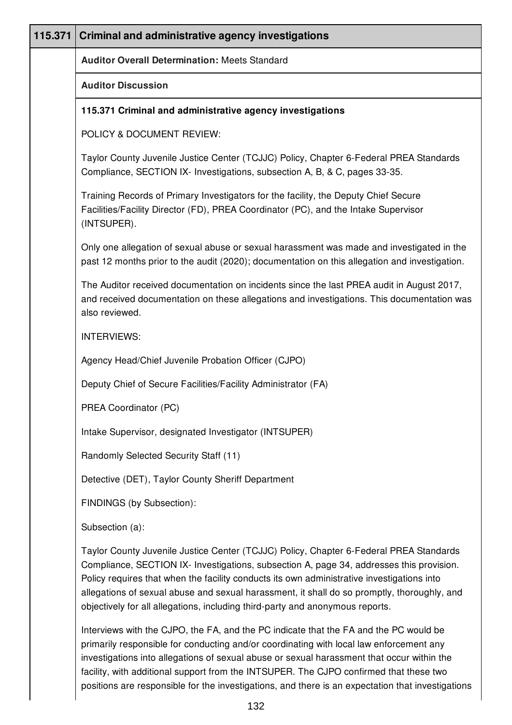| 115.371 | <b>Criminal and administrative agency investigations</b>                                                                                                                                                                                                                                                                                                                                                                                                         |  |
|---------|------------------------------------------------------------------------------------------------------------------------------------------------------------------------------------------------------------------------------------------------------------------------------------------------------------------------------------------------------------------------------------------------------------------------------------------------------------------|--|
|         | <b>Auditor Overall Determination: Meets Standard</b>                                                                                                                                                                                                                                                                                                                                                                                                             |  |
|         | <b>Auditor Discussion</b>                                                                                                                                                                                                                                                                                                                                                                                                                                        |  |
|         | 115.371 Criminal and administrative agency investigations                                                                                                                                                                                                                                                                                                                                                                                                        |  |
|         | POLICY & DOCUMENT REVIEW:                                                                                                                                                                                                                                                                                                                                                                                                                                        |  |
|         | Taylor County Juvenile Justice Center (TCJJC) Policy, Chapter 6-Federal PREA Standards<br>Compliance, SECTION IX- Investigations, subsection A, B, & C, pages 33-35.                                                                                                                                                                                                                                                                                             |  |
|         | Training Records of Primary Investigators for the facility, the Deputy Chief Secure<br>Facilities/Facility Director (FD), PREA Coordinator (PC), and the Intake Supervisor<br>(INTSUPER).                                                                                                                                                                                                                                                                        |  |
|         | Only one allegation of sexual abuse or sexual harassment was made and investigated in the<br>past 12 months prior to the audit (2020); documentation on this allegation and investigation.                                                                                                                                                                                                                                                                       |  |
|         | The Auditor received documentation on incidents since the last PREA audit in August 2017,<br>and received documentation on these allegations and investigations. This documentation was<br>also reviewed.                                                                                                                                                                                                                                                        |  |
|         | <b>INTERVIEWS:</b>                                                                                                                                                                                                                                                                                                                                                                                                                                               |  |
|         | Agency Head/Chief Juvenile Probation Officer (CJPO)                                                                                                                                                                                                                                                                                                                                                                                                              |  |
|         | Deputy Chief of Secure Facilities/Facility Administrator (FA)                                                                                                                                                                                                                                                                                                                                                                                                    |  |
|         | PREA Coordinator (PC)                                                                                                                                                                                                                                                                                                                                                                                                                                            |  |
|         | Intake Supervisor, designated Investigator (INTSUPER)                                                                                                                                                                                                                                                                                                                                                                                                            |  |
|         | Randomly Selected Security Staff (11)                                                                                                                                                                                                                                                                                                                                                                                                                            |  |
|         | Detective (DET), Taylor County Sheriff Department                                                                                                                                                                                                                                                                                                                                                                                                                |  |
|         | FINDINGS (by Subsection):                                                                                                                                                                                                                                                                                                                                                                                                                                        |  |
|         | Subsection (a):                                                                                                                                                                                                                                                                                                                                                                                                                                                  |  |
|         | Taylor County Juvenile Justice Center (TCJJC) Policy, Chapter 6-Federal PREA Standards<br>Compliance, SECTION IX- Investigations, subsection A, page 34, addresses this provision.<br>Policy requires that when the facility conducts its own administrative investigations into<br>allegations of sexual abuse and sexual harassment, it shall do so promptly, thoroughly, and<br>objectively for all allegations, including third-party and anonymous reports. |  |
|         | Interviews with the CJPO, the FA, and the PC indicate that the FA and the PC would be<br>primarily responsible for conducting and/or coordinating with local law enforcement any<br>investigations into allegations of sexual abuse or sexual harassment that occur within the                                                                                                                                                                                   |  |

facility, with additional support from the INTSUPER. The CJPO confirmed that these two positions are responsible for the investigations, and there is an expectation that investigations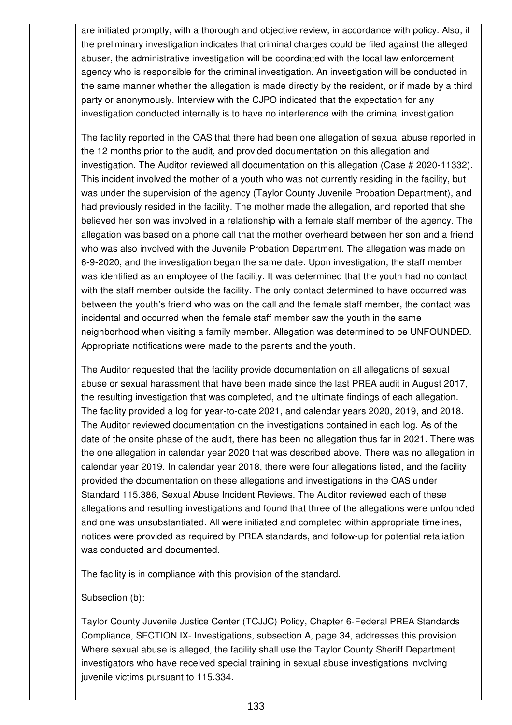are initiated promptly, with a thorough and objective review, in accordance with policy. Also, if the preliminary investigation indicates that criminal charges could be filed against the alleged abuser, the administrative investigation will be coordinated with the local law enforcement agency who is responsible for the criminal investigation. An investigation will be conducted in the same manner whether the allegation is made directly by the resident, or if made by a third party or anonymously. Interview with the CJPO indicated that the expectation for any investigation conducted internally is to have no interference with the criminal investigation.

The facility reported in the OAS that there had been one allegation of sexual abuse reported in the 12 months prior to the audit, and provided documentation on this allegation and investigation. The Auditor reviewed all documentation on this allegation (Case # 2020-11332). This incident involved the mother of a youth who was not currently residing in the facility, but was under the supervision of the agency (Taylor County Juvenile Probation Department), and had previously resided in the facility. The mother made the allegation, and reported that she believed her son was involved in a relationship with a female staff member of the agency. The allegation was based on a phone call that the mother overheard between her son and a friend who was also involved with the Juvenile Probation Department. The allegation was made on 6-9-2020, and the investigation began the same date. Upon investigation, the staff member was identified as an employee of the facility. It was determined that the youth had no contact with the staff member outside the facility. The only contact determined to have occurred was between the youth's friend who was on the call and the female staff member, the contact was incidental and occurred when the female staff member saw the youth in the same neighborhood when visiting a family member. Allegation was determined to be UNFOUNDED. Appropriate notifications were made to the parents and the youth.

The Auditor requested that the facility provide documentation on all allegations of sexual abuse or sexual harassment that have been made since the last PREA audit in August 2017, the resulting investigation that was completed, and the ultimate findings of each allegation. The facility provided a log for year-to-date 2021, and calendar years 2020, 2019, and 2018. The Auditor reviewed documentation on the investigations contained in each log. As of the date of the onsite phase of the audit, there has been no allegation thus far in 2021. There was the one allegation in calendar year 2020 that was described above. There was no allegation in calendar year 2019. In calendar year 2018, there were four allegations listed, and the facility provided the documentation on these allegations and investigations in the OAS under Standard 115.386, Sexual Abuse Incident Reviews. The Auditor reviewed each of these allegations and resulting investigations and found that three of the allegations were unfounded and one was unsubstantiated. All were initiated and completed within appropriate timelines, notices were provided as required by PREA standards, and follow-up for potential retaliation was conducted and documented.

The facility is in compliance with this provision of the standard.

#### Subsection (b):

Taylor County Juvenile Justice Center (TCJJC) Policy, Chapter 6-Federal PREA Standards Compliance, SECTION IX- Investigations, subsection A, page 34, addresses this provision. Where sexual abuse is alleged, the facility shall use the Taylor County Sheriff Department investigators who have received special training in sexual abuse investigations involving juvenile victims pursuant to 115.334.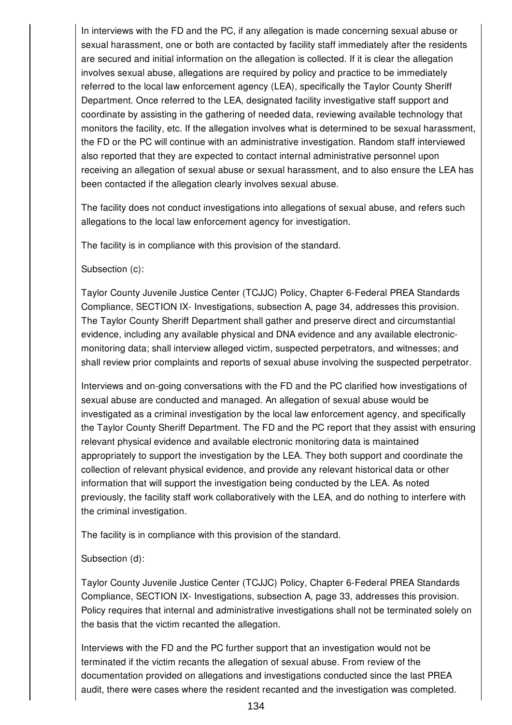In interviews with the FD and the PC, if any allegation is made concerning sexual abuse or sexual harassment, one or both are contacted by facility staff immediately after the residents are secured and initial information on the allegation is collected. If it is clear the allegation involves sexual abuse, allegations are required by policy and practice to be immediately referred to the local law enforcement agency (LEA), specifically the Taylor County Sheriff Department. Once referred to the LEA, designated facility investigative staff support and coordinate by assisting in the gathering of needed data, reviewing available technology that monitors the facility, etc. If the allegation involves what is determined to be sexual harassment, the FD or the PC will continue with an administrative investigation. Random staff interviewed also reported that they are expected to contact internal administrative personnel upon receiving an allegation of sexual abuse or sexual harassment, and to also ensure the LEA has been contacted if the allegation clearly involves sexual abuse.

The facility does not conduct investigations into allegations of sexual abuse, and refers such allegations to the local law enforcement agency for investigation.

The facility is in compliance with this provision of the standard.

Subsection (c):

Taylor County Juvenile Justice Center (TCJJC) Policy, Chapter 6-Federal PREA Standards Compliance, SECTION IX- Investigations, subsection A, page 34, addresses this provision. The Taylor County Sheriff Department shall gather and preserve direct and circumstantial evidence, including any available physical and DNA evidence and any available electronicmonitoring data; shall interview alleged victim, suspected perpetrators, and witnesses; and shall review prior complaints and reports of sexual abuse involving the suspected perpetrator.

Interviews and on-going conversations with the FD and the PC clarified how investigations of sexual abuse are conducted and managed. An allegation of sexual abuse would be investigated as a criminal investigation by the local law enforcement agency, and specifically the Taylor County Sheriff Department. The FD and the PC report that they assist with ensuring relevant physical evidence and available electronic monitoring data is maintained appropriately to support the investigation by the LEA. They both support and coordinate the collection of relevant physical evidence, and provide any relevant historical data or other information that will support the investigation being conducted by the LEA. As noted previously, the facility staff work collaboratively with the LEA, and do nothing to interfere with the criminal investigation.

The facility is in compliance with this provision of the standard.

### Subsection (d):

Taylor County Juvenile Justice Center (TCJJC) Policy, Chapter 6-Federal PREA Standards Compliance, SECTION IX- Investigations, subsection A, page 33, addresses this provision. Policy requires that internal and administrative investigations shall not be terminated solely on the basis that the victim recanted the allegation.

Interviews with the FD and the PC further support that an investigation would not be terminated if the victim recants the allegation of sexual abuse. From review of the documentation provided on allegations and investigations conducted since the last PREA audit, there were cases where the resident recanted and the investigation was completed.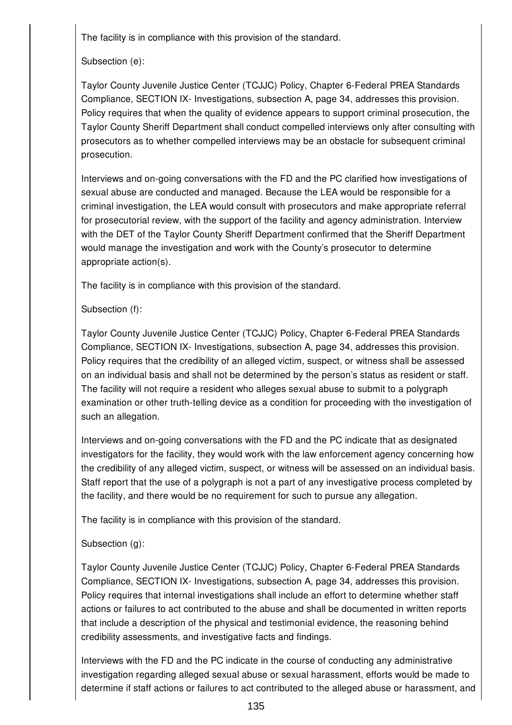The facility is in compliance with this provision of the standard.

## Subsection (e):

Taylor County Juvenile Justice Center (TCJJC) Policy, Chapter 6-Federal PREA Standards Compliance, SECTION IX- Investigations, subsection A, page 34, addresses this provision. Policy requires that when the quality of evidence appears to support criminal prosecution, the Taylor County Sheriff Department shall conduct compelled interviews only after consulting with prosecutors as to whether compelled interviews may be an obstacle for subsequent criminal prosecution.

Interviews and on-going conversations with the FD and the PC clarified how investigations of sexual abuse are conducted and managed. Because the LEA would be responsible for a criminal investigation, the LEA would consult with prosecutors and make appropriate referral for prosecutorial review, with the support of the facility and agency administration. Interview with the DET of the Taylor County Sheriff Department confirmed that the Sheriff Department would manage the investigation and work with the County's prosecutor to determine appropriate action(s).

The facility is in compliance with this provision of the standard.

## Subsection (f):

Taylor County Juvenile Justice Center (TCJJC) Policy, Chapter 6-Federal PREA Standards Compliance, SECTION IX- Investigations, subsection A, page 34, addresses this provision. Policy requires that the credibility of an alleged victim, suspect, or witness shall be assessed on an individual basis and shall not be determined by the person's status as resident or staff. The facility will not require a resident who alleges sexual abuse to submit to a polygraph examination or other truth-telling device as a condition for proceeding with the investigation of such an allegation.

Interviews and on-going conversations with the FD and the PC indicate that as designated investigators for the facility, they would work with the law enforcement agency concerning how the credibility of any alleged victim, suspect, or witness will be assessed on an individual basis. Staff report that the use of a polygraph is not a part of any investigative process completed by the facility, and there would be no requirement for such to pursue any allegation.

The facility is in compliance with this provision of the standard.

# Subsection (g):

Taylor County Juvenile Justice Center (TCJJC) Policy, Chapter 6-Federal PREA Standards Compliance, SECTION IX- Investigations, subsection A, page 34, addresses this provision. Policy requires that internal investigations shall include an effort to determine whether staff actions or failures to act contributed to the abuse and shall be documented in written reports that include a description of the physical and testimonial evidence, the reasoning behind credibility assessments, and investigative facts and findings.

Interviews with the FD and the PC indicate in the course of conducting any administrative investigation regarding alleged sexual abuse or sexual harassment, efforts would be made to determine if staff actions or failures to act contributed to the alleged abuse or harassment, and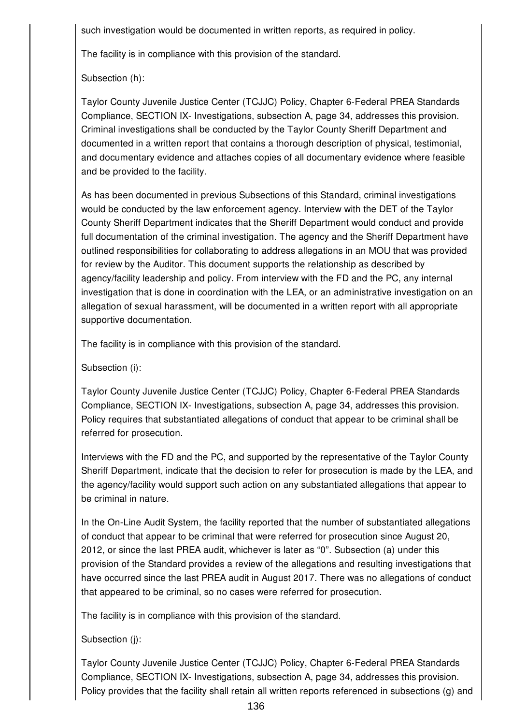such investigation would be documented in written reports, as required in policy.

The facility is in compliance with this provision of the standard.

Subsection (h):

Taylor County Juvenile Justice Center (TCJJC) Policy, Chapter 6-Federal PREA Standards Compliance, SECTION IX- Investigations, subsection A, page 34, addresses this provision. Criminal investigations shall be conducted by the Taylor County Sheriff Department and documented in a written report that contains a thorough description of physical, testimonial, and documentary evidence and attaches copies of all documentary evidence where feasible and be provided to the facility.

As has been documented in previous Subsections of this Standard, criminal investigations would be conducted by the law enforcement agency. Interview with the DET of the Taylor County Sheriff Department indicates that the Sheriff Department would conduct and provide full documentation of the criminal investigation. The agency and the Sheriff Department have outlined responsibilities for collaborating to address allegations in an MOU that was provided for review by the Auditor. This document supports the relationship as described by agency/facility leadership and policy. From interview with the FD and the PC, any internal investigation that is done in coordination with the LEA, or an administrative investigation on an allegation of sexual harassment, will be documented in a written report with all appropriate supportive documentation.

The facility is in compliance with this provision of the standard.

Subsection (i):

Taylor County Juvenile Justice Center (TCJJC) Policy, Chapter 6-Federal PREA Standards Compliance, SECTION IX- Investigations, subsection A, page 34, addresses this provision. Policy requires that substantiated allegations of conduct that appear to be criminal shall be referred for prosecution.

Interviews with the FD and the PC, and supported by the representative of the Taylor County Sheriff Department, indicate that the decision to refer for prosecution is made by the LEA, and the agency/facility would support such action on any substantiated allegations that appear to be criminal in nature.

In the On-Line Audit System, the facility reported that the number of substantiated allegations of conduct that appear to be criminal that were referred for prosecution since August 20, 2012, or since the last PREA audit, whichever is later as "0". Subsection (a) under this provision of the Standard provides a review of the allegations and resulting investigations that have occurred since the last PREA audit in August 2017. There was no allegations of conduct that appeared to be criminal, so no cases were referred for prosecution.

The facility is in compliance with this provision of the standard.

Subsection (j):

Taylor County Juvenile Justice Center (TCJJC) Policy, Chapter 6-Federal PREA Standards Compliance, SECTION IX- Investigations, subsection A, page 34, addresses this provision. Policy provides that the facility shall retain all written reports referenced in subsections (g) and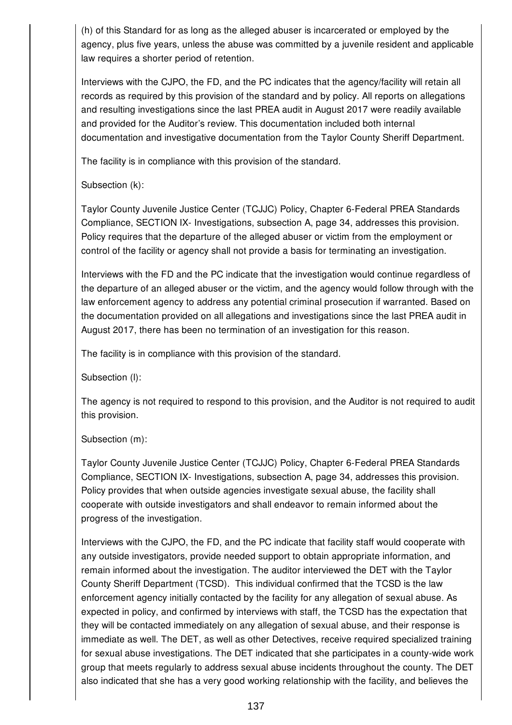(h) of this Standard for as long as the alleged abuser is incarcerated or employed by the agency, plus five years, unless the abuse was committed by a juvenile resident and applicable law requires a shorter period of retention.

Interviews with the CJPO, the FD, and the PC indicates that the agency/facility will retain all records as required by this provision of the standard and by policy. All reports on allegations and resulting investigations since the last PREA audit in August 2017 were readily available and provided for the Auditor's review. This documentation included both internal documentation and investigative documentation from the Taylor County Sheriff Department.

The facility is in compliance with this provision of the standard.

Subsection (k):

Taylor County Juvenile Justice Center (TCJJC) Policy, Chapter 6-Federal PREA Standards Compliance, SECTION IX- Investigations, subsection A, page 34, addresses this provision. Policy requires that the departure of the alleged abuser or victim from the employment or control of the facility or agency shall not provide a basis for terminating an investigation.

Interviews with the FD and the PC indicate that the investigation would continue regardless of the departure of an alleged abuser or the victim, and the agency would follow through with the law enforcement agency to address any potential criminal prosecution if warranted. Based on the documentation provided on all allegations and investigations since the last PREA audit in August 2017, there has been no termination of an investigation for this reason.

The facility is in compliance with this provision of the standard.

Subsection (l):

The agency is not required to respond to this provision, and the Auditor is not required to audit this provision.

Subsection (m):

Taylor County Juvenile Justice Center (TCJJC) Policy, Chapter 6-Federal PREA Standards Compliance, SECTION IX- Investigations, subsection A, page 34, addresses this provision. Policy provides that when outside agencies investigate sexual abuse, the facility shall cooperate with outside investigators and shall endeavor to remain informed about the progress of the investigation.

Interviews with the CJPO, the FD, and the PC indicate that facility staff would cooperate with any outside investigators, provide needed support to obtain appropriate information, and remain informed about the investigation. The auditor interviewed the DET with the Taylor County Sheriff Department (TCSD). This individual confirmed that the TCSD is the law enforcement agency initially contacted by the facility for any allegation of sexual abuse. As expected in policy, and confirmed by interviews with staff, the TCSD has the expectation that they will be contacted immediately on any allegation of sexual abuse, and their response is immediate as well. The DET, as well as other Detectives, receive required specialized training for sexual abuse investigations. The DET indicated that she participates in a county-wide work group that meets regularly to address sexual abuse incidents throughout the county. The DET also indicated that she has a very good working relationship with the facility, and believes the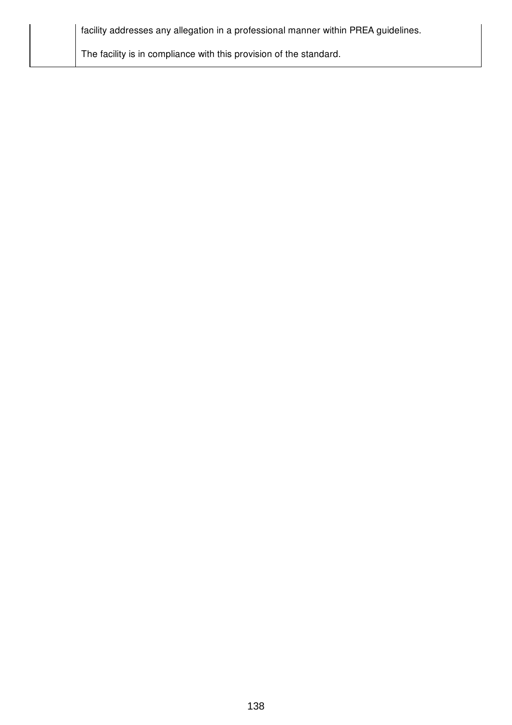| facility addresses any allegation in a professional manner within PREA guidelines. |  |
|------------------------------------------------------------------------------------|--|
| The facility is in compliance with this provision of the standard.                 |  |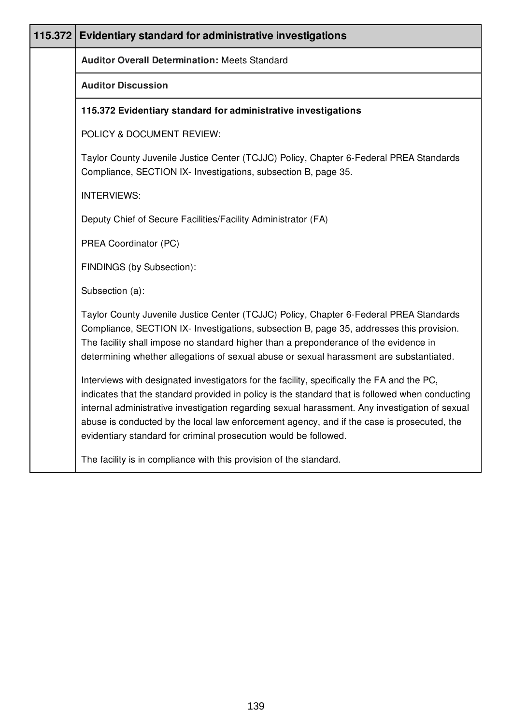| 115.372 Evidentiary standard for administrative investigations                                                                                                                                                                                                                                                                                                                                                                                                    |  |  |
|-------------------------------------------------------------------------------------------------------------------------------------------------------------------------------------------------------------------------------------------------------------------------------------------------------------------------------------------------------------------------------------------------------------------------------------------------------------------|--|--|
| <b>Auditor Overall Determination: Meets Standard</b>                                                                                                                                                                                                                                                                                                                                                                                                              |  |  |
| <b>Auditor Discussion</b>                                                                                                                                                                                                                                                                                                                                                                                                                                         |  |  |
| 115.372 Evidentiary standard for administrative investigations                                                                                                                                                                                                                                                                                                                                                                                                    |  |  |
| POLICY & DOCUMENT REVIEW:                                                                                                                                                                                                                                                                                                                                                                                                                                         |  |  |
| Taylor County Juvenile Justice Center (TCJJC) Policy, Chapter 6-Federal PREA Standards<br>Compliance, SECTION IX- Investigations, subsection B, page 35.                                                                                                                                                                                                                                                                                                          |  |  |
| <b>INTERVIEWS:</b>                                                                                                                                                                                                                                                                                                                                                                                                                                                |  |  |
| Deputy Chief of Secure Facilities/Facility Administrator (FA)                                                                                                                                                                                                                                                                                                                                                                                                     |  |  |
| PREA Coordinator (PC)                                                                                                                                                                                                                                                                                                                                                                                                                                             |  |  |
| FINDINGS (by Subsection):                                                                                                                                                                                                                                                                                                                                                                                                                                         |  |  |
| Subsection (a):                                                                                                                                                                                                                                                                                                                                                                                                                                                   |  |  |
| Taylor County Juvenile Justice Center (TCJJC) Policy, Chapter 6-Federal PREA Standards<br>Compliance, SECTION IX- Investigations, subsection B, page 35, addresses this provision.<br>The facility shall impose no standard higher than a preponderance of the evidence in<br>determining whether allegations of sexual abuse or sexual harassment are substantiated.                                                                                             |  |  |
| Interviews with designated investigators for the facility, specifically the FA and the PC,<br>indicates that the standard provided in policy is the standard that is followed when conducting<br>internal administrative investigation regarding sexual harassment. Any investigation of sexual<br>abuse is conducted by the local law enforcement agency, and if the case is prosecuted, the<br>evidentiary standard for criminal prosecution would be followed. |  |  |
| The facility is in compliance with this provision of the standard.                                                                                                                                                                                                                                                                                                                                                                                                |  |  |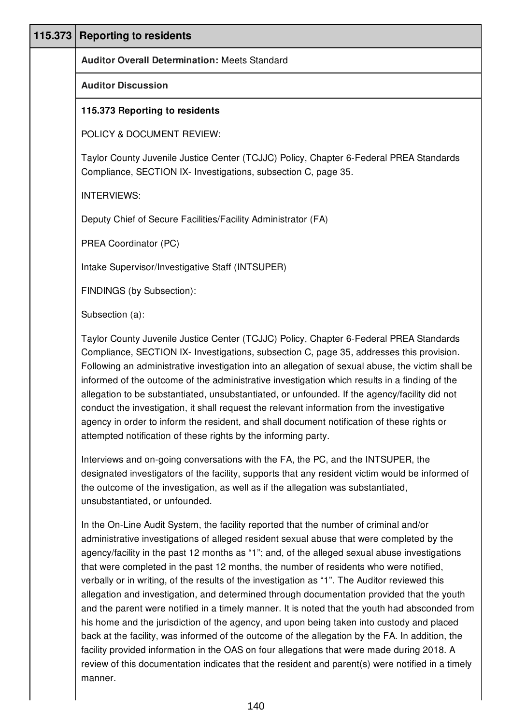| 115.373 | <b>Reporting to residents</b>                                                                                                                                                                                                                                                                                                                                                                                                                                                                                                                                                                                                                                                                                                                                                                                                                                                                                                                                                                                                                                                              |
|---------|--------------------------------------------------------------------------------------------------------------------------------------------------------------------------------------------------------------------------------------------------------------------------------------------------------------------------------------------------------------------------------------------------------------------------------------------------------------------------------------------------------------------------------------------------------------------------------------------------------------------------------------------------------------------------------------------------------------------------------------------------------------------------------------------------------------------------------------------------------------------------------------------------------------------------------------------------------------------------------------------------------------------------------------------------------------------------------------------|
|         | <b>Auditor Overall Determination: Meets Standard</b>                                                                                                                                                                                                                                                                                                                                                                                                                                                                                                                                                                                                                                                                                                                                                                                                                                                                                                                                                                                                                                       |
|         | <b>Auditor Discussion</b>                                                                                                                                                                                                                                                                                                                                                                                                                                                                                                                                                                                                                                                                                                                                                                                                                                                                                                                                                                                                                                                                  |
|         | 115.373 Reporting to residents                                                                                                                                                                                                                                                                                                                                                                                                                                                                                                                                                                                                                                                                                                                                                                                                                                                                                                                                                                                                                                                             |
|         | POLICY & DOCUMENT REVIEW:                                                                                                                                                                                                                                                                                                                                                                                                                                                                                                                                                                                                                                                                                                                                                                                                                                                                                                                                                                                                                                                                  |
|         | Taylor County Juvenile Justice Center (TCJJC) Policy, Chapter 6-Federal PREA Standards<br>Compliance, SECTION IX- Investigations, subsection C, page 35.                                                                                                                                                                                                                                                                                                                                                                                                                                                                                                                                                                                                                                                                                                                                                                                                                                                                                                                                   |
|         | <b>INTERVIEWS:</b>                                                                                                                                                                                                                                                                                                                                                                                                                                                                                                                                                                                                                                                                                                                                                                                                                                                                                                                                                                                                                                                                         |
|         | Deputy Chief of Secure Facilities/Facility Administrator (FA)                                                                                                                                                                                                                                                                                                                                                                                                                                                                                                                                                                                                                                                                                                                                                                                                                                                                                                                                                                                                                              |
|         | PREA Coordinator (PC)                                                                                                                                                                                                                                                                                                                                                                                                                                                                                                                                                                                                                                                                                                                                                                                                                                                                                                                                                                                                                                                                      |
|         | Intake Supervisor/Investigative Staff (INTSUPER)                                                                                                                                                                                                                                                                                                                                                                                                                                                                                                                                                                                                                                                                                                                                                                                                                                                                                                                                                                                                                                           |
|         | FINDINGS (by Subsection):                                                                                                                                                                                                                                                                                                                                                                                                                                                                                                                                                                                                                                                                                                                                                                                                                                                                                                                                                                                                                                                                  |
|         | Subsection (a):                                                                                                                                                                                                                                                                                                                                                                                                                                                                                                                                                                                                                                                                                                                                                                                                                                                                                                                                                                                                                                                                            |
|         | Taylor County Juvenile Justice Center (TCJJC) Policy, Chapter 6-Federal PREA Standards<br>Compliance, SECTION IX- Investigations, subsection C, page 35, addresses this provision.<br>Following an administrative investigation into an allegation of sexual abuse, the victim shall be<br>informed of the outcome of the administrative investigation which results in a finding of the<br>allegation to be substantiated, unsubstantiated, or unfounded. If the agency/facility did not<br>conduct the investigation, it shall request the relevant information from the investigative<br>agency in order to inform the resident, and shall document notification of these rights or<br>attempted notification of these rights by the informing party.                                                                                                                                                                                                                                                                                                                                   |
|         | Interviews and on-going conversations with the FA, the PC, and the INTSUPER, the<br>designated investigators of the facility, supports that any resident victim would be informed of<br>the outcome of the investigation, as well as if the allegation was substantiated,<br>unsubstantiated, or unfounded.                                                                                                                                                                                                                                                                                                                                                                                                                                                                                                                                                                                                                                                                                                                                                                                |
|         | In the On-Line Audit System, the facility reported that the number of criminal and/or<br>administrative investigations of alleged resident sexual abuse that were completed by the<br>agency/facility in the past 12 months as "1"; and, of the alleged sexual abuse investigations<br>that were completed in the past 12 months, the number of residents who were notified,<br>verbally or in writing, of the results of the investigation as "1". The Auditor reviewed this<br>allegation and investigation, and determined through documentation provided that the youth<br>and the parent were notified in a timely manner. It is noted that the youth had absconded from<br>his home and the jurisdiction of the agency, and upon being taken into custody and placed<br>back at the facility, was informed of the outcome of the allegation by the FA. In addition, the<br>facility provided information in the OAS on four allegations that were made during 2018. A<br>review of this documentation indicates that the resident and parent(s) were notified in a timely<br>manner. |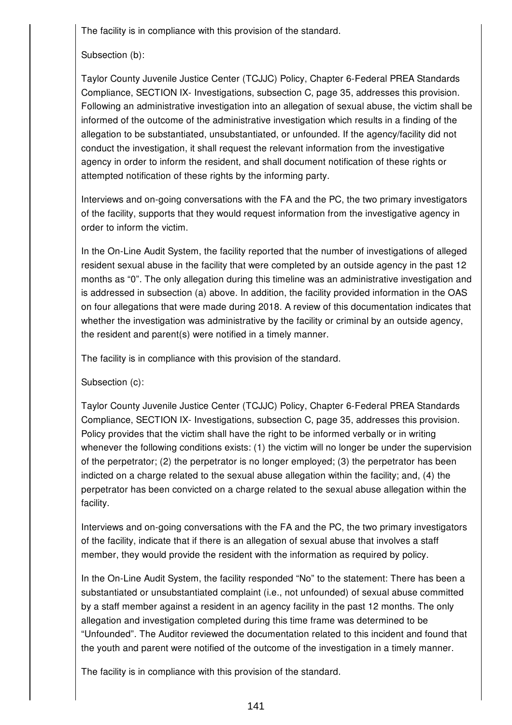The facility is in compliance with this provision of the standard.

Subsection (b):

Taylor County Juvenile Justice Center (TCJJC) Policy, Chapter 6-Federal PREA Standards Compliance, SECTION IX- Investigations, subsection C, page 35, addresses this provision. Following an administrative investigation into an allegation of sexual abuse, the victim shall be informed of the outcome of the administrative investigation which results in a finding of the allegation to be substantiated, unsubstantiated, or unfounded. If the agency/facility did not conduct the investigation, it shall request the relevant information from the investigative agency in order to inform the resident, and shall document notification of these rights or attempted notification of these rights by the informing party.

Interviews and on-going conversations with the FA and the PC, the two primary investigators of the facility, supports that they would request information from the investigative agency in order to inform the victim.

In the On-Line Audit System, the facility reported that the number of investigations of alleged resident sexual abuse in the facility that were completed by an outside agency in the past 12 months as "0". The only allegation during this timeline was an administrative investigation and is addressed in subsection (a) above. In addition, the facility provided information in the OAS on four allegations that were made during 2018. A review of this documentation indicates that whether the investigation was administrative by the facility or criminal by an outside agency, the resident and parent(s) were notified in a timely manner.

The facility is in compliance with this provision of the standard.

Subsection (c):

Taylor County Juvenile Justice Center (TCJJC) Policy, Chapter 6-Federal PREA Standards Compliance, SECTION IX- Investigations, subsection C, page 35, addresses this provision. Policy provides that the victim shall have the right to be informed verbally or in writing whenever the following conditions exists: (1) the victim will no longer be under the supervision of the perpetrator; (2) the perpetrator is no longer employed; (3) the perpetrator has been indicted on a charge related to the sexual abuse allegation within the facility; and, (4) the perpetrator has been convicted on a charge related to the sexual abuse allegation within the facility.

Interviews and on-going conversations with the FA and the PC, the two primary investigators of the facility, indicate that if there is an allegation of sexual abuse that involves a staff member, they would provide the resident with the information as required by policy.

In the On-Line Audit System, the facility responded "No" to the statement: There has been a substantiated or unsubstantiated complaint (i.e., not unfounded) of sexual abuse committed by a staff member against a resident in an agency facility in the past 12 months. The only allegation and investigation completed during this time frame was determined to be "Unfounded". The Auditor reviewed the documentation related to this incident and found that the youth and parent were notified of the outcome of the investigation in a timely manner.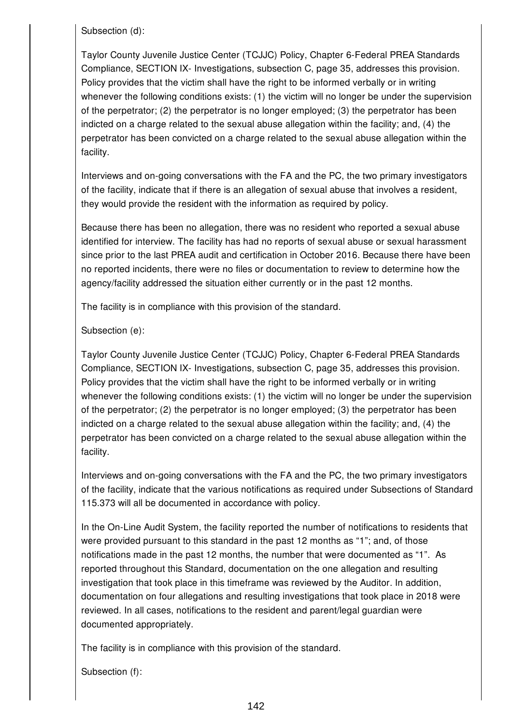Subsection (d):

Taylor County Juvenile Justice Center (TCJJC) Policy, Chapter 6-Federal PREA Standards Compliance, SECTION IX- Investigations, subsection C, page 35, addresses this provision. Policy provides that the victim shall have the right to be informed verbally or in writing whenever the following conditions exists: (1) the victim will no longer be under the supervision of the perpetrator; (2) the perpetrator is no longer employed; (3) the perpetrator has been indicted on a charge related to the sexual abuse allegation within the facility; and, (4) the perpetrator has been convicted on a charge related to the sexual abuse allegation within the facility.

Interviews and on-going conversations with the FA and the PC, the two primary investigators of the facility, indicate that if there is an allegation of sexual abuse that involves a resident, they would provide the resident with the information as required by policy.

Because there has been no allegation, there was no resident who reported a sexual abuse identified for interview. The facility has had no reports of sexual abuse or sexual harassment since prior to the last PREA audit and certification in October 2016. Because there have been no reported incidents, there were no files or documentation to review to determine how the agency/facility addressed the situation either currently or in the past 12 months.

The facility is in compliance with this provision of the standard.

Subsection (e):

Taylor County Juvenile Justice Center (TCJJC) Policy, Chapter 6-Federal PREA Standards Compliance, SECTION IX- Investigations, subsection C, page 35, addresses this provision. Policy provides that the victim shall have the right to be informed verbally or in writing whenever the following conditions exists: (1) the victim will no longer be under the supervision of the perpetrator; (2) the perpetrator is no longer employed; (3) the perpetrator has been indicted on a charge related to the sexual abuse allegation within the facility; and, (4) the perpetrator has been convicted on a charge related to the sexual abuse allegation within the facility.

Interviews and on-going conversations with the FA and the PC, the two primary investigators of the facility, indicate that the various notifications as required under Subsections of Standard 115.373 will all be documented in accordance with policy.

In the On-Line Audit System, the facility reported the number of notifications to residents that were provided pursuant to this standard in the past 12 months as "1"; and, of those notifications made in the past 12 months, the number that were documented as "1". As reported throughout this Standard, documentation on the one allegation and resulting investigation that took place in this timeframe was reviewed by the Auditor. In addition, documentation on four allegations and resulting investigations that took place in 2018 were reviewed. In all cases, notifications to the resident and parent/legal guardian were documented appropriately.

The facility is in compliance with this provision of the standard.

Subsection (f):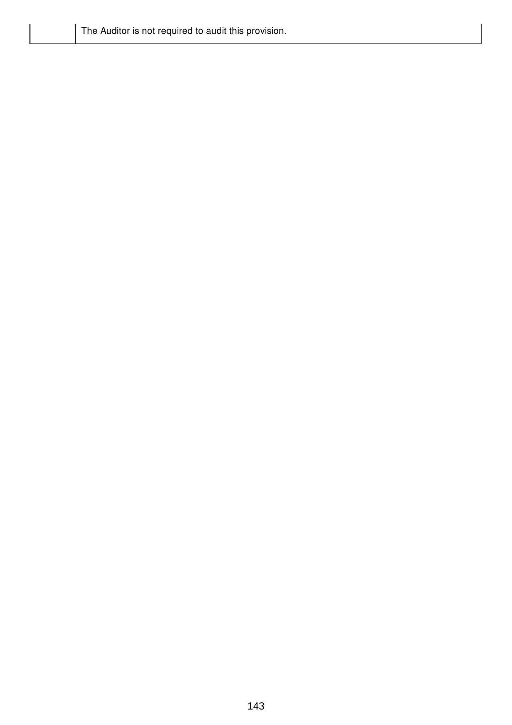| The Auditor is not required to audit this provision. |  |
|------------------------------------------------------|--|
|                                                      |  |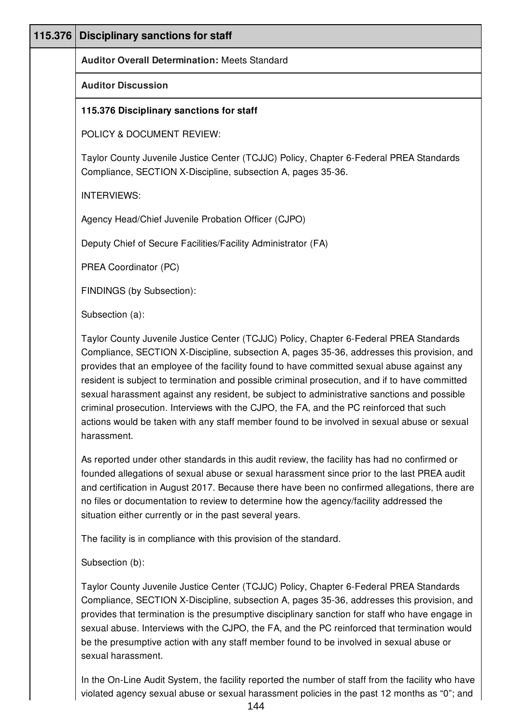| 115.376 | <b>Disciplinary sanctions for staff</b>                                                                                                                                                                                                                                                                                                                                                                                                                                                                                                                                                                                                                                                      |
|---------|----------------------------------------------------------------------------------------------------------------------------------------------------------------------------------------------------------------------------------------------------------------------------------------------------------------------------------------------------------------------------------------------------------------------------------------------------------------------------------------------------------------------------------------------------------------------------------------------------------------------------------------------------------------------------------------------|
|         | <b>Auditor Overall Determination: Meets Standard</b>                                                                                                                                                                                                                                                                                                                                                                                                                                                                                                                                                                                                                                         |
|         | <b>Auditor Discussion</b>                                                                                                                                                                                                                                                                                                                                                                                                                                                                                                                                                                                                                                                                    |
|         | 115.376 Disciplinary sanctions for staff                                                                                                                                                                                                                                                                                                                                                                                                                                                                                                                                                                                                                                                     |
|         | POLICY & DOCUMENT REVIEW:                                                                                                                                                                                                                                                                                                                                                                                                                                                                                                                                                                                                                                                                    |
|         | Taylor County Juvenile Justice Center (TCJJC) Policy, Chapter 6-Federal PREA Standards<br>Compliance, SECTION X-Discipline, subsection A, pages 35-36.                                                                                                                                                                                                                                                                                                                                                                                                                                                                                                                                       |
|         | <b>INTERVIEWS:</b>                                                                                                                                                                                                                                                                                                                                                                                                                                                                                                                                                                                                                                                                           |
|         | Agency Head/Chief Juvenile Probation Officer (CJPO)                                                                                                                                                                                                                                                                                                                                                                                                                                                                                                                                                                                                                                          |
|         | Deputy Chief of Secure Facilities/Facility Administrator (FA)                                                                                                                                                                                                                                                                                                                                                                                                                                                                                                                                                                                                                                |
|         | PREA Coordinator (PC)                                                                                                                                                                                                                                                                                                                                                                                                                                                                                                                                                                                                                                                                        |
|         | FINDINGS (by Subsection):                                                                                                                                                                                                                                                                                                                                                                                                                                                                                                                                                                                                                                                                    |
|         | Subsection (a):                                                                                                                                                                                                                                                                                                                                                                                                                                                                                                                                                                                                                                                                              |
|         | Taylor County Juvenile Justice Center (TCJJC) Policy, Chapter 6-Federal PREA Standards<br>Compliance, SECTION X-Discipline, subsection A, pages 35-36, addresses this provision, and<br>provides that an employee of the facility found to have committed sexual abuse against any<br>resident is subject to termination and possible criminal prosecution, and if to have committed<br>sexual harassment against any resident, be subject to administrative sanctions and possible<br>criminal prosecution. Interviews with the CJPO, the FA, and the PC reinforced that such<br>actions would be taken with any staff member found to be involved in sexual abuse or sexual<br>harassment. |
|         | As reported under other standards in this audit review, the facility has had no confirmed or<br>founded allegations of sexual abuse or sexual harassment since prior to the last PREA audit<br>and certification in August 2017. Because there have been no confirmed allegations, there are<br>no files or documentation to review to determine how the agency/facility addressed the<br>situation either currently or in the past several years.                                                                                                                                                                                                                                           |
|         | The facility is in compliance with this provision of the standard.                                                                                                                                                                                                                                                                                                                                                                                                                                                                                                                                                                                                                           |
|         | Subsection (b):                                                                                                                                                                                                                                                                                                                                                                                                                                                                                                                                                                                                                                                                              |
|         | Taylor County Juvenile Justice Center (TCJJC) Policy, Chapter 6-Federal PREA Standards<br>Compliance, SECTION X-Discipline, subsection A, pages 35-36, addresses this provision, and<br>provides that termination is the presumptive disciplinary sanction for staff who have engage in<br>sexual abuse. Interviews with the CJPO, the FA, and the PC reinforced that termination would<br>be the presumptive action with any staff member found to be involved in sexual abuse or<br>sexual harassment.                                                                                                                                                                                     |
|         | $\ln$ the On Line Audit Cyctem, the feelity reperted the number of oteff from the feelity who hough                                                                                                                                                                                                                                                                                                                                                                                                                                                                                                                                                                                          |

In the On-Line Audit System, the facility reported the number of staff from the facility who have | violated agency sexual abuse or sexual harassment policies in the past 12 months as "0"; and |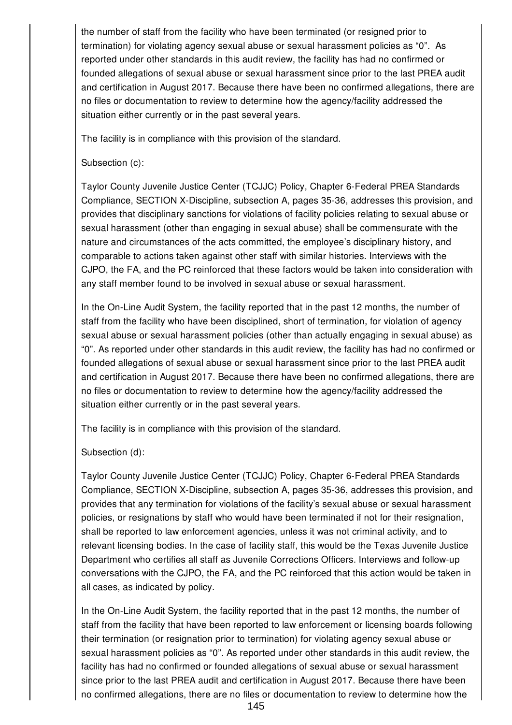the number of staff from the facility who have been terminated (or resigned prior to termination) for violating agency sexual abuse or sexual harassment policies as "0". As reported under other standards in this audit review, the facility has had no confirmed or founded allegations of sexual abuse or sexual harassment since prior to the last PREA audit and certification in August 2017. Because there have been no confirmed allegations, there are no files or documentation to review to determine how the agency/facility addressed the situation either currently or in the past several years.

The facility is in compliance with this provision of the standard.

#### Subsection (c):

Taylor County Juvenile Justice Center (TCJJC) Policy, Chapter 6-Federal PREA Standards Compliance, SECTION X-Discipline, subsection A, pages 35-36, addresses this provision, and provides that disciplinary sanctions for violations of facility policies relating to sexual abuse or sexual harassment (other than engaging in sexual abuse) shall be commensurate with the nature and circumstances of the acts committed, the employee's disciplinary history, and comparable to actions taken against other staff with similar histories. Interviews with the CJPO, the FA, and the PC reinforced that these factors would be taken into consideration with any staff member found to be involved in sexual abuse or sexual harassment.

In the On-Line Audit System, the facility reported that in the past 12 months, the number of staff from the facility who have been disciplined, short of termination, for violation of agency sexual abuse or sexual harassment policies (other than actually engaging in sexual abuse) as "0". As reported under other standards in this audit review, the facility has had no confirmed or founded allegations of sexual abuse or sexual harassment since prior to the last PREA audit and certification in August 2017. Because there have been no confirmed allegations, there are no files or documentation to review to determine how the agency/facility addressed the situation either currently or in the past several years.

The facility is in compliance with this provision of the standard.

### Subsection (d):

Taylor County Juvenile Justice Center (TCJJC) Policy, Chapter 6-Federal PREA Standards Compliance, SECTION X-Discipline, subsection A, pages 35-36, addresses this provision, and provides that any termination for violations of the facility's sexual abuse or sexual harassment policies, or resignations by staff who would have been terminated if not for their resignation, shall be reported to law enforcement agencies, unless it was not criminal activity, and to relevant licensing bodies. In the case of facility staff, this would be the Texas Juvenile Justice Department who certifies all staff as Juvenile Corrections Officers. Interviews and follow-up conversations with the CJPO, the FA, and the PC reinforced that this action would be taken in all cases, as indicated by policy.

In the On-Line Audit System, the facility reported that in the past 12 months, the number of staff from the facility that have been reported to law enforcement or licensing boards following their termination (or resignation prior to termination) for violating agency sexual abuse or sexual harassment policies as "0". As reported under other standards in this audit review, the facility has had no confirmed or founded allegations of sexual abuse or sexual harassment since prior to the last PREA audit and certification in August 2017. Because there have been no confirmed allegations, there are no files or documentation to review to determine how the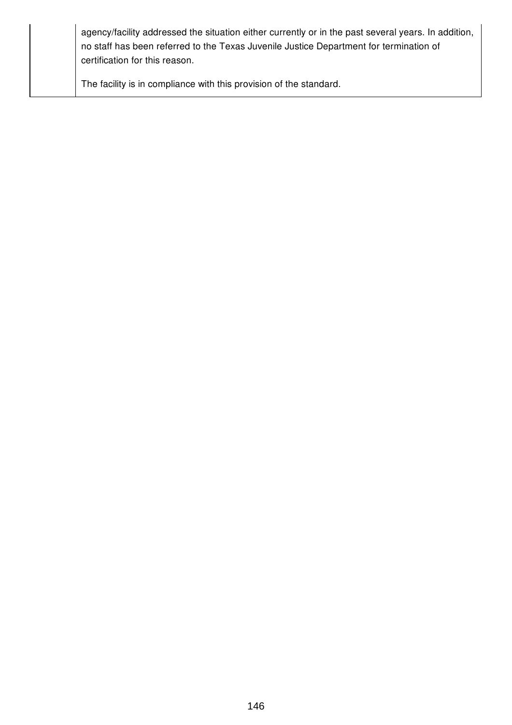| agency/facility addressed the situation either currently or in the past several years. In addition,<br>no staff has been referred to the Texas Juvenile Justice Department for termination of<br>certification for this reason. |
|---------------------------------------------------------------------------------------------------------------------------------------------------------------------------------------------------------------------------------|
| The facility is in compliance with this provision of the standard.                                                                                                                                                              |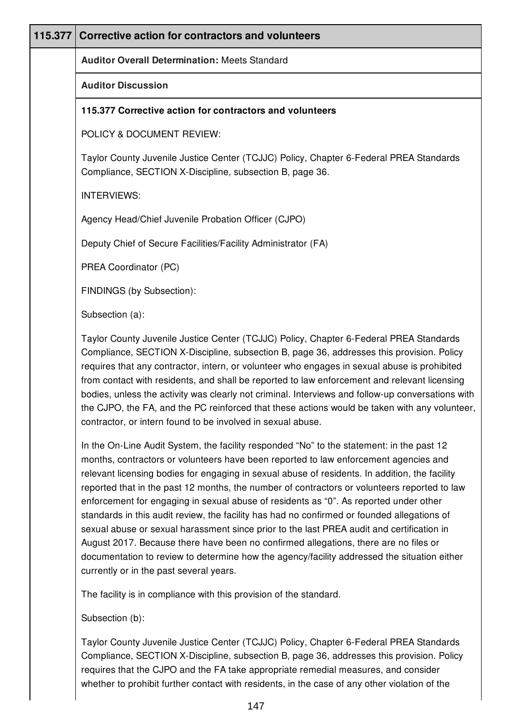| 115.377 | Corrective action for contractors and volunteers                                                                                                                                                                                                                                                                                                                                                                                                                                                                                                                                                                                                                                                                                                                                                                                                                                                           |
|---------|------------------------------------------------------------------------------------------------------------------------------------------------------------------------------------------------------------------------------------------------------------------------------------------------------------------------------------------------------------------------------------------------------------------------------------------------------------------------------------------------------------------------------------------------------------------------------------------------------------------------------------------------------------------------------------------------------------------------------------------------------------------------------------------------------------------------------------------------------------------------------------------------------------|
|         | <b>Auditor Overall Determination: Meets Standard</b>                                                                                                                                                                                                                                                                                                                                                                                                                                                                                                                                                                                                                                                                                                                                                                                                                                                       |
|         | <b>Auditor Discussion</b>                                                                                                                                                                                                                                                                                                                                                                                                                                                                                                                                                                                                                                                                                                                                                                                                                                                                                  |
|         | 115.377 Corrective action for contractors and volunteers                                                                                                                                                                                                                                                                                                                                                                                                                                                                                                                                                                                                                                                                                                                                                                                                                                                   |
|         | POLICY & DOCUMENT REVIEW:                                                                                                                                                                                                                                                                                                                                                                                                                                                                                                                                                                                                                                                                                                                                                                                                                                                                                  |
|         | Taylor County Juvenile Justice Center (TCJJC) Policy, Chapter 6-Federal PREA Standards<br>Compliance, SECTION X-Discipline, subsection B, page 36.                                                                                                                                                                                                                                                                                                                                                                                                                                                                                                                                                                                                                                                                                                                                                         |
|         | <b>INTERVIEWS:</b>                                                                                                                                                                                                                                                                                                                                                                                                                                                                                                                                                                                                                                                                                                                                                                                                                                                                                         |
|         | Agency Head/Chief Juvenile Probation Officer (CJPO)                                                                                                                                                                                                                                                                                                                                                                                                                                                                                                                                                                                                                                                                                                                                                                                                                                                        |
|         | Deputy Chief of Secure Facilities/Facility Administrator (FA)                                                                                                                                                                                                                                                                                                                                                                                                                                                                                                                                                                                                                                                                                                                                                                                                                                              |
|         | PREA Coordinator (PC)                                                                                                                                                                                                                                                                                                                                                                                                                                                                                                                                                                                                                                                                                                                                                                                                                                                                                      |
|         | FINDINGS (by Subsection):                                                                                                                                                                                                                                                                                                                                                                                                                                                                                                                                                                                                                                                                                                                                                                                                                                                                                  |
|         | Subsection (a):                                                                                                                                                                                                                                                                                                                                                                                                                                                                                                                                                                                                                                                                                                                                                                                                                                                                                            |
|         | Taylor County Juvenile Justice Center (TCJJC) Policy, Chapter 6-Federal PREA Standards<br>Compliance, SECTION X-Discipline, subsection B, page 36, addresses this provision. Policy<br>requires that any contractor, intern, or volunteer who engages in sexual abuse is prohibited<br>from contact with residents, and shall be reported to law enforcement and relevant licensing<br>bodies, unless the activity was clearly not criminal. Interviews and follow-up conversations with<br>the CJPO, the FA, and the PC reinforced that these actions would be taken with any volunteer,<br>contractor, or intern found to be involved in sexual abuse.                                                                                                                                                                                                                                                   |
|         | In the On-Line Audit System, the facility responded "No" to the statement: in the past 12<br>months, contractors or volunteers have been reported to law enforcement agencies and<br>relevant licensing bodies for engaging in sexual abuse of residents. In addition, the facility<br>reported that in the past 12 months, the number of contractors or volunteers reported to law<br>enforcement for engaging in sexual abuse of residents as "0". As reported under other<br>standards in this audit review, the facility has had no confirmed or founded allegations of<br>sexual abuse or sexual harassment since prior to the last PREA audit and certification in<br>August 2017. Because there have been no confirmed allegations, there are no files or<br>documentation to review to determine how the agency/facility addressed the situation either<br>currently or in the past several years. |
|         | The facility is in compliance with this provision of the standard.                                                                                                                                                                                                                                                                                                                                                                                                                                                                                                                                                                                                                                                                                                                                                                                                                                         |
|         | Subsection (b):                                                                                                                                                                                                                                                                                                                                                                                                                                                                                                                                                                                                                                                                                                                                                                                                                                                                                            |
|         | Taylor County Juvenile Justice Center (TCJJC) Policy, Chapter 6-Federal PREA Standards<br>Compliance, SECTION X-Discipline, subsection B, page 36, addresses this provision. Policy<br>requires that the CJPO and the FA take appropriate remedial measures, and consider                                                                                                                                                                                                                                                                                                                                                                                                                                                                                                                                                                                                                                  |

whether to prohibit further contact with residents, in the case of any other violation of the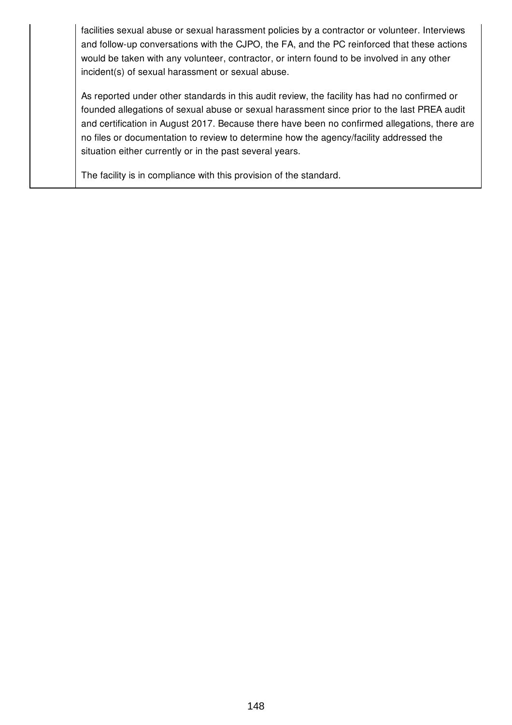facilities sexual abuse or sexual harassment policies by a contractor or volunteer. Interviews and follow-up conversations with the CJPO, the FA, and the PC reinforced that these actions would be taken with any volunteer, contractor, or intern found to be involved in any other incident(s) of sexual harassment or sexual abuse.

As reported under other standards in this audit review, the facility has had no confirmed or founded allegations of sexual abuse or sexual harassment since prior to the last PREA audit and certification in August 2017. Because there have been no confirmed allegations, there are no files or documentation to review to determine how the agency/facility addressed the situation either currently or in the past several years.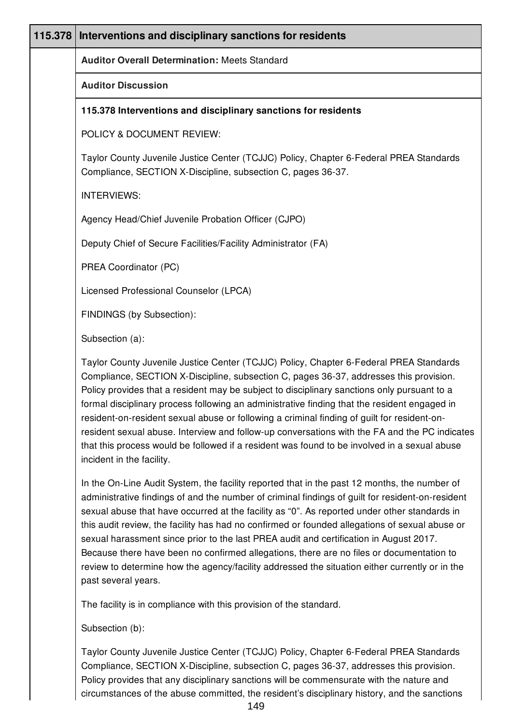| 115.378 | Interventions and disciplinary sanctions for residents                                                                                                                                                                                                                                                                                                                                                                                                                                                                                                                                                                                                                                                       |
|---------|--------------------------------------------------------------------------------------------------------------------------------------------------------------------------------------------------------------------------------------------------------------------------------------------------------------------------------------------------------------------------------------------------------------------------------------------------------------------------------------------------------------------------------------------------------------------------------------------------------------------------------------------------------------------------------------------------------------|
|         | <b>Auditor Overall Determination: Meets Standard</b>                                                                                                                                                                                                                                                                                                                                                                                                                                                                                                                                                                                                                                                         |
|         | <b>Auditor Discussion</b>                                                                                                                                                                                                                                                                                                                                                                                                                                                                                                                                                                                                                                                                                    |
|         | 115.378 Interventions and disciplinary sanctions for residents                                                                                                                                                                                                                                                                                                                                                                                                                                                                                                                                                                                                                                               |
|         | POLICY & DOCUMENT REVIEW:                                                                                                                                                                                                                                                                                                                                                                                                                                                                                                                                                                                                                                                                                    |
|         | Taylor County Juvenile Justice Center (TCJJC) Policy, Chapter 6-Federal PREA Standards<br>Compliance, SECTION X-Discipline, subsection C, pages 36-37.                                                                                                                                                                                                                                                                                                                                                                                                                                                                                                                                                       |
|         | <b>INTERVIEWS:</b>                                                                                                                                                                                                                                                                                                                                                                                                                                                                                                                                                                                                                                                                                           |
|         | Agency Head/Chief Juvenile Probation Officer (CJPO)                                                                                                                                                                                                                                                                                                                                                                                                                                                                                                                                                                                                                                                          |
|         | Deputy Chief of Secure Facilities/Facility Administrator (FA)                                                                                                                                                                                                                                                                                                                                                                                                                                                                                                                                                                                                                                                |
|         | PREA Coordinator (PC)                                                                                                                                                                                                                                                                                                                                                                                                                                                                                                                                                                                                                                                                                        |
|         | Licensed Professional Counselor (LPCA)                                                                                                                                                                                                                                                                                                                                                                                                                                                                                                                                                                                                                                                                       |
|         | FINDINGS (by Subsection):                                                                                                                                                                                                                                                                                                                                                                                                                                                                                                                                                                                                                                                                                    |
|         | Subsection (a):                                                                                                                                                                                                                                                                                                                                                                                                                                                                                                                                                                                                                                                                                              |
|         | Taylor County Juvenile Justice Center (TCJJC) Policy, Chapter 6-Federal PREA Standards<br>Compliance, SECTION X-Discipline, subsection C, pages 36-37, addresses this provision.<br>Policy provides that a resident may be subject to disciplinary sanctions only pursuant to a<br>formal disciplinary process following an administrative finding that the resident engaged in<br>resident-on-resident sexual abuse or following a criminal finding of guilt for resident-on-<br>resident sexual abuse. Interview and follow-up conversations with the FA and the PC indicates<br>that this process would be followed if a resident was found to be involved in a sexual abuse<br>incident in the facility. |
|         | In the On-Line Audit System, the facility reported that in the past 12 months, the number of<br>administrative findings of and the number of criminal findings of guilt for resident-on-resident<br>sexual abuse that have occurred at the facility as "0". As reported under other standards in<br>this audit review, the facility has had no confirmed or founded allegations of sexual abuse or<br>sexual harassment since prior to the last PREA audit and certification in August 2017.<br>Because there have been no confirmed allegations, there are no files or documentation to<br>review to determine how the agency/facility addressed the situation either currently or in the                   |

past several years.

The facility is in compliance with this provision of the standard.

Subsection (b):

Taylor County Juvenile Justice Center (TCJJC) Policy, Chapter 6-Federal PREA Standards Compliance, SECTION X-Discipline, subsection C, pages 36-37, addresses this provision. Policy provides that any disciplinary sanctions will be commensurate with the nature and circumstances of the abuse committed, the resident's disciplinary history, and the sanctions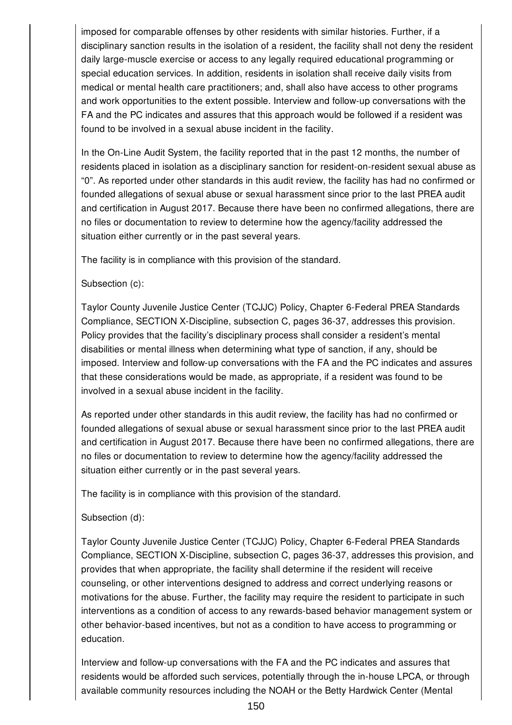imposed for comparable offenses by other residents with similar histories. Further, if a disciplinary sanction results in the isolation of a resident, the facility shall not deny the resident daily large-muscle exercise or access to any legally required educational programming or special education services. In addition, residents in isolation shall receive daily visits from medical or mental health care practitioners; and, shall also have access to other programs and work opportunities to the extent possible. Interview and follow-up conversations with the FA and the PC indicates and assures that this approach would be followed if a resident was found to be involved in a sexual abuse incident in the facility.

In the On-Line Audit System, the facility reported that in the past 12 months, the number of residents placed in isolation as a disciplinary sanction for resident-on-resident sexual abuse as "0". As reported under other standards in this audit review, the facility has had no confirmed or founded allegations of sexual abuse or sexual harassment since prior to the last PREA audit and certification in August 2017. Because there have been no confirmed allegations, there are no files or documentation to review to determine how the agency/facility addressed the situation either currently or in the past several years.

The facility is in compliance with this provision of the standard.

### Subsection (c):

Taylor County Juvenile Justice Center (TCJJC) Policy, Chapter 6-Federal PREA Standards Compliance, SECTION X-Discipline, subsection C, pages 36-37, addresses this provision. Policy provides that the facility's disciplinary process shall consider a resident's mental disabilities or mental illness when determining what type of sanction, if any, should be imposed. Interview and follow-up conversations with the FA and the PC indicates and assures that these considerations would be made, as appropriate, if a resident was found to be involved in a sexual abuse incident in the facility.

As reported under other standards in this audit review, the facility has had no confirmed or founded allegations of sexual abuse or sexual harassment since prior to the last PREA audit and certification in August 2017. Because there have been no confirmed allegations, there are no files or documentation to review to determine how the agency/facility addressed the situation either currently or in the past several years.

The facility is in compliance with this provision of the standard.

### Subsection (d):

Taylor County Juvenile Justice Center (TCJJC) Policy, Chapter 6-Federal PREA Standards Compliance, SECTION X-Discipline, subsection C, pages 36-37, addresses this provision, and provides that when appropriate, the facility shall determine if the resident will receive counseling, or other interventions designed to address and correct underlying reasons or motivations for the abuse. Further, the facility may require the resident to participate in such interventions as a condition of access to any rewards-based behavior management system or other behavior-based incentives, but not as a condition to have access to programming or education.

Interview and follow-up conversations with the FA and the PC indicates and assures that residents would be afforded such services, potentially through the in-house LPCA, or through available community resources including the NOAH or the Betty Hardwick Center (Mental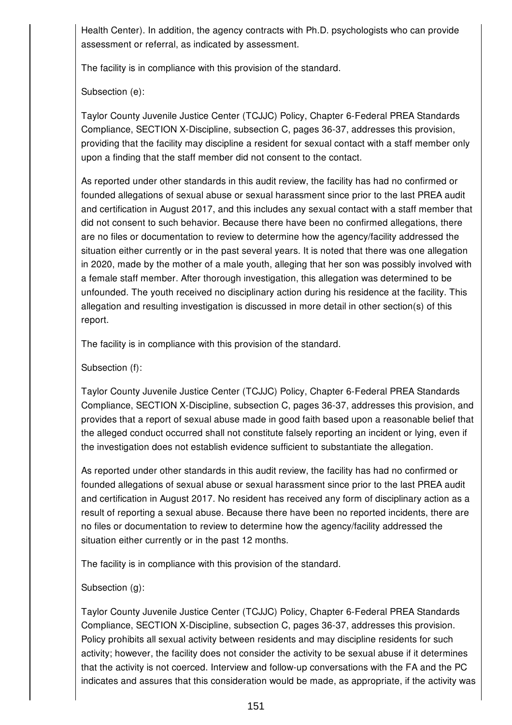Health Center). In addition, the agency contracts with Ph.D. psychologists who can provide assessment or referral, as indicated by assessment.

The facility is in compliance with this provision of the standard.

Subsection (e):

Taylor County Juvenile Justice Center (TCJJC) Policy, Chapter 6-Federal PREA Standards Compliance, SECTION X-Discipline, subsection C, pages 36-37, addresses this provision, providing that the facility may discipline a resident for sexual contact with a staff member only upon a finding that the staff member did not consent to the contact.

As reported under other standards in this audit review, the facility has had no confirmed or founded allegations of sexual abuse or sexual harassment since prior to the last PREA audit and certification in August 2017, and this includes any sexual contact with a staff member that did not consent to such behavior. Because there have been no confirmed allegations, there are no files or documentation to review to determine how the agency/facility addressed the situation either currently or in the past several years. It is noted that there was one allegation in 2020, made by the mother of a male youth, alleging that her son was possibly involved with a female staff member. After thorough investigation, this allegation was determined to be unfounded. The youth received no disciplinary action during his residence at the facility. This allegation and resulting investigation is discussed in more detail in other section(s) of this report.

The facility is in compliance with this provision of the standard.

Subsection (f):

Taylor County Juvenile Justice Center (TCJJC) Policy, Chapter 6-Federal PREA Standards Compliance, SECTION X-Discipline, subsection C, pages 36-37, addresses this provision, and provides that a report of sexual abuse made in good faith based upon a reasonable belief that the alleged conduct occurred shall not constitute falsely reporting an incident or lying, even if the investigation does not establish evidence sufficient to substantiate the allegation.

As reported under other standards in this audit review, the facility has had no confirmed or founded allegations of sexual abuse or sexual harassment since prior to the last PREA audit and certification in August 2017. No resident has received any form of disciplinary action as a result of reporting a sexual abuse. Because there have been no reported incidents, there are no files or documentation to review to determine how the agency/facility addressed the situation either currently or in the past 12 months.

The facility is in compliance with this provision of the standard.

Subsection (g):

Taylor County Juvenile Justice Center (TCJJC) Policy, Chapter 6-Federal PREA Standards Compliance, SECTION X-Discipline, subsection C, pages 36-37, addresses this provision. Policy prohibits all sexual activity between residents and may discipline residents for such activity; however, the facility does not consider the activity to be sexual abuse if it determines that the activity is not coerced. Interview and follow-up conversations with the FA and the PC indicates and assures that this consideration would be made, as appropriate, if the activity was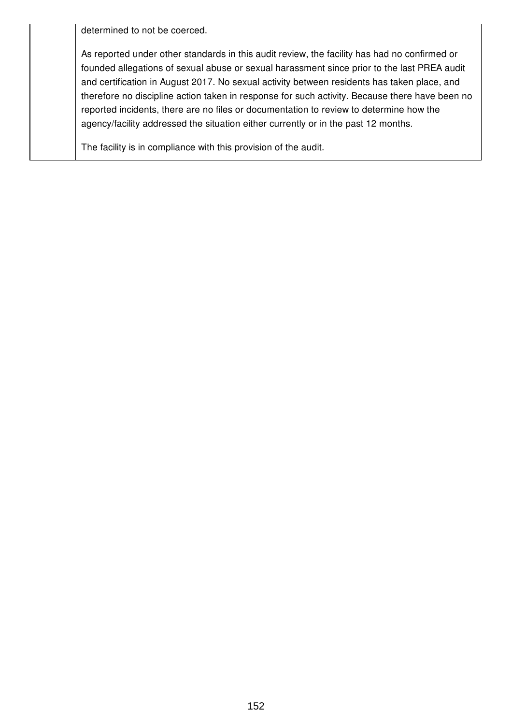determined to not be coerced.

As reported under other standards in this audit review, the facility has had no confirmed or founded allegations of sexual abuse or sexual harassment since prior to the last PREA audit and certification in August 2017. No sexual activity between residents has taken place, and therefore no discipline action taken in response for such activity. Because there have been no reported incidents, there are no files or documentation to review to determine how the agency/facility addressed the situation either currently or in the past 12 months.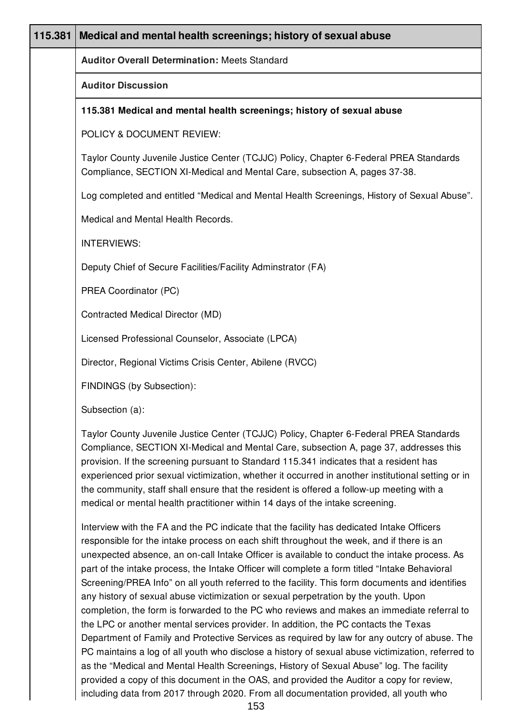| 115.381 | Medical and mental health screenings; history of sexual abuse                                                                                                                                                                                                                                                                                                                                                                                                                                                                                                                                                                                                                                                                                                                                                                                                        |
|---------|----------------------------------------------------------------------------------------------------------------------------------------------------------------------------------------------------------------------------------------------------------------------------------------------------------------------------------------------------------------------------------------------------------------------------------------------------------------------------------------------------------------------------------------------------------------------------------------------------------------------------------------------------------------------------------------------------------------------------------------------------------------------------------------------------------------------------------------------------------------------|
|         | <b>Auditor Overall Determination: Meets Standard</b>                                                                                                                                                                                                                                                                                                                                                                                                                                                                                                                                                                                                                                                                                                                                                                                                                 |
|         | <b>Auditor Discussion</b>                                                                                                                                                                                                                                                                                                                                                                                                                                                                                                                                                                                                                                                                                                                                                                                                                                            |
|         | 115.381 Medical and mental health screenings; history of sexual abuse                                                                                                                                                                                                                                                                                                                                                                                                                                                                                                                                                                                                                                                                                                                                                                                                |
|         | POLICY & DOCUMENT REVIEW:                                                                                                                                                                                                                                                                                                                                                                                                                                                                                                                                                                                                                                                                                                                                                                                                                                            |
|         | Taylor County Juvenile Justice Center (TCJJC) Policy, Chapter 6-Federal PREA Standards<br>Compliance, SECTION XI-Medical and Mental Care, subsection A, pages 37-38.                                                                                                                                                                                                                                                                                                                                                                                                                                                                                                                                                                                                                                                                                                 |
|         | Log completed and entitled "Medical and Mental Health Screenings, History of Sexual Abuse".                                                                                                                                                                                                                                                                                                                                                                                                                                                                                                                                                                                                                                                                                                                                                                          |
|         | Medical and Mental Health Records.                                                                                                                                                                                                                                                                                                                                                                                                                                                                                                                                                                                                                                                                                                                                                                                                                                   |
|         | <b>INTERVIEWS:</b>                                                                                                                                                                                                                                                                                                                                                                                                                                                                                                                                                                                                                                                                                                                                                                                                                                                   |
|         | Deputy Chief of Secure Facilities/Facility Adminstrator (FA)                                                                                                                                                                                                                                                                                                                                                                                                                                                                                                                                                                                                                                                                                                                                                                                                         |
|         | PREA Coordinator (PC)                                                                                                                                                                                                                                                                                                                                                                                                                                                                                                                                                                                                                                                                                                                                                                                                                                                |
|         | Contracted Medical Director (MD)                                                                                                                                                                                                                                                                                                                                                                                                                                                                                                                                                                                                                                                                                                                                                                                                                                     |
|         | Licensed Professional Counselor, Associate (LPCA)                                                                                                                                                                                                                                                                                                                                                                                                                                                                                                                                                                                                                                                                                                                                                                                                                    |
|         | Director, Regional Victims Crisis Center, Abilene (RVCC)                                                                                                                                                                                                                                                                                                                                                                                                                                                                                                                                                                                                                                                                                                                                                                                                             |
|         | FINDINGS (by Subsection):                                                                                                                                                                                                                                                                                                                                                                                                                                                                                                                                                                                                                                                                                                                                                                                                                                            |
|         | Subsection (a):                                                                                                                                                                                                                                                                                                                                                                                                                                                                                                                                                                                                                                                                                                                                                                                                                                                      |
|         | Taylor County Juvenile Justice Center (TCJJC) Policy, Chapter 6-Federal PREA Standards<br>Compliance, SECTION XI-Medical and Mental Care, subsection A, page 37, addresses this<br>provision. If the screening pursuant to Standard 115.341 indicates that a resident has<br>experienced prior sexual victimization, whether it occurred in another institutional setting or in<br>the community, staff shall ensure that the resident is offered a follow-up meeting with a<br>medical or mental health practitioner within 14 days of the intake screening.                                                                                                                                                                                                                                                                                                        |
|         | Interview with the FA and the PC indicate that the facility has dedicated Intake Officers<br>responsible for the intake process on each shift throughout the week, and if there is an<br>unexpected absence, an on-call Intake Officer is available to conduct the intake process. As<br>part of the intake process, the Intake Officer will complete a form titled "Intake Behavioral<br>Screening/PREA Info" on all youth referred to the facility. This form documents and identifies<br>any history of sexual abuse victimization or sexual perpetration by the youth. Upon<br>completion, the form is forwarded to the PC who reviews and makes an immediate referral to<br>the LPC or another mental services provider. In addition, the PC contacts the Texas<br>Department of Family and Protective Services as required by law for any outcry of abuse. The |

PC maintains a log of all youth who disclose a history of sexual abuse victimization, referred to as the "Medical and Mental Health Screenings, History of Sexual Abuse" log. The facility provided a copy of this document in the OAS, and provided the Auditor a copy for review, including data from 2017 through 2020. From all documentation provided, all youth who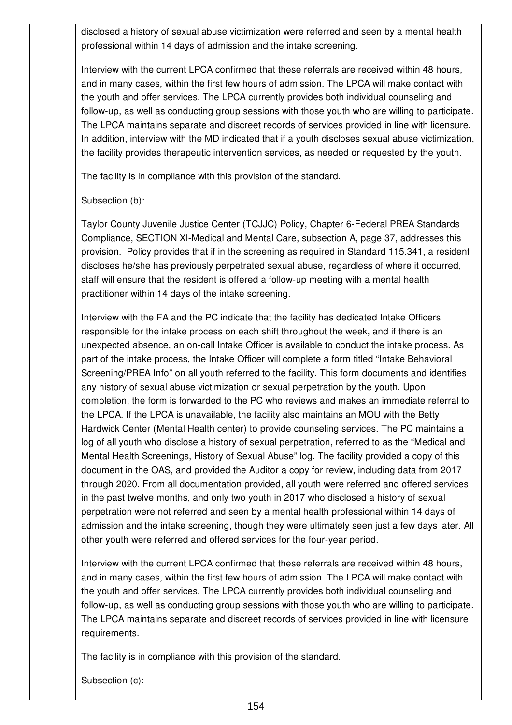disclosed a history of sexual abuse victimization were referred and seen by a mental health professional within 14 days of admission and the intake screening.

Interview with the current LPCA confirmed that these referrals are received within 48 hours, and in many cases, within the first few hours of admission. The LPCA will make contact with the youth and offer services. The LPCA currently provides both individual counseling and follow-up, as well as conducting group sessions with those youth who are willing to participate. The LPCA maintains separate and discreet records of services provided in line with licensure. In addition, interview with the MD indicated that if a youth discloses sexual abuse victimization, the facility provides therapeutic intervention services, as needed or requested by the youth.

The facility is in compliance with this provision of the standard.

### Subsection (b):

Taylor County Juvenile Justice Center (TCJJC) Policy, Chapter 6-Federal PREA Standards Compliance, SECTION XI-Medical and Mental Care, subsection A, page 37, addresses this provision. Policy provides that if in the screening as required in Standard 115.341, a resident discloses he/she has previously perpetrated sexual abuse, regardless of where it occurred, staff will ensure that the resident is offered a follow-up meeting with a mental health practitioner within 14 days of the intake screening.

Interview with the FA and the PC indicate that the facility has dedicated Intake Officers responsible for the intake process on each shift throughout the week, and if there is an unexpected absence, an on-call Intake Officer is available to conduct the intake process. As part of the intake process, the Intake Officer will complete a form titled "Intake Behavioral Screening/PREA Info" on all youth referred to the facility. This form documents and identifies any history of sexual abuse victimization or sexual perpetration by the youth. Upon completion, the form is forwarded to the PC who reviews and makes an immediate referral to the LPCA. If the LPCA is unavailable, the facility also maintains an MOU with the Betty Hardwick Center (Mental Health center) to provide counseling services. The PC maintains a log of all youth who disclose a history of sexual perpetration, referred to as the "Medical and Mental Health Screenings, History of Sexual Abuse" log. The facility provided a copy of this document in the OAS, and provided the Auditor a copy for review, including data from 2017 through 2020. From all documentation provided, all youth were referred and offered services in the past twelve months, and only two youth in 2017 who disclosed a history of sexual perpetration were not referred and seen by a mental health professional within 14 days of admission and the intake screening, though they were ultimately seen just a few days later. All other youth were referred and offered services for the four-year period.

Interview with the current LPCA confirmed that these referrals are received within 48 hours, and in many cases, within the first few hours of admission. The LPCA will make contact with the youth and offer services. The LPCA currently provides both individual counseling and follow-up, as well as conducting group sessions with those youth who are willing to participate. The LPCA maintains separate and discreet records of services provided in line with licensure requirements.

The facility is in compliance with this provision of the standard.

Subsection (c):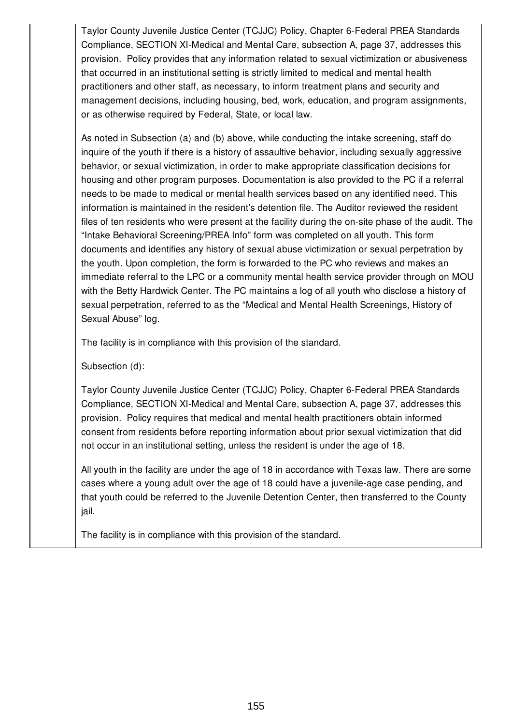Taylor County Juvenile Justice Center (TCJJC) Policy, Chapter 6-Federal PREA Standards Compliance, SECTION XI-Medical and Mental Care, subsection A, page 37, addresses this provision. Policy provides that any information related to sexual victimization or abusiveness that occurred in an institutional setting is strictly limited to medical and mental health practitioners and other staff, as necessary, to inform treatment plans and security and management decisions, including housing, bed, work, education, and program assignments, or as otherwise required by Federal, State, or local law.

As noted in Subsection (a) and (b) above, while conducting the intake screening, staff do inquire of the youth if there is a history of assaultive behavior, including sexually aggressive behavior, or sexual victimization, in order to make appropriate classification decisions for housing and other program purposes. Documentation is also provided to the PC if a referral needs to be made to medical or mental health services based on any identified need. This information is maintained in the resident's detention file. The Auditor reviewed the resident files of ten residents who were present at the facility during the on-site phase of the audit. The "Intake Behavioral Screening/PREA Info" form was completed on all youth. This form documents and identifies any history of sexual abuse victimization or sexual perpetration by the youth. Upon completion, the form is forwarded to the PC who reviews and makes an immediate referral to the LPC or a community mental health service provider through on MOU with the Betty Hardwick Center. The PC maintains a log of all youth who disclose a history of sexual perpetration, referred to as the "Medical and Mental Health Screenings, History of Sexual Abuse" log.

The facility is in compliance with this provision of the standard.

Subsection (d):

Taylor County Juvenile Justice Center (TCJJC) Policy, Chapter 6-Federal PREA Standards Compliance, SECTION XI-Medical and Mental Care, subsection A, page 37, addresses this provision. Policy requires that medical and mental health practitioners obtain informed consent from residents before reporting information about prior sexual victimization that did not occur in an institutional setting, unless the resident is under the age of 18.

All youth in the facility are under the age of 18 in accordance with Texas law. There are some cases where a young adult over the age of 18 could have a juvenile-age case pending, and that youth could be referred to the Juvenile Detention Center, then transferred to the County jail.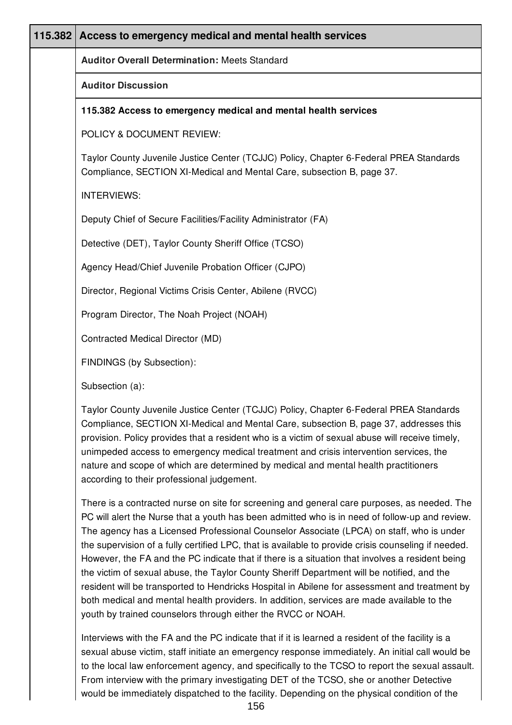| 115.382 | Access to emergency medical and mental health services                                                                                                                                                                                                                             |
|---------|------------------------------------------------------------------------------------------------------------------------------------------------------------------------------------------------------------------------------------------------------------------------------------|
|         | <b>Auditor Overall Determination: Meets Standard</b>                                                                                                                                                                                                                               |
|         | <b>Auditor Discussion</b>                                                                                                                                                                                                                                                          |
|         | 115.382 Access to emergency medical and mental health services                                                                                                                                                                                                                     |
|         | POLICY & DOCUMENT REVIEW:                                                                                                                                                                                                                                                          |
|         | Taylor County Juvenile Justice Center (TCJJC) Policy, Chapter 6-Federal PREA Standards<br>Compliance, SECTION XI-Medical and Mental Care, subsection B, page 37.                                                                                                                   |
|         | <b>INTERVIEWS:</b>                                                                                                                                                                                                                                                                 |
|         | Deputy Chief of Secure Facilities/Facility Administrator (FA)                                                                                                                                                                                                                      |
|         | Detective (DET), Taylor County Sheriff Office (TCSO)                                                                                                                                                                                                                               |
|         | Agency Head/Chief Juvenile Probation Officer (CJPO)                                                                                                                                                                                                                                |
|         | Director, Regional Victims Crisis Center, Abilene (RVCC)                                                                                                                                                                                                                           |
|         | Program Director, The Noah Project (NOAH)                                                                                                                                                                                                                                          |
|         | Contracted Medical Director (MD)                                                                                                                                                                                                                                                   |
|         | FINDINGS (by Subsection):                                                                                                                                                                                                                                                          |
|         | Subsection (a):                                                                                                                                                                                                                                                                    |
|         | Taylor County Juvenile Justice Center (TCJJC) Policy, Chapter 6-Federal PREA Standards<br>Compliance, SECTION XI-Medical and Mental Care, subsection B, page 37, addresses this<br>provision. Policy provides that a resident who is a victim of sexual abuse will receive timely, |

nature and scope of which are determined by medical and mental health practitioners according to their professional judgement.

There is a contracted nurse on site for screening and general care purposes, as needed. The PC will alert the Nurse that a youth has been admitted who is in need of follow-up and review. The agency has a Licensed Professional Counselor Associate (LPCA) on staff, who is under the supervision of a fully certified LPC, that is available to provide crisis counseling if needed. However, the FA and the PC indicate that if there is a situation that involves a resident being the victim of sexual abuse, the Taylor County Sheriff Department will be notified, and the resident will be transported to Hendricks Hospital in Abilene for assessment and treatment by both medical and mental health providers. In addition, services are made available to the youth by trained counselors through either the RVCC or NOAH.

unimpeded access to emergency medical treatment and crisis intervention services, the

Interviews with the FA and the PC indicate that if it is learned a resident of the facility is a sexual abuse victim, staff initiate an emergency response immediately. An initial call would be to the local law enforcement agency, and specifically to the TCSO to report the sexual assault. From interview with the primary investigating DET of the TCSO, she or another Detective would be immediately dispatched to the facility. Depending on the physical condition of the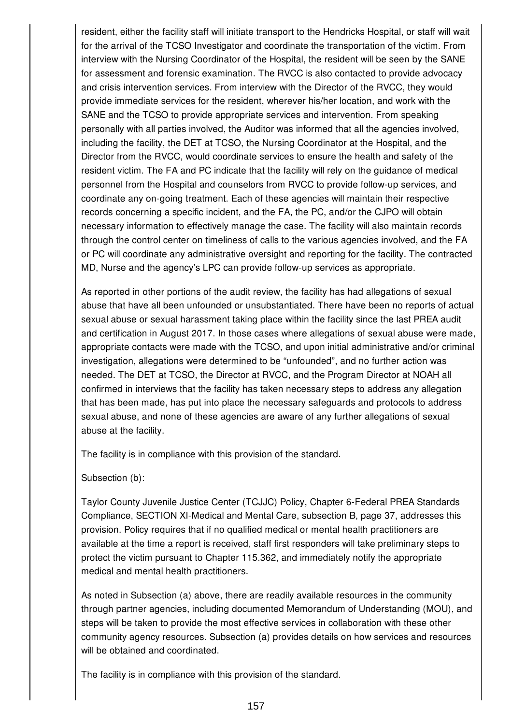resident, either the facility staff will initiate transport to the Hendricks Hospital, or staff will wait for the arrival of the TCSO Investigator and coordinate the transportation of the victim. From interview with the Nursing Coordinator of the Hospital, the resident will be seen by the SANE for assessment and forensic examination. The RVCC is also contacted to provide advocacy and crisis intervention services. From interview with the Director of the RVCC, they would provide immediate services for the resident, wherever his/her location, and work with the SANE and the TCSO to provide appropriate services and intervention. From speaking personally with all parties involved, the Auditor was informed that all the agencies involved, including the facility, the DET at TCSO, the Nursing Coordinator at the Hospital, and the Director from the RVCC, would coordinate services to ensure the health and safety of the resident victim. The FA and PC indicate that the facility will rely on the guidance of medical personnel from the Hospital and counselors from RVCC to provide follow-up services, and coordinate any on-going treatment. Each of these agencies will maintain their respective records concerning a specific incident, and the FA, the PC, and/or the CJPO will obtain necessary information to effectively manage the case. The facility will also maintain records through the control center on timeliness of calls to the various agencies involved, and the FA or PC will coordinate any administrative oversight and reporting for the facility. The contracted MD, Nurse and the agency's LPC can provide follow-up services as appropriate.

As reported in other portions of the audit review, the facility has had allegations of sexual abuse that have all been unfounded or unsubstantiated. There have been no reports of actual sexual abuse or sexual harassment taking place within the facility since the last PREA audit and certification in August 2017. In those cases where allegations of sexual abuse were made, appropriate contacts were made with the TCSO, and upon initial administrative and/or criminal investigation, allegations were determined to be "unfounded", and no further action was needed. The DET at TCSO, the Director at RVCC, and the Program Director at NOAH all confirmed in interviews that the facility has taken necessary steps to address any allegation that has been made, has put into place the necessary safeguards and protocols to address sexual abuse, and none of these agencies are aware of any further allegations of sexual abuse at the facility.

The facility is in compliance with this provision of the standard.

Subsection (b):

Taylor County Juvenile Justice Center (TCJJC) Policy, Chapter 6-Federal PREA Standards Compliance, SECTION XI-Medical and Mental Care, subsection B, page 37, addresses this provision. Policy requires that if no qualified medical or mental health practitioners are available at the time a report is received, staff first responders will take preliminary steps to protect the victim pursuant to Chapter 115.362, and immediately notify the appropriate medical and mental health practitioners.

As noted in Subsection (a) above, there are readily available resources in the community through partner agencies, including documented Memorandum of Understanding (MOU), and steps will be taken to provide the most effective services in collaboration with these other community agency resources. Subsection (a) provides details on how services and resources will be obtained and coordinated.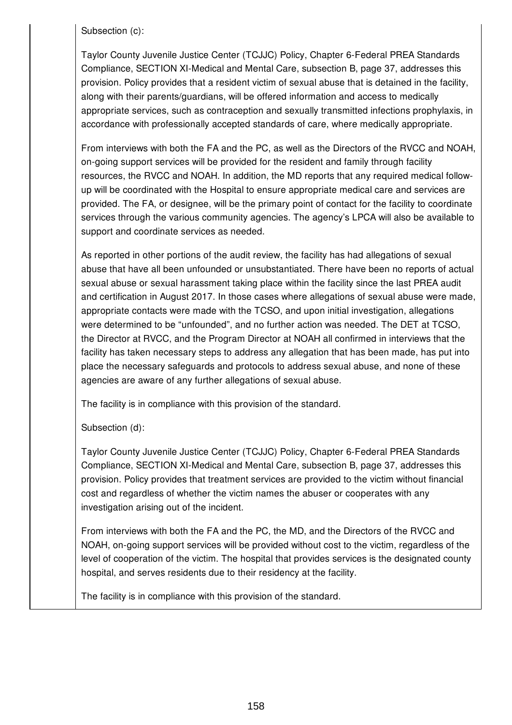Subsection (c):

Taylor County Juvenile Justice Center (TCJJC) Policy, Chapter 6-Federal PREA Standards Compliance, SECTION XI-Medical and Mental Care, subsection B, page 37, addresses this provision. Policy provides that a resident victim of sexual abuse that is detained in the facility, along with their parents/guardians, will be offered information and access to medically appropriate services, such as contraception and sexually transmitted infections prophylaxis, in accordance with professionally accepted standards of care, where medically appropriate.

From interviews with both the FA and the PC, as well as the Directors of the RVCC and NOAH, on-going support services will be provided for the resident and family through facility resources, the RVCC and NOAH. In addition, the MD reports that any required medical followup will be coordinated with the Hospital to ensure appropriate medical care and services are provided. The FA, or designee, will be the primary point of contact for the facility to coordinate services through the various community agencies. The agency's LPCA will also be available to support and coordinate services as needed.

As reported in other portions of the audit review, the facility has had allegations of sexual abuse that have all been unfounded or unsubstantiated. There have been no reports of actual sexual abuse or sexual harassment taking place within the facility since the last PREA audit and certification in August 2017. In those cases where allegations of sexual abuse were made, appropriate contacts were made with the TCSO, and upon initial investigation, allegations were determined to be "unfounded", and no further action was needed. The DET at TCSO, the Director at RVCC, and the Program Director at NOAH all confirmed in interviews that the facility has taken necessary steps to address any allegation that has been made, has put into place the necessary safeguards and protocols to address sexual abuse, and none of these agencies are aware of any further allegations of sexual abuse.

The facility is in compliance with this provision of the standard.

# Subsection (d):

Taylor County Juvenile Justice Center (TCJJC) Policy, Chapter 6-Federal PREA Standards Compliance, SECTION XI-Medical and Mental Care, subsection B, page 37, addresses this provision. Policy provides that treatment services are provided to the victim without financial cost and regardless of whether the victim names the abuser or cooperates with any investigation arising out of the incident.

From interviews with both the FA and the PC, the MD, and the Directors of the RVCC and NOAH, on-going support services will be provided without cost to the victim, regardless of the level of cooperation of the victim. The hospital that provides services is the designated county hospital, and serves residents due to their residency at the facility.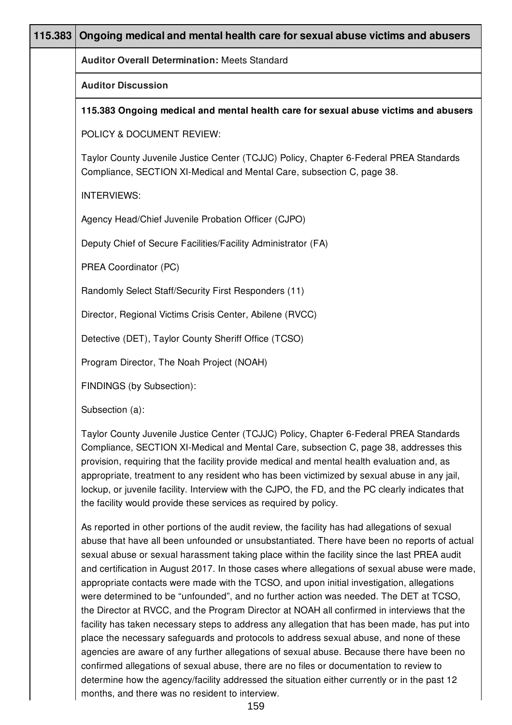| 115.383 | Ongoing medical and mental health care for sexual abuse victims and abusers                                                                                                                                                                                                                                                                                                                                                                                                                                                                           |
|---------|-------------------------------------------------------------------------------------------------------------------------------------------------------------------------------------------------------------------------------------------------------------------------------------------------------------------------------------------------------------------------------------------------------------------------------------------------------------------------------------------------------------------------------------------------------|
|         | <b>Auditor Overall Determination: Meets Standard</b>                                                                                                                                                                                                                                                                                                                                                                                                                                                                                                  |
|         | <b>Auditor Discussion</b>                                                                                                                                                                                                                                                                                                                                                                                                                                                                                                                             |
|         | 115.383 Ongoing medical and mental health care for sexual abuse victims and abusers                                                                                                                                                                                                                                                                                                                                                                                                                                                                   |
|         | POLICY & DOCUMENT REVIEW:                                                                                                                                                                                                                                                                                                                                                                                                                                                                                                                             |
|         | Taylor County Juvenile Justice Center (TCJJC) Policy, Chapter 6-Federal PREA Standards<br>Compliance, SECTION XI-Medical and Mental Care, subsection C, page 38.                                                                                                                                                                                                                                                                                                                                                                                      |
|         | <b>INTERVIEWS:</b>                                                                                                                                                                                                                                                                                                                                                                                                                                                                                                                                    |
|         | Agency Head/Chief Juvenile Probation Officer (CJPO)                                                                                                                                                                                                                                                                                                                                                                                                                                                                                                   |
|         | Deputy Chief of Secure Facilities/Facility Administrator (FA)                                                                                                                                                                                                                                                                                                                                                                                                                                                                                         |
|         | PREA Coordinator (PC)                                                                                                                                                                                                                                                                                                                                                                                                                                                                                                                                 |
|         | Randomly Select Staff/Security First Responders (11)                                                                                                                                                                                                                                                                                                                                                                                                                                                                                                  |
|         | Director, Regional Victims Crisis Center, Abilene (RVCC)                                                                                                                                                                                                                                                                                                                                                                                                                                                                                              |
|         | Detective (DET), Taylor County Sheriff Office (TCSO)                                                                                                                                                                                                                                                                                                                                                                                                                                                                                                  |
|         | Program Director, The Noah Project (NOAH)                                                                                                                                                                                                                                                                                                                                                                                                                                                                                                             |
|         | FINDINGS (by Subsection):                                                                                                                                                                                                                                                                                                                                                                                                                                                                                                                             |
|         | Subsection (a):                                                                                                                                                                                                                                                                                                                                                                                                                                                                                                                                       |
|         | Taylor County Juvenile Justice Center (TCJJC) Policy, Chapter 6-Federal PREA Standards<br>Compliance, SECTION XI-Medical and Mental Care, subsection C, page 38, addresses this<br>provision, requiring that the facility provide medical and mental health evaluation and, as<br>appropriate, treatment to any resident who has been victimized by sexual abuse in any jail,<br>lockup, or juvenile facility. Interview with the CJPO, the FD, and the PC clearly indicates that<br>the facility would provide these services as required by policy. |
|         | As reported in other portions of the audit review, the facility has had allegations of sexual<br>abuse that have all been unfounded or unsubstantiated. There have been no reports of actual<br>sexual abuse or sexual harassment taking place within the facility since the last PREA audit<br>and certification in August 2017. In those cases where allegations of sexual abuse were made,<br>appropriate contacts were made with the TCSO, and upon initial investigation, allegations                                                            |

were determined to be "unfounded", and no further action was needed. The DET at TCSO, the Director at RVCC, and the Program Director at NOAH all confirmed in interviews that the facility has taken necessary steps to address any allegation that has been made, has put into place the necessary safeguards and protocols to address sexual abuse, and none of these agencies are aware of any further allegations of sexual abuse. Because there have been no confirmed allegations of sexual abuse, there are no files or documentation to review to determine how the agency/facility addressed the situation either currently or in the past 12 months, and there was no resident to interview.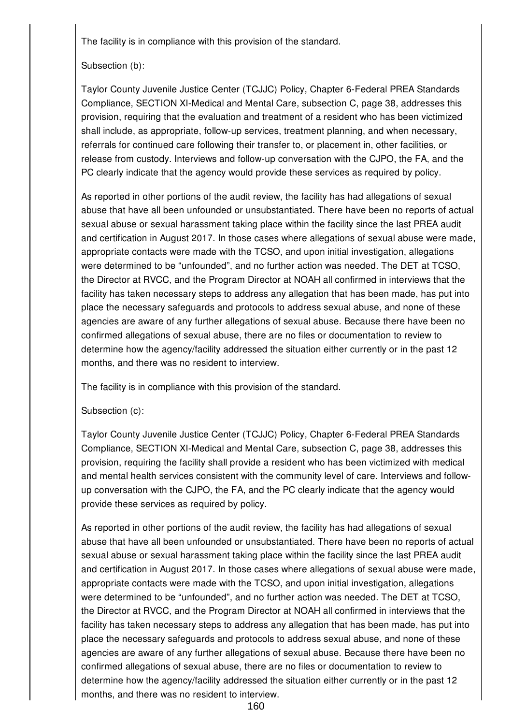#### Subsection (b):

Taylor County Juvenile Justice Center (TCJJC) Policy, Chapter 6-Federal PREA Standards Compliance, SECTION XI-Medical and Mental Care, subsection C, page 38, addresses this provision, requiring that the evaluation and treatment of a resident who has been victimized shall include, as appropriate, follow-up services, treatment planning, and when necessary, referrals for continued care following their transfer to, or placement in, other facilities, or release from custody. Interviews and follow-up conversation with the CJPO, the FA, and the PC clearly indicate that the agency would provide these services as required by policy.

As reported in other portions of the audit review, the facility has had allegations of sexual abuse that have all been unfounded or unsubstantiated. There have been no reports of actual sexual abuse or sexual harassment taking place within the facility since the last PREA audit and certification in August 2017. In those cases where allegations of sexual abuse were made, appropriate contacts were made with the TCSO, and upon initial investigation, allegations were determined to be "unfounded", and no further action was needed. The DET at TCSO, the Director at RVCC, and the Program Director at NOAH all confirmed in interviews that the facility has taken necessary steps to address any allegation that has been made, has put into place the necessary safeguards and protocols to address sexual abuse, and none of these agencies are aware of any further allegations of sexual abuse. Because there have been no confirmed allegations of sexual abuse, there are no files or documentation to review to determine how the agency/facility addressed the situation either currently or in the past 12 months, and there was no resident to interview.

The facility is in compliance with this provision of the standard.

### Subsection (c):

Taylor County Juvenile Justice Center (TCJJC) Policy, Chapter 6-Federal PREA Standards Compliance, SECTION XI-Medical and Mental Care, subsection C, page 38, addresses this provision, requiring the facility shall provide a resident who has been victimized with medical and mental health services consistent with the community level of care. Interviews and followup conversation with the CJPO, the FA, and the PC clearly indicate that the agency would provide these services as required by policy.

As reported in other portions of the audit review, the facility has had allegations of sexual abuse that have all been unfounded or unsubstantiated. There have been no reports of actual sexual abuse or sexual harassment taking place within the facility since the last PREA audit and certification in August 2017. In those cases where allegations of sexual abuse were made, appropriate contacts were made with the TCSO, and upon initial investigation, allegations were determined to be "unfounded", and no further action was needed. The DET at TCSO, the Director at RVCC, and the Program Director at NOAH all confirmed in interviews that the facility has taken necessary steps to address any allegation that has been made, has put into place the necessary safeguards and protocols to address sexual abuse, and none of these agencies are aware of any further allegations of sexual abuse. Because there have been no confirmed allegations of sexual abuse, there are no files or documentation to review to determine how the agency/facility addressed the situation either currently or in the past 12 months, and there was no resident to interview.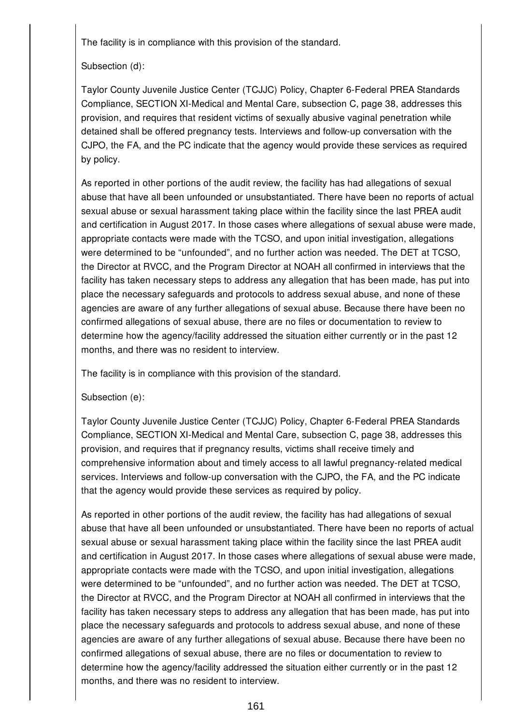## Subsection (d):

Taylor County Juvenile Justice Center (TCJJC) Policy, Chapter 6-Federal PREA Standards Compliance, SECTION XI-Medical and Mental Care, subsection C, page 38, addresses this provision, and requires that resident victims of sexually abusive vaginal penetration while detained shall be offered pregnancy tests. Interviews and follow-up conversation with the CJPO, the FA, and the PC indicate that the agency would provide these services as required by policy.

As reported in other portions of the audit review, the facility has had allegations of sexual abuse that have all been unfounded or unsubstantiated. There have been no reports of actual sexual abuse or sexual harassment taking place within the facility since the last PREA audit and certification in August 2017. In those cases where allegations of sexual abuse were made, appropriate contacts were made with the TCSO, and upon initial investigation, allegations were determined to be "unfounded", and no further action was needed. The DET at TCSO, the Director at RVCC, and the Program Director at NOAH all confirmed in interviews that the facility has taken necessary steps to address any allegation that has been made, has put into place the necessary safeguards and protocols to address sexual abuse, and none of these agencies are aware of any further allegations of sexual abuse. Because there have been no confirmed allegations of sexual abuse, there are no files or documentation to review to determine how the agency/facility addressed the situation either currently or in the past 12 months, and there was no resident to interview.

The facility is in compliance with this provision of the standard.

### Subsection (e):

Taylor County Juvenile Justice Center (TCJJC) Policy, Chapter 6-Federal PREA Standards Compliance, SECTION XI-Medical and Mental Care, subsection C, page 38, addresses this provision, and requires that if pregnancy results, victims shall receive timely and comprehensive information about and timely access to all lawful pregnancy-related medical services. Interviews and follow-up conversation with the CJPO, the FA, and the PC indicate that the agency would provide these services as required by policy.

As reported in other portions of the audit review, the facility has had allegations of sexual abuse that have all been unfounded or unsubstantiated. There have been no reports of actual sexual abuse or sexual harassment taking place within the facility since the last PREA audit and certification in August 2017. In those cases where allegations of sexual abuse were made, appropriate contacts were made with the TCSO, and upon initial investigation, allegations were determined to be "unfounded", and no further action was needed. The DET at TCSO, the Director at RVCC, and the Program Director at NOAH all confirmed in interviews that the facility has taken necessary steps to address any allegation that has been made, has put into place the necessary safeguards and protocols to address sexual abuse, and none of these agencies are aware of any further allegations of sexual abuse. Because there have been no confirmed allegations of sexual abuse, there are no files or documentation to review to determine how the agency/facility addressed the situation either currently or in the past 12 months, and there was no resident to interview.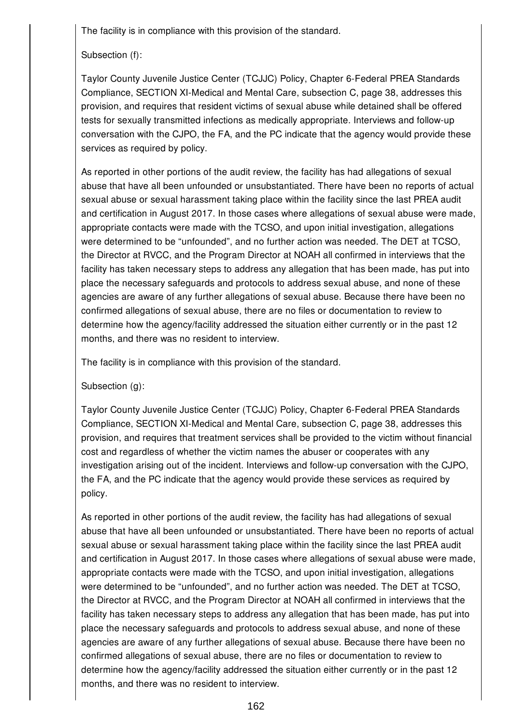Subsection (f):

Taylor County Juvenile Justice Center (TCJJC) Policy, Chapter 6-Federal PREA Standards Compliance, SECTION XI-Medical and Mental Care, subsection C, page 38, addresses this provision, and requires that resident victims of sexual abuse while detained shall be offered tests for sexually transmitted infections as medically appropriate. Interviews and follow-up conversation with the CJPO, the FA, and the PC indicate that the agency would provide these services as required by policy.

As reported in other portions of the audit review, the facility has had allegations of sexual abuse that have all been unfounded or unsubstantiated. There have been no reports of actual sexual abuse or sexual harassment taking place within the facility since the last PREA audit and certification in August 2017. In those cases where allegations of sexual abuse were made, appropriate contacts were made with the TCSO, and upon initial investigation, allegations were determined to be "unfounded", and no further action was needed. The DET at TCSO, the Director at RVCC, and the Program Director at NOAH all confirmed in interviews that the facility has taken necessary steps to address any allegation that has been made, has put into place the necessary safeguards and protocols to address sexual abuse, and none of these agencies are aware of any further allegations of sexual abuse. Because there have been no confirmed allegations of sexual abuse, there are no files or documentation to review to determine how the agency/facility addressed the situation either currently or in the past 12 months, and there was no resident to interview.

The facility is in compliance with this provision of the standard.

Subsection (g):

Taylor County Juvenile Justice Center (TCJJC) Policy, Chapter 6-Federal PREA Standards Compliance, SECTION XI-Medical and Mental Care, subsection C, page 38, addresses this provision, and requires that treatment services shall be provided to the victim without financial cost and regardless of whether the victim names the abuser or cooperates with any investigation arising out of the incident. Interviews and follow-up conversation with the CJPO, the FA, and the PC indicate that the agency would provide these services as required by policy.

As reported in other portions of the audit review, the facility has had allegations of sexual abuse that have all been unfounded or unsubstantiated. There have been no reports of actual sexual abuse or sexual harassment taking place within the facility since the last PREA audit and certification in August 2017. In those cases where allegations of sexual abuse were made, appropriate contacts were made with the TCSO, and upon initial investigation, allegations were determined to be "unfounded", and no further action was needed. The DET at TCSO, the Director at RVCC, and the Program Director at NOAH all confirmed in interviews that the facility has taken necessary steps to address any allegation that has been made, has put into place the necessary safeguards and protocols to address sexual abuse, and none of these agencies are aware of any further allegations of sexual abuse. Because there have been no confirmed allegations of sexual abuse, there are no files or documentation to review to determine how the agency/facility addressed the situation either currently or in the past 12 months, and there was no resident to interview.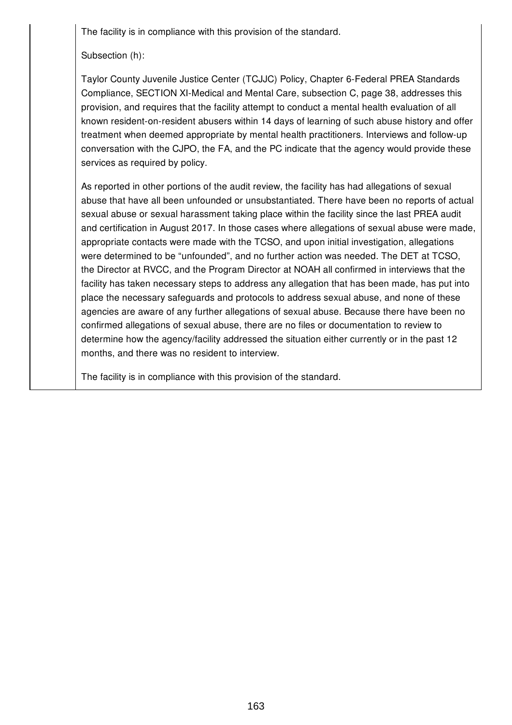Subsection (h):

Taylor County Juvenile Justice Center (TCJJC) Policy, Chapter 6-Federal PREA Standards Compliance, SECTION XI-Medical and Mental Care, subsection C, page 38, addresses this provision, and requires that the facility attempt to conduct a mental health evaluation of all known resident-on-resident abusers within 14 days of learning of such abuse history and offer treatment when deemed appropriate by mental health practitioners. Interviews and follow-up conversation with the CJPO, the FA, and the PC indicate that the agency would provide these services as required by policy.

As reported in other portions of the audit review, the facility has had allegations of sexual abuse that have all been unfounded or unsubstantiated. There have been no reports of actual sexual abuse or sexual harassment taking place within the facility since the last PREA audit and certification in August 2017. In those cases where allegations of sexual abuse were made, appropriate contacts were made with the TCSO, and upon initial investigation, allegations were determined to be "unfounded", and no further action was needed. The DET at TCSO, the Director at RVCC, and the Program Director at NOAH all confirmed in interviews that the facility has taken necessary steps to address any allegation that has been made, has put into place the necessary safeguards and protocols to address sexual abuse, and none of these agencies are aware of any further allegations of sexual abuse. Because there have been no confirmed allegations of sexual abuse, there are no files or documentation to review to determine how the agency/facility addressed the situation either currently or in the past 12 months, and there was no resident to interview.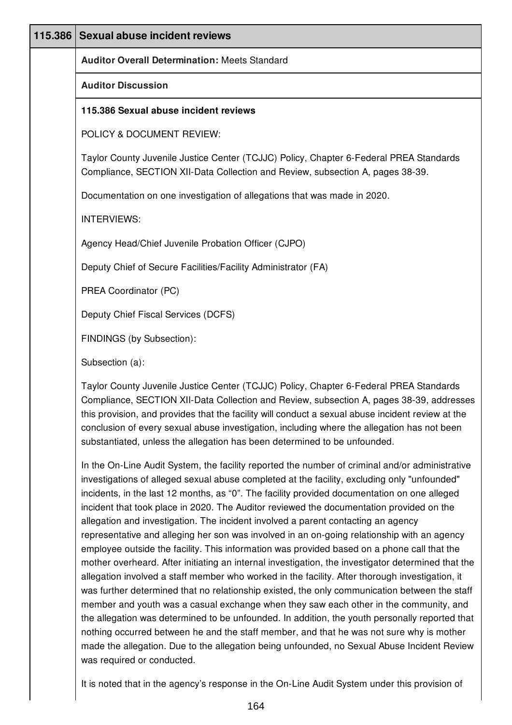| 115.386 | <b>Sexual abuse incident reviews</b>                                                                                                                                                                                                                                                                                                                                                                                                                                |
|---------|---------------------------------------------------------------------------------------------------------------------------------------------------------------------------------------------------------------------------------------------------------------------------------------------------------------------------------------------------------------------------------------------------------------------------------------------------------------------|
|         |                                                                                                                                                                                                                                                                                                                                                                                                                                                                     |
|         | <b>Auditor Overall Determination: Meets Standard</b>                                                                                                                                                                                                                                                                                                                                                                                                                |
|         | <b>Auditor Discussion</b>                                                                                                                                                                                                                                                                                                                                                                                                                                           |
|         | 115.386 Sexual abuse incident reviews                                                                                                                                                                                                                                                                                                                                                                                                                               |
|         | POLICY & DOCUMENT REVIEW:                                                                                                                                                                                                                                                                                                                                                                                                                                           |
|         | Taylor County Juvenile Justice Center (TCJJC) Policy, Chapter 6-Federal PREA Standards<br>Compliance, SECTION XII-Data Collection and Review, subsection A, pages 38-39.                                                                                                                                                                                                                                                                                            |
|         | Documentation on one investigation of allegations that was made in 2020.                                                                                                                                                                                                                                                                                                                                                                                            |
|         | <b>INTERVIEWS:</b>                                                                                                                                                                                                                                                                                                                                                                                                                                                  |
|         | Agency Head/Chief Juvenile Probation Officer (CJPO)                                                                                                                                                                                                                                                                                                                                                                                                                 |
|         | Deputy Chief of Secure Facilities/Facility Administrator (FA)                                                                                                                                                                                                                                                                                                                                                                                                       |
|         | PREA Coordinator (PC)                                                                                                                                                                                                                                                                                                                                                                                                                                               |
|         | Deputy Chief Fiscal Services (DCFS)                                                                                                                                                                                                                                                                                                                                                                                                                                 |
|         | FINDINGS (by Subsection):                                                                                                                                                                                                                                                                                                                                                                                                                                           |
|         | Subsection (a):                                                                                                                                                                                                                                                                                                                                                                                                                                                     |
|         | Taylor County Juvenile Justice Center (TCJJC) Policy, Chapter 6-Federal PREA Standards<br>Compliance, SECTION XII-Data Collection and Review, subsection A, pages 38-39, addresses<br>this provision, and provides that the facility will conduct a sexual abuse incident review at the<br>conclusion of every sexual abuse investigation, including where the allegation has not been<br>substantiated, unless the allegation has been determined to be unfounded. |

In the On-Line Audit System, the facility reported the number of criminal and/or administrative investigations of alleged sexual abuse completed at the facility, excluding only "unfounded" incidents, in the last 12 months, as "0". The facility provided documentation on one alleged incident that took place in 2020. The Auditor reviewed the documentation provided on the allegation and investigation. The incident involved a parent contacting an agency representative and alleging her son was involved in an on-going relationship with an agency employee outside the facility. This information was provided based on a phone call that the mother overheard. After initiating an internal investigation, the investigator determined that the allegation involved a staff member who worked in the facility. After thorough investigation, it was further determined that no relationship existed, the only communication between the staff member and youth was a casual exchange when they saw each other in the community, and the allegation was determined to be unfounded. In addition, the youth personally reported that nothing occurred between he and the staff member, and that he was not sure why is mother made the allegation. Due to the allegation being unfounded, no Sexual Abuse Incident Review was required or conducted.

It is noted that in the agency's response in the On-Line Audit System under this provision of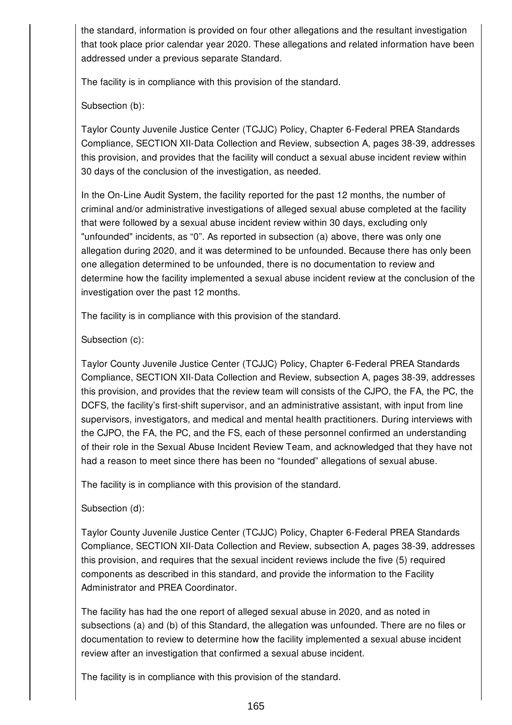the standard, information is provided on four other allegations and the resultant investigation that took place prior calendar year 2020. These allegations and related information have been addressed under a previous separate Standard.

The facility is in compliance with this provision of the standard.

Subsection (b):

Taylor County Juvenile Justice Center (TCJJC) Policy, Chapter 6-Federal PREA Standards Compliance, SECTION XII-Data Collection and Review, subsection A, pages 38-39, addresses this provision, and provides that the facility will conduct a sexual abuse incident review within 30 days of the conclusion of the investigation, as needed.

In the On-Line Audit System, the facility reported for the past 12 months, the number of criminal and/or administrative investigations of alleged sexual abuse completed at the facility that were followed by a sexual abuse incident review within 30 days, excluding only "unfounded" incidents, as "0". As reported in subsection (a) above, there was only one allegation during 2020, and it was determined to be unfounded. Because there has only been one allegation determined to be unfounded, there is no documentation to review and determine how the facility implemented a sexual abuse incident review at the conclusion of the investigation over the past 12 months.

The facility is in compliance with this provision of the standard.

Subsection (c):

Taylor County Juvenile Justice Center (TCJJC) Policy, Chapter 6-Federal PREA Standards Compliance, SECTION XII-Data Collection and Review, subsection A, pages 38-39, addresses this provision, and provides that the review team will consists of the CJPO, the FA, the PC, the DCFS, the facility's first-shift supervisor, and an administrative assistant, with input from line supervisors, investigators, and medical and mental health practitioners. During interviews with the CJPO, the FA, the PC, and the FS, each of these personnel confirmed an understanding of their role in the Sexual Abuse Incident Review Team, and acknowledged that they have not had a reason to meet since there has been no "founded" allegations of sexual abuse.

The facility is in compliance with this provision of the standard.

Subsection (d):

Taylor County Juvenile Justice Center (TCJJC) Policy, Chapter 6-Federal PREA Standards Compliance, SECTION XII-Data Collection and Review, subsection A, pages 38-39, addresses this provision, and requires that the sexual incident reviews include the five (5) required components as described in this standard, and provide the information to the Facility Administrator and PREA Coordinator.

The facility has had the one report of alleged sexual abuse in 2020, and as noted in subsections (a) and (b) of this Standard, the allegation was unfounded. There are no files or documentation to review to determine how the facility implemented a sexual abuse incident review after an investigation that confirmed a sexual abuse incident.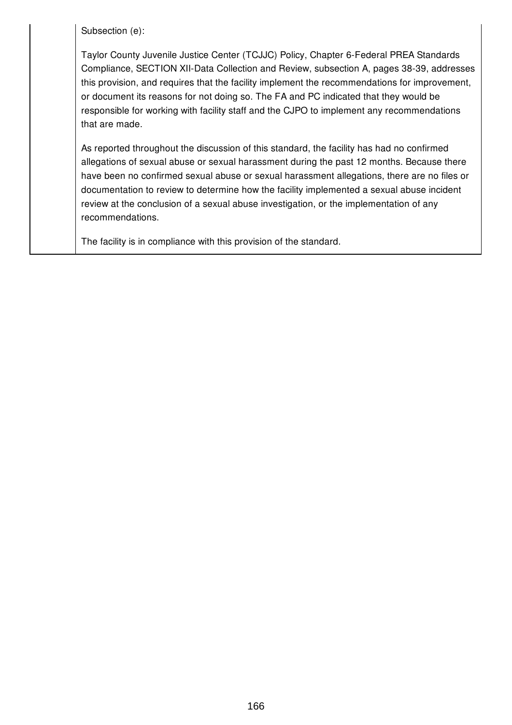Subsection (e):

Taylor County Juvenile Justice Center (TCJJC) Policy, Chapter 6-Federal PREA Standards Compliance, SECTION XII-Data Collection and Review, subsection A, pages 38-39, addresses this provision, and requires that the facility implement the recommendations for improvement, or document its reasons for not doing so. The FA and PC indicated that they would be responsible for working with facility staff and the CJPO to implement any recommendations that are made.

As reported throughout the discussion of this standard, the facility has had no confirmed allegations of sexual abuse or sexual harassment during the past 12 months. Because there have been no confirmed sexual abuse or sexual harassment allegations, there are no files or documentation to review to determine how the facility implemented a sexual abuse incident review at the conclusion of a sexual abuse investigation, or the implementation of any recommendations.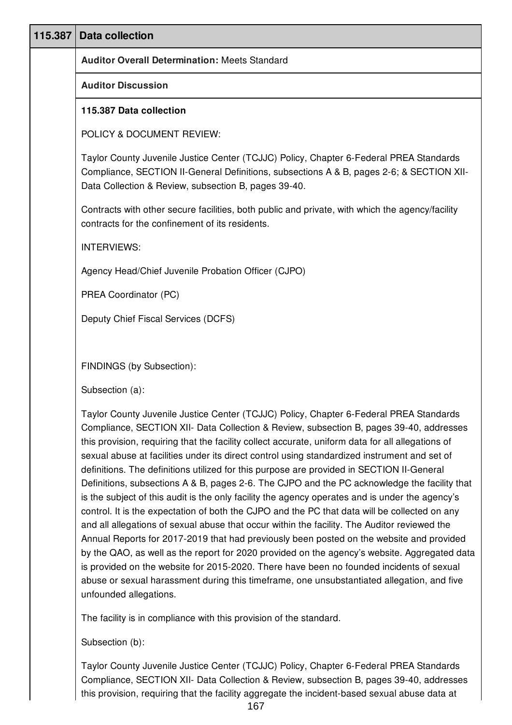| 115.387 | <b>Data collection</b>                                                                                                                                                                                                                                                                                                                                                                                                                                                                                                                                                                                                                                                                                                                                                                                                                                                                                                                                                                                                                                                                                                                                                                                                                                                                                  |
|---------|---------------------------------------------------------------------------------------------------------------------------------------------------------------------------------------------------------------------------------------------------------------------------------------------------------------------------------------------------------------------------------------------------------------------------------------------------------------------------------------------------------------------------------------------------------------------------------------------------------------------------------------------------------------------------------------------------------------------------------------------------------------------------------------------------------------------------------------------------------------------------------------------------------------------------------------------------------------------------------------------------------------------------------------------------------------------------------------------------------------------------------------------------------------------------------------------------------------------------------------------------------------------------------------------------------|
|         | <b>Auditor Overall Determination: Meets Standard</b>                                                                                                                                                                                                                                                                                                                                                                                                                                                                                                                                                                                                                                                                                                                                                                                                                                                                                                                                                                                                                                                                                                                                                                                                                                                    |
|         | <b>Auditor Discussion</b>                                                                                                                                                                                                                                                                                                                                                                                                                                                                                                                                                                                                                                                                                                                                                                                                                                                                                                                                                                                                                                                                                                                                                                                                                                                                               |
|         | 115.387 Data collection                                                                                                                                                                                                                                                                                                                                                                                                                                                                                                                                                                                                                                                                                                                                                                                                                                                                                                                                                                                                                                                                                                                                                                                                                                                                                 |
|         | POLICY & DOCUMENT REVIEW:                                                                                                                                                                                                                                                                                                                                                                                                                                                                                                                                                                                                                                                                                                                                                                                                                                                                                                                                                                                                                                                                                                                                                                                                                                                                               |
|         | Taylor County Juvenile Justice Center (TCJJC) Policy, Chapter 6-Federal PREA Standards<br>Compliance, SECTION II-General Definitions, subsections A & B, pages 2-6; & SECTION XII-<br>Data Collection & Review, subsection B, pages 39-40.                                                                                                                                                                                                                                                                                                                                                                                                                                                                                                                                                                                                                                                                                                                                                                                                                                                                                                                                                                                                                                                              |
|         | Contracts with other secure facilities, both public and private, with which the agency/facility<br>contracts for the confinement of its residents.                                                                                                                                                                                                                                                                                                                                                                                                                                                                                                                                                                                                                                                                                                                                                                                                                                                                                                                                                                                                                                                                                                                                                      |
|         | <b>INTERVIEWS:</b>                                                                                                                                                                                                                                                                                                                                                                                                                                                                                                                                                                                                                                                                                                                                                                                                                                                                                                                                                                                                                                                                                                                                                                                                                                                                                      |
|         | Agency Head/Chief Juvenile Probation Officer (CJPO)                                                                                                                                                                                                                                                                                                                                                                                                                                                                                                                                                                                                                                                                                                                                                                                                                                                                                                                                                                                                                                                                                                                                                                                                                                                     |
|         | PREA Coordinator (PC)                                                                                                                                                                                                                                                                                                                                                                                                                                                                                                                                                                                                                                                                                                                                                                                                                                                                                                                                                                                                                                                                                                                                                                                                                                                                                   |
|         | Deputy Chief Fiscal Services (DCFS)                                                                                                                                                                                                                                                                                                                                                                                                                                                                                                                                                                                                                                                                                                                                                                                                                                                                                                                                                                                                                                                                                                                                                                                                                                                                     |
|         |                                                                                                                                                                                                                                                                                                                                                                                                                                                                                                                                                                                                                                                                                                                                                                                                                                                                                                                                                                                                                                                                                                                                                                                                                                                                                                         |
|         | FINDINGS (by Subsection):                                                                                                                                                                                                                                                                                                                                                                                                                                                                                                                                                                                                                                                                                                                                                                                                                                                                                                                                                                                                                                                                                                                                                                                                                                                                               |
|         | Subsection (a):                                                                                                                                                                                                                                                                                                                                                                                                                                                                                                                                                                                                                                                                                                                                                                                                                                                                                                                                                                                                                                                                                                                                                                                                                                                                                         |
|         | Taylor County Juvenile Justice Center (TCJJC) Policy, Chapter 6-Federal PREA Standards<br>Compliance, SECTION XII- Data Collection & Review, subsection B, pages 39-40, addresses<br>this provision, requiring that the facility collect accurate, uniform data for all allegations of<br>sexual abuse at facilities under its direct control using standardized instrument and set of<br>definitions. The definitions utilized for this purpose are provided in SECTION II-General<br>Definitions, subsections A & B, pages 2-6. The CJPO and the PC acknowledge the facility that<br>is the subject of this audit is the only facility the agency operates and is under the agency's<br>control. It is the expectation of both the CJPO and the PC that data will be collected on any<br>and all allegations of sexual abuse that occur within the facility. The Auditor reviewed the<br>Annual Reports for 2017-2019 that had previously been posted on the website and provided<br>by the QAO, as well as the report for 2020 provided on the agency's website. Aggregated data<br>is provided on the website for 2015-2020. There have been no founded incidents of sexual<br>abuse or sexual harassment during this timeframe, one unsubstantiated allegation, and five<br>unfounded allegations. |
|         | The facility is in compliance with this provision of the standard.                                                                                                                                                                                                                                                                                                                                                                                                                                                                                                                                                                                                                                                                                                                                                                                                                                                                                                                                                                                                                                                                                                                                                                                                                                      |
|         | Subsection (b):                                                                                                                                                                                                                                                                                                                                                                                                                                                                                                                                                                                                                                                                                                                                                                                                                                                                                                                                                                                                                                                                                                                                                                                                                                                                                         |

Taylor County Juvenile Justice Center (TCJJC) Policy, Chapter 6-Federal PREA Standards Compliance, SECTION XII- Data Collection & Review, subsection B, pages 39-40, addresses this provision, requiring that the facility aggregate the incident-based sexual abuse data at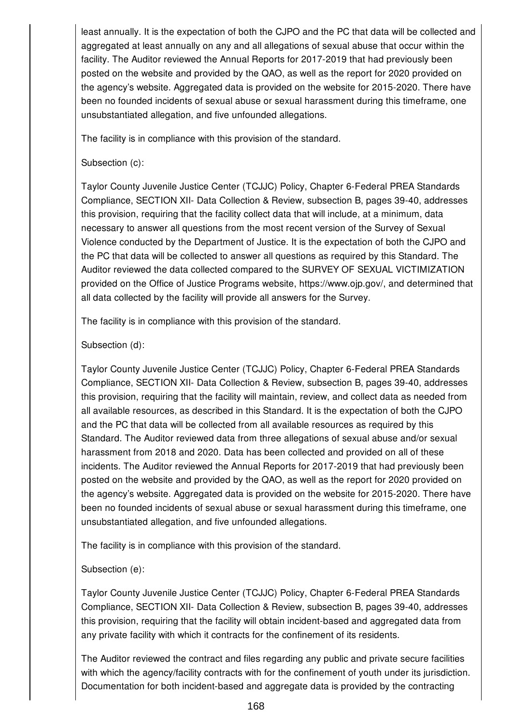least annually. It is the expectation of both the CJPO and the PC that data will be collected and aggregated at least annually on any and all allegations of sexual abuse that occur within the facility. The Auditor reviewed the Annual Reports for 2017-2019 that had previously been posted on the website and provided by the QAO, as well as the report for 2020 provided on the agency's website. Aggregated data is provided on the website for 2015-2020. There have been no founded incidents of sexual abuse or sexual harassment during this timeframe, one unsubstantiated allegation, and five unfounded allegations.

The facility is in compliance with this provision of the standard.

## Subsection (c):

Taylor County Juvenile Justice Center (TCJJC) Policy, Chapter 6-Federal PREA Standards Compliance, SECTION XII- Data Collection & Review, subsection B, pages 39-40, addresses this provision, requiring that the facility collect data that will include, at a minimum, data necessary to answer all questions from the most recent version of the Survey of Sexual Violence conducted by the Department of Justice. It is the expectation of both the CJPO and the PC that data will be collected to answer all questions as required by this Standard. The Auditor reviewed the data collected compared to the SURVEY OF SEXUAL VICTIMIZATION provided on the Office of Justice Programs website, https://www.ojp.gov/, and determined that all data collected by the facility will provide all answers for the Survey.

The facility is in compliance with this provision of the standard.

## Subsection (d):

Taylor County Juvenile Justice Center (TCJJC) Policy, Chapter 6-Federal PREA Standards Compliance, SECTION XII- Data Collection & Review, subsection B, pages 39-40, addresses this provision, requiring that the facility will maintain, review, and collect data as needed from all available resources, as described in this Standard. It is the expectation of both the CJPO and the PC that data will be collected from all available resources as required by this Standard. The Auditor reviewed data from three allegations of sexual abuse and/or sexual harassment from 2018 and 2020. Data has been collected and provided on all of these incidents. The Auditor reviewed the Annual Reports for 2017-2019 that had previously been posted on the website and provided by the QAO, as well as the report for 2020 provided on the agency's website. Aggregated data is provided on the website for 2015-2020. There have been no founded incidents of sexual abuse or sexual harassment during this timeframe, one unsubstantiated allegation, and five unfounded allegations.

The facility is in compliance with this provision of the standard.

# Subsection (e):

Taylor County Juvenile Justice Center (TCJJC) Policy, Chapter 6-Federal PREA Standards Compliance, SECTION XII- Data Collection & Review, subsection B, pages 39-40, addresses this provision, requiring that the facility will obtain incident-based and aggregated data from any private facility with which it contracts for the confinement of its residents.

The Auditor reviewed the contract and files regarding any public and private secure facilities with which the agency/facility contracts with for the confinement of youth under its jurisdiction. Documentation for both incident-based and aggregate data is provided by the contracting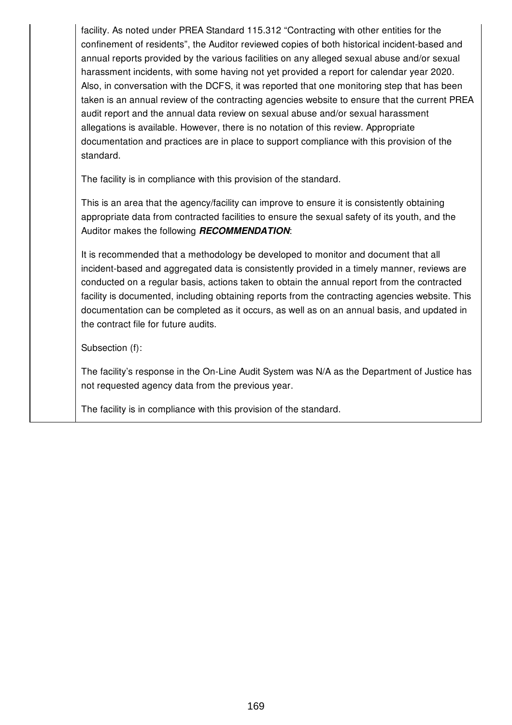facility. As noted under PREA Standard 115.312 "Contracting with other entities for the confinement of residents", the Auditor reviewed copies of both historical incident-based and annual reports provided by the various facilities on any alleged sexual abuse and/or sexual harassment incidents, with some having not yet provided a report for calendar year 2020. Also, in conversation with the DCFS, it was reported that one monitoring step that has been taken is an annual review of the contracting agencies website to ensure that the current PREA audit report and the annual data review on sexual abuse and/or sexual harassment allegations is available. However, there is no notation of this review. Appropriate documentation and practices are in place to support compliance with this provision of the standard.

The facility is in compliance with this provision of the standard.

This is an area that the agency/facility can improve to ensure it is consistently obtaining appropriate data from contracted facilities to ensure the sexual safety of its youth, and the Auditor makes the following *RECOMMENDATION*:

It is recommended that a methodology be developed to monitor and document that all incident-based and aggregated data is consistently provided in a timely manner, reviews are conducted on a regular basis, actions taken to obtain the annual report from the contracted facility is documented, including obtaining reports from the contracting agencies website. This documentation can be completed as it occurs, as well as on an annual basis, and updated in the contract file for future audits.

Subsection (f):

The facility's response in the On-Line Audit System was N/A as the Department of Justice has not requested agency data from the previous year.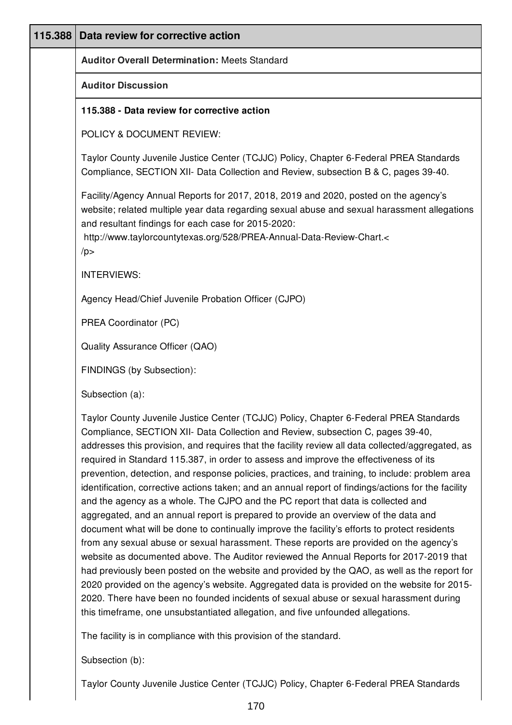| 115.388 Data review for corrective action                                                                                                                                                                                                                                                                                                                                                                                                                                                                                                                                                                                                                                                                                                                                                                                                                                                                                                                                                                                                                                                                                                                                                                                                                                                                                                                                                                                      |
|--------------------------------------------------------------------------------------------------------------------------------------------------------------------------------------------------------------------------------------------------------------------------------------------------------------------------------------------------------------------------------------------------------------------------------------------------------------------------------------------------------------------------------------------------------------------------------------------------------------------------------------------------------------------------------------------------------------------------------------------------------------------------------------------------------------------------------------------------------------------------------------------------------------------------------------------------------------------------------------------------------------------------------------------------------------------------------------------------------------------------------------------------------------------------------------------------------------------------------------------------------------------------------------------------------------------------------------------------------------------------------------------------------------------------------|
| <b>Auditor Overall Determination: Meets Standard</b>                                                                                                                                                                                                                                                                                                                                                                                                                                                                                                                                                                                                                                                                                                                                                                                                                                                                                                                                                                                                                                                                                                                                                                                                                                                                                                                                                                           |
| <b>Auditor Discussion</b>                                                                                                                                                                                                                                                                                                                                                                                                                                                                                                                                                                                                                                                                                                                                                                                                                                                                                                                                                                                                                                                                                                                                                                                                                                                                                                                                                                                                      |
| 115.388 - Data review for corrective action                                                                                                                                                                                                                                                                                                                                                                                                                                                                                                                                                                                                                                                                                                                                                                                                                                                                                                                                                                                                                                                                                                                                                                                                                                                                                                                                                                                    |
| POLICY & DOCUMENT REVIEW:                                                                                                                                                                                                                                                                                                                                                                                                                                                                                                                                                                                                                                                                                                                                                                                                                                                                                                                                                                                                                                                                                                                                                                                                                                                                                                                                                                                                      |
| Taylor County Juvenile Justice Center (TCJJC) Policy, Chapter 6-Federal PREA Standards<br>Compliance, SECTION XII- Data Collection and Review, subsection B & C, pages 39-40.                                                                                                                                                                                                                                                                                                                                                                                                                                                                                                                                                                                                                                                                                                                                                                                                                                                                                                                                                                                                                                                                                                                                                                                                                                                  |
| Facility/Agency Annual Reports for 2017, 2018, 2019 and 2020, posted on the agency's<br>website; related multiple year data regarding sexual abuse and sexual harassment allegations<br>and resultant findings for each case for 2015-2020:<br>http://www.taylorcountytexas.org/528/PREA-Annual-Data-Review-Chart.<<br>/p                                                                                                                                                                                                                                                                                                                                                                                                                                                                                                                                                                                                                                                                                                                                                                                                                                                                                                                                                                                                                                                                                                      |
| <b>INTERVIEWS:</b>                                                                                                                                                                                                                                                                                                                                                                                                                                                                                                                                                                                                                                                                                                                                                                                                                                                                                                                                                                                                                                                                                                                                                                                                                                                                                                                                                                                                             |
| Agency Head/Chief Juvenile Probation Officer (CJPO)                                                                                                                                                                                                                                                                                                                                                                                                                                                                                                                                                                                                                                                                                                                                                                                                                                                                                                                                                                                                                                                                                                                                                                                                                                                                                                                                                                            |
| PREA Coordinator (PC)                                                                                                                                                                                                                                                                                                                                                                                                                                                                                                                                                                                                                                                                                                                                                                                                                                                                                                                                                                                                                                                                                                                                                                                                                                                                                                                                                                                                          |
| Quality Assurance Officer (QAO)                                                                                                                                                                                                                                                                                                                                                                                                                                                                                                                                                                                                                                                                                                                                                                                                                                                                                                                                                                                                                                                                                                                                                                                                                                                                                                                                                                                                |
| FINDINGS (by Subsection):                                                                                                                                                                                                                                                                                                                                                                                                                                                                                                                                                                                                                                                                                                                                                                                                                                                                                                                                                                                                                                                                                                                                                                                                                                                                                                                                                                                                      |
| Subsection (a):                                                                                                                                                                                                                                                                                                                                                                                                                                                                                                                                                                                                                                                                                                                                                                                                                                                                                                                                                                                                                                                                                                                                                                                                                                                                                                                                                                                                                |
| Taylor County Juvenile Justice Center (TCJJC) Policy, Chapter 6-Federal PREA Standards<br>Compliance, SECTION XII- Data Collection and Review, subsection C, pages 39-40,<br>addresses this provision, and requires that the facility review all data collected/aggregated, as<br>required in Standard 115.387, in order to assess and improve the effectiveness of its<br>prevention, detection, and response policies, practices, and training, to include: problem area<br>identification, corrective actions taken; and an annual report of findings/actions for the facility<br>and the agency as a whole. The CJPO and the PC report that data is collected and<br>aggregated, and an annual report is prepared to provide an overview of the data and<br>document what will be done to continually improve the facility's efforts to protect residents<br>from any sexual abuse or sexual harassment. These reports are provided on the agency's<br>website as documented above. The Auditor reviewed the Annual Reports for 2017-2019 that<br>had previously been posted on the website and provided by the QAO, as well as the report for<br>2020 provided on the agency's website. Aggregated data is provided on the website for 2015-<br>2020. There have been no founded incidents of sexual abuse or sexual harassment during<br>this timeframe, one unsubstantiated allegation, and five unfounded allegations. |
| The facility is in compliance with this provision of the standard.                                                                                                                                                                                                                                                                                                                                                                                                                                                                                                                                                                                                                                                                                                                                                                                                                                                                                                                                                                                                                                                                                                                                                                                                                                                                                                                                                             |

Subsection (b):

Taylor County Juvenile Justice Center (TCJJC) Policy, Chapter 6-Federal PREA Standards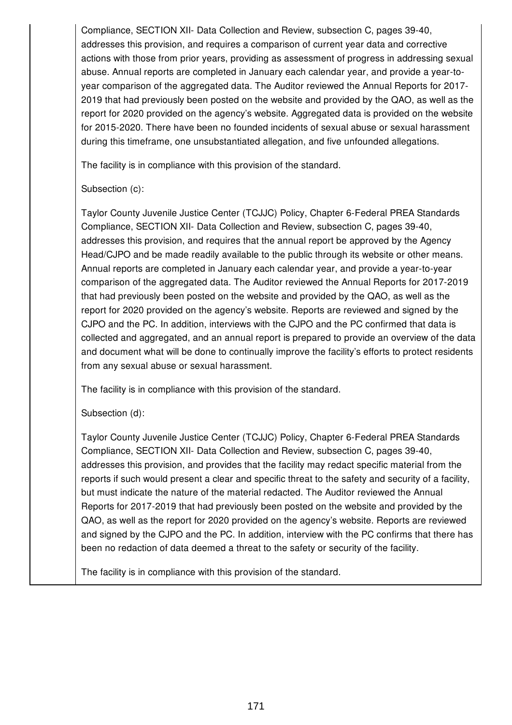Compliance, SECTION XII- Data Collection and Review, subsection C, pages 39-40, addresses this provision, and requires a comparison of current year data and corrective actions with those from prior years, providing as assessment of progress in addressing sexual abuse. Annual reports are completed in January each calendar year, and provide a year-toyear comparison of the aggregated data. The Auditor reviewed the Annual Reports for 2017- 2019 that had previously been posted on the website and provided by the QAO, as well as the report for 2020 provided on the agency's website. Aggregated data is provided on the website for 2015-2020. There have been no founded incidents of sexual abuse or sexual harassment during this timeframe, one unsubstantiated allegation, and five unfounded allegations.

The facility is in compliance with this provision of the standard.

## Subsection (c):

Taylor County Juvenile Justice Center (TCJJC) Policy, Chapter 6-Federal PREA Standards Compliance, SECTION XII- Data Collection and Review, subsection C, pages 39-40, addresses this provision, and requires that the annual report be approved by the Agency Head/CJPO and be made readily available to the public through its website or other means. Annual reports are completed in January each calendar year, and provide a year-to-year comparison of the aggregated data. The Auditor reviewed the Annual Reports for 2017-2019 that had previously been posted on the website and provided by the QAO, as well as the report for 2020 provided on the agency's website. Reports are reviewed and signed by the CJPO and the PC. In addition, interviews with the CJPO and the PC confirmed that data is collected and aggregated, and an annual report is prepared to provide an overview of the data and document what will be done to continually improve the facility's efforts to protect residents from any sexual abuse or sexual harassment.

The facility is in compliance with this provision of the standard.

# Subsection (d):

Taylor County Juvenile Justice Center (TCJJC) Policy, Chapter 6-Federal PREA Standards Compliance, SECTION XII- Data Collection and Review, subsection C, pages 39-40, addresses this provision, and provides that the facility may redact specific material from the reports if such would present a clear and specific threat to the safety and security of a facility, but must indicate the nature of the material redacted. The Auditor reviewed the Annual Reports for 2017-2019 that had previously been posted on the website and provided by the QAO, as well as the report for 2020 provided on the agency's website. Reports are reviewed and signed by the CJPO and the PC. In addition, interview with the PC confirms that there has been no redaction of data deemed a threat to the safety or security of the facility.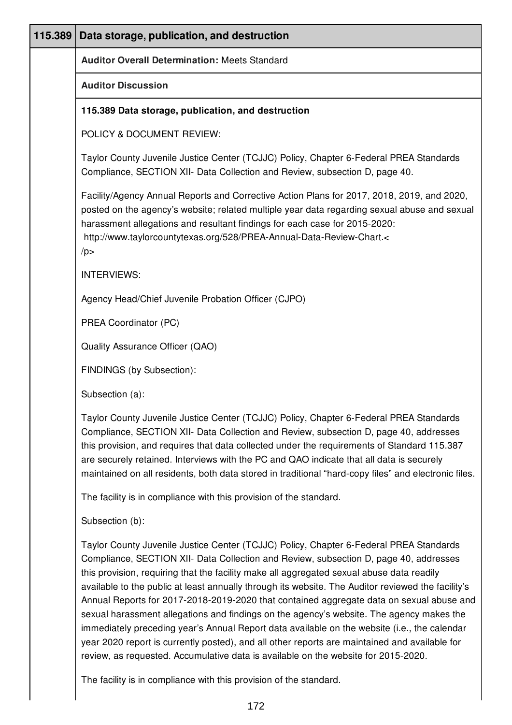| 115.389 | Data storage, publication, and destruction                                                                                                                                                                                                                                                                                                                                                                                                                                                                                                                                                                                                                                                                                                                                                                                                                        |
|---------|-------------------------------------------------------------------------------------------------------------------------------------------------------------------------------------------------------------------------------------------------------------------------------------------------------------------------------------------------------------------------------------------------------------------------------------------------------------------------------------------------------------------------------------------------------------------------------------------------------------------------------------------------------------------------------------------------------------------------------------------------------------------------------------------------------------------------------------------------------------------|
|         | <b>Auditor Overall Determination: Meets Standard</b>                                                                                                                                                                                                                                                                                                                                                                                                                                                                                                                                                                                                                                                                                                                                                                                                              |
|         | <b>Auditor Discussion</b>                                                                                                                                                                                                                                                                                                                                                                                                                                                                                                                                                                                                                                                                                                                                                                                                                                         |
|         | 115.389 Data storage, publication, and destruction                                                                                                                                                                                                                                                                                                                                                                                                                                                                                                                                                                                                                                                                                                                                                                                                                |
|         | POLICY & DOCUMENT REVIEW:                                                                                                                                                                                                                                                                                                                                                                                                                                                                                                                                                                                                                                                                                                                                                                                                                                         |
|         | Taylor County Juvenile Justice Center (TCJJC) Policy, Chapter 6-Federal PREA Standards<br>Compliance, SECTION XII- Data Collection and Review, subsection D, page 40.                                                                                                                                                                                                                                                                                                                                                                                                                                                                                                                                                                                                                                                                                             |
|         | Facility/Agency Annual Reports and Corrective Action Plans for 2017, 2018, 2019, and 2020,<br>posted on the agency's website; related multiple year data regarding sexual abuse and sexual<br>harassment allegations and resultant findings for each case for 2015-2020:<br>http://www.taylorcountytexas.org/528/PREA-Annual-Data-Review-Chart.<<br>/p                                                                                                                                                                                                                                                                                                                                                                                                                                                                                                            |
|         | <b>INTERVIEWS:</b>                                                                                                                                                                                                                                                                                                                                                                                                                                                                                                                                                                                                                                                                                                                                                                                                                                                |
|         | Agency Head/Chief Juvenile Probation Officer (CJPO)                                                                                                                                                                                                                                                                                                                                                                                                                                                                                                                                                                                                                                                                                                                                                                                                               |
|         | PREA Coordinator (PC)                                                                                                                                                                                                                                                                                                                                                                                                                                                                                                                                                                                                                                                                                                                                                                                                                                             |
|         | Quality Assurance Officer (QAO)                                                                                                                                                                                                                                                                                                                                                                                                                                                                                                                                                                                                                                                                                                                                                                                                                                   |
|         | FINDINGS (by Subsection):                                                                                                                                                                                                                                                                                                                                                                                                                                                                                                                                                                                                                                                                                                                                                                                                                                         |
|         | Subsection (a):                                                                                                                                                                                                                                                                                                                                                                                                                                                                                                                                                                                                                                                                                                                                                                                                                                                   |
|         | Taylor County Juvenile Justice Center (TCJJC) Policy, Chapter 6-Federal PREA Standards<br>Compliance, SECTION XII- Data Collection and Review, subsection D, page 40, addresses<br>this provision, and requires that data collected under the requirements of Standard 115.387<br>are securely retained. Interviews with the PC and QAO indicate that all data is securely<br>maintained on all residents, both data stored in traditional "hard-copy files" and electronic files.                                                                                                                                                                                                                                                                                                                                                                                |
|         | The facility is in compliance with this provision of the standard.                                                                                                                                                                                                                                                                                                                                                                                                                                                                                                                                                                                                                                                                                                                                                                                                |
|         | Subsection (b):                                                                                                                                                                                                                                                                                                                                                                                                                                                                                                                                                                                                                                                                                                                                                                                                                                                   |
|         | Taylor County Juvenile Justice Center (TCJJC) Policy, Chapter 6-Federal PREA Standards<br>Compliance, SECTION XII- Data Collection and Review, subsection D, page 40, addresses<br>this provision, requiring that the facility make all aggregated sexual abuse data readily<br>available to the public at least annually through its website. The Auditor reviewed the facility's<br>Annual Reports for 2017-2018-2019-2020 that contained aggregate data on sexual abuse and<br>sexual harassment allegations and findings on the agency's website. The agency makes the<br>immediately preceding year's Annual Report data available on the website (i.e., the calendar<br>year 2020 report is currently posted), and all other reports are maintained and available for<br>review, as requested. Accumulative data is available on the website for 2015-2020. |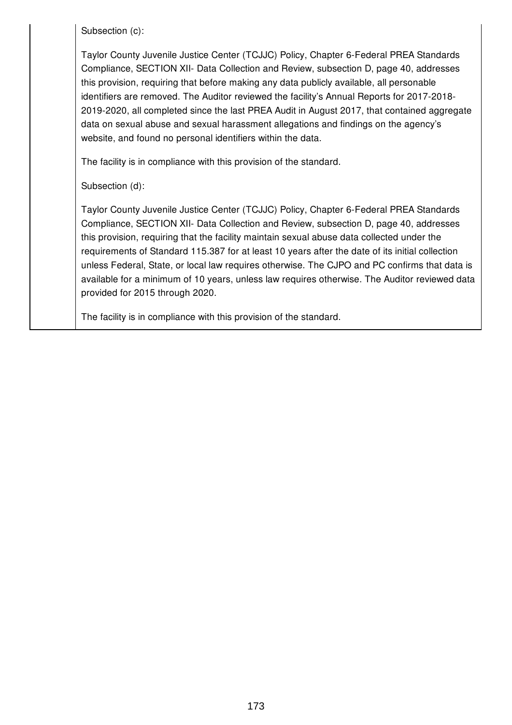Subsection (c):

Taylor County Juvenile Justice Center (TCJJC) Policy, Chapter 6-Federal PREA Standards Compliance, SECTION XII- Data Collection and Review, subsection D, page 40, addresses this provision, requiring that before making any data publicly available, all personable identifiers are removed. The Auditor reviewed the facility's Annual Reports for 2017-2018- 2019-2020, all completed since the last PREA Audit in August 2017, that contained aggregate data on sexual abuse and sexual harassment allegations and findings on the agency's website, and found no personal identifiers within the data.

The facility is in compliance with this provision of the standard.

Subsection (d):

Taylor County Juvenile Justice Center (TCJJC) Policy, Chapter 6-Federal PREA Standards Compliance, SECTION XII- Data Collection and Review, subsection D, page 40, addresses this provision, requiring that the facility maintain sexual abuse data collected under the requirements of Standard 115.387 for at least 10 years after the date of its initial collection unless Federal, State, or local law requires otherwise. The CJPO and PC confirms that data is available for a minimum of 10 years, unless law requires otherwise. The Auditor reviewed data provided for 2015 through 2020.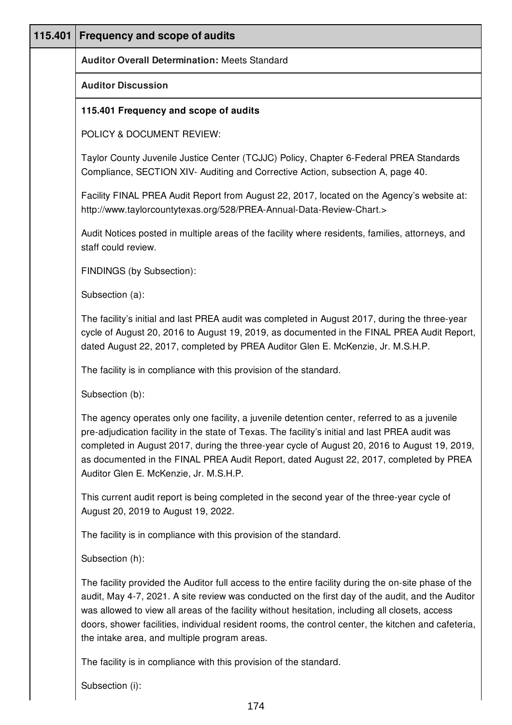| 115.401 | <b>Frequency and scope of audits</b>                                                                                                                                                                                                                                                                                                                                                                                                                               |
|---------|--------------------------------------------------------------------------------------------------------------------------------------------------------------------------------------------------------------------------------------------------------------------------------------------------------------------------------------------------------------------------------------------------------------------------------------------------------------------|
|         | <b>Auditor Overall Determination: Meets Standard</b>                                                                                                                                                                                                                                                                                                                                                                                                               |
|         | <b>Auditor Discussion</b>                                                                                                                                                                                                                                                                                                                                                                                                                                          |
|         | 115.401 Frequency and scope of audits                                                                                                                                                                                                                                                                                                                                                                                                                              |
|         | POLICY & DOCUMENT REVIEW:                                                                                                                                                                                                                                                                                                                                                                                                                                          |
|         | Taylor County Juvenile Justice Center (TCJJC) Policy, Chapter 6-Federal PREA Standards<br>Compliance, SECTION XIV- Auditing and Corrective Action, subsection A, page 40.                                                                                                                                                                                                                                                                                          |
|         | Facility FINAL PREA Audit Report from August 22, 2017, located on the Agency's website at:<br>http://www.taylorcountytexas.org/528/PREA-Annual-Data-Review-Chart.>                                                                                                                                                                                                                                                                                                 |
|         | Audit Notices posted in multiple areas of the facility where residents, families, attorneys, and<br>staff could review.                                                                                                                                                                                                                                                                                                                                            |
|         | FINDINGS (by Subsection):                                                                                                                                                                                                                                                                                                                                                                                                                                          |
|         | Subsection (a):                                                                                                                                                                                                                                                                                                                                                                                                                                                    |
|         | The facility's initial and last PREA audit was completed in August 2017, during the three-year<br>cycle of August 20, 2016 to August 19, 2019, as documented in the FINAL PREA Audit Report,<br>dated August 22, 2017, completed by PREA Auditor Glen E. McKenzie, Jr. M.S.H.P.                                                                                                                                                                                    |
|         | The facility is in compliance with this provision of the standard.                                                                                                                                                                                                                                                                                                                                                                                                 |
|         | Subsection (b):                                                                                                                                                                                                                                                                                                                                                                                                                                                    |
|         | The agency operates only one facility, a juvenile detention center, referred to as a juvenile<br>pre-adjudication facility in the state of Texas. The facility's initial and last PREA audit was<br>completed in August 2017, during the three-year cycle of August 20, 2016 to August 19, 2019,<br>as documented in the FINAL PREA Audit Report, dated August 22, 2017, completed by PREA<br>Auditor Glen E. McKenzie, Jr. M.S.H.P.                               |
|         | This current audit report is being completed in the second year of the three-year cycle of<br>August 20, 2019 to August 19, 2022.                                                                                                                                                                                                                                                                                                                                  |
|         | The facility is in compliance with this provision of the standard.                                                                                                                                                                                                                                                                                                                                                                                                 |
|         | Subsection (h):                                                                                                                                                                                                                                                                                                                                                                                                                                                    |
|         | The facility provided the Auditor full access to the entire facility during the on-site phase of the<br>audit, May 4-7, 2021. A site review was conducted on the first day of the audit, and the Auditor<br>was allowed to view all areas of the facility without hesitation, including all closets, access<br>doors, shower facilities, individual resident rooms, the control center, the kitchen and cafeteria,<br>the intake area, and multiple program areas. |
|         | The facility is in compliance with this provision of the standard.                                                                                                                                                                                                                                                                                                                                                                                                 |

Subsection (i):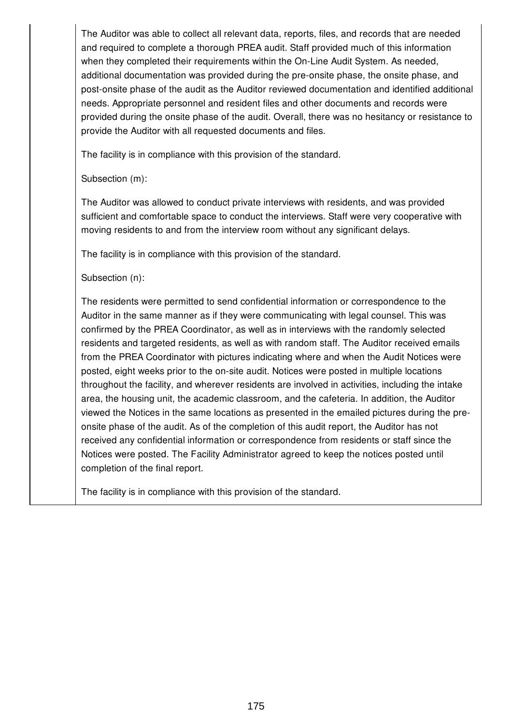The Auditor was able to collect all relevant data, reports, files, and records that are needed and required to complete a thorough PREA audit. Staff provided much of this information when they completed their requirements within the On-Line Audit System. As needed, additional documentation was provided during the pre-onsite phase, the onsite phase, and post-onsite phase of the audit as the Auditor reviewed documentation and identified additional needs. Appropriate personnel and resident files and other documents and records were provided during the onsite phase of the audit. Overall, there was no hesitancy or resistance to provide the Auditor with all requested documents and files.

The facility is in compliance with this provision of the standard.

Subsection (m):

The Auditor was allowed to conduct private interviews with residents, and was provided sufficient and comfortable space to conduct the interviews. Staff were very cooperative with moving residents to and from the interview room without any significant delays.

The facility is in compliance with this provision of the standard.

Subsection (n):

The residents were permitted to send confidential information or correspondence to the Auditor in the same manner as if they were communicating with legal counsel. This was confirmed by the PREA Coordinator, as well as in interviews with the randomly selected residents and targeted residents, as well as with random staff. The Auditor received emails from the PREA Coordinator with pictures indicating where and when the Audit Notices were posted, eight weeks prior to the on-site audit. Notices were posted in multiple locations throughout the facility, and wherever residents are involved in activities, including the intake area, the housing unit, the academic classroom, and the cafeteria. In addition, the Auditor viewed the Notices in the same locations as presented in the emailed pictures during the preonsite phase of the audit. As of the completion of this audit report, the Auditor has not received any confidential information or correspondence from residents or staff since the Notices were posted. The Facility Administrator agreed to keep the notices posted until completion of the final report.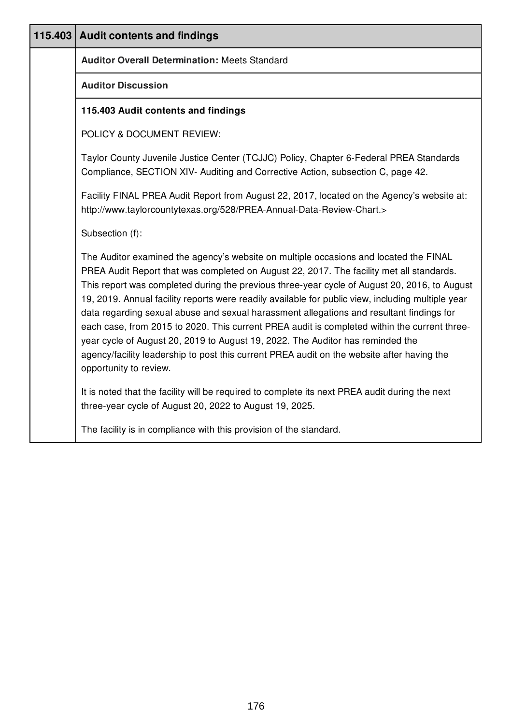| 115.403 Audit contents and findings                                                                                                                                                                                                                                                                                                                                                                                                                                                                                                                                                                                                                                                                                                                                                          |
|----------------------------------------------------------------------------------------------------------------------------------------------------------------------------------------------------------------------------------------------------------------------------------------------------------------------------------------------------------------------------------------------------------------------------------------------------------------------------------------------------------------------------------------------------------------------------------------------------------------------------------------------------------------------------------------------------------------------------------------------------------------------------------------------|
| <b>Auditor Overall Determination: Meets Standard</b>                                                                                                                                                                                                                                                                                                                                                                                                                                                                                                                                                                                                                                                                                                                                         |
| <b>Auditor Discussion</b>                                                                                                                                                                                                                                                                                                                                                                                                                                                                                                                                                                                                                                                                                                                                                                    |
| 115.403 Audit contents and findings                                                                                                                                                                                                                                                                                                                                                                                                                                                                                                                                                                                                                                                                                                                                                          |
| POLICY & DOCUMENT REVIEW:                                                                                                                                                                                                                                                                                                                                                                                                                                                                                                                                                                                                                                                                                                                                                                    |
| Taylor County Juvenile Justice Center (TCJJC) Policy, Chapter 6-Federal PREA Standards<br>Compliance, SECTION XIV- Auditing and Corrective Action, subsection C, page 42.                                                                                                                                                                                                                                                                                                                                                                                                                                                                                                                                                                                                                    |
| Facility FINAL PREA Audit Report from August 22, 2017, located on the Agency's website at:<br>http://www.taylorcountytexas.org/528/PREA-Annual-Data-Review-Chart.>                                                                                                                                                                                                                                                                                                                                                                                                                                                                                                                                                                                                                           |
| Subsection (f):                                                                                                                                                                                                                                                                                                                                                                                                                                                                                                                                                                                                                                                                                                                                                                              |
| The Auditor examined the agency's website on multiple occasions and located the FINAL<br>PREA Audit Report that was completed on August 22, 2017. The facility met all standards.<br>This report was completed during the previous three-year cycle of August 20, 2016, to August<br>19, 2019. Annual facility reports were readily available for public view, including multiple year<br>data regarding sexual abuse and sexual harassment allegations and resultant findings for<br>each case, from 2015 to 2020. This current PREA audit is completed within the current three-<br>year cycle of August 20, 2019 to August 19, 2022. The Auditor has reminded the<br>agency/facility leadership to post this current PREA audit on the website after having the<br>opportunity to review. |
| It is noted that the facility will be required to complete its next PREA audit during the next<br>three-year cycle of August 20, 2022 to August 19, 2025.                                                                                                                                                                                                                                                                                                                                                                                                                                                                                                                                                                                                                                    |
| The facility is in compliance with this provision of the standard.                                                                                                                                                                                                                                                                                                                                                                                                                                                                                                                                                                                                                                                                                                                           |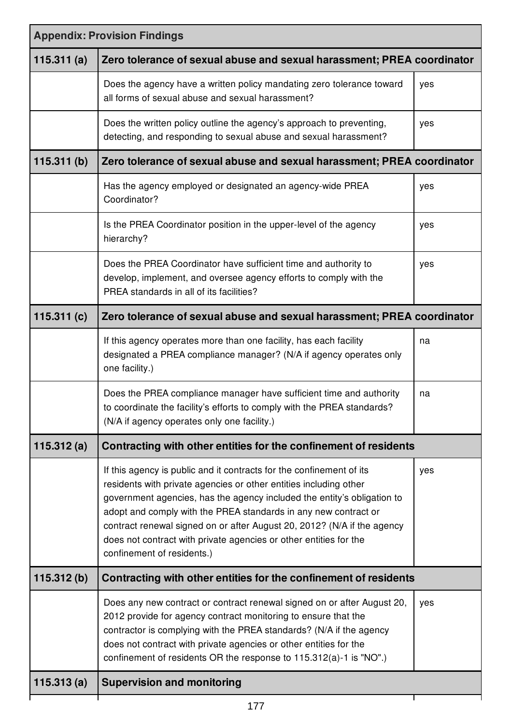| <b>Appendix: Provision Findings</b> |                                                                                                                                                                                                                                                                                                                                                                                                                                                                       |     |  |
|-------------------------------------|-----------------------------------------------------------------------------------------------------------------------------------------------------------------------------------------------------------------------------------------------------------------------------------------------------------------------------------------------------------------------------------------------------------------------------------------------------------------------|-----|--|
| 115.311(a)                          | Zero tolerance of sexual abuse and sexual harassment; PREA coordinator                                                                                                                                                                                                                                                                                                                                                                                                |     |  |
|                                     | Does the agency have a written policy mandating zero tolerance toward<br>all forms of sexual abuse and sexual harassment?                                                                                                                                                                                                                                                                                                                                             | yes |  |
|                                     | Does the written policy outline the agency's approach to preventing,<br>detecting, and responding to sexual abuse and sexual harassment?                                                                                                                                                                                                                                                                                                                              | yes |  |
| 115.311 $(b)$                       | Zero tolerance of sexual abuse and sexual harassment; PREA coordinator                                                                                                                                                                                                                                                                                                                                                                                                |     |  |
|                                     | Has the agency employed or designated an agency-wide PREA<br>Coordinator?                                                                                                                                                                                                                                                                                                                                                                                             | yes |  |
|                                     | Is the PREA Coordinator position in the upper-level of the agency<br>hierarchy?                                                                                                                                                                                                                                                                                                                                                                                       | yes |  |
|                                     | Does the PREA Coordinator have sufficient time and authority to<br>develop, implement, and oversee agency efforts to comply with the<br>PREA standards in all of its facilities?                                                                                                                                                                                                                                                                                      | yes |  |
| 115.311 $(c)$                       | Zero tolerance of sexual abuse and sexual harassment; PREA coordinator                                                                                                                                                                                                                                                                                                                                                                                                |     |  |
|                                     | If this agency operates more than one facility, has each facility<br>designated a PREA compliance manager? (N/A if agency operates only<br>one facility.)                                                                                                                                                                                                                                                                                                             | na  |  |
|                                     | Does the PREA compliance manager have sufficient time and authority<br>to coordinate the facility's efforts to comply with the PREA standards?<br>(N/A if agency operates only one facility.)                                                                                                                                                                                                                                                                         | na  |  |
| 115.312 $(a)$                       | Contracting with other entities for the confinement of residents                                                                                                                                                                                                                                                                                                                                                                                                      |     |  |
|                                     | If this agency is public and it contracts for the confinement of its<br>residents with private agencies or other entities including other<br>government agencies, has the agency included the entity's obligation to<br>adopt and comply with the PREA standards in any new contract or<br>contract renewal signed on or after August 20, 2012? (N/A if the agency<br>does not contract with private agencies or other entities for the<br>confinement of residents.) | yes |  |
| 115.312(b)                          | Contracting with other entities for the confinement of residents                                                                                                                                                                                                                                                                                                                                                                                                      |     |  |
|                                     | Does any new contract or contract renewal signed on or after August 20,<br>2012 provide for agency contract monitoring to ensure that the<br>contractor is complying with the PREA standards? (N/A if the agency<br>does not contract with private agencies or other entities for the<br>confinement of residents OR the response to 115.312(a)-1 is "NO".)                                                                                                           | yes |  |
| 115.313(a)                          | <b>Supervision and monitoring</b>                                                                                                                                                                                                                                                                                                                                                                                                                                     |     |  |
|                                     |                                                                                                                                                                                                                                                                                                                                                                                                                                                                       |     |  |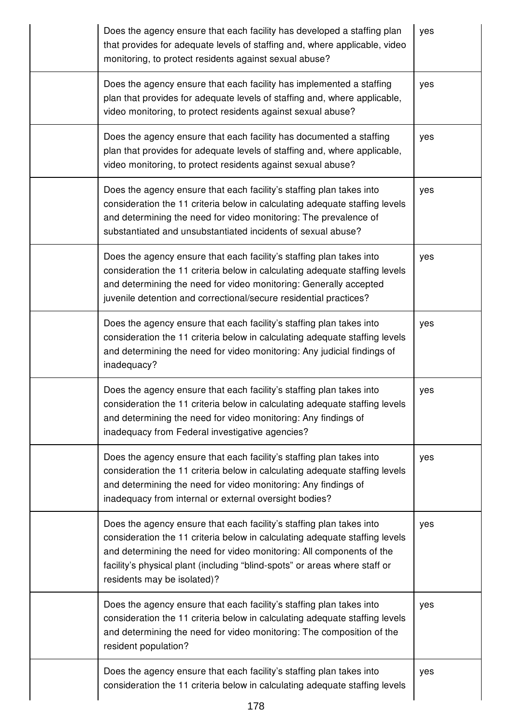| Does the agency ensure that each facility has developed a staffing plan<br>that provides for adequate levels of staffing and, where applicable, video<br>monitoring, to protect residents against sexual abuse?                                                                                                                          | yes |
|------------------------------------------------------------------------------------------------------------------------------------------------------------------------------------------------------------------------------------------------------------------------------------------------------------------------------------------|-----|
| Does the agency ensure that each facility has implemented a staffing<br>plan that provides for adequate levels of staffing and, where applicable,<br>video monitoring, to protect residents against sexual abuse?                                                                                                                        | yes |
| Does the agency ensure that each facility has documented a staffing<br>plan that provides for adequate levels of staffing and, where applicable,<br>video monitoring, to protect residents against sexual abuse?                                                                                                                         | yes |
| Does the agency ensure that each facility's staffing plan takes into<br>consideration the 11 criteria below in calculating adequate staffing levels<br>and determining the need for video monitoring: The prevalence of<br>substantiated and unsubstantiated incidents of sexual abuse?                                                  | yes |
| Does the agency ensure that each facility's staffing plan takes into<br>consideration the 11 criteria below in calculating adequate staffing levels<br>and determining the need for video monitoring: Generally accepted<br>juvenile detention and correctional/secure residential practices?                                            | yes |
| Does the agency ensure that each facility's staffing plan takes into<br>consideration the 11 criteria below in calculating adequate staffing levels<br>and determining the need for video monitoring: Any judicial findings of<br>inadequacy?                                                                                            | yes |
| Does the agency ensure that each facility's staffing plan takes into<br>consideration the 11 criteria below in calculating adequate staffing levels<br>and determining the need for video monitoring: Any findings of<br>inadequacy from Federal investigative agencies?                                                                 | yes |
| Does the agency ensure that each facility's staffing plan takes into<br>consideration the 11 criteria below in calculating adequate staffing levels<br>and determining the need for video monitoring: Any findings of<br>inadequacy from internal or external oversight bodies?                                                          | yes |
| Does the agency ensure that each facility's staffing plan takes into<br>consideration the 11 criteria below in calculating adequate staffing levels<br>and determining the need for video monitoring: All components of the<br>facility's physical plant (including "blind-spots" or areas where staff or<br>residents may be isolated)? | yes |
| Does the agency ensure that each facility's staffing plan takes into<br>consideration the 11 criteria below in calculating adequate staffing levels<br>and determining the need for video monitoring: The composition of the<br>resident population?                                                                                     | yes |
| Does the agency ensure that each facility's staffing plan takes into<br>consideration the 11 criteria below in calculating adequate staffing levels                                                                                                                                                                                      | yes |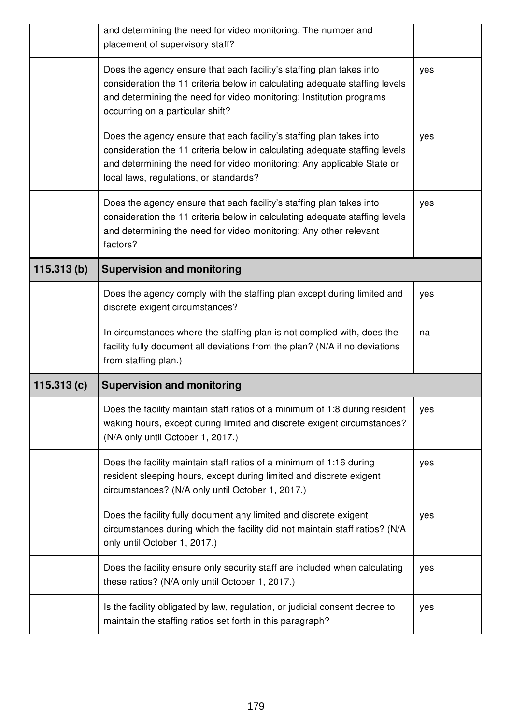|            | and determining the need for video monitoring: The number and<br>placement of supervisory staff?                                                                                                                                                                        |     |
|------------|-------------------------------------------------------------------------------------------------------------------------------------------------------------------------------------------------------------------------------------------------------------------------|-----|
|            | Does the agency ensure that each facility's staffing plan takes into<br>consideration the 11 criteria below in calculating adequate staffing levels<br>and determining the need for video monitoring: Institution programs<br>occurring on a particular shift?          | yes |
|            | Does the agency ensure that each facility's staffing plan takes into<br>consideration the 11 criteria below in calculating adequate staffing levels<br>and determining the need for video monitoring: Any applicable State or<br>local laws, regulations, or standards? | yes |
|            | Does the agency ensure that each facility's staffing plan takes into<br>consideration the 11 criteria below in calculating adequate staffing levels<br>and determining the need for video monitoring: Any other relevant<br>factors?                                    | yes |
| 115.313(b) | <b>Supervision and monitoring</b>                                                                                                                                                                                                                                       |     |
|            | Does the agency comply with the staffing plan except during limited and<br>discrete exigent circumstances?                                                                                                                                                              | yes |
|            |                                                                                                                                                                                                                                                                         |     |
|            | In circumstances where the staffing plan is not complied with, does the<br>facility fully document all deviations from the plan? (N/A if no deviations<br>from staffing plan.)                                                                                          | na  |
| 115.313(c) | <b>Supervision and monitoring</b>                                                                                                                                                                                                                                       |     |
|            | Does the facility maintain staff ratios of a minimum of 1:8 during resident<br>waking hours, except during limited and discrete exigent circumstances?<br>(N/A only until October 1, 2017.)                                                                             | yes |
|            | Does the facility maintain staff ratios of a minimum of 1:16 during<br>resident sleeping hours, except during limited and discrete exigent<br>circumstances? (N/A only until October 1, 2017.)                                                                          | yes |
|            | Does the facility fully document any limited and discrete exigent<br>circumstances during which the facility did not maintain staff ratios? (N/A<br>only until October 1, 2017.)                                                                                        | yes |
|            | Does the facility ensure only security staff are included when calculating<br>these ratios? (N/A only until October 1, 2017.)                                                                                                                                           | yes |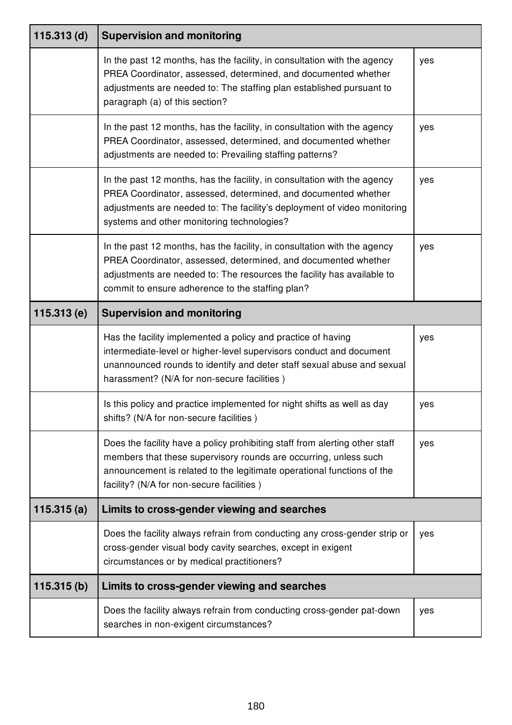| $115.313$ (d) | <b>Supervision and monitoring</b>                                                                                                                                                                                                                                        |     |
|---------------|--------------------------------------------------------------------------------------------------------------------------------------------------------------------------------------------------------------------------------------------------------------------------|-----|
|               | In the past 12 months, has the facility, in consultation with the agency<br>PREA Coordinator, assessed, determined, and documented whether<br>adjustments are needed to: The staffing plan established pursuant to<br>paragraph (a) of this section?                     | yes |
|               | In the past 12 months, has the facility, in consultation with the agency<br>PREA Coordinator, assessed, determined, and documented whether<br>adjustments are needed to: Prevailing staffing patterns?                                                                   | yes |
|               | In the past 12 months, has the facility, in consultation with the agency<br>PREA Coordinator, assessed, determined, and documented whether<br>adjustments are needed to: The facility's deployment of video monitoring<br>systems and other monitoring technologies?     | yes |
|               | In the past 12 months, has the facility, in consultation with the agency<br>PREA Coordinator, assessed, determined, and documented whether<br>adjustments are needed to: The resources the facility has available to<br>commit to ensure adherence to the staffing plan? | yes |
| 115.313(e)    | <b>Supervision and monitoring</b>                                                                                                                                                                                                                                        |     |
|               |                                                                                                                                                                                                                                                                          |     |
|               | Has the facility implemented a policy and practice of having<br>intermediate-level or higher-level supervisors conduct and document<br>unannounced rounds to identify and deter staff sexual abuse and sexual<br>harassment? (N/A for non-secure facilities)             | yes |
|               | Is this policy and practice implemented for night shifts as well as day<br>shifts? (N/A for non-secure facilities)                                                                                                                                                       | yes |
|               | Does the facility have a policy prohibiting staff from alerting other staff<br>members that these supervisory rounds are occurring, unless such<br>announcement is related to the legitimate operational functions of the<br>facility? (N/A for non-secure facilities)   | yes |
| 115.315(a)    | Limits to cross-gender viewing and searches                                                                                                                                                                                                                              |     |
|               | Does the facility always refrain from conducting any cross-gender strip or<br>cross-gender visual body cavity searches, except in exigent<br>circumstances or by medical practitioners?                                                                                  | yes |
| 115.315(b)    | Limits to cross-gender viewing and searches                                                                                                                                                                                                                              |     |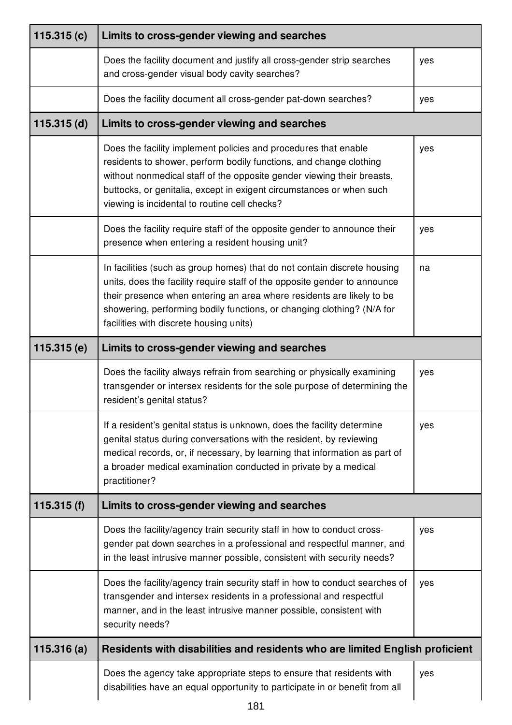| 115.315 $(c)$ | Limits to cross-gender viewing and searches                                                                                                                                                                                                                                                                                                         |     |
|---------------|-----------------------------------------------------------------------------------------------------------------------------------------------------------------------------------------------------------------------------------------------------------------------------------------------------------------------------------------------------|-----|
|               | Does the facility document and justify all cross-gender strip searches<br>and cross-gender visual body cavity searches?                                                                                                                                                                                                                             | yes |
|               | Does the facility document all cross-gender pat-down searches?                                                                                                                                                                                                                                                                                      | yes |
| $115.315$ (d) | Limits to cross-gender viewing and searches                                                                                                                                                                                                                                                                                                         |     |
|               | Does the facility implement policies and procedures that enable<br>residents to shower, perform bodily functions, and change clothing<br>without nonmedical staff of the opposite gender viewing their breasts,<br>buttocks, or genitalia, except in exigent circumstances or when such<br>viewing is incidental to routine cell checks?            | yes |
|               | Does the facility require staff of the opposite gender to announce their<br>presence when entering a resident housing unit?                                                                                                                                                                                                                         | yes |
|               | In facilities (such as group homes) that do not contain discrete housing<br>units, does the facility require staff of the opposite gender to announce<br>their presence when entering an area where residents are likely to be<br>showering, performing bodily functions, or changing clothing? (N/A for<br>facilities with discrete housing units) | na  |
| 115.315(e)    | Limits to cross-gender viewing and searches                                                                                                                                                                                                                                                                                                         |     |
|               | Does the facility always refrain from searching or physically examining<br>transgender or intersex residents for the sole purpose of determining the<br>resident's genital status?                                                                                                                                                                  | yes |
|               | If a resident's genital status is unknown, does the facility determine<br>genital status during conversations with the resident, by reviewing<br>medical records, or, if necessary, by learning that information as part of<br>a broader medical examination conducted in private by a medical<br>practitioner?                                     | yes |
| 115.315(f)    | Limits to cross-gender viewing and searches                                                                                                                                                                                                                                                                                                         |     |
|               | Does the facility/agency train security staff in how to conduct cross-<br>gender pat down searches in a professional and respectful manner, and<br>in the least intrusive manner possible, consistent with security needs?                                                                                                                          | yes |
|               | Does the facility/agency train security staff in how to conduct searches of<br>transgender and intersex residents in a professional and respectful<br>manner, and in the least intrusive manner possible, consistent with<br>security needs?                                                                                                        | yes |
| 115.316(a)    | Residents with disabilities and residents who are limited English proficient                                                                                                                                                                                                                                                                        |     |
|               | Does the agency take appropriate steps to ensure that residents with<br>disabilities have an equal opportunity to participate in or benefit from all                                                                                                                                                                                                | yes |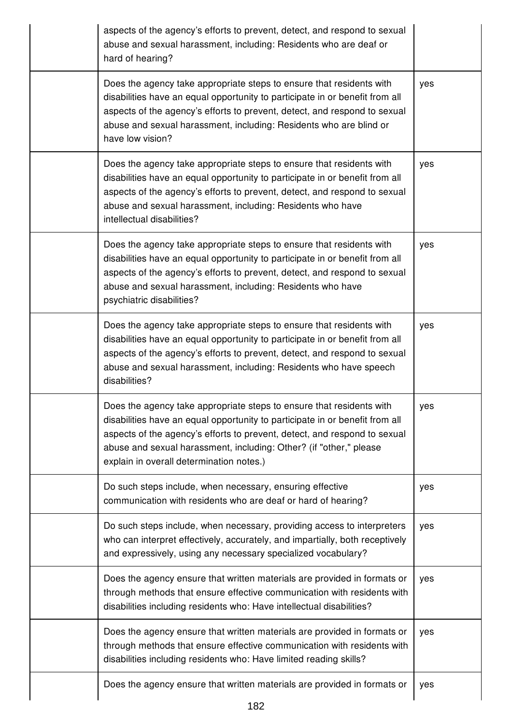| aspects of the agency's efforts to prevent, detect, and respond to sexual<br>abuse and sexual harassment, including: Residents who are deaf or<br>hard of hearing?                                                                                                                                                                                  |     |
|-----------------------------------------------------------------------------------------------------------------------------------------------------------------------------------------------------------------------------------------------------------------------------------------------------------------------------------------------------|-----|
| Does the agency take appropriate steps to ensure that residents with<br>disabilities have an equal opportunity to participate in or benefit from all<br>aspects of the agency's efforts to prevent, detect, and respond to sexual<br>abuse and sexual harassment, including: Residents who are blind or<br>have low vision?                         | yes |
| Does the agency take appropriate steps to ensure that residents with<br>disabilities have an equal opportunity to participate in or benefit from all<br>aspects of the agency's efforts to prevent, detect, and respond to sexual<br>abuse and sexual harassment, including: Residents who have<br>intellectual disabilities?                       | yes |
| Does the agency take appropriate steps to ensure that residents with<br>disabilities have an equal opportunity to participate in or benefit from all<br>aspects of the agency's efforts to prevent, detect, and respond to sexual<br>abuse and sexual harassment, including: Residents who have<br>psychiatric disabilities?                        | yes |
| Does the agency take appropriate steps to ensure that residents with<br>disabilities have an equal opportunity to participate in or benefit from all<br>aspects of the agency's efforts to prevent, detect, and respond to sexual<br>abuse and sexual harassment, including: Residents who have speech<br>disabilities?                             | yes |
| Does the agency take appropriate steps to ensure that residents with<br>disabilities have an equal opportunity to participate in or benefit from all<br>aspects of the agency's efforts to prevent, detect, and respond to sexual<br>abuse and sexual harassment, including: Other? (if "other," please<br>explain in overall determination notes.) | yes |
| Do such steps include, when necessary, ensuring effective<br>communication with residents who are deaf or hard of hearing?                                                                                                                                                                                                                          | yes |
| Do such steps include, when necessary, providing access to interpreters<br>who can interpret effectively, accurately, and impartially, both receptively<br>and expressively, using any necessary specialized vocabulary?                                                                                                                            | yes |
| Does the agency ensure that written materials are provided in formats or<br>through methods that ensure effective communication with residents with<br>disabilities including residents who: Have intellectual disabilities?                                                                                                                        | yes |
| Does the agency ensure that written materials are provided in formats or<br>through methods that ensure effective communication with residents with<br>disabilities including residents who: Have limited reading skills?                                                                                                                           | yes |
| Does the agency ensure that written materials are provided in formats or                                                                                                                                                                                                                                                                            | yes |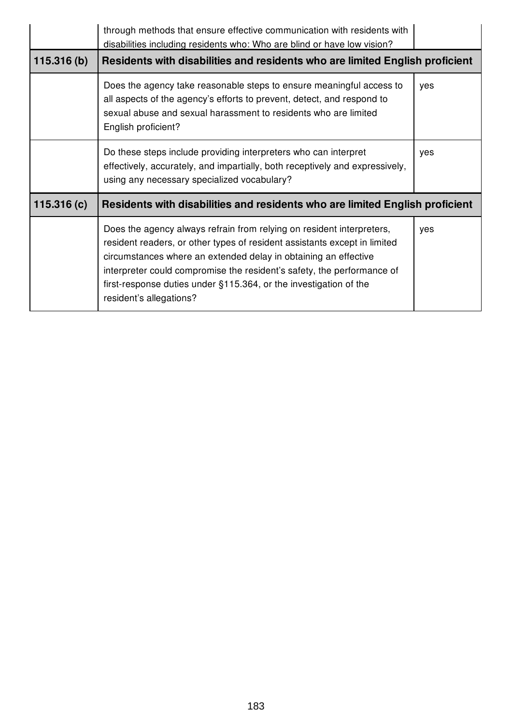|            | through methods that ensure effective communication with residents with<br>disabilities including residents who: Who are blind or have low vision?                                                                                                                                                                                                                                              |     |
|------------|-------------------------------------------------------------------------------------------------------------------------------------------------------------------------------------------------------------------------------------------------------------------------------------------------------------------------------------------------------------------------------------------------|-----|
| 115.316(b) | Residents with disabilities and residents who are limited English proficient                                                                                                                                                                                                                                                                                                                    |     |
|            | Does the agency take reasonable steps to ensure meaningful access to<br>all aspects of the agency's efforts to prevent, detect, and respond to<br>sexual abuse and sexual harassment to residents who are limited<br>English proficient?                                                                                                                                                        | yes |
|            | Do these steps include providing interpreters who can interpret<br>effectively, accurately, and impartially, both receptively and expressively,<br>using any necessary specialized vocabulary?                                                                                                                                                                                                  | yes |
| 115.316(c) | Residents with disabilities and residents who are limited English proficient                                                                                                                                                                                                                                                                                                                    |     |
|            | Does the agency always refrain from relying on resident interpreters,<br>resident readers, or other types of resident assistants except in limited<br>circumstances where an extended delay in obtaining an effective<br>interpreter could compromise the resident's safety, the performance of<br>first-response duties under §115.364, or the investigation of the<br>resident's allegations? | yes |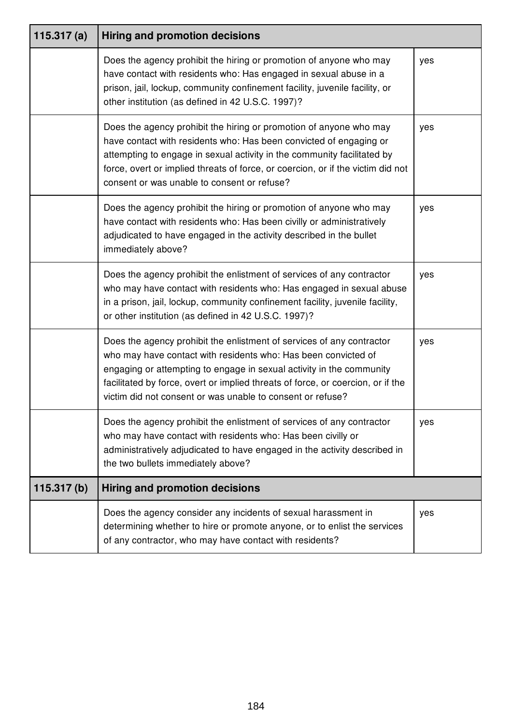| 115.317(a) | <b>Hiring and promotion decisions</b>                                                                                                                                                                                                                                                                                                                            |     |
|------------|------------------------------------------------------------------------------------------------------------------------------------------------------------------------------------------------------------------------------------------------------------------------------------------------------------------------------------------------------------------|-----|
|            | Does the agency prohibit the hiring or promotion of anyone who may<br>have contact with residents who: Has engaged in sexual abuse in a<br>prison, jail, lockup, community confinement facility, juvenile facility, or<br>other institution (as defined in 42 U.S.C. 1997)?                                                                                      | yes |
|            | Does the agency prohibit the hiring or promotion of anyone who may<br>have contact with residents who: Has been convicted of engaging or<br>attempting to engage in sexual activity in the community facilitated by<br>force, overt or implied threats of force, or coercion, or if the victim did not<br>consent or was unable to consent or refuse?            | yes |
|            | Does the agency prohibit the hiring or promotion of anyone who may<br>have contact with residents who: Has been civilly or administratively<br>adjudicated to have engaged in the activity described in the bullet<br>immediately above?                                                                                                                         | yes |
|            | Does the agency prohibit the enlistment of services of any contractor<br>who may have contact with residents who: Has engaged in sexual abuse<br>in a prison, jail, lockup, community confinement facility, juvenile facility,<br>or other institution (as defined in 42 U.S.C. 1997)?                                                                           | yes |
|            | Does the agency prohibit the enlistment of services of any contractor<br>who may have contact with residents who: Has been convicted of<br>engaging or attempting to engage in sexual activity in the community<br>facilitated by force, overt or implied threats of force, or coercion, or if the<br>victim did not consent or was unable to consent or refuse? | yes |
|            | Does the agency prohibit the enlistment of services of any contractor<br>who may have contact with residents who: Has been civilly or<br>administratively adjudicated to have engaged in the activity described in<br>the two bullets immediately above?                                                                                                         | yes |
| 115.317(b) | <b>Hiring and promotion decisions</b>                                                                                                                                                                                                                                                                                                                            |     |
|            | Does the agency consider any incidents of sexual harassment in<br>determining whether to hire or promote anyone, or to enlist the services<br>of any contractor, who may have contact with residents?                                                                                                                                                            | yes |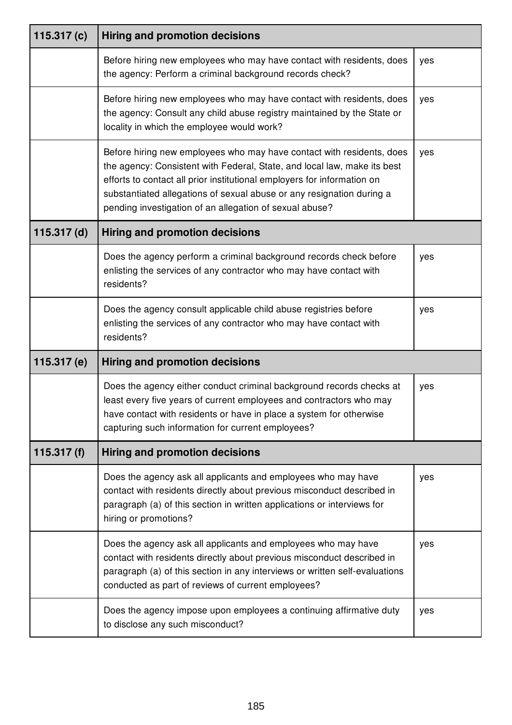| 115.317 $(c)$ | <b>Hiring and promotion decisions</b>                                                                                                                                                                                                                                                                                                                            |     |
|---------------|------------------------------------------------------------------------------------------------------------------------------------------------------------------------------------------------------------------------------------------------------------------------------------------------------------------------------------------------------------------|-----|
|               | Before hiring new employees who may have contact with residents, does<br>the agency: Perform a criminal background records check?                                                                                                                                                                                                                                | yes |
|               | Before hiring new employees who may have contact with residents, does<br>the agency: Consult any child abuse registry maintained by the State or<br>locality in which the employee would work?                                                                                                                                                                   | yes |
|               | Before hiring new employees who may have contact with residents, does<br>the agency: Consistent with Federal, State, and local law, make its best<br>efforts to contact all prior institutional employers for information on<br>substantiated allegations of sexual abuse or any resignation during a<br>pending investigation of an allegation of sexual abuse? | yes |
| $115.317$ (d) | <b>Hiring and promotion decisions</b>                                                                                                                                                                                                                                                                                                                            |     |
|               | Does the agency perform a criminal background records check before<br>enlisting the services of any contractor who may have contact with<br>residents?                                                                                                                                                                                                           | yes |
|               | Does the agency consult applicable child abuse registries before<br>enlisting the services of any contractor who may have contact with<br>residents?                                                                                                                                                                                                             | yes |
| 115.317 (e)   | <b>Hiring and promotion decisions</b>                                                                                                                                                                                                                                                                                                                            |     |
|               | Does the agency either conduct criminal background records checks at<br>least every five years of current employees and contractors who may<br>have contact with residents or have in place a system for otherwise<br>capturing such information for current employees?                                                                                          | yes |
| 115.317 $(f)$ | <b>Hiring and promotion decisions</b>                                                                                                                                                                                                                                                                                                                            |     |
|               | Does the agency ask all applicants and employees who may have<br>contact with residents directly about previous misconduct described in<br>paragraph (a) of this section in written applications or interviews for<br>hiring or promotions?                                                                                                                      | yes |
|               | Does the agency ask all applicants and employees who may have<br>contact with residents directly about previous misconduct described in<br>paragraph (a) of this section in any interviews or written self-evaluations<br>conducted as part of reviews of current employees?                                                                                     | yes |
|               | Does the agency impose upon employees a continuing affirmative duty<br>to disclose any such misconduct?                                                                                                                                                                                                                                                          | yes |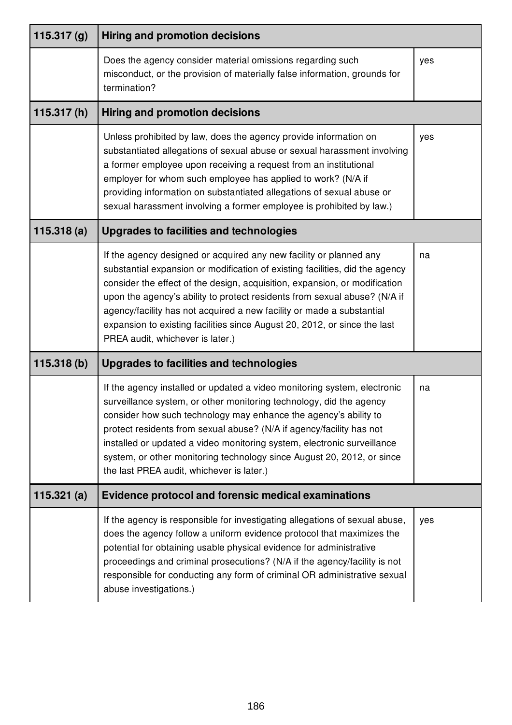| 115.317 $(g)$ | <b>Hiring and promotion decisions</b>                                                                                                                                                                                                                                                                                                                                                                                                                                                                   |     |
|---------------|---------------------------------------------------------------------------------------------------------------------------------------------------------------------------------------------------------------------------------------------------------------------------------------------------------------------------------------------------------------------------------------------------------------------------------------------------------------------------------------------------------|-----|
|               | Does the agency consider material omissions regarding such<br>misconduct, or the provision of materially false information, grounds for<br>termination?                                                                                                                                                                                                                                                                                                                                                 | yes |
| 115.317(h)    | <b>Hiring and promotion decisions</b>                                                                                                                                                                                                                                                                                                                                                                                                                                                                   |     |
|               | Unless prohibited by law, does the agency provide information on<br>substantiated allegations of sexual abuse or sexual harassment involving<br>a former employee upon receiving a request from an institutional<br>employer for whom such employee has applied to work? (N/A if<br>providing information on substantiated allegations of sexual abuse or<br>sexual harassment involving a former employee is prohibited by law.)                                                                       | yes |
| 115.318(a)    | <b>Upgrades to facilities and technologies</b>                                                                                                                                                                                                                                                                                                                                                                                                                                                          |     |
|               | If the agency designed or acquired any new facility or planned any<br>substantial expansion or modification of existing facilities, did the agency<br>consider the effect of the design, acquisition, expansion, or modification<br>upon the agency's ability to protect residents from sexual abuse? (N/A if<br>agency/facility has not acquired a new facility or made a substantial<br>expansion to existing facilities since August 20, 2012, or since the last<br>PREA audit, whichever is later.) | na  |
| 115.318(b)    | Upgrades to facilities and technologies                                                                                                                                                                                                                                                                                                                                                                                                                                                                 |     |
|               | If the agency installed or updated a video monitoring system, electronic<br>surveillance system, or other monitoring technology, did the agency<br>consider how such technology may enhance the agency's ability to<br>protect residents from sexual abuse? (N/A if agency/facility has not<br>installed or updated a video monitoring system, electronic surveillance<br>system, or other monitoring technology since August 20, 2012, or since<br>the last PREA audit, whichever is later.)           | na  |
| 115.321(a)    | <b>Evidence protocol and forensic medical examinations</b>                                                                                                                                                                                                                                                                                                                                                                                                                                              |     |
|               | If the agency is responsible for investigating allegations of sexual abuse,<br>does the agency follow a uniform evidence protocol that maximizes the<br>potential for obtaining usable physical evidence for administrative<br>proceedings and criminal prosecutions? (N/A if the agency/facility is not<br>responsible for conducting any form of criminal OR administrative sexual<br>abuse investigations.)                                                                                          | yes |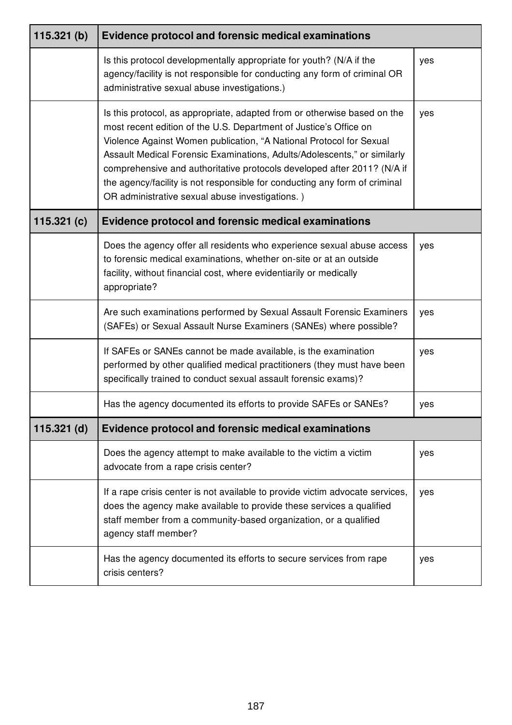| 115.321(b)    | <b>Evidence protocol and forensic medical examinations</b>                                                                                                                                                                                                                                                                                                                                                                                                                                                   |     |
|---------------|--------------------------------------------------------------------------------------------------------------------------------------------------------------------------------------------------------------------------------------------------------------------------------------------------------------------------------------------------------------------------------------------------------------------------------------------------------------------------------------------------------------|-----|
|               | Is this protocol developmentally appropriate for youth? (N/A if the<br>agency/facility is not responsible for conducting any form of criminal OR<br>administrative sexual abuse investigations.)                                                                                                                                                                                                                                                                                                             | yes |
|               | Is this protocol, as appropriate, adapted from or otherwise based on the<br>most recent edition of the U.S. Department of Justice's Office on<br>Violence Against Women publication, "A National Protocol for Sexual<br>Assault Medical Forensic Examinations, Adults/Adolescents," or similarly<br>comprehensive and authoritative protocols developed after 2011? (N/A if<br>the agency/facility is not responsible for conducting any form of criminal<br>OR administrative sexual abuse investigations.) | yes |
| 115.321 $(c)$ | <b>Evidence protocol and forensic medical examinations</b>                                                                                                                                                                                                                                                                                                                                                                                                                                                   |     |
|               | Does the agency offer all residents who experience sexual abuse access<br>to forensic medical examinations, whether on-site or at an outside<br>facility, without financial cost, where evidentiarily or medically<br>appropriate?                                                                                                                                                                                                                                                                           | yes |
|               | Are such examinations performed by Sexual Assault Forensic Examiners<br>(SAFEs) or Sexual Assault Nurse Examiners (SANEs) where possible?                                                                                                                                                                                                                                                                                                                                                                    | yes |
|               | If SAFEs or SANEs cannot be made available, is the examination<br>performed by other qualified medical practitioners (they must have been<br>specifically trained to conduct sexual assault forensic exams)?                                                                                                                                                                                                                                                                                                 | yes |
|               | Has the agency documented its efforts to provide SAFEs or SANEs?                                                                                                                                                                                                                                                                                                                                                                                                                                             | yes |
| $115.321$ (d) | <b>Evidence protocol and forensic medical examinations</b>                                                                                                                                                                                                                                                                                                                                                                                                                                                   |     |
|               | Does the agency attempt to make available to the victim a victim<br>advocate from a rape crisis center?                                                                                                                                                                                                                                                                                                                                                                                                      | yes |
|               | If a rape crisis center is not available to provide victim advocate services,<br>does the agency make available to provide these services a qualified<br>staff member from a community-based organization, or a qualified<br>agency staff member?                                                                                                                                                                                                                                                            | yes |
|               | Has the agency documented its efforts to secure services from rape<br>crisis centers?                                                                                                                                                                                                                                                                                                                                                                                                                        | yes |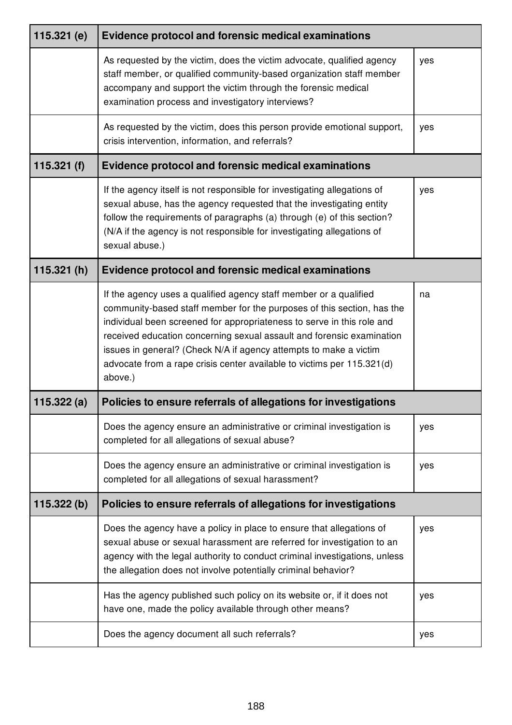| $115.321$ (e) | <b>Evidence protocol and forensic medical examinations</b>                                                                                                                                                                                                                                                                                                                                                                                               |     |
|---------------|----------------------------------------------------------------------------------------------------------------------------------------------------------------------------------------------------------------------------------------------------------------------------------------------------------------------------------------------------------------------------------------------------------------------------------------------------------|-----|
|               | As requested by the victim, does the victim advocate, qualified agency<br>staff member, or qualified community-based organization staff member<br>accompany and support the victim through the forensic medical<br>examination process and investigatory interviews?                                                                                                                                                                                     | yes |
|               | As requested by the victim, does this person provide emotional support,<br>crisis intervention, information, and referrals?                                                                                                                                                                                                                                                                                                                              | yes |
| 115.321 $(f)$ | <b>Evidence protocol and forensic medical examinations</b>                                                                                                                                                                                                                                                                                                                                                                                               |     |
|               | If the agency itself is not responsible for investigating allegations of<br>sexual abuse, has the agency requested that the investigating entity<br>follow the requirements of paragraphs (a) through (e) of this section?<br>(N/A if the agency is not responsible for investigating allegations of<br>sexual abuse.)                                                                                                                                   | yes |
| 115.321(h)    | <b>Evidence protocol and forensic medical examinations</b>                                                                                                                                                                                                                                                                                                                                                                                               |     |
|               | If the agency uses a qualified agency staff member or a qualified<br>community-based staff member for the purposes of this section, has the<br>individual been screened for appropriateness to serve in this role and<br>received education concerning sexual assault and forensic examination<br>issues in general? (Check N/A if agency attempts to make a victim<br>advocate from a rape crisis center available to victims per 115.321(d)<br>above.) | na  |
| 115.322(a)    | Policies to ensure referrals of allegations for investigations                                                                                                                                                                                                                                                                                                                                                                                           |     |
|               | Does the agency ensure an administrative or criminal investigation is<br>completed for all allegations of sexual abuse?                                                                                                                                                                                                                                                                                                                                  | yes |
|               | Does the agency ensure an administrative or criminal investigation is<br>completed for all allegations of sexual harassment?                                                                                                                                                                                                                                                                                                                             | yes |
| 115.322(b)    | Policies to ensure referrals of allegations for investigations                                                                                                                                                                                                                                                                                                                                                                                           |     |
|               | Does the agency have a policy in place to ensure that allegations of<br>sexual abuse or sexual harassment are referred for investigation to an<br>agency with the legal authority to conduct criminal investigations, unless<br>the allegation does not involve potentially criminal behavior?                                                                                                                                                           | yes |
|               | Has the agency published such policy on its website or, if it does not<br>have one, made the policy available through other means?                                                                                                                                                                                                                                                                                                                       | yes |
|               | Does the agency document all such referrals?                                                                                                                                                                                                                                                                                                                                                                                                             | yes |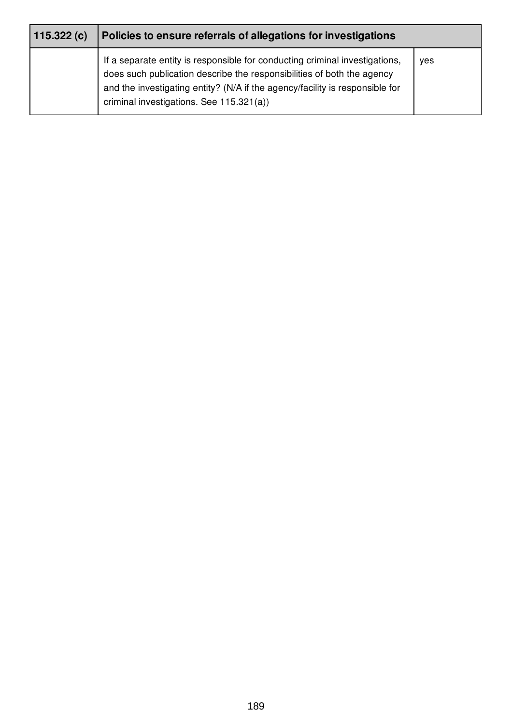| 115.322(c) | Policies to ensure referrals of allegations for investigations                                                                                                                                                                                                                    |     |
|------------|-----------------------------------------------------------------------------------------------------------------------------------------------------------------------------------------------------------------------------------------------------------------------------------|-----|
|            | If a separate entity is responsible for conducting criminal investigations,<br>does such publication describe the responsibilities of both the agency<br>and the investigating entity? (N/A if the agency/facility is responsible for<br>criminal investigations. See 115.321(a)) | ves |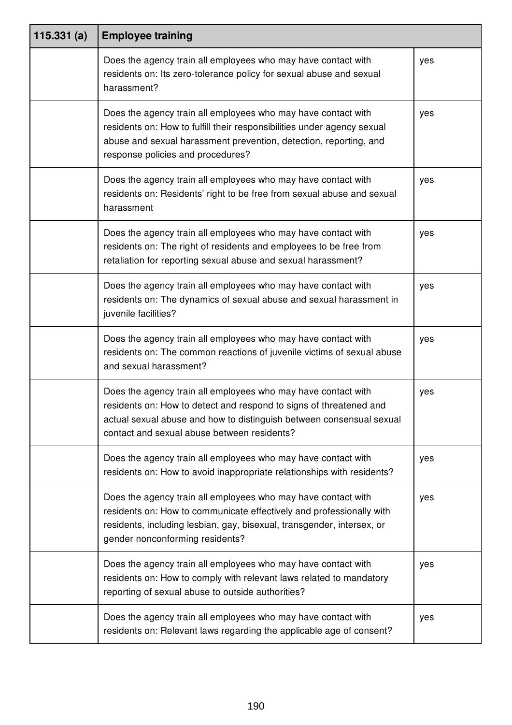| 115.331(a) | <b>Employee training</b>                                                                                                                                                                                                                                   |     |
|------------|------------------------------------------------------------------------------------------------------------------------------------------------------------------------------------------------------------------------------------------------------------|-----|
|            | Does the agency train all employees who may have contact with<br>residents on: Its zero-tolerance policy for sexual abuse and sexual<br>harassment?                                                                                                        | yes |
|            | Does the agency train all employees who may have contact with<br>residents on: How to fulfill their responsibilities under agency sexual<br>abuse and sexual harassment prevention, detection, reporting, and<br>response policies and procedures?         | yes |
|            | Does the agency train all employees who may have contact with<br>residents on: Residents' right to be free from sexual abuse and sexual<br>harassment                                                                                                      | yes |
|            | Does the agency train all employees who may have contact with<br>residents on: The right of residents and employees to be free from<br>retaliation for reporting sexual abuse and sexual harassment?                                                       | yes |
|            | Does the agency train all employees who may have contact with<br>residents on: The dynamics of sexual abuse and sexual harassment in<br>juvenile facilities?                                                                                               | yes |
|            | Does the agency train all employees who may have contact with<br>residents on: The common reactions of juvenile victims of sexual abuse<br>and sexual harassment?                                                                                          | yes |
|            | Does the agency train all employees who may have contact with<br>residents on: How to detect and respond to signs of threatened and<br>actual sexual abuse and how to distinguish between consensual sexual<br>contact and sexual abuse between residents? | yes |
|            | Does the agency train all employees who may have contact with<br>residents on: How to avoid inappropriate relationships with residents?                                                                                                                    | yes |
|            | Does the agency train all employees who may have contact with<br>residents on: How to communicate effectively and professionally with<br>residents, including lesbian, gay, bisexual, transgender, intersex, or<br>gender nonconforming residents?         | yes |
|            | Does the agency train all employees who may have contact with<br>residents on: How to comply with relevant laws related to mandatory<br>reporting of sexual abuse to outside authorities?                                                                  | yes |
|            | Does the agency train all employees who may have contact with<br>residents on: Relevant laws regarding the applicable age of consent?                                                                                                                      | yes |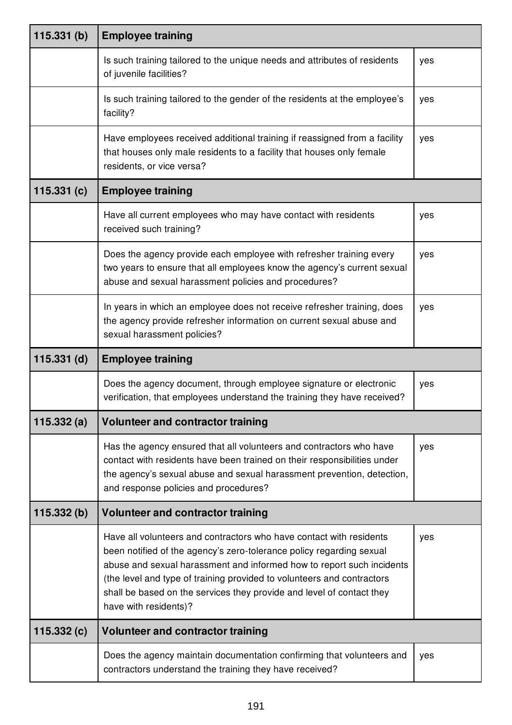| 115.331(b)    | <b>Employee training</b>                                                                                                                                                                                                                                                                                                                                                                         |     |
|---------------|--------------------------------------------------------------------------------------------------------------------------------------------------------------------------------------------------------------------------------------------------------------------------------------------------------------------------------------------------------------------------------------------------|-----|
|               | Is such training tailored to the unique needs and attributes of residents<br>of juvenile facilities?                                                                                                                                                                                                                                                                                             | yes |
|               | Is such training tailored to the gender of the residents at the employee's<br>facility?                                                                                                                                                                                                                                                                                                          | yes |
|               | Have employees received additional training if reassigned from a facility<br>that houses only male residents to a facility that houses only female<br>residents, or vice versa?                                                                                                                                                                                                                  | yes |
| 115.331(c)    | <b>Employee training</b>                                                                                                                                                                                                                                                                                                                                                                         |     |
|               | Have all current employees who may have contact with residents<br>received such training?                                                                                                                                                                                                                                                                                                        | yes |
|               | Does the agency provide each employee with refresher training every<br>two years to ensure that all employees know the agency's current sexual<br>abuse and sexual harassment policies and procedures?                                                                                                                                                                                           | yes |
|               | In years in which an employee does not receive refresher training, does<br>the agency provide refresher information on current sexual abuse and<br>sexual harassment policies?                                                                                                                                                                                                                   | yes |
| $115.331$ (d) | <b>Employee training</b>                                                                                                                                                                                                                                                                                                                                                                         |     |
|               | Does the agency document, through employee signature or electronic<br>verification, that employees understand the training they have received?                                                                                                                                                                                                                                                   | yes |
| 115.332(a)    | <b>Volunteer and contractor training</b>                                                                                                                                                                                                                                                                                                                                                         |     |
|               | Has the agency ensured that all volunteers and contractors who have<br>contact with residents have been trained on their responsibilities under<br>the agency's sexual abuse and sexual harassment prevention, detection,<br>and response policies and procedures?                                                                                                                               | yes |
| 115.332(b)    | <b>Volunteer and contractor training</b>                                                                                                                                                                                                                                                                                                                                                         |     |
|               | Have all volunteers and contractors who have contact with residents<br>been notified of the agency's zero-tolerance policy regarding sexual<br>abuse and sexual harassment and informed how to report such incidents<br>(the level and type of training provided to volunteers and contractors<br>shall be based on the services they provide and level of contact they<br>have with residents)? | yes |
| 115.332(c)    | <b>Volunteer and contractor training</b>                                                                                                                                                                                                                                                                                                                                                         |     |
|               | Does the agency maintain documentation confirming that volunteers and<br>contractors understand the training they have received?                                                                                                                                                                                                                                                                 | yes |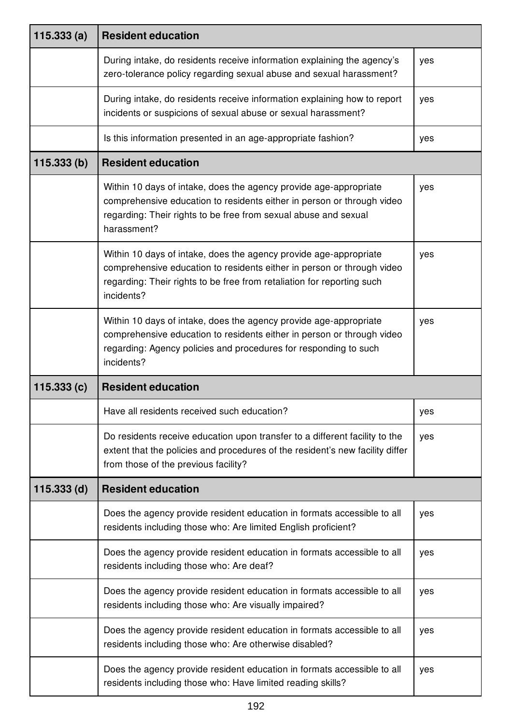| 115.333(a)    | <b>Resident education</b>                                                                                                                                                                                                           |     |
|---------------|-------------------------------------------------------------------------------------------------------------------------------------------------------------------------------------------------------------------------------------|-----|
|               | During intake, do residents receive information explaining the agency's<br>zero-tolerance policy regarding sexual abuse and sexual harassment?                                                                                      | yes |
|               | During intake, do residents receive information explaining how to report<br>incidents or suspicions of sexual abuse or sexual harassment?                                                                                           | yes |
|               | Is this information presented in an age-appropriate fashion?                                                                                                                                                                        | yes |
| 115.333(b)    | <b>Resident education</b>                                                                                                                                                                                                           |     |
|               | Within 10 days of intake, does the agency provide age-appropriate<br>comprehensive education to residents either in person or through video<br>regarding: Their rights to be free from sexual abuse and sexual<br>harassment?       | yes |
|               | Within 10 days of intake, does the agency provide age-appropriate<br>comprehensive education to residents either in person or through video<br>regarding: Their rights to be free from retaliation for reporting such<br>incidents? | yes |
|               | Within 10 days of intake, does the agency provide age-appropriate<br>comprehensive education to residents either in person or through video<br>regarding: Agency policies and procedures for responding to such<br>incidents?       | yes |
| 115.333(c)    | <b>Resident education</b>                                                                                                                                                                                                           |     |
|               | Have all residents received such education?                                                                                                                                                                                         | yes |
|               | Do residents receive education upon transfer to a different facility to the<br>extent that the policies and procedures of the resident's new facility differ<br>from those of the previous facility?                                | yes |
| $115.333$ (d) | <b>Resident education</b>                                                                                                                                                                                                           |     |
|               | Does the agency provide resident education in formats accessible to all<br>residents including those who: Are limited English proficient?                                                                                           | yes |
|               | Does the agency provide resident education in formats accessible to all<br>residents including those who: Are deaf?                                                                                                                 | yes |
|               | Does the agency provide resident education in formats accessible to all<br>residents including those who: Are visually impaired?                                                                                                    | yes |
|               | Does the agency provide resident education in formats accessible to all<br>residents including those who: Are otherwise disabled?                                                                                                   | yes |
|               | Does the agency provide resident education in formats accessible to all<br>residents including those who: Have limited reading skills?                                                                                              | yes |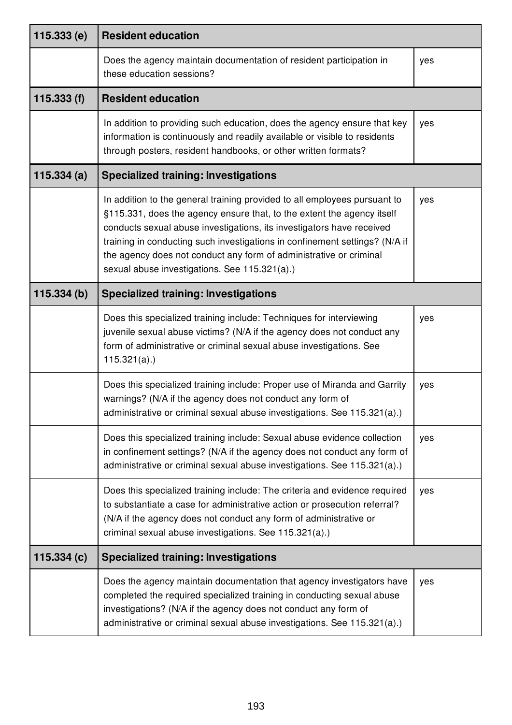| 115.333(e)  | <b>Resident education</b>                                                                                                                                                                                                                                                                                                                                                                                                          |     |
|-------------|------------------------------------------------------------------------------------------------------------------------------------------------------------------------------------------------------------------------------------------------------------------------------------------------------------------------------------------------------------------------------------------------------------------------------------|-----|
|             | Does the agency maintain documentation of resident participation in<br>these education sessions?                                                                                                                                                                                                                                                                                                                                   | yes |
| 115.333 (f) | <b>Resident education</b>                                                                                                                                                                                                                                                                                                                                                                                                          |     |
|             | In addition to providing such education, does the agency ensure that key<br>information is continuously and readily available or visible to residents<br>through posters, resident handbooks, or other written formats?                                                                                                                                                                                                            | yes |
| 115.334(a)  | <b>Specialized training: Investigations</b>                                                                                                                                                                                                                                                                                                                                                                                        |     |
|             | In addition to the general training provided to all employees pursuant to<br>§115.331, does the agency ensure that, to the extent the agency itself<br>conducts sexual abuse investigations, its investigators have received<br>training in conducting such investigations in confinement settings? (N/A if<br>the agency does not conduct any form of administrative or criminal<br>sexual abuse investigations. See 115.321(a).) | yes |
| 115.334(b)  | <b>Specialized training: Investigations</b>                                                                                                                                                                                                                                                                                                                                                                                        |     |
|             | Does this specialized training include: Techniques for interviewing<br>juvenile sexual abuse victims? (N/A if the agency does not conduct any<br>form of administrative or criminal sexual abuse investigations. See<br>$115.321(a)$ .)                                                                                                                                                                                            | yes |
|             | Does this specialized training include: Proper use of Miranda and Garrity<br>warnings? (N/A if the agency does not conduct any form of<br>administrative or criminal sexual abuse investigations. See 115.321(a).)                                                                                                                                                                                                                 | yes |
|             | Does this specialized training include: Sexual abuse evidence collection<br>in confinement settings? (N/A if the agency does not conduct any form of<br>administrative or criminal sexual abuse investigations. See 115.321(a).)                                                                                                                                                                                                   | yes |
|             | Does this specialized training include: The criteria and evidence required<br>to substantiate a case for administrative action or prosecution referral?<br>(N/A if the agency does not conduct any form of administrative or<br>criminal sexual abuse investigations. See 115.321(a).)                                                                                                                                             | yes |
| 115.334(c)  | <b>Specialized training: Investigations</b>                                                                                                                                                                                                                                                                                                                                                                                        |     |
|             | Does the agency maintain documentation that agency investigators have<br>completed the required specialized training in conducting sexual abuse<br>investigations? (N/A if the agency does not conduct any form of<br>administrative or criminal sexual abuse investigations. See 115.321(a).)                                                                                                                                     | yes |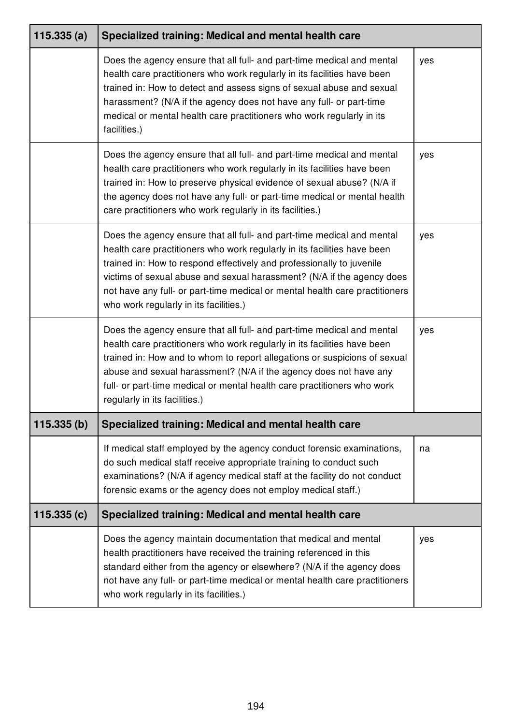| 115.335(a) | Specialized training: Medical and mental health care                                                                                                                                                                                                                                                                                                                                                                           |     |
|------------|--------------------------------------------------------------------------------------------------------------------------------------------------------------------------------------------------------------------------------------------------------------------------------------------------------------------------------------------------------------------------------------------------------------------------------|-----|
|            | Does the agency ensure that all full- and part-time medical and mental<br>health care practitioners who work regularly in its facilities have been<br>trained in: How to detect and assess signs of sexual abuse and sexual<br>harassment? (N/A if the agency does not have any full- or part-time<br>medical or mental health care practitioners who work regularly in its<br>facilities.)                                    | yes |
|            | Does the agency ensure that all full- and part-time medical and mental<br>health care practitioners who work regularly in its facilities have been<br>trained in: How to preserve physical evidence of sexual abuse? (N/A if<br>the agency does not have any full- or part-time medical or mental health<br>care practitioners who work regularly in its facilities.)                                                          | yes |
|            | Does the agency ensure that all full- and part-time medical and mental<br>health care practitioners who work regularly in its facilities have been<br>trained in: How to respond effectively and professionally to juvenile<br>victims of sexual abuse and sexual harassment? (N/A if the agency does<br>not have any full- or part-time medical or mental health care practitioners<br>who work regularly in its facilities.) | yes |
|            | Does the agency ensure that all full- and part-time medical and mental<br>health care practitioners who work regularly in its facilities have been<br>trained in: How and to whom to report allegations or suspicions of sexual<br>abuse and sexual harassment? (N/A if the agency does not have any<br>full- or part-time medical or mental health care practitioners who work<br>regularly in its facilities.)               | yes |
| 115.335(b) | Specialized training: Medical and mental health care                                                                                                                                                                                                                                                                                                                                                                           |     |
|            | If medical staff employed by the agency conduct forensic examinations,<br>do such medical staff receive appropriate training to conduct such<br>examinations? (N/A if agency medical staff at the facility do not conduct<br>forensic exams or the agency does not employ medical staff.)                                                                                                                                      | na  |
| 115.335(c) | Specialized training: Medical and mental health care                                                                                                                                                                                                                                                                                                                                                                           |     |
|            | Does the agency maintain documentation that medical and mental<br>health practitioners have received the training referenced in this<br>standard either from the agency or elsewhere? (N/A if the agency does<br>not have any full- or part-time medical or mental health care practitioners<br>who work regularly in its facilities.)                                                                                         | yes |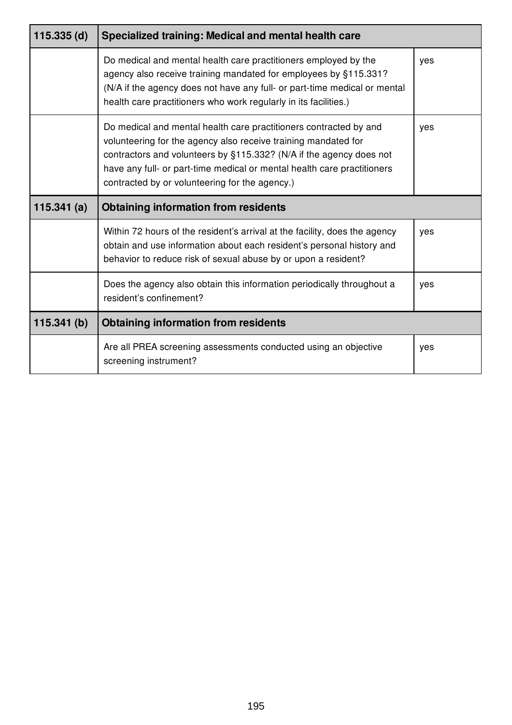| $115.335$ (d) | Specialized training: Medical and mental health care                                                                                                                                                                                                                                                                                    |     |
|---------------|-----------------------------------------------------------------------------------------------------------------------------------------------------------------------------------------------------------------------------------------------------------------------------------------------------------------------------------------|-----|
|               | Do medical and mental health care practitioners employed by the<br>agency also receive training mandated for employees by §115.331?<br>(N/A if the agency does not have any full- or part-time medical or mental<br>health care practitioners who work regularly in its facilities.)                                                    | yes |
|               | Do medical and mental health care practitioners contracted by and<br>volunteering for the agency also receive training mandated for<br>contractors and volunteers by §115.332? (N/A if the agency does not<br>have any full- or part-time medical or mental health care practitioners<br>contracted by or volunteering for the agency.) | yes |
| 115.341 $(a)$ | <b>Obtaining information from residents</b>                                                                                                                                                                                                                                                                                             |     |
|               | Within 72 hours of the resident's arrival at the facility, does the agency<br>obtain and use information about each resident's personal history and<br>behavior to reduce risk of sexual abuse by or upon a resident?                                                                                                                   | yes |
|               | Does the agency also obtain this information periodically throughout a<br>resident's confinement?                                                                                                                                                                                                                                       | yes |
| 115.341(b)    | <b>Obtaining information from residents</b>                                                                                                                                                                                                                                                                                             |     |
|               | Are all PREA screening assessments conducted using an objective<br>screening instrument?                                                                                                                                                                                                                                                | yes |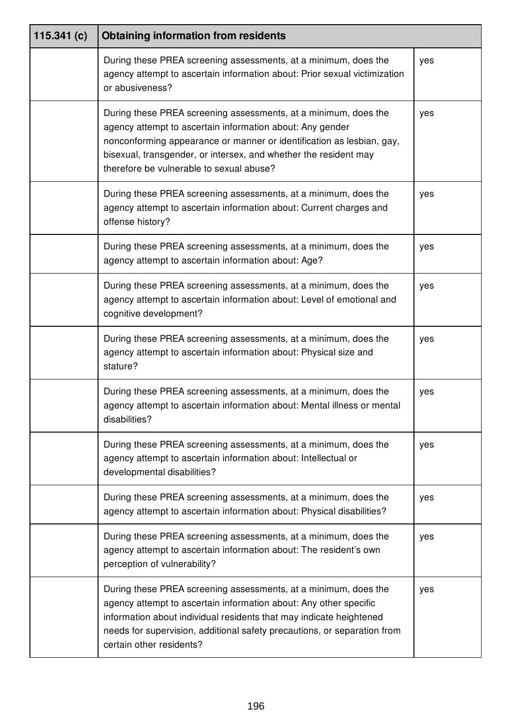| 115.341 $(c)$ | <b>Obtaining information from residents</b>                                                                                                                                                                                                                                                                           |     |
|---------------|-----------------------------------------------------------------------------------------------------------------------------------------------------------------------------------------------------------------------------------------------------------------------------------------------------------------------|-----|
|               | During these PREA screening assessments, at a minimum, does the<br>agency attempt to ascertain information about: Prior sexual victimization<br>or abusiveness?                                                                                                                                                       | yes |
|               | During these PREA screening assessments, at a minimum, does the<br>agency attempt to ascertain information about: Any gender<br>nonconforming appearance or manner or identification as lesbian, gay,<br>bisexual, transgender, or intersex, and whether the resident may<br>therefore be vulnerable to sexual abuse? | yes |
|               | During these PREA screening assessments, at a minimum, does the<br>agency attempt to ascertain information about: Current charges and<br>offense history?                                                                                                                                                             | yes |
|               | During these PREA screening assessments, at a minimum, does the<br>agency attempt to ascertain information about: Age?                                                                                                                                                                                                | yes |
|               | During these PREA screening assessments, at a minimum, does the<br>agency attempt to ascertain information about: Level of emotional and<br>cognitive development?                                                                                                                                                    | yes |
|               | During these PREA screening assessments, at a minimum, does the<br>agency attempt to ascertain information about: Physical size and<br>stature?                                                                                                                                                                       | yes |
|               | During these PREA screening assessments, at a minimum, does the<br>agency attempt to ascertain information about: Mental illness or mental<br>disabilities?                                                                                                                                                           | yes |
|               | During these PREA screening assessments, at a minimum, does the<br>agency attempt to ascertain information about: Intellectual or<br>developmental disabilities?                                                                                                                                                      | yes |
|               | During these PREA screening assessments, at a minimum, does the<br>agency attempt to ascertain information about: Physical disabilities?                                                                                                                                                                              | yes |
|               | During these PREA screening assessments, at a minimum, does the<br>agency attempt to ascertain information about: The resident's own<br>perception of vulnerability?                                                                                                                                                  | yes |
|               | During these PREA screening assessments, at a minimum, does the<br>agency attempt to ascertain information about: Any other specific<br>information about individual residents that may indicate heightened<br>needs for supervision, additional safety precautions, or separation from<br>certain other residents?   | yes |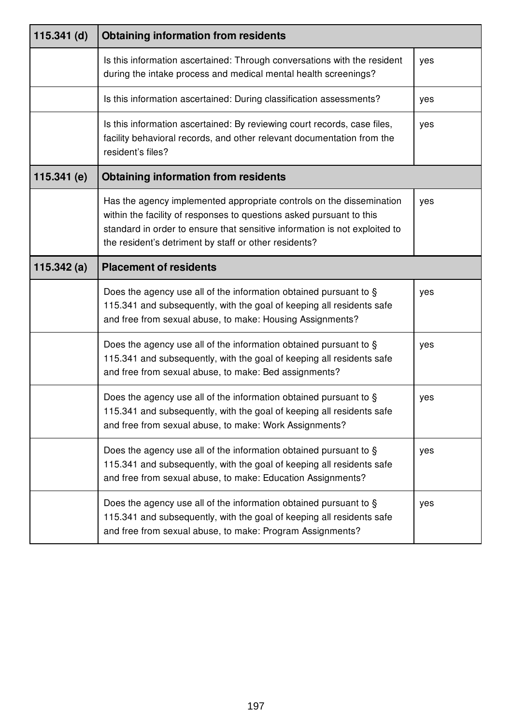| $115.341$ (d) | <b>Obtaining information from residents</b>                                                                                                                                                                                                                                         |     |
|---------------|-------------------------------------------------------------------------------------------------------------------------------------------------------------------------------------------------------------------------------------------------------------------------------------|-----|
|               | Is this information ascertained: Through conversations with the resident<br>during the intake process and medical mental health screenings?                                                                                                                                         | yes |
|               | Is this information ascertained: During classification assessments?                                                                                                                                                                                                                 | yes |
|               | Is this information ascertained: By reviewing court records, case files,<br>facility behavioral records, and other relevant documentation from the<br>resident's files?                                                                                                             | yes |
| 115.341 (e)   | <b>Obtaining information from residents</b>                                                                                                                                                                                                                                         |     |
|               | Has the agency implemented appropriate controls on the dissemination<br>within the facility of responses to questions asked pursuant to this<br>standard in order to ensure that sensitive information is not exploited to<br>the resident's detriment by staff or other residents? | yes |
| 115.342 $(a)$ | <b>Placement of residents</b>                                                                                                                                                                                                                                                       |     |
|               | Does the agency use all of the information obtained pursuant to §<br>115.341 and subsequently, with the goal of keeping all residents safe<br>and free from sexual abuse, to make: Housing Assignments?                                                                             | yes |
|               | Does the agency use all of the information obtained pursuant to §<br>115.341 and subsequently, with the goal of keeping all residents safe<br>and free from sexual abuse, to make: Bed assignments?                                                                                 | yes |
|               | Does the agency use all of the information obtained pursuant to §<br>115.341 and subsequently, with the goal of keeping all residents safe<br>and free from sexual abuse, to make: Work Assignments?                                                                                | yes |
|               | Does the agency use all of the information obtained pursuant to §<br>115.341 and subsequently, with the goal of keeping all residents safe<br>and free from sexual abuse, to make: Education Assignments?                                                                           | yes |
|               | Does the agency use all of the information obtained pursuant to §<br>115.341 and subsequently, with the goal of keeping all residents safe<br>and free from sexual abuse, to make: Program Assignments?                                                                             | yes |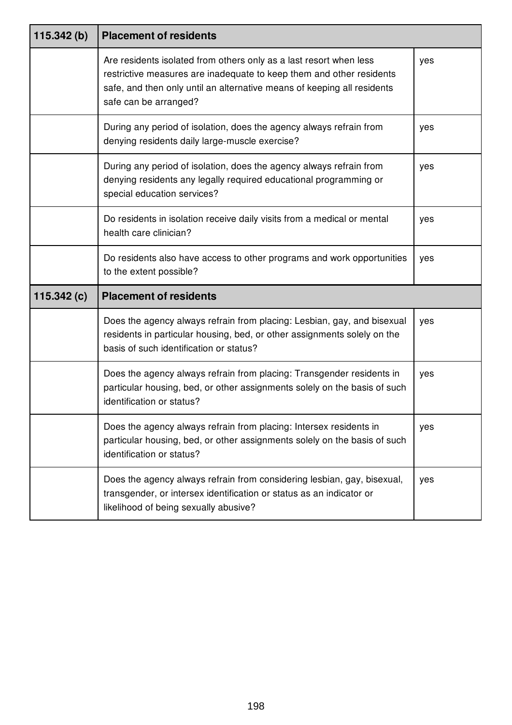| 115.342(b)    | <b>Placement of residents</b>                                                                                                                                                                                                                  |     |
|---------------|------------------------------------------------------------------------------------------------------------------------------------------------------------------------------------------------------------------------------------------------|-----|
|               | Are residents isolated from others only as a last resort when less<br>restrictive measures are inadequate to keep them and other residents<br>safe, and then only until an alternative means of keeping all residents<br>safe can be arranged? | yes |
|               | During any period of isolation, does the agency always refrain from<br>denying residents daily large-muscle exercise?                                                                                                                          | yes |
|               | During any period of isolation, does the agency always refrain from<br>denying residents any legally required educational programming or<br>special education services?                                                                        | yes |
|               | Do residents in isolation receive daily visits from a medical or mental<br>health care clinician?                                                                                                                                              | yes |
|               | Do residents also have access to other programs and work opportunities<br>to the extent possible?                                                                                                                                              | yes |
| 115.342 $(c)$ | <b>Placement of residents</b>                                                                                                                                                                                                                  |     |
|               | Does the agency always refrain from placing: Lesbian, gay, and bisexual<br>residents in particular housing, bed, or other assignments solely on the<br>basis of such identification or status?                                                 | yes |
|               | Does the agency always refrain from placing: Transgender residents in<br>particular housing, bed, or other assignments solely on the basis of such<br>identification or status?                                                                | yes |
|               | Does the agency always refrain from placing: Intersex residents in<br>particular housing, bed, or other assignments solely on the basis of such<br>identification or status?                                                                   | yes |
|               | Does the agency always refrain from considering lesbian, gay, bisexual,<br>transgender, or intersex identification or status as an indicator or<br>likelihood of being sexually abusive?                                                       | yes |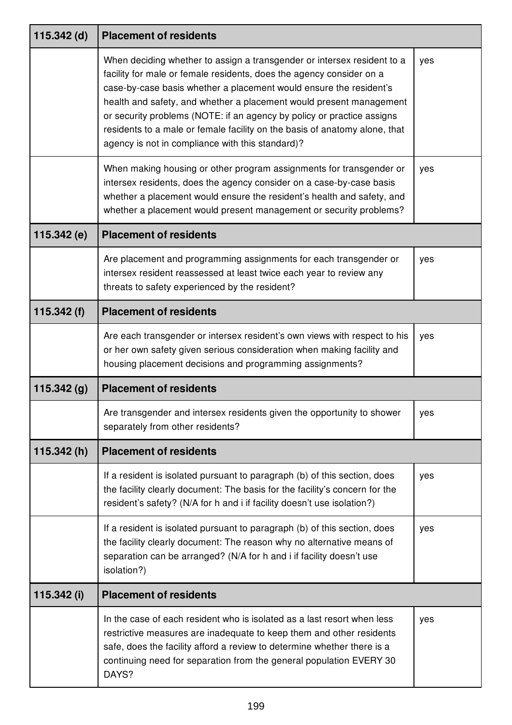| 115.342 (d)   | <b>Placement of residents</b>                                                                                                                                                                                                                                                                                                                                                                                                                                                                            |     |
|---------------|----------------------------------------------------------------------------------------------------------------------------------------------------------------------------------------------------------------------------------------------------------------------------------------------------------------------------------------------------------------------------------------------------------------------------------------------------------------------------------------------------------|-----|
|               | When deciding whether to assign a transgender or intersex resident to a<br>facility for male or female residents, does the agency consider on a<br>case-by-case basis whether a placement would ensure the resident's<br>health and safety, and whether a placement would present management<br>or security problems (NOTE: if an agency by policy or practice assigns<br>residents to a male or female facility on the basis of anatomy alone, that<br>agency is not in compliance with this standard)? | yes |
|               | When making housing or other program assignments for transgender or<br>intersex residents, does the agency consider on a case-by-case basis<br>whether a placement would ensure the resident's health and safety, and<br>whether a placement would present management or security problems?                                                                                                                                                                                                              | yes |
| 115.342(e)    | <b>Placement of residents</b>                                                                                                                                                                                                                                                                                                                                                                                                                                                                            |     |
|               | Are placement and programming assignments for each transgender or<br>intersex resident reassessed at least twice each year to review any<br>threats to safety experienced by the resident?                                                                                                                                                                                                                                                                                                               | yes |
| 115.342 $(f)$ | <b>Placement of residents</b>                                                                                                                                                                                                                                                                                                                                                                                                                                                                            |     |
|               | Are each transgender or intersex resident's own views with respect to his<br>or her own safety given serious consideration when making facility and<br>housing placement decisions and programming assignments?                                                                                                                                                                                                                                                                                          | yes |
| 115.342(g)    | <b>Placement of residents</b>                                                                                                                                                                                                                                                                                                                                                                                                                                                                            |     |
|               | Are transgender and intersex residents given the opportunity to shower<br>separately from other residents?                                                                                                                                                                                                                                                                                                                                                                                               | yes |
| 115.342(h)    | <b>Placement of residents</b>                                                                                                                                                                                                                                                                                                                                                                                                                                                                            |     |
|               | If a resident is isolated pursuant to paragraph (b) of this section, does<br>the facility clearly document: The basis for the facility's concern for the<br>resident's safety? (N/A for h and i if facility doesn't use isolation?)                                                                                                                                                                                                                                                                      | yes |
|               | If a resident is isolated pursuant to paragraph (b) of this section, does<br>the facility clearly document: The reason why no alternative means of<br>separation can be arranged? (N/A for h and i if facility doesn't use<br>isolation?)                                                                                                                                                                                                                                                                | yes |
| 115.342 (i)   | <b>Placement of residents</b>                                                                                                                                                                                                                                                                                                                                                                                                                                                                            |     |
|               | In the case of each resident who is isolated as a last resort when less<br>restrictive measures are inadequate to keep them and other residents<br>safe, does the facility afford a review to determine whether there is a<br>continuing need for separation from the general population EVERY 30<br>DAYS?                                                                                                                                                                                               | yes |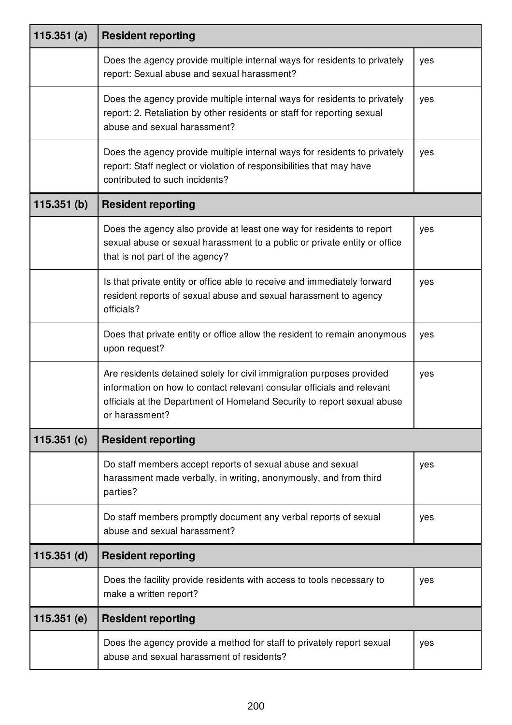| 115.351 $(a)$ | <b>Resident reporting</b>                                                                                                                                                                                                                    |     |
|---------------|----------------------------------------------------------------------------------------------------------------------------------------------------------------------------------------------------------------------------------------------|-----|
|               | Does the agency provide multiple internal ways for residents to privately<br>report: Sexual abuse and sexual harassment?                                                                                                                     | yes |
|               | Does the agency provide multiple internal ways for residents to privately<br>report: 2. Retaliation by other residents or staff for reporting sexual<br>abuse and sexual harassment?                                                         | yes |
|               | Does the agency provide multiple internal ways for residents to privately<br>report: Staff neglect or violation of responsibilities that may have<br>contributed to such incidents?                                                          | yes |
| 115.351(b)    | <b>Resident reporting</b>                                                                                                                                                                                                                    |     |
|               | Does the agency also provide at least one way for residents to report<br>sexual abuse or sexual harassment to a public or private entity or office<br>that is not part of the agency?                                                        | yes |
|               | Is that private entity or office able to receive and immediately forward<br>resident reports of sexual abuse and sexual harassment to agency<br>officials?                                                                                   | yes |
|               | Does that private entity or office allow the resident to remain anonymous<br>upon request?                                                                                                                                                   | yes |
|               | Are residents detained solely for civil immigration purposes provided<br>information on how to contact relevant consular officials and relevant<br>officials at the Department of Homeland Security to report sexual abuse<br>or harassment? | yes |
| 115.351(c)    | <b>Resident reporting</b>                                                                                                                                                                                                                    |     |
|               | Do staff members accept reports of sexual abuse and sexual<br>harassment made verbally, in writing, anonymously, and from third<br>parties?                                                                                                  | yes |
|               | Do staff members promptly document any verbal reports of sexual<br>abuse and sexual harassment?                                                                                                                                              | yes |
| $115.351$ (d) | <b>Resident reporting</b>                                                                                                                                                                                                                    |     |
|               | Does the facility provide residents with access to tools necessary to<br>make a written report?                                                                                                                                              | yes |
| 115.351 (e)   | <b>Resident reporting</b>                                                                                                                                                                                                                    |     |
|               | Does the agency provide a method for staff to privately report sexual<br>abuse and sexual harassment of residents?                                                                                                                           | yes |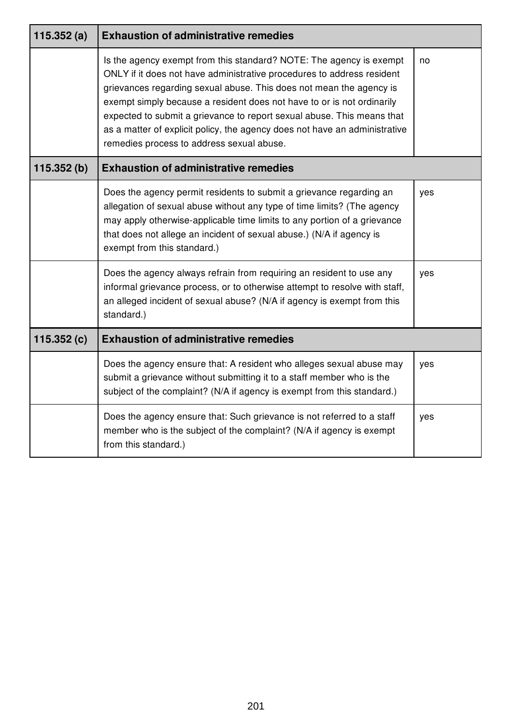| 115.352 $(a)$ | <b>Exhaustion of administrative remedies</b>                                                                                                                                                                                                                                                                                                                                                                                                                                                        |     |
|---------------|-----------------------------------------------------------------------------------------------------------------------------------------------------------------------------------------------------------------------------------------------------------------------------------------------------------------------------------------------------------------------------------------------------------------------------------------------------------------------------------------------------|-----|
|               | Is the agency exempt from this standard? NOTE: The agency is exempt<br>ONLY if it does not have administrative procedures to address resident<br>grievances regarding sexual abuse. This does not mean the agency is<br>exempt simply because a resident does not have to or is not ordinarily<br>expected to submit a grievance to report sexual abuse. This means that<br>as a matter of explicit policy, the agency does not have an administrative<br>remedies process to address sexual abuse. | no  |
| 115.352(b)    | <b>Exhaustion of administrative remedies</b>                                                                                                                                                                                                                                                                                                                                                                                                                                                        |     |
|               | Does the agency permit residents to submit a grievance regarding an<br>allegation of sexual abuse without any type of time limits? (The agency<br>may apply otherwise-applicable time limits to any portion of a grievance<br>that does not allege an incident of sexual abuse.) (N/A if agency is<br>exempt from this standard.)                                                                                                                                                                   | yes |
|               | Does the agency always refrain from requiring an resident to use any<br>informal grievance process, or to otherwise attempt to resolve with staff,<br>an alleged incident of sexual abuse? (N/A if agency is exempt from this<br>standard.)                                                                                                                                                                                                                                                         | yes |
| 115.352 $(c)$ | <b>Exhaustion of administrative remedies</b>                                                                                                                                                                                                                                                                                                                                                                                                                                                        |     |
|               | Does the agency ensure that: A resident who alleges sexual abuse may<br>submit a grievance without submitting it to a staff member who is the<br>subject of the complaint? (N/A if agency is exempt from this standard.)                                                                                                                                                                                                                                                                            | yes |
|               | Does the agency ensure that: Such grievance is not referred to a staff<br>member who is the subject of the complaint? (N/A if agency is exempt<br>from this standard.)                                                                                                                                                                                                                                                                                                                              | yes |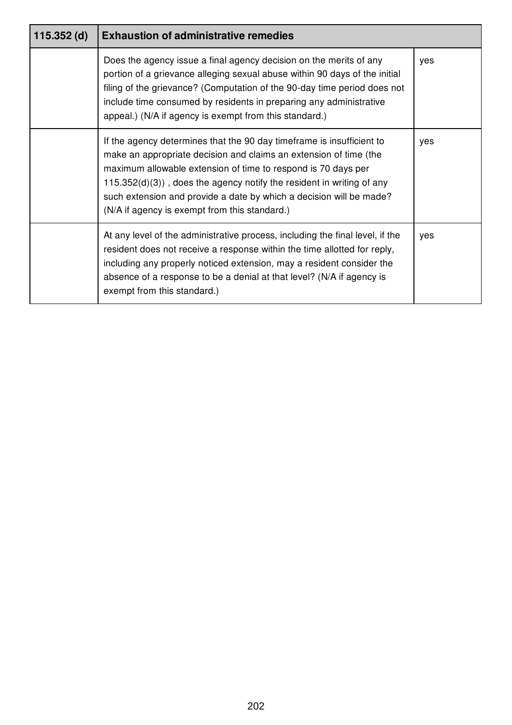| $115.352$ (d) | <b>Exhaustion of administrative remedies</b>                                                                                                                                                                                                                                                                                                                                                                   |     |
|---------------|----------------------------------------------------------------------------------------------------------------------------------------------------------------------------------------------------------------------------------------------------------------------------------------------------------------------------------------------------------------------------------------------------------------|-----|
|               | Does the agency issue a final agency decision on the merits of any<br>portion of a grievance alleging sexual abuse within 90 days of the initial<br>filing of the grievance? (Computation of the 90-day time period does not<br>include time consumed by residents in preparing any administrative<br>appeal.) (N/A if agency is exempt from this standard.)                                                   | yes |
|               | If the agency determines that the 90 day timeframe is insufficient to<br>make an appropriate decision and claims an extension of time (the<br>maximum allowable extension of time to respond is 70 days per<br>$115.352(d)(3)$ , does the agency notify the resident in writing of any<br>such extension and provide a date by which a decision will be made?<br>(N/A if agency is exempt from this standard.) | yes |
|               | At any level of the administrative process, including the final level, if the<br>resident does not receive a response within the time allotted for reply,<br>including any properly noticed extension, may a resident consider the<br>absence of a response to be a denial at that level? (N/A if agency is<br>exempt from this standard.)                                                                     | yes |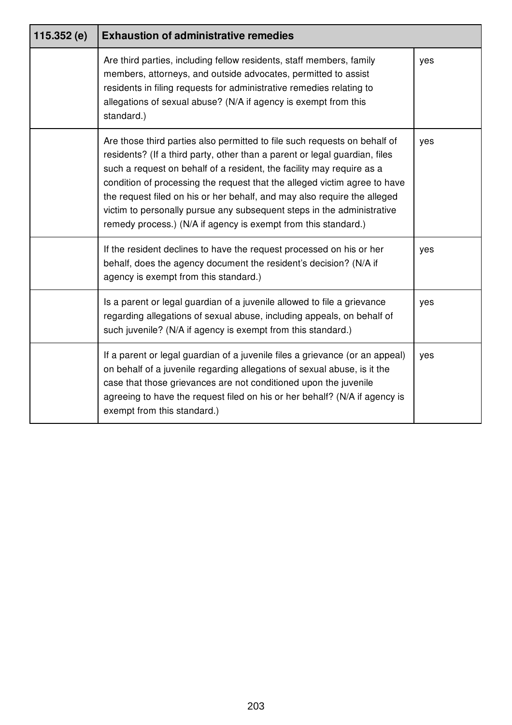| 115.352(e) | <b>Exhaustion of administrative remedies</b>                                                                                                                                                                                                                                                                                                                                                                                                                                                                                          |     |
|------------|---------------------------------------------------------------------------------------------------------------------------------------------------------------------------------------------------------------------------------------------------------------------------------------------------------------------------------------------------------------------------------------------------------------------------------------------------------------------------------------------------------------------------------------|-----|
|            | Are third parties, including fellow residents, staff members, family<br>members, attorneys, and outside advocates, permitted to assist<br>residents in filing requests for administrative remedies relating to<br>allegations of sexual abuse? (N/A if agency is exempt from this<br>standard.)                                                                                                                                                                                                                                       | yes |
|            | Are those third parties also permitted to file such requests on behalf of<br>residents? (If a third party, other than a parent or legal guardian, files<br>such a request on behalf of a resident, the facility may require as a<br>condition of processing the request that the alleged victim agree to have<br>the request filed on his or her behalf, and may also require the alleged<br>victim to personally pursue any subsequent steps in the administrative<br>remedy process.) (N/A if agency is exempt from this standard.) | yes |
|            | If the resident declines to have the request processed on his or her<br>behalf, does the agency document the resident's decision? (N/A if<br>agency is exempt from this standard.)                                                                                                                                                                                                                                                                                                                                                    | yes |
|            | Is a parent or legal guardian of a juvenile allowed to file a grievance<br>regarding allegations of sexual abuse, including appeals, on behalf of<br>such juvenile? (N/A if agency is exempt from this standard.)                                                                                                                                                                                                                                                                                                                     | yes |
|            | If a parent or legal guardian of a juvenile files a grievance (or an appeal)<br>on behalf of a juvenile regarding allegations of sexual abuse, is it the<br>case that those grievances are not conditioned upon the juvenile<br>agreeing to have the request filed on his or her behalf? (N/A if agency is<br>exempt from this standard.)                                                                                                                                                                                             | yes |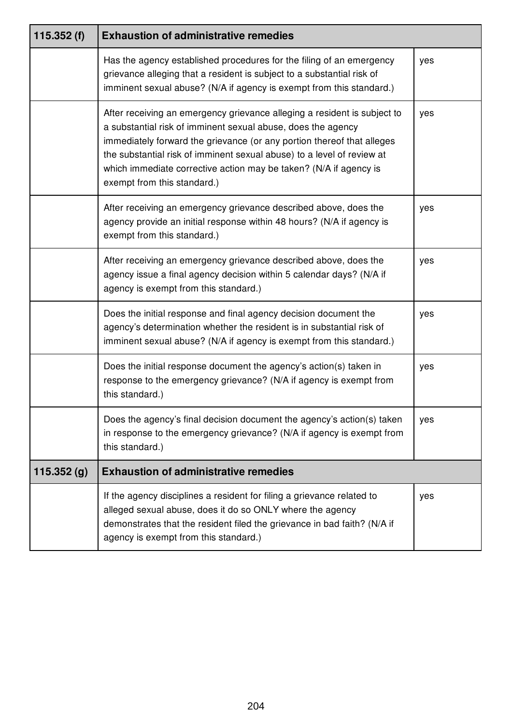| 115.352 $(f)$ | <b>Exhaustion of administrative remedies</b>                                                                                                                                                                                                                                                                                                                                                     |     |
|---------------|--------------------------------------------------------------------------------------------------------------------------------------------------------------------------------------------------------------------------------------------------------------------------------------------------------------------------------------------------------------------------------------------------|-----|
|               | Has the agency established procedures for the filing of an emergency<br>grievance alleging that a resident is subject to a substantial risk of<br>imminent sexual abuse? (N/A if agency is exempt from this standard.)                                                                                                                                                                           | yes |
|               | After receiving an emergency grievance alleging a resident is subject to<br>a substantial risk of imminent sexual abuse, does the agency<br>immediately forward the grievance (or any portion thereof that alleges<br>the substantial risk of imminent sexual abuse) to a level of review at<br>which immediate corrective action may be taken? (N/A if agency is<br>exempt from this standard.) | yes |
|               | After receiving an emergency grievance described above, does the<br>agency provide an initial response within 48 hours? (N/A if agency is<br>exempt from this standard.)                                                                                                                                                                                                                         | yes |
|               | After receiving an emergency grievance described above, does the<br>agency issue a final agency decision within 5 calendar days? (N/A if<br>agency is exempt from this standard.)                                                                                                                                                                                                                | yes |
|               | Does the initial response and final agency decision document the<br>agency's determination whether the resident is in substantial risk of<br>imminent sexual abuse? (N/A if agency is exempt from this standard.)                                                                                                                                                                                | yes |
|               | Does the initial response document the agency's action(s) taken in<br>response to the emergency grievance? (N/A if agency is exempt from<br>this standard.)                                                                                                                                                                                                                                      | yes |
|               | Does the agency's final decision document the agency's action(s) taken<br>in response to the emergency grievance? (N/A if agency is exempt from<br>this standard.)                                                                                                                                                                                                                               | yes |
| 115.352(g)    | <b>Exhaustion of administrative remedies</b>                                                                                                                                                                                                                                                                                                                                                     |     |
|               | If the agency disciplines a resident for filing a grievance related to<br>alleged sexual abuse, does it do so ONLY where the agency<br>demonstrates that the resident filed the grievance in bad faith? (N/A if<br>agency is exempt from this standard.)                                                                                                                                         | yes |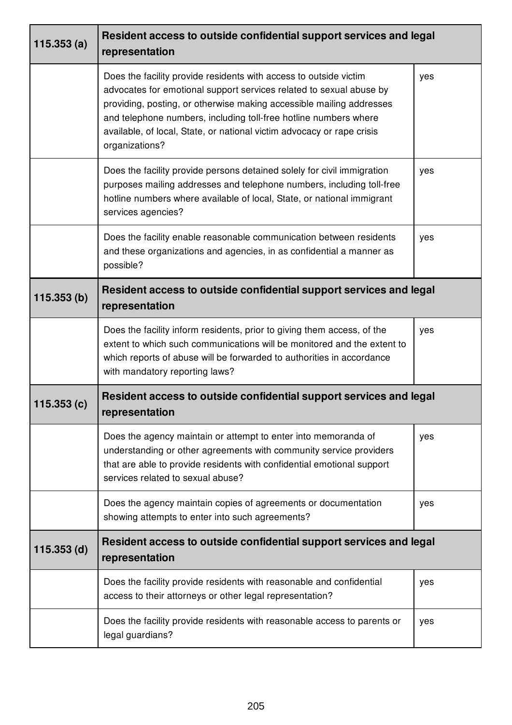| 115.353(a)    | Resident access to outside confidential support services and legal<br>representation                                                                                                                                                                                                                                                                                             |     |
|---------------|----------------------------------------------------------------------------------------------------------------------------------------------------------------------------------------------------------------------------------------------------------------------------------------------------------------------------------------------------------------------------------|-----|
|               | Does the facility provide residents with access to outside victim<br>advocates for emotional support services related to sexual abuse by<br>providing, posting, or otherwise making accessible mailing addresses<br>and telephone numbers, including toll-free hotline numbers where<br>available, of local, State, or national victim advocacy or rape crisis<br>organizations? | yes |
|               | Does the facility provide persons detained solely for civil immigration<br>purposes mailing addresses and telephone numbers, including toll-free<br>hotline numbers where available of local, State, or national immigrant<br>services agencies?                                                                                                                                 | yes |
|               | Does the facility enable reasonable communication between residents<br>and these organizations and agencies, in as confidential a manner as<br>possible?                                                                                                                                                                                                                         | yes |
| 115.353(b)    | Resident access to outside confidential support services and legal<br>representation                                                                                                                                                                                                                                                                                             |     |
|               | Does the facility inform residents, prior to giving them access, of the<br>extent to which such communications will be monitored and the extent to<br>which reports of abuse will be forwarded to authorities in accordance<br>with mandatory reporting laws?                                                                                                                    | yes |
| 115.353(c)    | Resident access to outside confidential support services and legal<br>representation                                                                                                                                                                                                                                                                                             |     |
|               | Does the agency maintain or attempt to enter into memoranda of<br>understanding or other agreements with community service providers<br>that are able to provide residents with confidential emotional support<br>services related to sexual abuse?                                                                                                                              | yes |
|               | Does the agency maintain copies of agreements or documentation<br>showing attempts to enter into such agreements?                                                                                                                                                                                                                                                                | yes |
| $115.353$ (d) | Resident access to outside confidential support services and legal<br>representation                                                                                                                                                                                                                                                                                             |     |
|               | Does the facility provide residents with reasonable and confidential<br>access to their attorneys or other legal representation?                                                                                                                                                                                                                                                 | yes |
|               | Does the facility provide residents with reasonable access to parents or<br>legal guardians?                                                                                                                                                                                                                                                                                     | yes |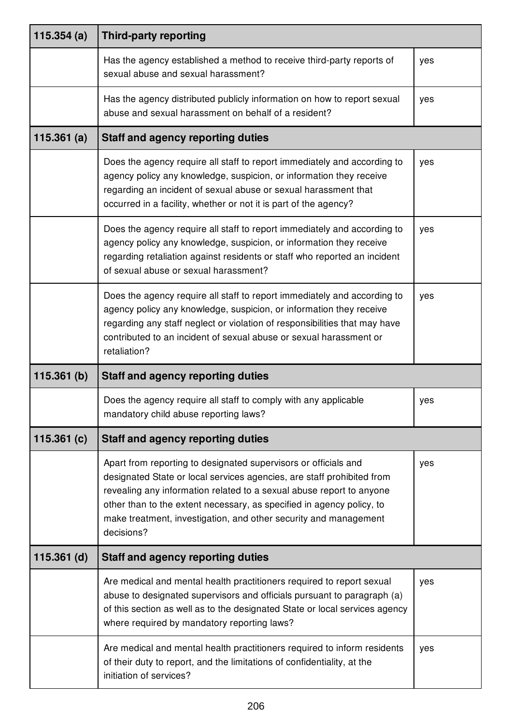| 115.354(a)    | <b>Third-party reporting</b>                                                                                                                                                                                                                                                                                                                                                 |     |
|---------------|------------------------------------------------------------------------------------------------------------------------------------------------------------------------------------------------------------------------------------------------------------------------------------------------------------------------------------------------------------------------------|-----|
|               | Has the agency established a method to receive third-party reports of<br>sexual abuse and sexual harassment?                                                                                                                                                                                                                                                                 | yes |
|               | Has the agency distributed publicly information on how to report sexual<br>abuse and sexual harassment on behalf of a resident?                                                                                                                                                                                                                                              | yes |
| 115.361(a)    | <b>Staff and agency reporting duties</b>                                                                                                                                                                                                                                                                                                                                     |     |
|               | Does the agency require all staff to report immediately and according to<br>agency policy any knowledge, suspicion, or information they receive<br>regarding an incident of sexual abuse or sexual harassment that<br>occurred in a facility, whether or not it is part of the agency?                                                                                       | yes |
|               | Does the agency require all staff to report immediately and according to<br>agency policy any knowledge, suspicion, or information they receive<br>regarding retaliation against residents or staff who reported an incident<br>of sexual abuse or sexual harassment?                                                                                                        | yes |
|               | Does the agency require all staff to report immediately and according to<br>agency policy any knowledge, suspicion, or information they receive<br>regarding any staff neglect or violation of responsibilities that may have<br>contributed to an incident of sexual abuse or sexual harassment or<br>retaliation?                                                          | yes |
| 115.361(b)    | <b>Staff and agency reporting duties</b>                                                                                                                                                                                                                                                                                                                                     |     |
|               | Does the agency require all staff to comply with any applicable<br>mandatory child abuse reporting laws?                                                                                                                                                                                                                                                                     | yes |
| 115.361 $(c)$ | <b>Staff and agency reporting duties</b>                                                                                                                                                                                                                                                                                                                                     |     |
|               | Apart from reporting to designated supervisors or officials and<br>designated State or local services agencies, are staff prohibited from<br>revealing any information related to a sexual abuse report to anyone<br>other than to the extent necessary, as specified in agency policy, to<br>make treatment, investigation, and other security and management<br>decisions? | yes |
| $115.361$ (d) | <b>Staff and agency reporting duties</b>                                                                                                                                                                                                                                                                                                                                     |     |
|               | Are medical and mental health practitioners required to report sexual<br>abuse to designated supervisors and officials pursuant to paragraph (a)<br>of this section as well as to the designated State or local services agency<br>where required by mandatory reporting laws?                                                                                               | yes |
|               | Are medical and mental health practitioners required to inform residents<br>of their duty to report, and the limitations of confidentiality, at the<br>initiation of services?                                                                                                                                                                                               | yes |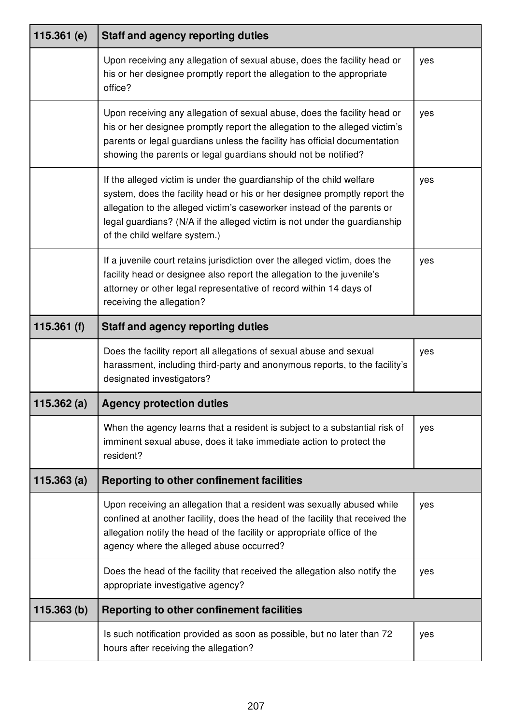| 115.361 $(e)$ | <b>Staff and agency reporting duties</b>                                                                                                                                                                                                                                                                                                   |     |
|---------------|--------------------------------------------------------------------------------------------------------------------------------------------------------------------------------------------------------------------------------------------------------------------------------------------------------------------------------------------|-----|
|               | Upon receiving any allegation of sexual abuse, does the facility head or<br>his or her designee promptly report the allegation to the appropriate<br>office?                                                                                                                                                                               | yes |
|               | Upon receiving any allegation of sexual abuse, does the facility head or<br>his or her designee promptly report the allegation to the alleged victim's<br>parents or legal guardians unless the facility has official documentation<br>showing the parents or legal guardians should not be notified?                                      | yes |
|               | If the alleged victim is under the guardianship of the child welfare<br>system, does the facility head or his or her designee promptly report the<br>allegation to the alleged victim's caseworker instead of the parents or<br>legal guardians? (N/A if the alleged victim is not under the guardianship<br>of the child welfare system.) | yes |
|               | If a juvenile court retains jurisdiction over the alleged victim, does the<br>facility head or designee also report the allegation to the juvenile's<br>attorney or other legal representative of record within 14 days of<br>receiving the allegation?                                                                                    | yes |
| 115.361 $(f)$ | <b>Staff and agency reporting duties</b>                                                                                                                                                                                                                                                                                                   |     |
|               | Does the facility report all allegations of sexual abuse and sexual<br>harassment, including third-party and anonymous reports, to the facility's<br>designated investigators?                                                                                                                                                             | yes |
| 115.362 $(a)$ | <b>Agency protection duties</b>                                                                                                                                                                                                                                                                                                            |     |
|               | When the agency learns that a resident is subject to a substantial risk of<br>imminent sexual abuse, does it take immediate action to protect the<br>resident?                                                                                                                                                                             | yes |
| 115.363(a)    | Reporting to other confinement facilities                                                                                                                                                                                                                                                                                                  |     |
|               | Upon receiving an allegation that a resident was sexually abused while<br>confined at another facility, does the head of the facility that received the<br>allegation notify the head of the facility or appropriate office of the<br>agency where the alleged abuse occurred?                                                             | yes |
|               | Does the head of the facility that received the allegation also notify the<br>appropriate investigative agency?                                                                                                                                                                                                                            | yes |
| 115.363(b)    | <b>Reporting to other confinement facilities</b>                                                                                                                                                                                                                                                                                           |     |
|               | Is such notification provided as soon as possible, but no later than 72<br>hours after receiving the allegation?                                                                                                                                                                                                                           | yes |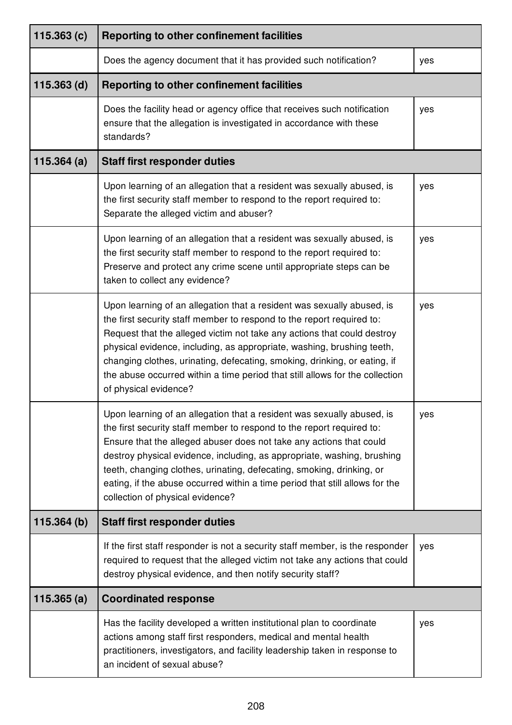| 115.363(c)    | Reporting to other confinement facilities                                                                                                                                                                                                                                                                                                                                                                                                                                                      |     |
|---------------|------------------------------------------------------------------------------------------------------------------------------------------------------------------------------------------------------------------------------------------------------------------------------------------------------------------------------------------------------------------------------------------------------------------------------------------------------------------------------------------------|-----|
|               | Does the agency document that it has provided such notification?                                                                                                                                                                                                                                                                                                                                                                                                                               | yes |
| $115.363$ (d) | Reporting to other confinement facilities                                                                                                                                                                                                                                                                                                                                                                                                                                                      |     |
|               | Does the facility head or agency office that receives such notification<br>ensure that the allegation is investigated in accordance with these<br>standards?                                                                                                                                                                                                                                                                                                                                   | yes |
| 115.364(a)    | <b>Staff first responder duties</b>                                                                                                                                                                                                                                                                                                                                                                                                                                                            |     |
|               | Upon learning of an allegation that a resident was sexually abused, is<br>the first security staff member to respond to the report required to:<br>Separate the alleged victim and abuser?                                                                                                                                                                                                                                                                                                     | yes |
|               | Upon learning of an allegation that a resident was sexually abused, is<br>the first security staff member to respond to the report required to:<br>Preserve and protect any crime scene until appropriate steps can be<br>taken to collect any evidence?                                                                                                                                                                                                                                       | yes |
|               | Upon learning of an allegation that a resident was sexually abused, is<br>the first security staff member to respond to the report required to:<br>Request that the alleged victim not take any actions that could destroy<br>physical evidence, including, as appropriate, washing, brushing teeth,<br>changing clothes, urinating, defecating, smoking, drinking, or eating, if<br>the abuse occurred within a time period that still allows for the collection<br>of physical evidence?     | yes |
|               | Upon learning of an allegation that a resident was sexually abused, is<br>the first security staff member to respond to the report required to:<br>Ensure that the alleged abuser does not take any actions that could<br>destroy physical evidence, including, as appropriate, washing, brushing<br>teeth, changing clothes, urinating, defecating, smoking, drinking, or<br>eating, if the abuse occurred within a time period that still allows for the<br>collection of physical evidence? | yes |
| 115.364(b)    | <b>Staff first responder duties</b>                                                                                                                                                                                                                                                                                                                                                                                                                                                            |     |
|               | If the first staff responder is not a security staff member, is the responder<br>required to request that the alleged victim not take any actions that could<br>destroy physical evidence, and then notify security staff?                                                                                                                                                                                                                                                                     | yes |
| 115.365(a)    | <b>Coordinated response</b>                                                                                                                                                                                                                                                                                                                                                                                                                                                                    |     |
|               | Has the facility developed a written institutional plan to coordinate<br>actions among staff first responders, medical and mental health<br>practitioners, investigators, and facility leadership taken in response to<br>an incident of sexual abuse?                                                                                                                                                                                                                                         | yes |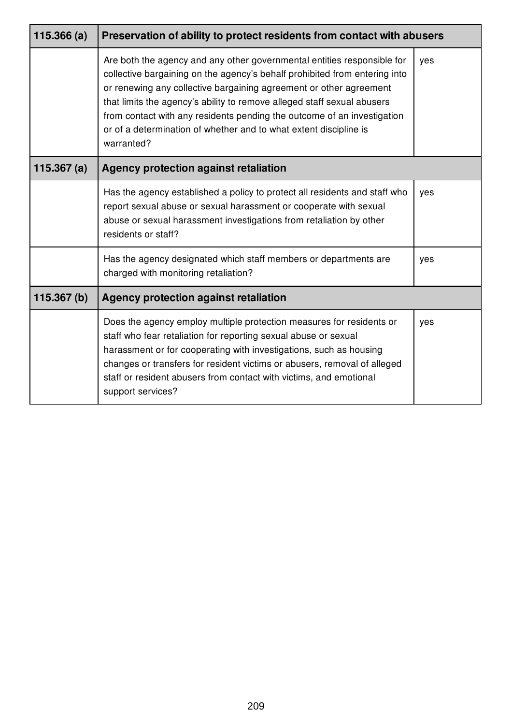| 115.366(a)    | Preservation of ability to protect residents from contact with abusers                                                                                                                                                                                                                                                                                                                                                                                               |     |
|---------------|----------------------------------------------------------------------------------------------------------------------------------------------------------------------------------------------------------------------------------------------------------------------------------------------------------------------------------------------------------------------------------------------------------------------------------------------------------------------|-----|
|               | Are both the agency and any other governmental entities responsible for<br>collective bargaining on the agency's behalf prohibited from entering into<br>or renewing any collective bargaining agreement or other agreement<br>that limits the agency's ability to remove alleged staff sexual abusers<br>from contact with any residents pending the outcome of an investigation<br>or of a determination of whether and to what extent discipline is<br>warranted? | yes |
| 115.367 $(a)$ | Agency protection against retaliation                                                                                                                                                                                                                                                                                                                                                                                                                                |     |
|               | Has the agency established a policy to protect all residents and staff who<br>report sexual abuse or sexual harassment or cooperate with sexual<br>abuse or sexual harassment investigations from retaliation by other<br>residents or staff?                                                                                                                                                                                                                        | yes |
|               | Has the agency designated which staff members or departments are<br>charged with monitoring retaliation?                                                                                                                                                                                                                                                                                                                                                             | yes |
| 115.367(b)    | <b>Agency protection against retaliation</b>                                                                                                                                                                                                                                                                                                                                                                                                                         |     |
|               | Does the agency employ multiple protection measures for residents or<br>staff who fear retaliation for reporting sexual abuse or sexual<br>harassment or for cooperating with investigations, such as housing<br>changes or transfers for resident victims or abusers, removal of alleged<br>staff or resident abusers from contact with victims, and emotional<br>support services?                                                                                 | yes |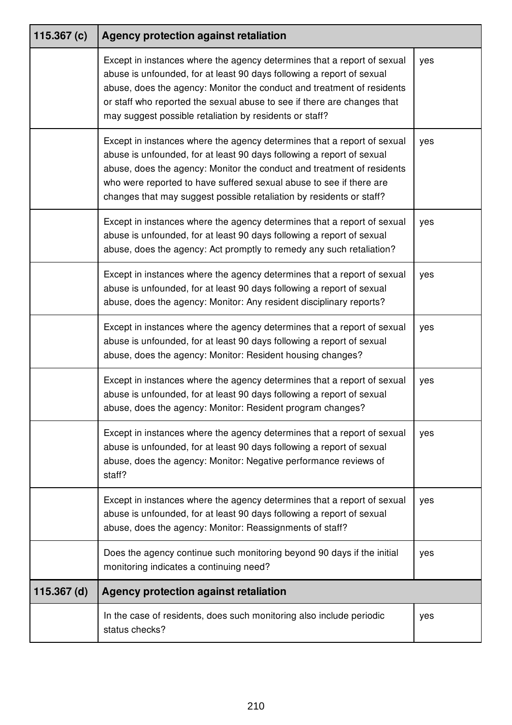| 115.367 $(c)$ | Agency protection against retaliation                                                                                                                                                                                                                                                                                                                                     |     |
|---------------|---------------------------------------------------------------------------------------------------------------------------------------------------------------------------------------------------------------------------------------------------------------------------------------------------------------------------------------------------------------------------|-----|
|               | Except in instances where the agency determines that a report of sexual<br>abuse is unfounded, for at least 90 days following a report of sexual<br>abuse, does the agency: Monitor the conduct and treatment of residents<br>or staff who reported the sexual abuse to see if there are changes that<br>may suggest possible retaliation by residents or staff?          | yes |
|               | Except in instances where the agency determines that a report of sexual<br>abuse is unfounded, for at least 90 days following a report of sexual<br>abuse, does the agency: Monitor the conduct and treatment of residents<br>who were reported to have suffered sexual abuse to see if there are<br>changes that may suggest possible retaliation by residents or staff? | yes |
|               | Except in instances where the agency determines that a report of sexual<br>abuse is unfounded, for at least 90 days following a report of sexual<br>abuse, does the agency: Act promptly to remedy any such retaliation?                                                                                                                                                  | yes |
|               | Except in instances where the agency determines that a report of sexual<br>abuse is unfounded, for at least 90 days following a report of sexual<br>abuse, does the agency: Monitor: Any resident disciplinary reports?                                                                                                                                                   | yes |
|               | Except in instances where the agency determines that a report of sexual<br>abuse is unfounded, for at least 90 days following a report of sexual<br>abuse, does the agency: Monitor: Resident housing changes?                                                                                                                                                            | yes |
|               | Except in instances where the agency determines that a report of sexual<br>abuse is unfounded, for at least 90 days following a report of sexual<br>abuse, does the agency: Monitor: Resident program changes?                                                                                                                                                            | yes |
|               | Except in instances where the agency determines that a report of sexual<br>abuse is unfounded, for at least 90 days following a report of sexual<br>abuse, does the agency: Monitor: Negative performance reviews of<br>staff?                                                                                                                                            | yes |
|               | Except in instances where the agency determines that a report of sexual<br>abuse is unfounded, for at least 90 days following a report of sexual<br>abuse, does the agency: Monitor: Reassignments of staff?                                                                                                                                                              | yes |
|               | Does the agency continue such monitoring beyond 90 days if the initial<br>monitoring indicates a continuing need?                                                                                                                                                                                                                                                         | yes |
| $115.367$ (d) | Agency protection against retaliation                                                                                                                                                                                                                                                                                                                                     |     |
|               | In the case of residents, does such monitoring also include periodic<br>status checks?                                                                                                                                                                                                                                                                                    | yes |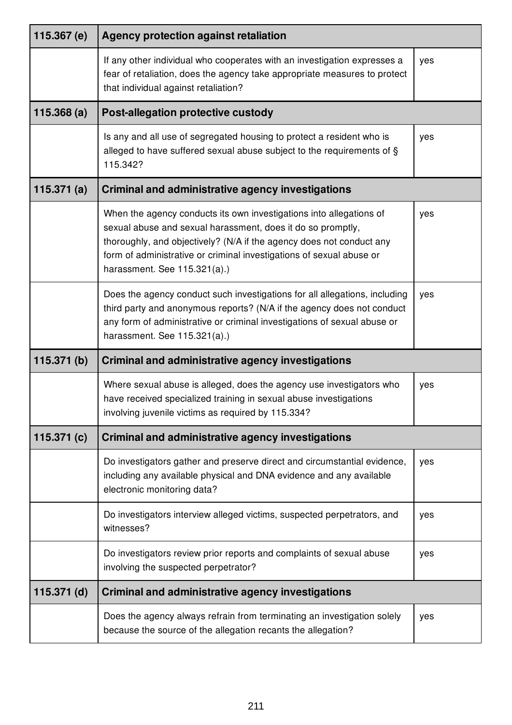| 115.367 (e)   | <b>Agency protection against retaliation</b>                                                                                                                                                                                                                                                                       |     |
|---------------|--------------------------------------------------------------------------------------------------------------------------------------------------------------------------------------------------------------------------------------------------------------------------------------------------------------------|-----|
|               | If any other individual who cooperates with an investigation expresses a<br>fear of retaliation, does the agency take appropriate measures to protect<br>that individual against retaliation?                                                                                                                      | yes |
| 115.368(a)    | Post-allegation protective custody                                                                                                                                                                                                                                                                                 |     |
|               | Is any and all use of segregated housing to protect a resident who is<br>alleged to have suffered sexual abuse subject to the requirements of §<br>115.342?                                                                                                                                                        | yes |
| 115.371 $(a)$ | <b>Criminal and administrative agency investigations</b>                                                                                                                                                                                                                                                           |     |
|               | When the agency conducts its own investigations into allegations of<br>sexual abuse and sexual harassment, does it do so promptly,<br>thoroughly, and objectively? (N/A if the agency does not conduct any<br>form of administrative or criminal investigations of sexual abuse or<br>harassment. See 115.321(a).) | yes |
|               | Does the agency conduct such investigations for all allegations, including<br>third party and anonymous reports? (N/A if the agency does not conduct<br>any form of administrative or criminal investigations of sexual abuse or<br>harassment. See 115.321(a).)                                                   | yes |
| 115.371(b)    | <b>Criminal and administrative agency investigations</b>                                                                                                                                                                                                                                                           |     |
|               | Where sexual abuse is alleged, does the agency use investigators who<br>have received specialized training in sexual abuse investigations<br>involving juvenile victims as required by 115.334?                                                                                                                    | yes |
| 115.371 $(c)$ | <b>Criminal and administrative agency investigations</b>                                                                                                                                                                                                                                                           |     |
|               | Do investigators gather and preserve direct and circumstantial evidence,<br>including any available physical and DNA evidence and any available<br>electronic monitoring data?                                                                                                                                     | yes |
|               | Do investigators interview alleged victims, suspected perpetrators, and<br>witnesses?                                                                                                                                                                                                                              | yes |
|               | Do investigators review prior reports and complaints of sexual abuse<br>involving the suspected perpetrator?                                                                                                                                                                                                       | yes |
| $115.371$ (d) | <b>Criminal and administrative agency investigations</b>                                                                                                                                                                                                                                                           |     |
|               | Does the agency always refrain from terminating an investigation solely<br>because the source of the allegation recants the allegation?                                                                                                                                                                            | yes |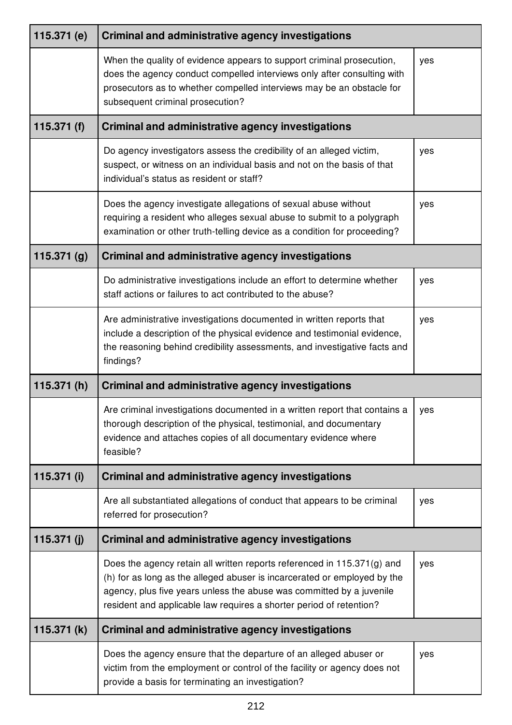| 115.371 (e)   | <b>Criminal and administrative agency investigations</b>                                                                                                                                                                                                                                           |     |
|---------------|----------------------------------------------------------------------------------------------------------------------------------------------------------------------------------------------------------------------------------------------------------------------------------------------------|-----|
|               | When the quality of evidence appears to support criminal prosecution,<br>does the agency conduct compelled interviews only after consulting with<br>prosecutors as to whether compelled interviews may be an obstacle for<br>subsequent criminal prosecution?                                      | yes |
| 115.371 $(f)$ | <b>Criminal and administrative agency investigations</b>                                                                                                                                                                                                                                           |     |
|               | Do agency investigators assess the credibility of an alleged victim,<br>suspect, or witness on an individual basis and not on the basis of that<br>individual's status as resident or staff?                                                                                                       | yes |
|               | Does the agency investigate allegations of sexual abuse without<br>requiring a resident who alleges sexual abuse to submit to a polygraph<br>examination or other truth-telling device as a condition for proceeding?                                                                              | yes |
| 115.371(g)    | <b>Criminal and administrative agency investigations</b>                                                                                                                                                                                                                                           |     |
|               | Do administrative investigations include an effort to determine whether<br>staff actions or failures to act contributed to the abuse?                                                                                                                                                              | yes |
|               | Are administrative investigations documented in written reports that<br>include a description of the physical evidence and testimonial evidence,<br>the reasoning behind credibility assessments, and investigative facts and<br>findings?                                                         | yes |
| 115.371 $(h)$ | <b>Criminal and administrative agency investigations</b>                                                                                                                                                                                                                                           |     |
|               | Are criminal investigations documented in a written report that contains a<br>thorough description of the physical, testimonial, and documentary<br>evidence and attaches copies of all documentary evidence where<br>feasible?                                                                    | yes |
| 115.371 (i)   | Criminal and administrative agency investigations                                                                                                                                                                                                                                                  |     |
|               | Are all substantiated allegations of conduct that appears to be criminal<br>referred for prosecution?                                                                                                                                                                                              | yes |
| 115.371 $(j)$ | <b>Criminal and administrative agency investigations</b>                                                                                                                                                                                                                                           |     |
|               | Does the agency retain all written reports referenced in 115.371(g) and<br>(h) for as long as the alleged abuser is incarcerated or employed by the<br>agency, plus five years unless the abuse was committed by a juvenile<br>resident and applicable law requires a shorter period of retention? | yes |
| 115.371 $(k)$ | <b>Criminal and administrative agency investigations</b>                                                                                                                                                                                                                                           |     |
|               | Does the agency ensure that the departure of an alleged abuser or<br>victim from the employment or control of the facility or agency does not<br>provide a basis for terminating an investigation?                                                                                                 | yes |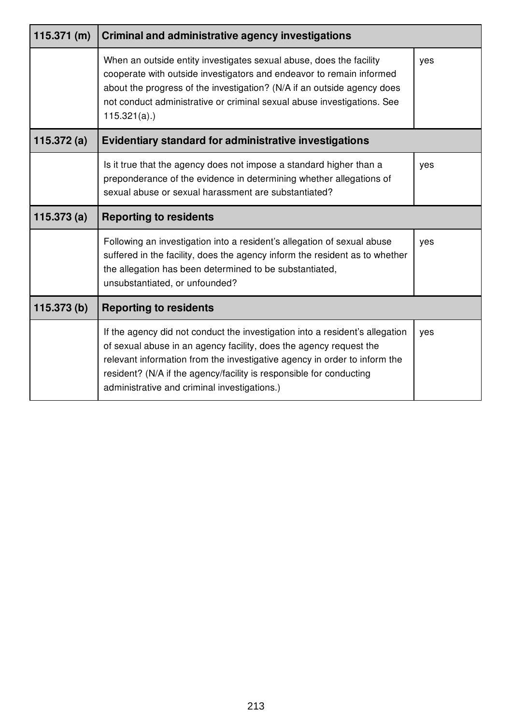| 115.371(m)    | <b>Criminal and administrative agency investigations</b>                                                                                                                                                                                                                                                                                               |     |
|---------------|--------------------------------------------------------------------------------------------------------------------------------------------------------------------------------------------------------------------------------------------------------------------------------------------------------------------------------------------------------|-----|
|               | When an outside entity investigates sexual abuse, does the facility<br>cooperate with outside investigators and endeavor to remain informed<br>about the progress of the investigation? (N/A if an outside agency does<br>not conduct administrative or criminal sexual abuse investigations. See<br>$115.321(a)$ .)                                   | yes |
| 115.372 $(a)$ | <b>Evidentiary standard for administrative investigations</b>                                                                                                                                                                                                                                                                                          |     |
|               | Is it true that the agency does not impose a standard higher than a<br>preponderance of the evidence in determining whether allegations of<br>sexual abuse or sexual harassment are substantiated?                                                                                                                                                     | yes |
| 115.373(a)    | <b>Reporting to residents</b>                                                                                                                                                                                                                                                                                                                          |     |
|               | Following an investigation into a resident's allegation of sexual abuse<br>suffered in the facility, does the agency inform the resident as to whether<br>the allegation has been determined to be substantiated,<br>unsubstantiated, or unfounded?                                                                                                    | yes |
| 115.373 (b)   | <b>Reporting to residents</b>                                                                                                                                                                                                                                                                                                                          |     |
|               | If the agency did not conduct the investigation into a resident's allegation<br>of sexual abuse in an agency facility, does the agency request the<br>relevant information from the investigative agency in order to inform the<br>resident? (N/A if the agency/facility is responsible for conducting<br>administrative and criminal investigations.) | yes |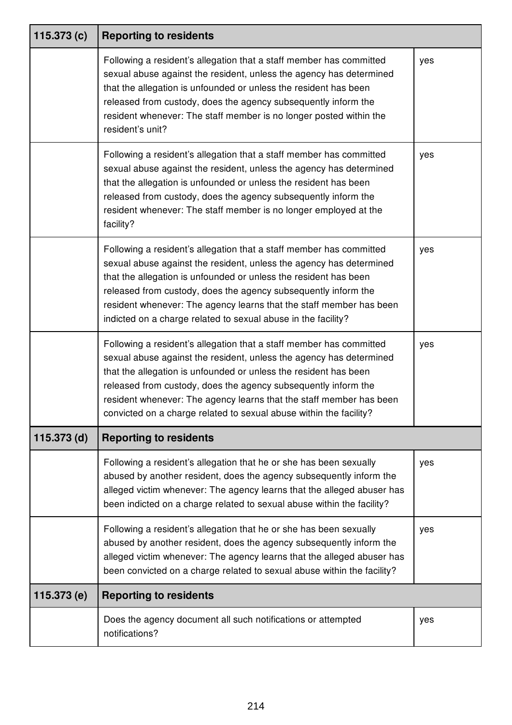| 115.373 $(c)$ | <b>Reporting to residents</b>                                                                                                                                                                                                                                                                                                                                                                                                 |     |
|---------------|-------------------------------------------------------------------------------------------------------------------------------------------------------------------------------------------------------------------------------------------------------------------------------------------------------------------------------------------------------------------------------------------------------------------------------|-----|
|               | Following a resident's allegation that a staff member has committed<br>sexual abuse against the resident, unless the agency has determined<br>that the allegation is unfounded or unless the resident has been<br>released from custody, does the agency subsequently inform the<br>resident whenever: The staff member is no longer posted within the<br>resident's unit?                                                    | yes |
|               | Following a resident's allegation that a staff member has committed<br>sexual abuse against the resident, unless the agency has determined<br>that the allegation is unfounded or unless the resident has been<br>released from custody, does the agency subsequently inform the<br>resident whenever: The staff member is no longer employed at the<br>facility?                                                             | yes |
|               | Following a resident's allegation that a staff member has committed<br>sexual abuse against the resident, unless the agency has determined<br>that the allegation is unfounded or unless the resident has been<br>released from custody, does the agency subsequently inform the<br>resident whenever: The agency learns that the staff member has been<br>indicted on a charge related to sexual abuse in the facility?      | yes |
|               | Following a resident's allegation that a staff member has committed<br>sexual abuse against the resident, unless the agency has determined<br>that the allegation is unfounded or unless the resident has been<br>released from custody, does the agency subsequently inform the<br>resident whenever: The agency learns that the staff member has been<br>convicted on a charge related to sexual abuse within the facility? | yes |
| 115.373 (d)   | <b>Reporting to residents</b>                                                                                                                                                                                                                                                                                                                                                                                                 |     |
|               | Following a resident's allegation that he or she has been sexually<br>abused by another resident, does the agency subsequently inform the<br>alleged victim whenever: The agency learns that the alleged abuser has<br>been indicted on a charge related to sexual abuse within the facility?                                                                                                                                 | yes |
|               | Following a resident's allegation that he or she has been sexually<br>abused by another resident, does the agency subsequently inform the<br>alleged victim whenever: The agency learns that the alleged abuser has<br>been convicted on a charge related to sexual abuse within the facility?                                                                                                                                | yes |
| 115.373 (e)   | <b>Reporting to residents</b>                                                                                                                                                                                                                                                                                                                                                                                                 |     |
|               | Does the agency document all such notifications or attempted<br>notifications?                                                                                                                                                                                                                                                                                                                                                | yes |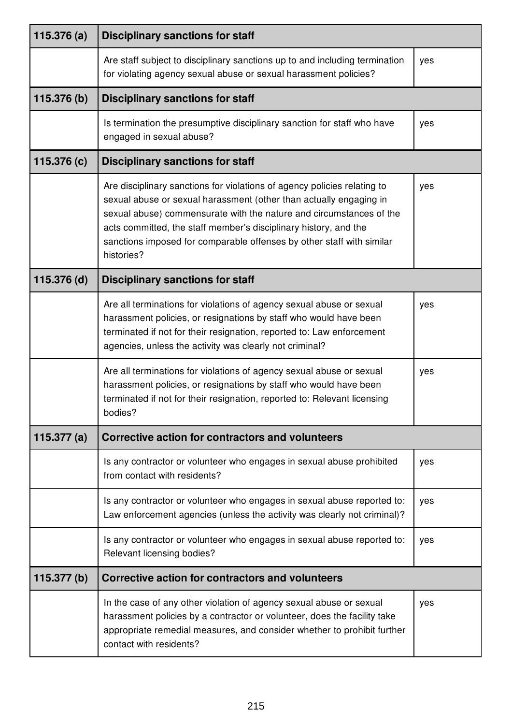| 115.376 $(a)$ | <b>Disciplinary sanctions for staff</b>                                                                                                                                                                                                                                                                                                                                          |     |
|---------------|----------------------------------------------------------------------------------------------------------------------------------------------------------------------------------------------------------------------------------------------------------------------------------------------------------------------------------------------------------------------------------|-----|
|               | Are staff subject to disciplinary sanctions up to and including termination<br>for violating agency sexual abuse or sexual harassment policies?                                                                                                                                                                                                                                  | yes |
| 115.376 (b)   | <b>Disciplinary sanctions for staff</b>                                                                                                                                                                                                                                                                                                                                          |     |
|               | Is termination the presumptive disciplinary sanction for staff who have<br>engaged in sexual abuse?                                                                                                                                                                                                                                                                              | yes |
| 115.376 (c)   | <b>Disciplinary sanctions for staff</b>                                                                                                                                                                                                                                                                                                                                          |     |
|               | Are disciplinary sanctions for violations of agency policies relating to<br>sexual abuse or sexual harassment (other than actually engaging in<br>sexual abuse) commensurate with the nature and circumstances of the<br>acts committed, the staff member's disciplinary history, and the<br>sanctions imposed for comparable offenses by other staff with similar<br>histories? | yes |
| 115.376 (d)   | <b>Disciplinary sanctions for staff</b>                                                                                                                                                                                                                                                                                                                                          |     |
|               | Are all terminations for violations of agency sexual abuse or sexual<br>harassment policies, or resignations by staff who would have been<br>terminated if not for their resignation, reported to: Law enforcement<br>agencies, unless the activity was clearly not criminal?                                                                                                    | yes |
|               | Are all terminations for violations of agency sexual abuse or sexual<br>harassment policies, or resignations by staff who would have been<br>terminated if not for their resignation, reported to: Relevant licensing<br>bodies?                                                                                                                                                 | yes |
| 115.377 $(a)$ | Corrective action for contractors and volunteers                                                                                                                                                                                                                                                                                                                                 |     |
|               | Is any contractor or volunteer who engages in sexual abuse prohibited<br>from contact with residents?                                                                                                                                                                                                                                                                            | yes |
|               | Is any contractor or volunteer who engages in sexual abuse reported to:<br>Law enforcement agencies (unless the activity was clearly not criminal)?                                                                                                                                                                                                                              | yes |
|               | Is any contractor or volunteer who engages in sexual abuse reported to:<br>Relevant licensing bodies?                                                                                                                                                                                                                                                                            | yes |
| 115.377 (b)   | Corrective action for contractors and volunteers                                                                                                                                                                                                                                                                                                                                 |     |
|               | In the case of any other violation of agency sexual abuse or sexual<br>harassment policies by a contractor or volunteer, does the facility take<br>appropriate remedial measures, and consider whether to prohibit further<br>contact with residents?                                                                                                                            | yes |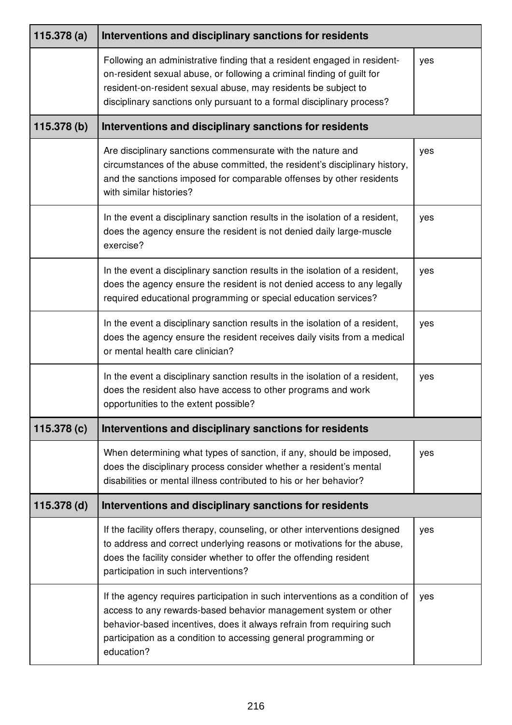| 115.378(a)  | Interventions and disciplinary sanctions for residents                                                                                                                                                                                                                                                     |     |
|-------------|------------------------------------------------------------------------------------------------------------------------------------------------------------------------------------------------------------------------------------------------------------------------------------------------------------|-----|
|             | Following an administrative finding that a resident engaged in resident-<br>on-resident sexual abuse, or following a criminal finding of guilt for<br>resident-on-resident sexual abuse, may residents be subject to<br>disciplinary sanctions only pursuant to a formal disciplinary process?             | yes |
| 115.378 (b) | Interventions and disciplinary sanctions for residents                                                                                                                                                                                                                                                     |     |
|             | Are disciplinary sanctions commensurate with the nature and<br>circumstances of the abuse committed, the resident's disciplinary history,<br>and the sanctions imposed for comparable offenses by other residents<br>with similar histories?                                                               | yes |
|             | In the event a disciplinary sanction results in the isolation of a resident,<br>does the agency ensure the resident is not denied daily large-muscle<br>exercise?                                                                                                                                          | yes |
|             | In the event a disciplinary sanction results in the isolation of a resident,<br>does the agency ensure the resident is not denied access to any legally<br>required educational programming or special education services?                                                                                 | yes |
|             | In the event a disciplinary sanction results in the isolation of a resident,<br>does the agency ensure the resident receives daily visits from a medical<br>or mental health care clinician?                                                                                                               | yes |
|             | In the event a disciplinary sanction results in the isolation of a resident,<br>does the resident also have access to other programs and work<br>opportunities to the extent possible?                                                                                                                     | yes |
| 115.378 (c) | Interventions and disciplinary sanctions for residents                                                                                                                                                                                                                                                     |     |
|             | When determining what types of sanction, if any, should be imposed,<br>does the disciplinary process consider whether a resident's mental<br>disabilities or mental illness contributed to his or her behavior?                                                                                            | yes |
| 115.378 (d) | Interventions and disciplinary sanctions for residents                                                                                                                                                                                                                                                     |     |
|             | If the facility offers therapy, counseling, or other interventions designed<br>to address and correct underlying reasons or motivations for the abuse,<br>does the facility consider whether to offer the offending resident<br>participation in such interventions?                                       | yes |
|             | If the agency requires participation in such interventions as a condition of<br>access to any rewards-based behavior management system or other<br>behavior-based incentives, does it always refrain from requiring such<br>participation as a condition to accessing general programming or<br>education? | yes |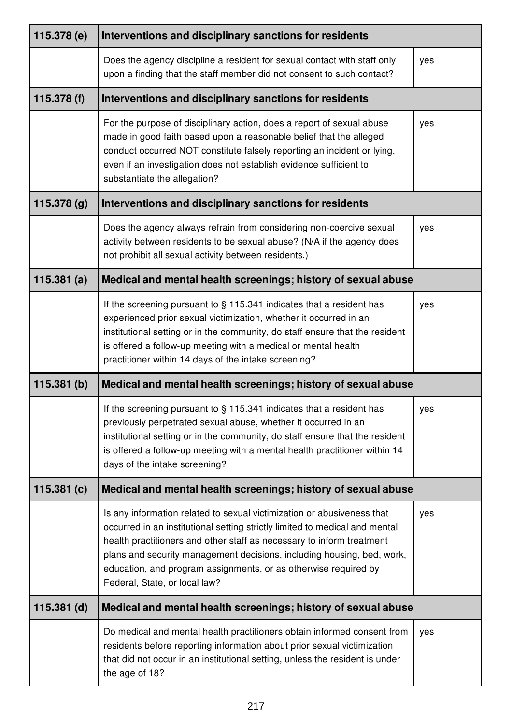| 115.378 (e)   | Interventions and disciplinary sanctions for residents                                                                                                                                                                                                                                                                                                                                                       |     |
|---------------|--------------------------------------------------------------------------------------------------------------------------------------------------------------------------------------------------------------------------------------------------------------------------------------------------------------------------------------------------------------------------------------------------------------|-----|
|               | Does the agency discipline a resident for sexual contact with staff only<br>upon a finding that the staff member did not consent to such contact?                                                                                                                                                                                                                                                            | yes |
| 115.378 (f)   | Interventions and disciplinary sanctions for residents                                                                                                                                                                                                                                                                                                                                                       |     |
|               | For the purpose of disciplinary action, does a report of sexual abuse<br>made in good faith based upon a reasonable belief that the alleged<br>conduct occurred NOT constitute falsely reporting an incident or lying,<br>even if an investigation does not establish evidence sufficient to<br>substantiate the allegation?                                                                                 | yes |
| 115.378 (g)   | Interventions and disciplinary sanctions for residents                                                                                                                                                                                                                                                                                                                                                       |     |
|               | Does the agency always refrain from considering non-coercive sexual<br>activity between residents to be sexual abuse? (N/A if the agency does<br>not prohibit all sexual activity between residents.)                                                                                                                                                                                                        | yes |
| 115.381(a)    | Medical and mental health screenings; history of sexual abuse                                                                                                                                                                                                                                                                                                                                                |     |
|               | If the screening pursuant to $\S$ 115.341 indicates that a resident has<br>experienced prior sexual victimization, whether it occurred in an<br>institutional setting or in the community, do staff ensure that the resident<br>is offered a follow-up meeting with a medical or mental health<br>practitioner within 14 days of the intake screening?                                                       | yes |
| 115.381(b)    | Medical and mental health screenings; history of sexual abuse                                                                                                                                                                                                                                                                                                                                                |     |
|               | If the screening pursuant to $\S$ 115.341 indicates that a resident has<br>previously perpetrated sexual abuse, whether it occurred in an<br>institutional setting or in the community, do staff ensure that the resident<br>is offered a follow-up meeting with a mental health practitioner within 14<br>days of the intake screening?                                                                     | yes |
| 115.381(c)    | Medical and mental health screenings; history of sexual abuse                                                                                                                                                                                                                                                                                                                                                |     |
|               | Is any information related to sexual victimization or abusiveness that<br>occurred in an institutional setting strictly limited to medical and mental<br>health practitioners and other staff as necessary to inform treatment<br>plans and security management decisions, including housing, bed, work,<br>education, and program assignments, or as otherwise required by<br>Federal, State, or local law? | yes |
| $115.381$ (d) | Medical and mental health screenings; history of sexual abuse                                                                                                                                                                                                                                                                                                                                                |     |
|               | Do medical and mental health practitioners obtain informed consent from<br>residents before reporting information about prior sexual victimization<br>that did not occur in an institutional setting, unless the resident is under<br>the age of 18?                                                                                                                                                         | yes |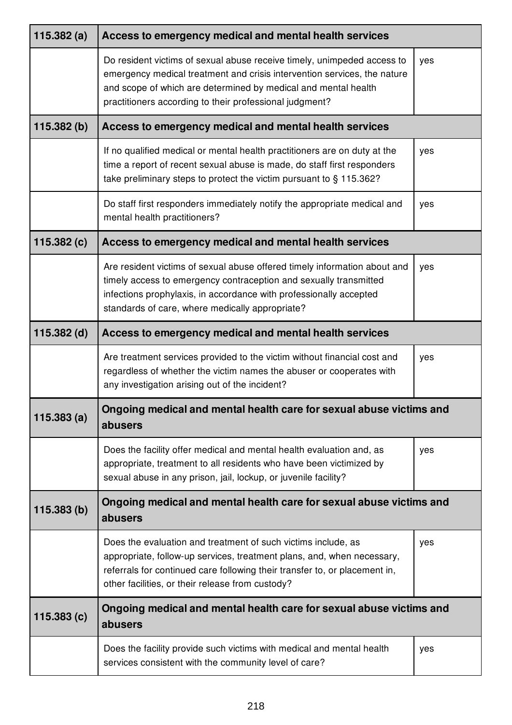| 115.382(a)  | Access to emergency medical and mental health services                                                                                                                                                                                                                           |     |
|-------------|----------------------------------------------------------------------------------------------------------------------------------------------------------------------------------------------------------------------------------------------------------------------------------|-----|
|             | Do resident victims of sexual abuse receive timely, unimpeded access to<br>emergency medical treatment and crisis intervention services, the nature<br>and scope of which are determined by medical and mental health<br>practitioners according to their professional judgment? | yes |
| 115.382(b)  | Access to emergency medical and mental health services                                                                                                                                                                                                                           |     |
|             | If no qualified medical or mental health practitioners are on duty at the<br>time a report of recent sexual abuse is made, do staff first responders<br>take preliminary steps to protect the victim pursuant to § 115.362?                                                      | yes |
|             | Do staff first responders immediately notify the appropriate medical and<br>mental health practitioners?                                                                                                                                                                         | yes |
| 115.382(c)  | Access to emergency medical and mental health services                                                                                                                                                                                                                           |     |
|             | Are resident victims of sexual abuse offered timely information about and<br>timely access to emergency contraception and sexually transmitted<br>infections prophylaxis, in accordance with professionally accepted<br>standards of care, where medically appropriate?          | yes |
| 115.382 (d) | Access to emergency medical and mental health services                                                                                                                                                                                                                           |     |
|             | Are treatment services provided to the victim without financial cost and<br>regardless of whether the victim names the abuser or cooperates with<br>any investigation arising out of the incident?                                                                               | yes |
| 115.383(a)  | Ongoing medical and mental health care for sexual abuse victims and<br>abusers                                                                                                                                                                                                   |     |
|             | Does the facility offer medical and mental health evaluation and, as<br>appropriate, treatment to all residents who have been victimized by<br>sexual abuse in any prison, jail, lockup, or juvenile facility?                                                                   | yes |
| 115.383(b)  | Ongoing medical and mental health care for sexual abuse victims and<br>abusers                                                                                                                                                                                                   |     |
|             | Does the evaluation and treatment of such victims include, as<br>appropriate, follow-up services, treatment plans, and, when necessary,<br>referrals for continued care following their transfer to, or placement in,<br>other facilities, or their release from custody?        | yes |
| 115.383(c)  | Ongoing medical and mental health care for sexual abuse victims and<br>abusers                                                                                                                                                                                                   |     |
|             | Does the facility provide such victims with medical and mental health<br>services consistent with the community level of care?                                                                                                                                                   | yes |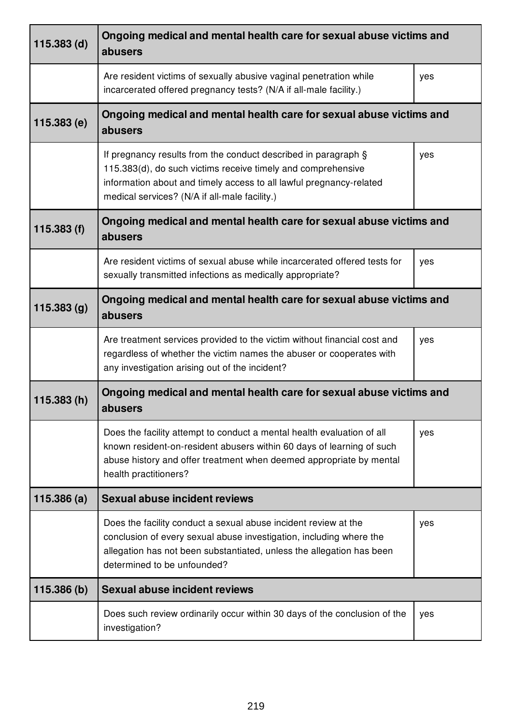| $115.383$ (d) | Ongoing medical and mental health care for sexual abuse victims and<br>abusers                                                                                                                                                                         |     |
|---------------|--------------------------------------------------------------------------------------------------------------------------------------------------------------------------------------------------------------------------------------------------------|-----|
|               | Are resident victims of sexually abusive vaginal penetration while<br>incarcerated offered pregnancy tests? (N/A if all-male facility.)                                                                                                                | yes |
| 115.383 (e)   | Ongoing medical and mental health care for sexual abuse victims and<br>abusers                                                                                                                                                                         |     |
|               | If pregnancy results from the conduct described in paragraph §<br>115.383(d), do such victims receive timely and comprehensive<br>information about and timely access to all lawful pregnancy-related<br>medical services? (N/A if all-male facility.) | yes |
| 115.383(f)    | Ongoing medical and mental health care for sexual abuse victims and<br>abusers                                                                                                                                                                         |     |
|               | Are resident victims of sexual abuse while incarcerated offered tests for<br>sexually transmitted infections as medically appropriate?                                                                                                                 | yes |
| 115.383 (g)   | Ongoing medical and mental health care for sexual abuse victims and<br>abusers                                                                                                                                                                         |     |
|               | Are treatment services provided to the victim without financial cost and<br>regardless of whether the victim names the abuser or cooperates with<br>any investigation arising out of the incident?                                                     | yes |
| 115.383(h)    | Ongoing medical and mental health care for sexual abuse victims and<br>abusers                                                                                                                                                                         |     |
|               | Does the facility attempt to conduct a mental health evaluation of all<br>known resident-on-resident abusers within 60 days of learning of such<br>abuse history and offer treatment when deemed appropriate by mental<br>health practitioners?        | yes |
| 115.386(a)    | <b>Sexual abuse incident reviews</b>                                                                                                                                                                                                                   |     |
|               | Does the facility conduct a sexual abuse incident review at the<br>conclusion of every sexual abuse investigation, including where the<br>allegation has not been substantiated, unless the allegation has been<br>determined to be unfounded?         | yes |
| 115.386 (b)   | <b>Sexual abuse incident reviews</b>                                                                                                                                                                                                                   |     |
|               | Does such review ordinarily occur within 30 days of the conclusion of the<br>investigation?                                                                                                                                                            | yes |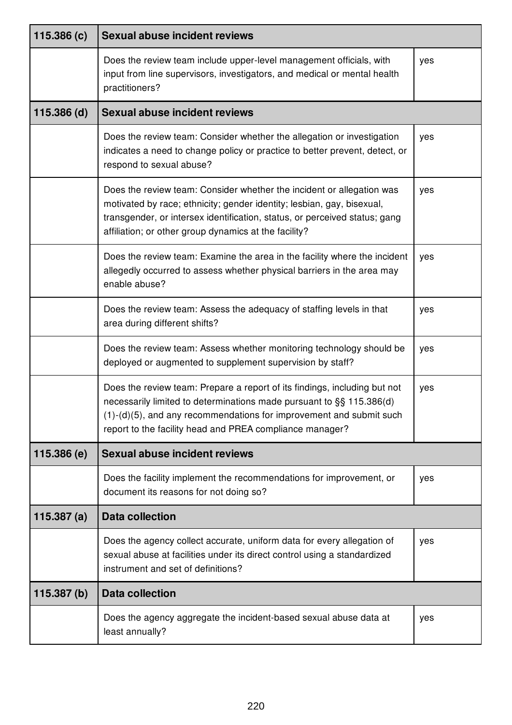| 115.386(c)    | <b>Sexual abuse incident reviews</b>                                                                                                                                                                                                                                                    |     |
|---------------|-----------------------------------------------------------------------------------------------------------------------------------------------------------------------------------------------------------------------------------------------------------------------------------------|-----|
|               | Does the review team include upper-level management officials, with<br>input from line supervisors, investigators, and medical or mental health<br>practitioners?                                                                                                                       | yes |
| $115.386$ (d) | <b>Sexual abuse incident reviews</b>                                                                                                                                                                                                                                                    |     |
|               | Does the review team: Consider whether the allegation or investigation<br>indicates a need to change policy or practice to better prevent, detect, or<br>respond to sexual abuse?                                                                                                       | yes |
|               | Does the review team: Consider whether the incident or allegation was<br>motivated by race; ethnicity; gender identity; lesbian, gay, bisexual,<br>transgender, or intersex identification, status, or perceived status; gang<br>affiliation; or other group dynamics at the facility?  | yes |
|               | Does the review team: Examine the area in the facility where the incident<br>allegedly occurred to assess whether physical barriers in the area may<br>enable abuse?                                                                                                                    | yes |
|               | Does the review team: Assess the adequacy of staffing levels in that<br>area during different shifts?                                                                                                                                                                                   | yes |
|               | Does the review team: Assess whether monitoring technology should be<br>deployed or augmented to supplement supervision by staff?                                                                                                                                                       | yes |
|               | Does the review team: Prepare a report of its findings, including but not<br>necessarily limited to determinations made pursuant to §§ 115.386(d)<br>$(1)-(d)(5)$ , and any recommendations for improvement and submit such<br>report to the facility head and PREA compliance manager? | yes |
| 115.386(e)    | <b>Sexual abuse incident reviews</b>                                                                                                                                                                                                                                                    |     |
|               | Does the facility implement the recommendations for improvement, or<br>document its reasons for not doing so?                                                                                                                                                                           | yes |
| 115.387(a)    | <b>Data collection</b>                                                                                                                                                                                                                                                                  |     |
|               | Does the agency collect accurate, uniform data for every allegation of<br>sexual abuse at facilities under its direct control using a standardized<br>instrument and set of definitions?                                                                                                | yes |
| 115.387(b)    | <b>Data collection</b>                                                                                                                                                                                                                                                                  |     |
|               | Does the agency aggregate the incident-based sexual abuse data at<br>least annually?                                                                                                                                                                                                    | yes |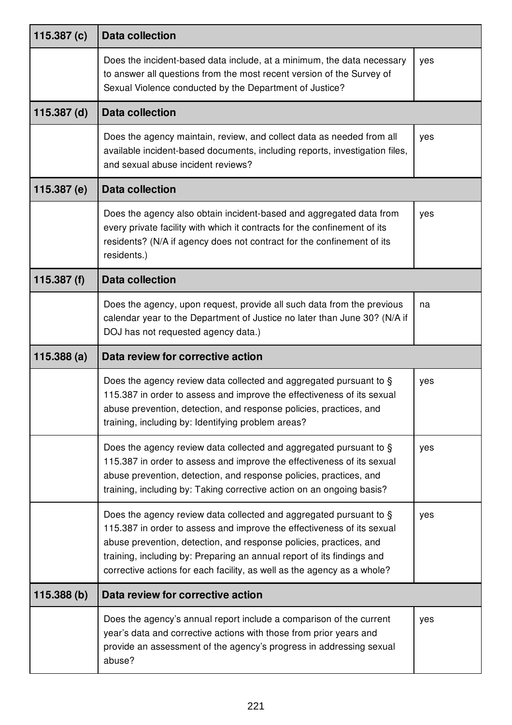| 115.387 $(c)$ | <b>Data collection</b>                                                                                                                                                                                                                                                                                                                                                  |     |
|---------------|-------------------------------------------------------------------------------------------------------------------------------------------------------------------------------------------------------------------------------------------------------------------------------------------------------------------------------------------------------------------------|-----|
|               | Does the incident-based data include, at a minimum, the data necessary<br>to answer all questions from the most recent version of the Survey of<br>Sexual Violence conducted by the Department of Justice?                                                                                                                                                              | yes |
| $115.387$ (d) | <b>Data collection</b>                                                                                                                                                                                                                                                                                                                                                  |     |
|               | Does the agency maintain, review, and collect data as needed from all<br>available incident-based documents, including reports, investigation files,<br>and sexual abuse incident reviews?                                                                                                                                                                              | yes |
| 115.387 (e)   | <b>Data collection</b>                                                                                                                                                                                                                                                                                                                                                  |     |
|               | Does the agency also obtain incident-based and aggregated data from<br>every private facility with which it contracts for the confinement of its<br>residents? (N/A if agency does not contract for the confinement of its<br>residents.)                                                                                                                               | yes |
| 115.387 (f)   | <b>Data collection</b>                                                                                                                                                                                                                                                                                                                                                  |     |
|               | Does the agency, upon request, provide all such data from the previous<br>calendar year to the Department of Justice no later than June 30? (N/A if<br>DOJ has not requested agency data.)                                                                                                                                                                              | na  |
| 115.388(a)    | Data review for corrective action                                                                                                                                                                                                                                                                                                                                       |     |
|               | Does the agency review data collected and aggregated pursuant to §<br>115.387 in order to assess and improve the effectiveness of its sexual<br>abuse prevention, detection, and response policies, practices, and<br>training, including by: Identifying problem areas?                                                                                                | yes |
|               | Does the agency review data collected and aggregated pursuant to §<br>115.387 in order to assess and improve the effectiveness of its sexual<br>abuse prevention, detection, and response policies, practices, and<br>training, including by: Taking corrective action on an ongoing basis?                                                                             | yes |
|               | Does the agency review data collected and aggregated pursuant to §<br>115.387 in order to assess and improve the effectiveness of its sexual<br>abuse prevention, detection, and response policies, practices, and<br>training, including by: Preparing an annual report of its findings and<br>corrective actions for each facility, as well as the agency as a whole? | yes |
| 115.388 (b)   | Data review for corrective action                                                                                                                                                                                                                                                                                                                                       |     |
|               | Does the agency's annual report include a comparison of the current<br>year's data and corrective actions with those from prior years and<br>provide an assessment of the agency's progress in addressing sexual<br>abuse?                                                                                                                                              | yes |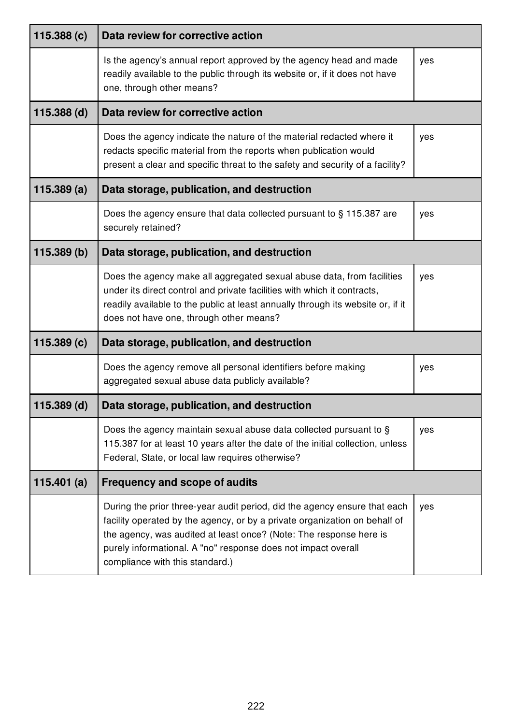| 115.388 (c)   | Data review for corrective action                                                                                                                                                                                                                                                                                                 |     |
|---------------|-----------------------------------------------------------------------------------------------------------------------------------------------------------------------------------------------------------------------------------------------------------------------------------------------------------------------------------|-----|
|               | Is the agency's annual report approved by the agency head and made<br>readily available to the public through its website or, if it does not have<br>one, through other means?                                                                                                                                                    | yes |
| $115.388$ (d) | Data review for corrective action                                                                                                                                                                                                                                                                                                 |     |
|               | Does the agency indicate the nature of the material redacted where it<br>redacts specific material from the reports when publication would<br>present a clear and specific threat to the safety and security of a facility?                                                                                                       | yes |
| 115.389(a)    | Data storage, publication, and destruction                                                                                                                                                                                                                                                                                        |     |
|               | Does the agency ensure that data collected pursuant to § 115.387 are<br>securely retained?                                                                                                                                                                                                                                        | yes |
| 115.389(b)    | Data storage, publication, and destruction                                                                                                                                                                                                                                                                                        |     |
|               | Does the agency make all aggregated sexual abuse data, from facilities<br>under its direct control and private facilities with which it contracts,<br>readily available to the public at least annually through its website or, if it<br>does not have one, through other means?                                                  | yes |
| 115.389(c)    | Data storage, publication, and destruction                                                                                                                                                                                                                                                                                        |     |
|               | Does the agency remove all personal identifiers before making<br>aggregated sexual abuse data publicly available?                                                                                                                                                                                                                 | yes |
| $115.389$ (d) | Data storage, publication, and destruction                                                                                                                                                                                                                                                                                        |     |
|               | Does the agency maintain sexual abuse data collected pursuant to §<br>115.387 for at least 10 years after the date of the initial collection, unless<br>Federal, State, or local law requires otherwise?                                                                                                                          | yes |
| 115.401 $(a)$ | <b>Frequency and scope of audits</b>                                                                                                                                                                                                                                                                                              |     |
|               | During the prior three-year audit period, did the agency ensure that each<br>facility operated by the agency, or by a private organization on behalf of<br>the agency, was audited at least once? (Note: The response here is<br>purely informational. A "no" response does not impact overall<br>compliance with this standard.) | yes |